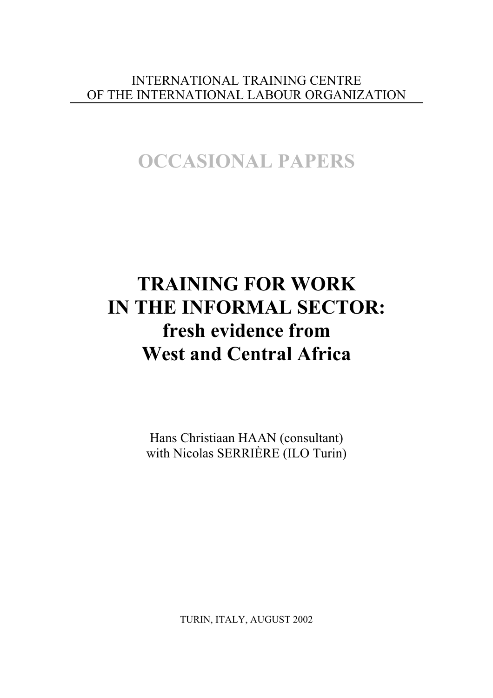# INTERNATIONAL TRAINING CENTRE OF THE INTERNATIONAL LABOUR ORGANIZATION

# **OCCASIONAL PAPERS**

# **TRAINING FOR WORK IN THE INFORMAL SECTOR: fresh evidence from West and Central Africa**

Hans Christiaan HAAN (consultant) with Nicolas SERRIÈRE (ILO Turin)

TURIN, ITALY, AUGUST 2002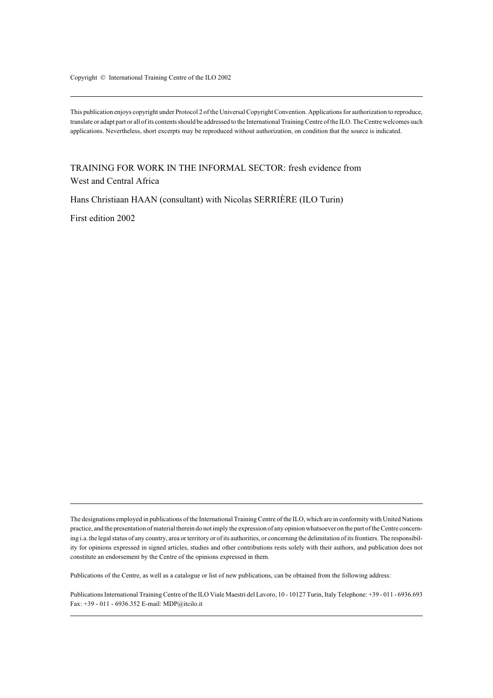This publication enjoys copyright under Protocol 2 of the Universal Copyright Convention. Applications for authorization to reproduce, translate or adapt part or all of its contents should be addressed to the International Training Centre of the ILO. The Centre welcomes such applications. Nevertheless, short excerpts may be reproduced without authorization, on condition that the source is indicated.

TRAINING FOR WORK IN THE INFORMAL SECTOR: fresh evidence from West and Central Africa

Hans Christiaan HAAN (consultant) with Nicolas SERRIÈRE (ILO Turin)

First edition 2002

Publications of the Centre, as well as a catalogue or list of new publications, can be obtained from the following address:

Publications International Training Centre of the ILO Viale Maestri del Lavoro, 10 - 10127 Turin, Italy Telephone: +39 - 011 - 6936.693 Fax: +39 - 011 - 6936.352 E-mail: MDP@itcilo.it

The designations employed in publications of the International Training Centre of the ILO, which are in conformity with United Nations practice,and the presentation of material therein do not imply the expression of any opinion whatsoever on the part of the Centre concerning i.a. the legal status of any country, area or territory or of its authorities, or concerning the delimitation of its frontiers. The responsibility for opinions expressed in signed articles, studies and other contributions rests solely with their authors, and publication does not constitute an endorsement by the Centre of the opinions expressed in them.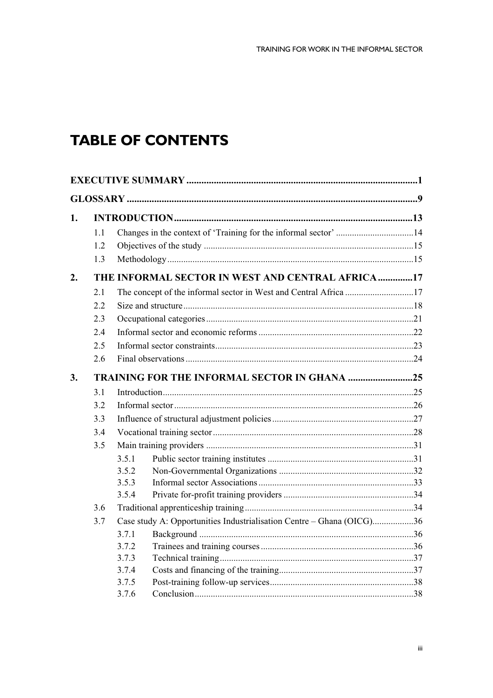# **TABLE OF CONTENTS**

| 1. |     |       |                                                                       |  |
|----|-----|-------|-----------------------------------------------------------------------|--|
|    | 1.1 |       |                                                                       |  |
|    | 1.2 |       |                                                                       |  |
|    | 1.3 |       |                                                                       |  |
| 2. |     |       | THE INFORMAL SECTOR IN WEST AND CENTRAL AFRICA17                      |  |
|    | 2.1 |       | The concept of the informal sector in West and Central Africa 17      |  |
|    | 2.2 |       |                                                                       |  |
|    | 2.3 |       |                                                                       |  |
|    | 2.4 |       |                                                                       |  |
|    | 2.5 |       |                                                                       |  |
|    | 2.6 |       |                                                                       |  |
| 3. |     |       | TRAINING FOR THE INFORMAL SECTOR IN GHANA 25                          |  |
|    | 3.1 |       |                                                                       |  |
|    | 3.2 |       |                                                                       |  |
|    | 3.3 |       |                                                                       |  |
|    | 3.4 |       |                                                                       |  |
|    | 3.5 |       |                                                                       |  |
|    |     | 3.5.1 |                                                                       |  |
|    |     | 3.5.2 |                                                                       |  |
|    |     | 3.5.3 |                                                                       |  |
|    |     | 3.5.4 |                                                                       |  |
|    | 3.6 |       |                                                                       |  |
|    | 3.7 |       | Case study A: Opportunities Industrialisation Centre – Ghana (OICG)36 |  |
|    |     | 3.7.1 |                                                                       |  |
|    |     | 3.7.2 |                                                                       |  |
|    |     | 3.7.3 |                                                                       |  |
|    |     | 3.7.4 |                                                                       |  |
|    |     | 3.7.5 |                                                                       |  |
|    |     | 3.7.6 |                                                                       |  |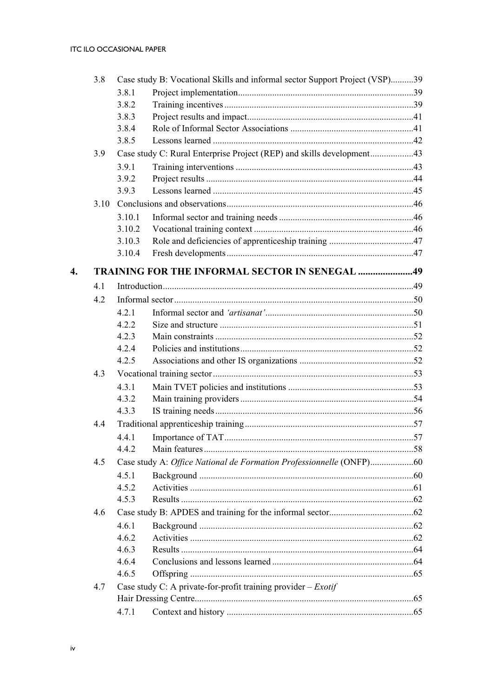|                    | 3.8  |        | Case study B: Vocational Skills and informal sector Support Project (VSP)39 |  |
|--------------------|------|--------|-----------------------------------------------------------------------------|--|
|                    |      | 3.8.1  |                                                                             |  |
|                    |      | 3.8.2  |                                                                             |  |
|                    |      | 3.8.3  |                                                                             |  |
|                    |      | 3.8.4  |                                                                             |  |
|                    |      | 3.8.5  |                                                                             |  |
|                    | 3.9  |        | Case study C: Rural Enterprise Project (REP) and skills development43       |  |
|                    |      | 3.9.1  |                                                                             |  |
|                    |      | 3.9.2  |                                                                             |  |
|                    |      | 3.9.3  |                                                                             |  |
|                    | 3.10 |        |                                                                             |  |
|                    |      | 3.10.1 |                                                                             |  |
|                    |      | 3.10.2 |                                                                             |  |
|                    |      | 3.10.3 |                                                                             |  |
|                    |      | 3.10.4 |                                                                             |  |
| $\boldsymbol{4}$ . |      |        | TRAINING FOR THE INFORMAL SECTOR IN SENEGAL 49                              |  |
|                    | 4.1  |        |                                                                             |  |
|                    | 4.2  |        |                                                                             |  |
|                    |      | 4.2.1  |                                                                             |  |
|                    |      | 4.2.2  |                                                                             |  |
|                    |      | 4.2.3  |                                                                             |  |
|                    |      | 4.2.4  |                                                                             |  |
|                    |      | 4.2.5  |                                                                             |  |
|                    | 4.3  |        |                                                                             |  |
|                    |      | 4.3.1  |                                                                             |  |
|                    |      | 4.3.2  |                                                                             |  |
|                    |      | 4.3.3  |                                                                             |  |
|                    | 4.4  |        |                                                                             |  |
|                    |      | 4.4.1  |                                                                             |  |
|                    |      | 4.4.2  |                                                                             |  |
|                    | 4.5  |        | Case study A: Office National de Formation Professionnelle (ONFP)60         |  |
|                    |      | 4.5.1  |                                                                             |  |
|                    |      | 4.5.2  |                                                                             |  |
|                    |      | 4.5.3  |                                                                             |  |
|                    | 4.6  |        |                                                                             |  |
|                    |      | 4.6.1  |                                                                             |  |
|                    |      | 4.6.2  |                                                                             |  |
|                    |      | 4.6.3  |                                                                             |  |
|                    |      | 4.6.4  |                                                                             |  |
|                    |      | 4.6.5  |                                                                             |  |
|                    | 4.7  |        | Case study C: A private-for-profit training provider $-$ <i>Exotif</i>      |  |
|                    |      |        |                                                                             |  |
|                    |      | 4.7.1  |                                                                             |  |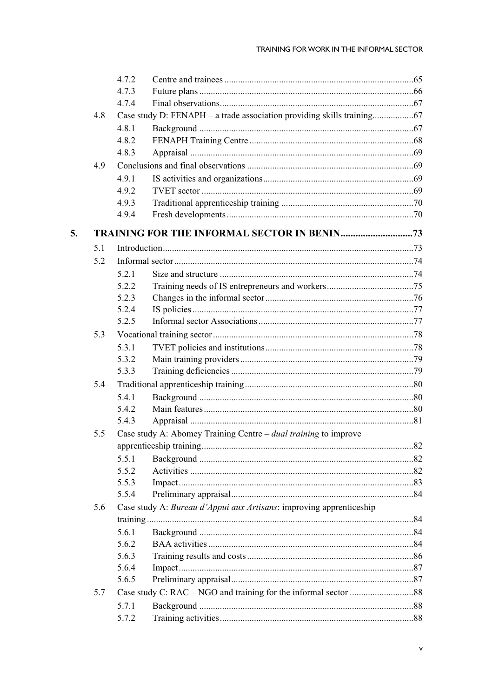|    |     | 4.7.2 |                                                                     |  |
|----|-----|-------|---------------------------------------------------------------------|--|
|    |     | 4.7.3 |                                                                     |  |
|    |     | 4.7.4 |                                                                     |  |
|    | 4.8 |       |                                                                     |  |
|    |     | 4.8.1 |                                                                     |  |
|    |     | 4.8.2 |                                                                     |  |
|    |     | 4.8.3 |                                                                     |  |
|    | 4.9 |       |                                                                     |  |
|    |     | 4.9.1 |                                                                     |  |
|    |     | 4.9.2 |                                                                     |  |
|    |     | 4.9.3 |                                                                     |  |
|    |     | 4.9.4 |                                                                     |  |
| 5. |     |       |                                                                     |  |
|    | 5.1 |       |                                                                     |  |
|    | 5.2 |       |                                                                     |  |
|    |     | 5.2.1 |                                                                     |  |
|    |     | 5.2.2 |                                                                     |  |
|    |     | 5.2.3 |                                                                     |  |
|    |     | 5.2.4 |                                                                     |  |
|    |     | 5.2.5 |                                                                     |  |
|    | 5.3 |       |                                                                     |  |
|    |     | 5.3.1 |                                                                     |  |
|    |     | 5.3.2 |                                                                     |  |
|    |     | 5.3.3 |                                                                     |  |
|    | 5.4 |       |                                                                     |  |
|    |     | 5.4.1 |                                                                     |  |
|    |     | 5.4.2 |                                                                     |  |
|    |     | 5.4.3 |                                                                     |  |
|    | 5.5 |       | Case study A: Abomey Training Centre $-$ dual training to improve   |  |
|    |     |       |                                                                     |  |
|    |     | 5.5.1 |                                                                     |  |
|    |     | 5.5.2 |                                                                     |  |
|    |     | 5.5.3 |                                                                     |  |
|    |     | 5.5.4 |                                                                     |  |
|    | 5.6 |       | Case study A: Bureau d'Appui aux Artisans: improving apprenticeship |  |
|    |     |       |                                                                     |  |
|    |     | 5.6.1 |                                                                     |  |
|    |     | 5.6.2 |                                                                     |  |
|    |     | 5.6.3 |                                                                     |  |
|    |     | 5.6.4 |                                                                     |  |
|    |     | 5.6.5 |                                                                     |  |
|    | 5.7 |       |                                                                     |  |
|    |     | 5.7.1 |                                                                     |  |
|    |     | 5.7.2 |                                                                     |  |
|    |     |       |                                                                     |  |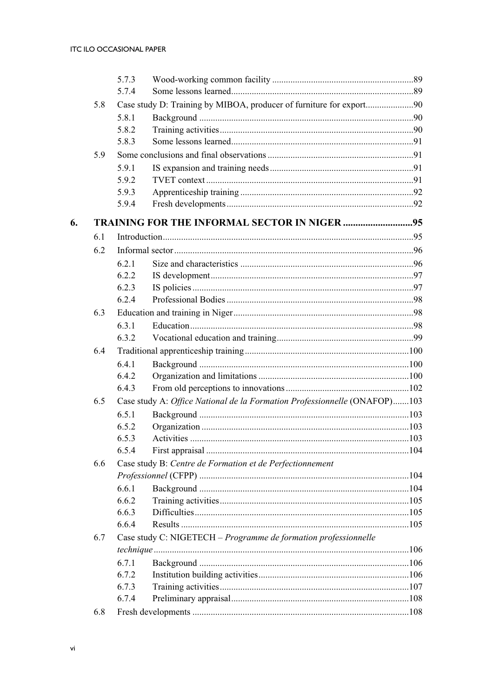|    |     | 5.7.3          |                                                                           |  |
|----|-----|----------------|---------------------------------------------------------------------------|--|
|    |     | 5.7.4          |                                                                           |  |
|    | 5.8 |                | Case study D: Training by MIBOA, producer of furniture for export90       |  |
|    |     | 5.8.1          |                                                                           |  |
|    |     | 5.8.2          |                                                                           |  |
|    |     | 5.8.3          |                                                                           |  |
|    | 5.9 |                |                                                                           |  |
|    |     | 5.9.1          |                                                                           |  |
|    |     | 5.9.2          |                                                                           |  |
|    |     | 5.9.3          |                                                                           |  |
|    |     | 5.9.4          |                                                                           |  |
| 6. |     |                | TRAINING FOR THE INFORMAL SECTOR IN NIGER 95                              |  |
|    | 6.1 |                |                                                                           |  |
|    | 6.2 |                |                                                                           |  |
|    |     | 6.2.1          |                                                                           |  |
|    |     | 6.2.2          |                                                                           |  |
|    |     | 6.2.3          |                                                                           |  |
|    |     | 6.2.4          |                                                                           |  |
|    | 6.3 |                |                                                                           |  |
|    |     | 6.3.1          |                                                                           |  |
|    |     | 6.3.2          |                                                                           |  |
|    | 6.4 |                |                                                                           |  |
|    |     |                |                                                                           |  |
|    |     | 6.4.1          |                                                                           |  |
|    |     | 6.4.2          |                                                                           |  |
|    |     | 6.4.3          |                                                                           |  |
|    | 6.5 |                | Case study A: Office National de la Formation Professionnelle (ONAFOP)103 |  |
|    |     | 6.5.1          |                                                                           |  |
|    |     | 6.5.2<br>6.5.3 |                                                                           |  |
|    |     | 6.5.4          |                                                                           |  |
|    |     |                |                                                                           |  |
|    | 6.6 |                | Case study B: Centre de Formation et de Perfectionnement                  |  |
|    |     |                |                                                                           |  |
|    |     | 6.6.1          |                                                                           |  |
|    |     | 6.6.2<br>6.6.3 |                                                                           |  |
|    |     | 6.6.4          |                                                                           |  |
|    | 6.7 |                | Case study C: NIGETECH - Programme de formation professionnelle           |  |
|    |     |                |                                                                           |  |
|    |     | 6.7.1          |                                                                           |  |
|    |     | 6.7.2          |                                                                           |  |
|    |     | 6.7.3          |                                                                           |  |
|    |     | 6.7.4          |                                                                           |  |
|    | 6.8 |                |                                                                           |  |
|    |     |                |                                                                           |  |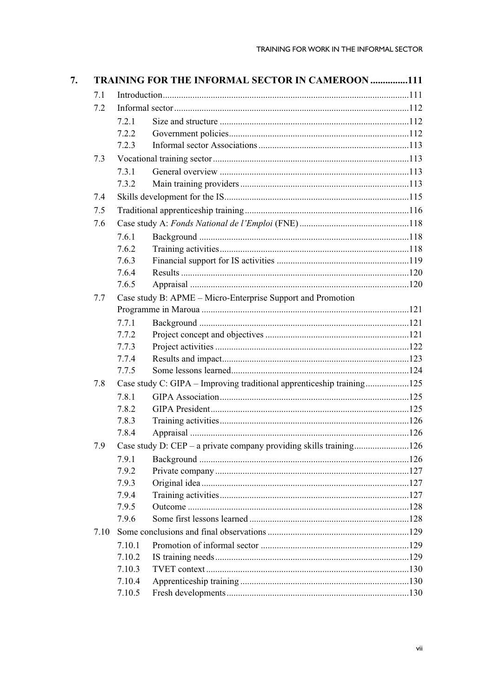| 7. |      |        | <b>TRAINING FOR THE INFORMAL SECTOR IN CAMEROON 111</b>               |  |
|----|------|--------|-----------------------------------------------------------------------|--|
|    | 7.1  |        |                                                                       |  |
|    | 7.2  |        |                                                                       |  |
|    |      | 7.2.1  |                                                                       |  |
|    |      | 7.2.2  |                                                                       |  |
|    |      | 7.2.3  |                                                                       |  |
|    | 7.3  |        |                                                                       |  |
|    |      | 7.3.1  |                                                                       |  |
|    |      | 7.3.2  |                                                                       |  |
|    | 7.4  |        |                                                                       |  |
|    | 7.5  |        |                                                                       |  |
|    | 7.6  |        |                                                                       |  |
|    |      | 7.6.1  |                                                                       |  |
|    |      | 7.6.2  |                                                                       |  |
|    |      | 7.6.3  |                                                                       |  |
|    |      | 7.6.4  |                                                                       |  |
|    |      | 7.6.5  |                                                                       |  |
|    | 7.7  |        | Case study B: APME – Micro-Enterprise Support and Promotion           |  |
|    |      |        |                                                                       |  |
|    |      | 7.7.1  |                                                                       |  |
|    |      | 7.7.2  |                                                                       |  |
|    |      | 7.7.3  |                                                                       |  |
|    |      | 7.7.4  |                                                                       |  |
|    |      | 7.7.5  |                                                                       |  |
|    | 7.8  |        | Case study C: GIPA – Improving traditional apprenticeship training125 |  |
|    |      | 7.8.1  |                                                                       |  |
|    |      | 7.8.2  |                                                                       |  |
|    |      | 7.8.3  |                                                                       |  |
|    |      | 7.8.4  |                                                                       |  |
|    | 7.9  |        | Case study D: CEP - a private company providing skills training126    |  |
|    |      | 7.9.1  |                                                                       |  |
|    |      | 7.9.2  |                                                                       |  |
|    |      | 7.9.3  |                                                                       |  |
|    |      | 7.9.4  |                                                                       |  |
|    |      | 7.9.5  |                                                                       |  |
|    |      | 7.9.6  |                                                                       |  |
|    | 7.10 |        |                                                                       |  |
|    |      | 7.10.1 |                                                                       |  |
|    |      | 7.10.2 |                                                                       |  |
|    |      | 7.10.3 |                                                                       |  |
|    |      | 7.10.4 |                                                                       |  |
|    |      | 7.10.5 |                                                                       |  |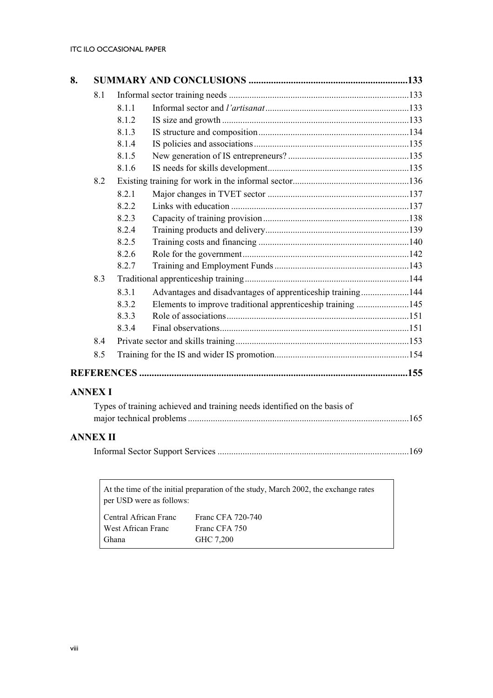| 8. |                 |       |                                                                                     |  |
|----|-----------------|-------|-------------------------------------------------------------------------------------|--|
|    | 8.1             |       |                                                                                     |  |
|    |                 | 8.1.1 |                                                                                     |  |
|    |                 | 8.1.2 |                                                                                     |  |
|    |                 | 8.1.3 |                                                                                     |  |
|    |                 | 8.1.4 |                                                                                     |  |
|    |                 | 8.1.5 |                                                                                     |  |
|    |                 | 8.1.6 |                                                                                     |  |
|    | 8.2             |       |                                                                                     |  |
|    |                 | 8.2.1 |                                                                                     |  |
|    |                 | 8.2.2 |                                                                                     |  |
|    |                 | 8.2.3 |                                                                                     |  |
|    |                 | 8.2.4 |                                                                                     |  |
|    |                 | 8.2.5 |                                                                                     |  |
|    |                 | 8.2.6 |                                                                                     |  |
|    |                 | 8.2.7 |                                                                                     |  |
|    | 8.3             |       |                                                                                     |  |
|    |                 | 8.3.1 | Advantages and disadvantages of apprenticeship training144                          |  |
|    |                 | 8.3.2 | Elements to improve traditional apprenticeship training 145                         |  |
|    |                 | 8.3.3 |                                                                                     |  |
|    |                 | 8.3.4 |                                                                                     |  |
|    | 8.4             |       |                                                                                     |  |
|    | 8.5             |       |                                                                                     |  |
|    |                 |       |                                                                                     |  |
|    | <b>ANNEX I</b>  |       |                                                                                     |  |
|    |                 |       | Types of training achieved and training needs identified on the basis of            |  |
|    |                 |       |                                                                                     |  |
|    | <b>ANNEX II</b> |       |                                                                                     |  |
|    |                 |       |                                                                                     |  |
|    |                 |       |                                                                                     |  |
|    |                 |       |                                                                                     |  |
|    |                 |       | At the time of the initial preparation of the study, March 2002, the exchange rates |  |

| per USD were as follows:                             |                            |                   |  |  |
|------------------------------------------------------|----------------------------|-------------------|--|--|
| Central African Franc<br>West African Franc<br>Ghana | Franc CFA 750<br>GHC 7.200 | Franc CFA 720-740 |  |  |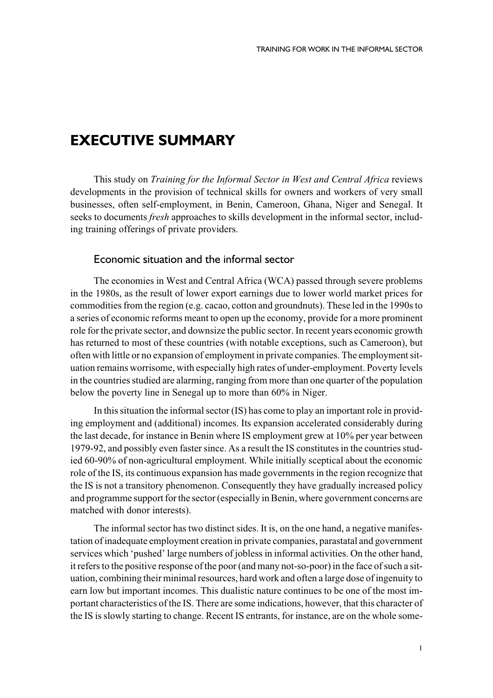# **EXECUTIVE SUMMARY**

This study on *Training for the Informal Sector in West and Central Africa* reviews developments in the provision of technical skills for owners and workers of very small businesses, often self-employment, in Benin, Cameroon, Ghana, Niger and Senegal. It seeks to documents *fresh* approaches to skills development in the informal sector, including training offerings of private providers.

### Economic situation and the informal sector

The economies in West and Central Africa (WCA) passed through severe problems in the 1980s, as the result of lower export earnings due to lower world market prices for commodities from the region (e.g. cacao, cotton and groundnuts). These led in the 1990s to a series of economic reforms meant to open up the economy, provide for a more prominent role for the private sector, and downsize the public sector. In recent years economic growth has returned to most of these countries (with notable exceptions, such as Cameroon), but often with little or no expansion of employment in private companies. The employment situation remains worrisome,with especially high rates of under-employment. Poverty levels in the countries studied are alarming, ranging from more than one quarter of the population below the poverty line in Senegal up to more than 60% in Niger.

In this situation the informal sector (IS) has come to play an important role in providing employment and (additional) incomes. Its expansion accelerated considerably during the last decade, for instance in Benin where IS employment grew at  $10\%$  per year between 1979-92,and possibly even faster since. As a result the IS constitutes in the countries studied 60-90% of non-agricultural employment. While initially sceptical about the economic role of the IS, its continuous expansion has made governments in the region recognize that the IS is not a transitory phenomenon. Consequently they have gradually increased policy and programme support for the sector (especially in Benin, where government concerns are matched with donor interests).

The informal sector has two distinct sides. It is, on the one hand, a negative manifestation of inadequate employment creation in private companies, parastatal and government services which 'pushed' large numbers of jobless in informal activities. On the other hand, it refers to the positive response of the poor (and many not-so-poor) in the face of such a situation, combining their minimal resources, hard work and often a large dose of ingenuity to earn low but important incomes. This dualistic nature continues to be one of the most important characteristics of the IS. There are some indications, however, that this character of the IS is slowly starting to change. Recent IS entrants, for instance, are on the whole some-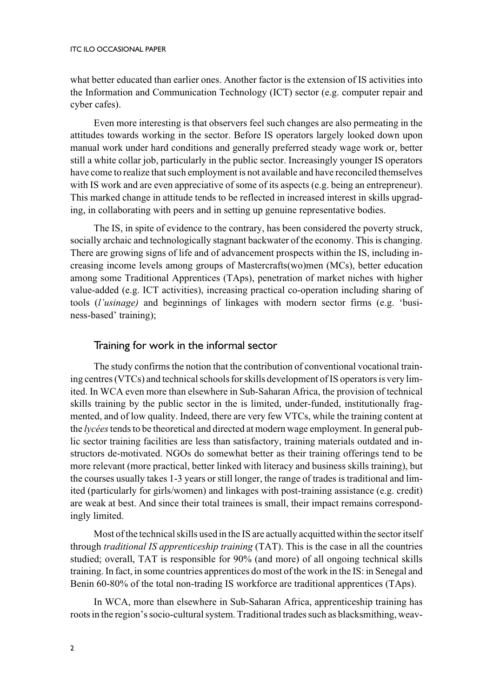#### ITC ILO OCCASIONAL PAPER

what better educated than earlier ones. Another factor is the extension of IS activities into the Information and Communication Technology (ICT) sector (e.g. computer repair and cyber cafes).

Even more interesting is that observers feel such changes are also permeating in the attitudes towards working in the sector. Before IS operators largely looked down upon manual work under hard conditions and generally preferred steady wage work or, better still a white collar job, particularly in the public sector. Increasingly younger IS operators have come to realize that such employment is not available and have reconciled themselves with IS work and are even appreciative of some of its aspects (e.g. being an entrepreneur). This marked change in attitude tends to be reflected in increased interest in skills upgrading, in collaborating with peers and in setting up genuine representative bodies.

The IS, in spite of evidence to the contrary, has been considered the poverty struck, socially archaic and technologically stagnant backwater of the economy. This is changing. There are growing signs of life and of advancement prospects within the IS, including increasing income levels among groups of Mastercrafts(wo)men (MCs), better education among some Traditional Apprentices (TAps), penetration of market niches with higher value-added (e.g. ICT activities), increasing practical co-operation including sharing of tools (*l'usinage)* and beginnings of linkages with modern sector firms (e.g. 'business-based' training);

### Training for work in the informal sector

The study confirms the notion that the contribution of conventional vocational training centres (VTCs) and technical schools for skills development of IS operators is very limited. In WCA even more than elsewhere in Sub-Saharan Africa, the provision of technical skills training by the public sector in the is limited, under-funded, institutionally fragmented, and of low quality. Indeed, there are very few VTCs, while the training content at the *lycées*tends to be theoretical and directed at modern wage employment. In general public sector training facilities are less than satisfactory, training materials outdated and instructors de-motivated. NGOs do somewhat better as their training offerings tend to be more relevant (more practical, better linked with literacy and business skills training), but the courses usually takes 1-3 years or still longer, the range of trades is traditional and limited (particularly for girls/women) and linkages with post-training assistance (e.g. credit) are weak at best. And since their total trainees is small, their impact remains correspondingly limited.

Most of the technical skills used in the IS are actually acquitted within the sector itself through *traditional IS apprenticeship training* (TAT). This is the case in all the countries studied; overall, TAT is responsible for 90% (and more) of all ongoing technical skills training. In fact, in some countries apprentices do most of the work in the IS: in Senegal and Benin 60-80% of the total non-trading IS workforce are traditional apprentices (TAps).

In WCA, more than elsewhere in Sub-Saharan Africa, apprenticeship training has roots in the region's socio-cultural system. Traditional trades such as blacksmithing,weav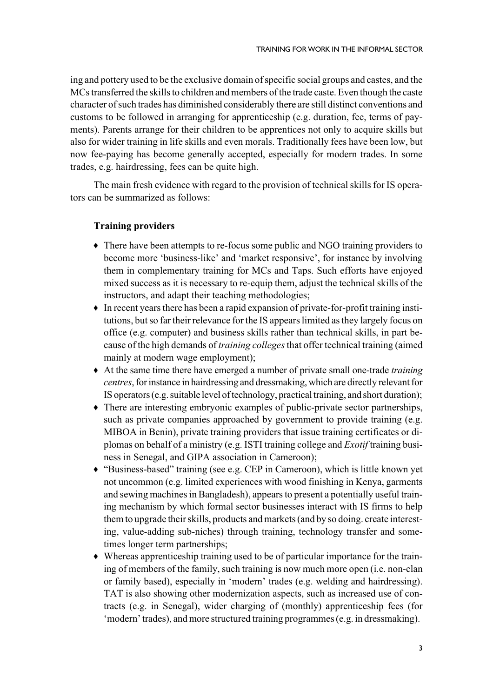ing and pottery used to be the exclusive domain of specific social groups and castes, and the MCs transferred the skills to children and members of the trade caste. Even though the caste character of such trades has diminished considerably there are still distinct conventions and customs to be followed in arranging for apprenticeship (e.g. duration, fee, terms of payments). Parents arrange for their children to be apprentices not only to acquire skills but also for wider training in life skills and even morals. Traditionally fees have been low, but now fee-paying has become generally accepted, especially for modern trades. In some trades, e.g. hairdressing, fees can be quite high.

The main fresh evidence with regard to the provision of technical skills for IS operators can be summarized as follows:

### **Training providers**

- There have been attempts to re-focus some public and NGO training providers to become more 'business-like' and 'market responsive', for instance by involving them in complementary training for MCs and Taps. Such efforts have enjoyed mixed success as it is necessary to re-equip them, adjust the technical skills of the instructors, and adapt their teaching methodologies;
- $\bullet$  In recent years there has been a rapid expansion of private-for-profit training institutions,but so far their relevance for the IS appears limited as they largely focus on office (e.g. computer) and business skills rather than technical skills,in part because of the high demands of *training colleges*that offer technical training (aimed mainly at modern wage employment);
- At the same time there have emerged a number of private small one-trade *training centres*, for instance in hairdressing and dressmaking, which are directly relevant for IS operators (e.g. suitable level of technology, practical training, and short duration);
- There are interesting embryonic examples of public-private sector partnerships, such as private companies approached by government to provide training (e.g. MIBOA in Benin), private training providers that issue training certificates or diplomas on behalf of a ministry (e.g. ISTI training college and *Exotif* training business in Senegal, and GIPA association in Cameroon);
- "Business-based" training (see e.g. CEP in Cameroon),which is little known yet not uncommon (e.g. limited experiences with wood finishing in Kenya, garments and sewing machines in Bangladesh), appears to present a potentially useful training mechanism by which formal sector businesses interact with IS firms to help them to upgrade their skills, products and markets (and by so doing. create interesting, value-adding sub-niches) through training, technology transfer and sometimes longer term partnerships;
- Whereas apprenticeship training used to be of particular importance for the training of members of the family, such training is now much more open (i.e. non-clan or family based), especially in 'modern' trades (e.g. welding and hairdressing). TAT is also showing other modernization aspects, such as increased use of contracts (e.g. in Senegal), wider charging of (monthly) apprenticeship fees (for 'modern' trades), and more structured training programmes (e.g. in dressmaking).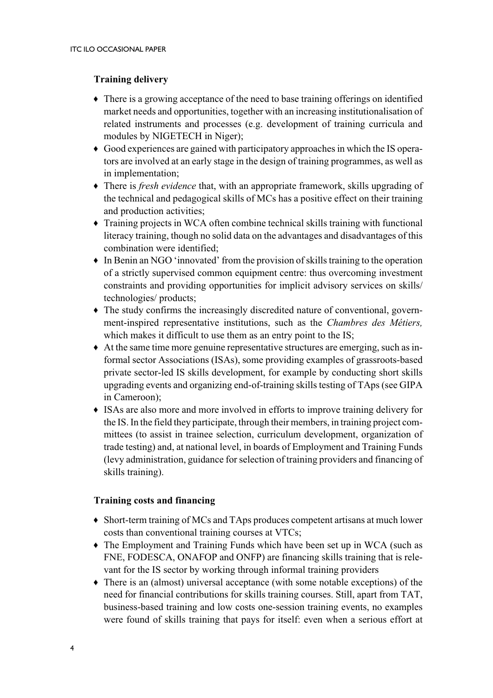### **Training delivery**

- There is a growing acceptance of the need to base training offerings on identified market needs and opportunities, together with an increasing institutionalisation of related instruments and processes (e.g. development of training curricula and modules by NIGETECH in Niger);
- Good experiences are gained with participatory approaches in which the IS operators are involved at an early stage in the design of training programmes, as well as in implementation;
- There is *fresh evidence* that, with an appropriate framework, skills upgrading of the technical and pedagogical skills of MCs has a positive effect on their training and production activities;
- Training projects in WCA often combine technical skills training with functional literacy training, though no solid data on the advantages and disadvantages of this combination were identified;
- In Benin an NGO 'innovated' from the provision of skills training to the operation of a strictly supervised common equipment centre: thus overcoming investment constraints and providing opportunities for implicit advisory services on skills/ technologies/ products;
- $\bullet$  The study confirms the increasingly discredited nature of conventional, government-inspired representative institutions, such as the *Chambres des Métiers*, which makes it difficult to use them as an entry point to the IS;
- $\triangleleft$  At the same time more genuine representative structures are emerging, such as informal sector Associations (ISAs), some providing examples of grassroots-based private sector-led IS skills development, for example by conducting short skills upgrading events and organizing end-of-training skills testing of TAps (see GIPA in Cameroon);
- ISAs are also more and more involved in efforts to improve training delivery for the IS. In the field they participate, through their members, in training project committees (to assist in trainee selection, curriculum development, organization of trade testing) and, at national level, in boards of Employment and Training Funds (levy administration, guidance for selection of training providers and financing of skills training).

### **Training costs and financing**

- Short-term training of MCs and TAps produces competent artisans at much lower costs than conventional training courses at VTCs;
- The Employment and Training Funds which have been set up in WCA (such as FNE, FODESCA, ONAFOP and ONFP) are financing skills training that is relevant for the IS sector by working through informal training providers
- There is an (almost) universal acceptance (with some notable exceptions) of the need for financial contributions for skills training courses. Still, apart from TAT, business-based training and low costs one-session training events, no examples were found of skills training that pays for itself: even when a serious effort at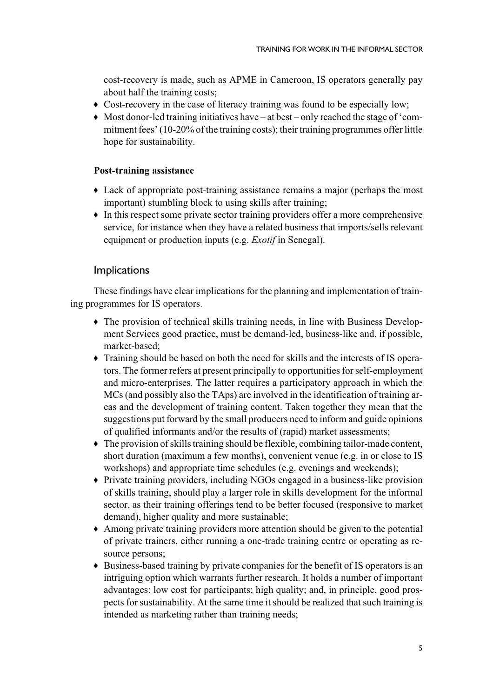cost-recovery is made, such as APME in Cameroon, IS operators generally pay about half the training costs;

- Cost-recovery in the case of literacy training was found to be especially low;
- Most donor-led training initiatives have at best only reached the stage of 'commitment fees' (10-20% of the training costs); their training programmes offer little hope for sustainability.

### **Post-training assistance**

- Lack of appropriate post-training assistance remains a major (perhaps the most important) stumbling block to using skills after training;
- $\bullet$  In this respect some private sector training providers offer a more comprehensive service, for instance when they have a related business that imports/sells relevant equipment or production inputs (e.g. *Exotif* in Senegal).

# **Implications**

These findings have clear implications for the planning and implementation of training programmes for IS operators.

- $\bullet$  The provision of technical skills training needs, in line with Business Development Services good practice, must be demand-led, business-like and, if possible, market-based;
- Training should be based on both the need for skills and the interests of IS operators. The former refers at present principally to opportunities for self-employment and micro-enterprises. The latter requires a participatory approach in which the MCs (and possibly also the TAps) are involved in the identification of training areas and the development of training content. Taken together they mean that the suggestions put forward by the small producers need to inform and guide opinions of qualified informants and/or the results of (rapid) market assessments;
- $\bullet$  The provision of skills training should be flexible, combining tailor-made content, short duration (maximum a few months), convenient venue (e.g. in or close to IS workshops) and appropriate time schedules (e.g. evenings and weekends);
- Private training providers, including NGOs engaged in a business-like provision of skills training, should play a larger role in skills development for the informal sector, as their training offerings tend to be better focused (responsive to market demand), higher quality and more sustainable;
- Among private training providers more attention should be given to the potential of private trainers, either running a one-trade training centre or operating as resource persons;
- Business-based training by private companies for the benefit of IS operators is an intriguing option which warrants further research. It holds a number of important advantages: low cost for participants; high quality; and, in principle, good prospects for sustainability. At the same time it should be realized that such training is intended as marketing rather than training needs;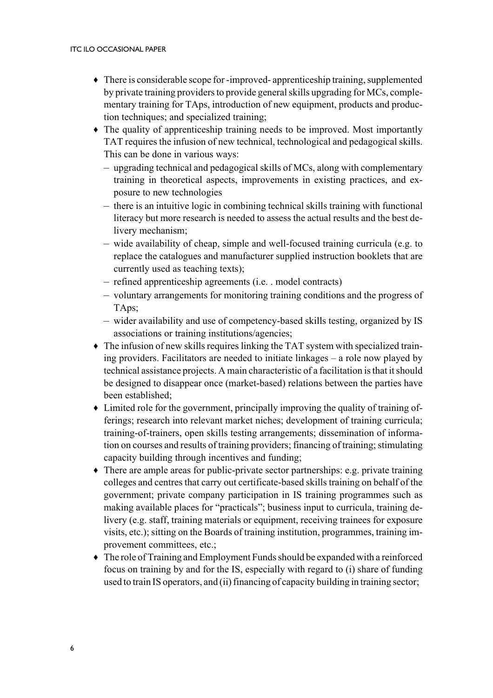- $\bullet$  There is considerable scope for -improved- apprenticeship training, supplemented by private training providers to provide general skills upgrading for MCs, complementary training for TAps, introduction of new equipment, products and production techniques; and specialized training;
- The quality of apprenticeship training needs to be improved. Most importantly TAT requires the infusion of new technical, technological and pedagogical skills. This can be done in various ways:
	- $-$  upgrading technical and pedagogical skills of MCs, along with complementary training in theoretical aspects, improvements in existing practices, and exposure to new technologies
	- there is an intuitive logic in combining technical skills training with functional literacy but more research is needed to assess the actual results and the best delivery mechanism;
	- wide availability of cheap, simple and well-focused training curricula (e.g. to replace the catalogues and manufacturer supplied instruction booklets that are currently used as teaching texts);
	- refined apprenticeship agreements (i.e. . model contracts)
	- voluntary arrangements for monitoring training conditions and the progress of TAps;
	- wider availability and use of competency-based skills testing, organized by IS associations or training institutions/agencies;
- The infusion of new skills requires linking the TAT system with specialized training providers. Facilitators are needed to initiate linkages – a role now played by technical assistance projects. A main characteristic of a facilitation is that it should be designed to disappear once (market-based) relations between the parties have been established;
- $\bullet$  Limited role for the government, principally improving the quality of training offerings; research into relevant market niches; development of training curricula; training-of-trainers, open skills testing arrangements; dissemination of information on courses and results of training providers; financing of training; stimulating capacity building through incentives and funding;
- There are ample areas for public-private sector partnerships: e.g. private training colleges and centres that carry out certificate-based skills training on behalf of the government; private company participation in IS training programmes such as making available places for "practicals"; business input to curricula, training delivery (e.g. staff, training materials or equipment, receiving trainees for exposure visits, etc.); sitting on the Boards of training institution, programmes, training improvement committees, etc.;
- The role of Training and Employment Funds should be expanded with a reinforced focus on training by and for the IS, especially with regard to (i) share of funding used to train IS operators, and (ii) financing of capacity building in training sector;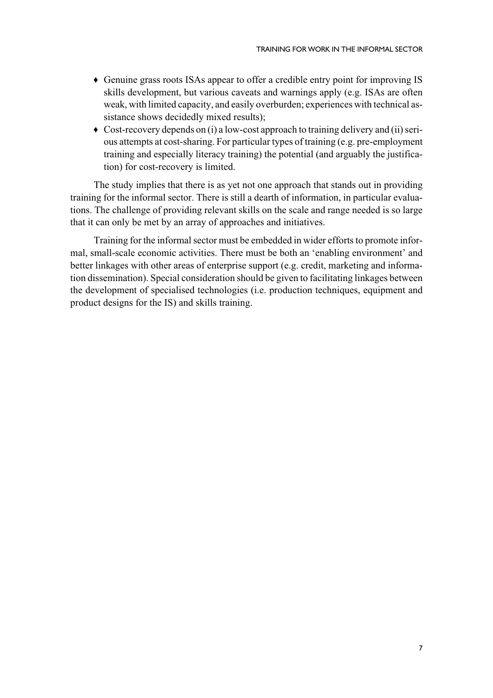- Genuine grass roots ISAs appear to offer a credible entry point for improving IS skills development, but various caveats and warnings apply (e.g. ISAs are often weak, with limited capacity, and easily overburden; experiences with technical assistance shows decidedly mixed results);
- Cost-recovery depends on (i) a low-cost approach to training delivery and (ii) serious attempts at cost-sharing. For particular types of training (e.g. pre-employment training and especially literacy training) the potential (and arguably the justification) for cost-recovery is limited.

The study implies that there is as yet not one approach that stands out in providing training for the informal sector. There is still a dearth of information, in particular evaluations. The challenge of providing relevant skills on the scale and range needed is so large that it can only be met by an array of approaches and initiatives.

Training for the informal sector must be embedded in wider efforts to promote informal, small-scale economic activities. There must be both an 'enabling environment' and better linkages with other areas of enterprise support (e.g. credit, marketing and information dissemination). Special consideration should be given to facilitating linkages between the development of specialised technologies (i.e. production techniques, equipment and product designs for the IS) and skills training.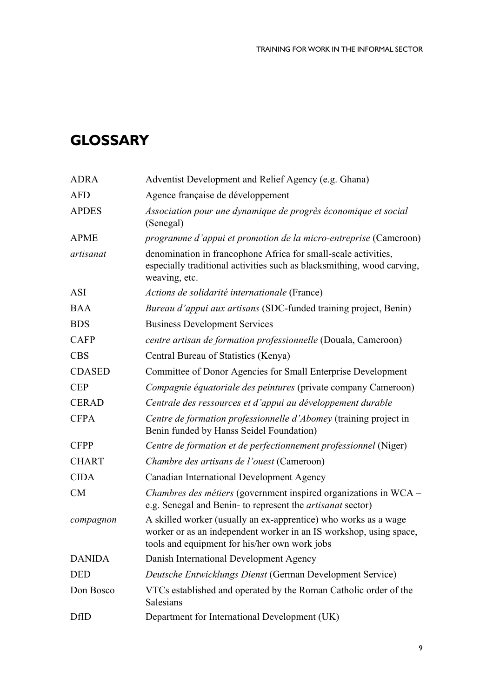# **GLOSSARY**

| <b>ADRA</b>   | Adventist Development and Relief Agency (e.g. Ghana)                                                                                                                                   |
|---------------|----------------------------------------------------------------------------------------------------------------------------------------------------------------------------------------|
| <b>AFD</b>    | Agence française de développement                                                                                                                                                      |
| <b>APDES</b>  | Association pour une dynamique de progrès économique et social<br>(Senegal)                                                                                                            |
| <b>APME</b>   | programme d'appui et promotion de la micro-entreprise (Cameroon)                                                                                                                       |
| artisanat     | denomination in francophone Africa for small-scale activities,<br>especially traditional activities such as blacksmithing, wood carving,<br>weaving, etc.                              |
| <b>ASI</b>    | Actions de solidarité internationale (France)                                                                                                                                          |
| <b>BAA</b>    | Bureau d'appui aux artisans (SDC-funded training project, Benin)                                                                                                                       |
| <b>BDS</b>    | <b>Business Development Services</b>                                                                                                                                                   |
| <b>CAFP</b>   | centre artisan de formation professionnelle (Douala, Cameroon)                                                                                                                         |
| <b>CBS</b>    | Central Bureau of Statistics (Kenya)                                                                                                                                                   |
| <b>CDASED</b> | Committee of Donor Agencies for Small Enterprise Development                                                                                                                           |
| <b>CEP</b>    | Compagnie équatoriale des peintures (private company Cameroon)                                                                                                                         |
| <b>CERAD</b>  | Centrale des ressources et d'appui au développement durable                                                                                                                            |
| <b>CFPA</b>   | Centre de formation professionnelle d'Abomey (training project in<br>Benin funded by Hanss Seidel Foundation)                                                                          |
| <b>CFPP</b>   | Centre de formation et de perfectionnement professionnel (Niger)                                                                                                                       |
| <b>CHART</b>  | Chambre des artisans de l'ouest (Cameroon)                                                                                                                                             |
| <b>CIDA</b>   | Canadian International Development Agency                                                                                                                                              |
| CM            | Chambres des métiers (government inspired organizations in WCA –<br>e.g. Senegal and Benin- to represent the <i>artisanat</i> sector)                                                  |
| compagnon     | A skilled worker (usually an ex-apprentice) who works as a wage<br>worker or as an independent worker in an IS workshop, using space,<br>tools and equipment for his/her own work jobs |
| <b>DANIDA</b> | Danish International Development Agency                                                                                                                                                |
| <b>DED</b>    | Deutsche Entwicklungs Dienst (German Development Service)                                                                                                                              |
| Don Bosco     | VTCs established and operated by the Roman Catholic order of the<br>Salesians                                                                                                          |
| <b>DfID</b>   | Department for International Development (UK)                                                                                                                                          |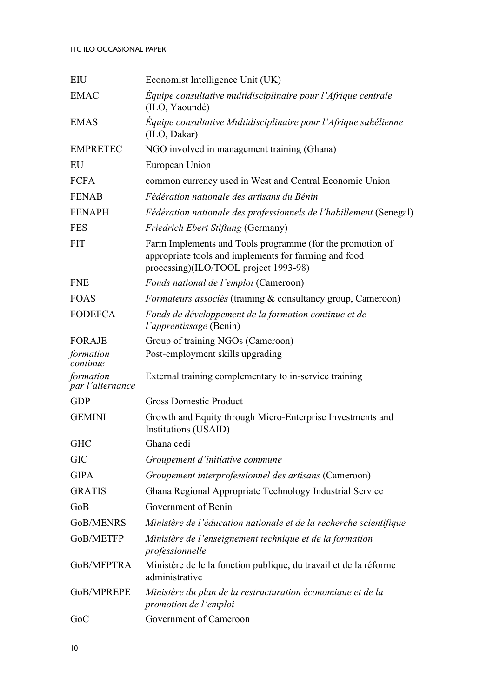#### ITC ILO OCCASIONAL PAPER

| EIU                                    | Economist Intelligence Unit (UK)                                                                                                                            |
|----------------------------------------|-------------------------------------------------------------------------------------------------------------------------------------------------------------|
| <b>EMAC</b>                            | Équipe consultative multidisciplinaire pour l'Afrique centrale<br>(ILO, Yaoundé)                                                                            |
| <b>EMAS</b>                            | Équipe consultative Multidisciplinaire pour l'Afrique sahélienne<br>(ILO, Dakar)                                                                            |
| <b>EMPRETEC</b>                        | NGO involved in management training (Ghana)                                                                                                                 |
| EU                                     | European Union                                                                                                                                              |
| <b>FCFA</b>                            | common currency used in West and Central Economic Union                                                                                                     |
| <b>FENAB</b>                           | Fédération nationale des artisans du Bénin                                                                                                                  |
| <b>FENAPH</b>                          | Fédération nationale des professionnels de l'habillement (Senegal)                                                                                          |
| <b>FES</b>                             | <b>Friedrich Ebert Stiftung (Germany)</b>                                                                                                                   |
| <b>FIT</b>                             | Farm Implements and Tools programme (for the promotion of<br>appropriate tools and implements for farming and food<br>processing)(ILO/TOOL project 1993-98) |
| <b>FNE</b>                             | Fonds national de l'emploi (Cameroon)                                                                                                                       |
| <b>FOAS</b>                            | <i>Formateurs associés</i> (training & consultancy group, Cameroon)                                                                                         |
| <b>FODEFCA</b>                         | Fonds de développement de la formation continue et de<br>l'apprentissage (Benin)                                                                            |
| <b>FORAJE</b><br>formation<br>continue | Group of training NGOs (Cameroon)<br>Post-employment skills upgrading                                                                                       |
| formation<br>par l'alternance          | External training complementary to in-service training                                                                                                      |
| <b>GDP</b>                             | <b>Gross Domestic Product</b>                                                                                                                               |
| <b>GEMINI</b>                          | Growth and Equity through Micro-Enterprise Investments and<br>Institutions (USAID)                                                                          |
| <b>GHC</b>                             | Ghana cedi                                                                                                                                                  |
| <b>GIC</b>                             | Groupement d'initiative commune                                                                                                                             |
| <b>GIPA</b>                            | Groupement interprofessionnel des artisans (Cameroon)                                                                                                       |
| <b>GRATIS</b>                          | Ghana Regional Appropriate Technology Industrial Service                                                                                                    |
| GoB                                    | Government of Benin                                                                                                                                         |
| GoB/MENRS                              | Ministère de l'éducation nationale et de la recherche scientifique                                                                                          |
| GoB/METFP                              | Ministère de l'enseignement technique et de la formation<br>professionnelle                                                                                 |
| GoB/MFPTRA                             | Ministère de le la fonction publique, du travail et de la réforme<br>administrative                                                                         |
| GoB/MPREPE                             | Ministère du plan de la restructuration économique et de la<br>promotion de l'emploi                                                                        |
| GoC                                    | Government of Cameroon                                                                                                                                      |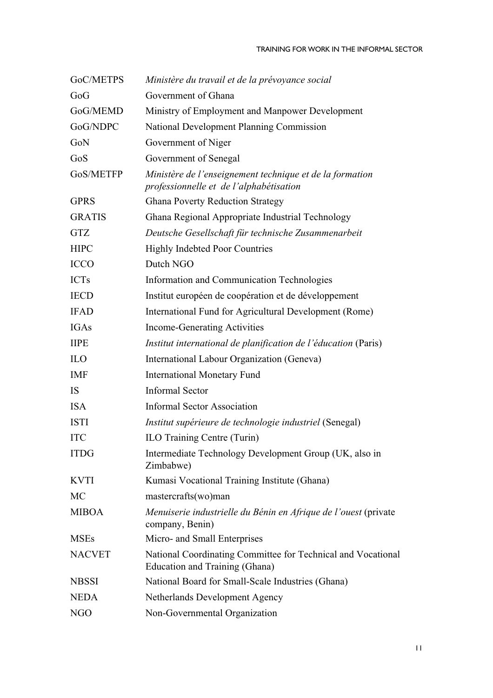| GoC/METPS     | Ministère du travail et de la prévoyance social                                                     |
|---------------|-----------------------------------------------------------------------------------------------------|
| GoG           | Government of Ghana                                                                                 |
| GoG/MEMD      | Ministry of Employment and Manpower Development                                                     |
| GoG/NDPC      | National Development Planning Commission                                                            |
| GoN           | Government of Niger                                                                                 |
| GoS           | Government of Senegal                                                                               |
| GoS/METFP     | Ministère de l'enseignement technique et de la formation<br>professionnelle et de l'alphabétisation |
| <b>GPRS</b>   | <b>Ghana Poverty Reduction Strategy</b>                                                             |
| <b>GRATIS</b> | Ghana Regional Appropriate Industrial Technology                                                    |
| <b>GTZ</b>    | Deutsche Gesellschaft für technische Zusammenarbeit                                                 |
| <b>HIPC</b>   | <b>Highly Indebted Poor Countries</b>                                                               |
| <b>ICCO</b>   | Dutch NGO                                                                                           |
| <b>ICTs</b>   | Information and Communication Technologies                                                          |
| <b>IECD</b>   | Institut européen de coopération et de développement                                                |
| <b>IFAD</b>   | International Fund for Agricultural Development (Rome)                                              |
| <b>IGAs</b>   | Income-Generating Activities                                                                        |
| <b>IIPE</b>   | Institut international de planification de l'éducation (Paris)                                      |
| <b>ILO</b>    | International Labour Organization (Geneva)                                                          |
| <b>IMF</b>    | <b>International Monetary Fund</b>                                                                  |
| <b>IS</b>     | <b>Informal Sector</b>                                                                              |
| <b>ISA</b>    | <b>Informal Sector Association</b>                                                                  |
| <b>ISTI</b>   | Institut supérieure de technologie industriel (Senegal)                                             |
| <b>ITC</b>    | <b>ILO Training Centre (Turin)</b>                                                                  |
| <b>ITDG</b>   | Intermediate Technology Development Group (UK, also in<br>Zimbabwe)                                 |
| <b>KVTI</b>   | Kumasi Vocational Training Institute (Ghana)                                                        |
| MC            | mastercrafts(wo)man                                                                                 |
| <b>MIBOA</b>  | Menuiserie industrielle du Bénin en Afrique de l'ouest (private<br>company, Benin)                  |
| <b>MSEs</b>   | Micro- and Small Enterprises                                                                        |
| <b>NACVET</b> | National Coordinating Committee for Technical and Vocational<br>Education and Training (Ghana)      |
| <b>NBSSI</b>  | National Board for Small-Scale Industries (Ghana)                                                   |
| <b>NEDA</b>   | Netherlands Development Agency                                                                      |
| NGO           | Non-Governmental Organization                                                                       |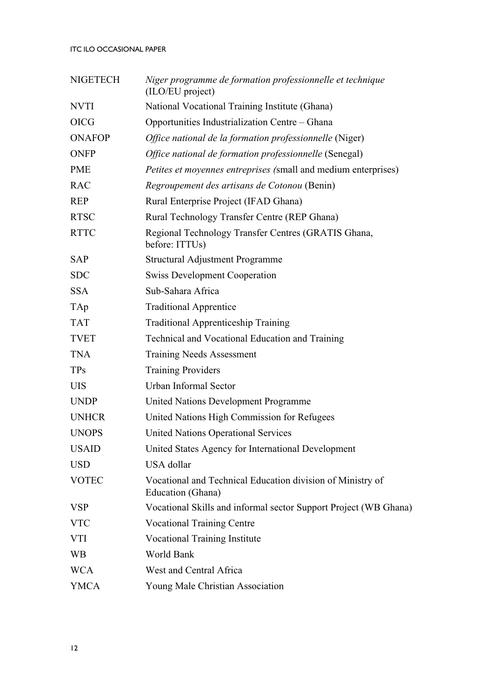#### ITC ILO OCCASIONAL PAPER

| <b>NIGETECH</b> | Niger programme de formation professionnelle et technique<br>(ILO/EU project)   |
|-----------------|---------------------------------------------------------------------------------|
| <b>NVTI</b>     | National Vocational Training Institute (Ghana)                                  |
| <b>OICG</b>     | Opportunities Industrialization Centre – Ghana                                  |
| <b>ONAFOP</b>   | Office national de la formation professionnelle (Niger)                         |
| <b>ONFP</b>     | Office national de formation professionnelle (Senegal)                          |
| <b>PME</b>      | Petites et moyennes entreprises (small and medium enterprises)                  |
| <b>RAC</b>      | Regroupement des artisans de Cotonou (Benin)                                    |
| <b>REP</b>      | Rural Enterprise Project (IFAD Ghana)                                           |
| <b>RTSC</b>     | Rural Technology Transfer Centre (REP Ghana)                                    |
| <b>RTTC</b>     | Regional Technology Transfer Centres (GRATIS Ghana,<br>before: ITTUs)           |
| <b>SAP</b>      | <b>Structural Adjustment Programme</b>                                          |
| <b>SDC</b>      | <b>Swiss Development Cooperation</b>                                            |
| <b>SSA</b>      | Sub-Sahara Africa                                                               |
| TAp             | <b>Traditional Apprentice</b>                                                   |
| <b>TAT</b>      | <b>Traditional Apprenticeship Training</b>                                      |
| <b>TVET</b>     | Technical and Vocational Education and Training                                 |
| <b>TNA</b>      | <b>Training Needs Assessment</b>                                                |
| <b>TPs</b>      | <b>Training Providers</b>                                                       |
| <b>UIS</b>      | Urban Informal Sector                                                           |
| <b>UNDP</b>     | United Nations Development Programme                                            |
| <b>UNHCR</b>    | United Nations High Commission for Refugees                                     |
| <b>UNOPS</b>    | <b>United Nations Operational Services</b>                                      |
| <b>USAID</b>    | United States Agency for International Development                              |
| <b>USD</b>      | USA dollar                                                                      |
| <b>VOTEC</b>    | Vocational and Technical Education division of Ministry of<br>Education (Ghana) |
| <b>VSP</b>      | Vocational Skills and informal sector Support Project (WB Ghana)                |
| <b>VTC</b>      | <b>Vocational Training Centre</b>                                               |
| <b>VTI</b>      | <b>Vocational Training Institute</b>                                            |
| <b>WB</b>       | World Bank                                                                      |
| <b>WCA</b>      | West and Central Africa                                                         |
| <b>YMCA</b>     | Young Male Christian Association                                                |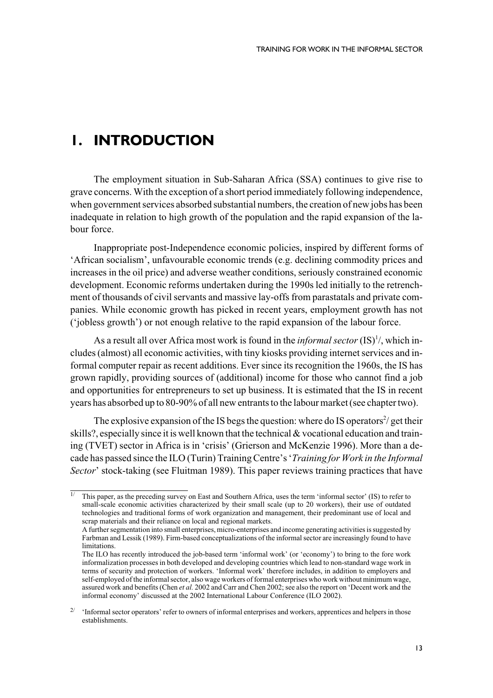# **1. INTRODUCTION**

The employment situation in Sub-Saharan Africa (SSA) continues to give rise to grave concerns. With the exception of a short period immediately following independence, when government services absorbed substantial numbers, the creation of new jobs has been inadequate in relation to high growth of the population and the rapid expansion of the labour force.

Inappropriate post-Independence economic policies, inspired by different forms of 'African socialism', unfavourable economic trends (e.g. declining commodity prices and increases in the oil price) and adverse weather conditions, seriously constrained economic development. Economic reforms undertaken during the 1990s led initially to the retrenchment of thousands of civil servants and massive lay-offs from parastatals and private companies. While economic growth has picked in recent years, employment growth has not ('jobless growth') or not enough relative to the rapid expansion of the labour force.

As a result all over Africa most work is found in the *informal sector* (IS)<sup>1</sup>/, which includes (almost) all economic activities, with tiny kiosks providing internet services and informal computer repair as recent additions. Ever since its recognition the 1960s, the IS has grown rapidly, providing sources of (additional) income for those who cannot find a job and opportunities for entrepreneurs to set up business. It is estimated that the IS in recent years has absorbed up to 80-90% of all new entrants to the labour market (see chapter two).

The explosive expansion of the IS begs the question: where do IS operators<sup>2</sup>/get their skills?, especially since it is well known that the technical & vocational education and training (TVET) sector in Africa is in 'crisis' (Grierson and McKenzie 1996). More than a decade has passed since the ILO (Turin) Training Centre's '*Training for Work in the Informal Sector*' stock-taking (see Fluitman 1989). This paper reviews training practices that have

 $\frac{1}{1}$  This paper, as the preceding survey on East and Southern Africa, uses the term 'informal sector' (IS) to refer to small-scale economic activities characterized by their small scale (up to 20 workers), their use of outdated technologies and traditional forms of work organization and management, their predominant use of local and scrap materials and their reliance on local and regional markets.

A further segmentation into small enterprises, micro-enterprises and income generating activities is suggested by Farbman and Lessik (1989). Firm-based conceptualizations of the informal sector are increasingly found to have limitations.

The ILO has recently introduced the job-based term 'informal work' (or 'economy') to bring to the fore work informalization processes in both developed and developing countries which lead to non-standard wage work in terms of security and protection of workers. 'Informal work' therefore includes,in addition to employers and self-employed of the informal sector, also wage workers of formal enterprises who work without minimum wage, assured work and benefits (Chen *et al.* 2002 and Carr and Chen 2002; see also the report on 'Decent work and the informal economy' discussed at the 2002 International Labour Conference (ILO 2002).

 $2/$  'Informal sector operators' refer to owners of informal enterprises and workers, apprentices and helpers in those establishments.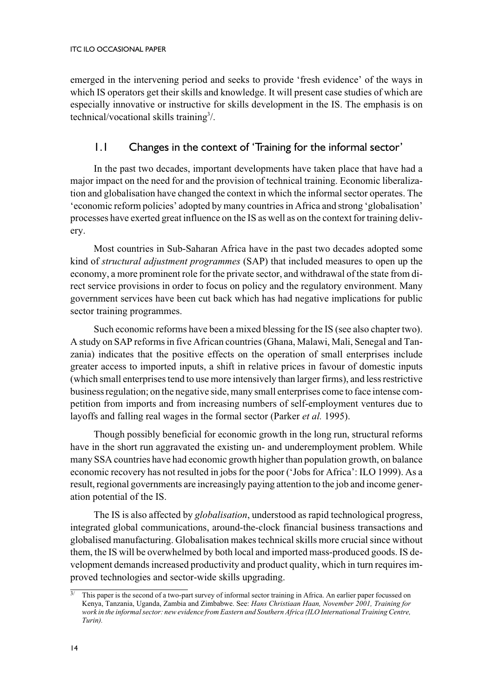emerged in the intervening period and seeks to provide 'fresh evidence' of the ways in which IS operators get their skills and knowledge. It will present case studies of which are especially innovative or instructive for skills development in the IS. The emphasis is on technical/vocational skills training<sup>3</sup>/.

# 1.1 Changes in the context of 'Training for the informal sector'

In the past two decades, important developments have taken place that have had a major impact on the need for and the provision of technical training. Economic liberalization and globalisation have changed the context in which the informal sector operates. The 'economic reform policies' adopted by many countries in Africa and strong 'globalisation' processes have exerted great influence on the IS as well as on the context for training delivery.

Most countries in Sub-Saharan Africa have in the past two decades adopted some kind of *structural adjustment programmes* (SAP) that included measures to open up the economy, a more prominent role for the private sector, and withdrawal of the state from direct service provisions in order to focus on policy and the regulatory environment. Many government services have been cut back which has had negative implications for public sector training programmes.

Such economic reforms have been a mixed blessing for the IS (see also chapter two). A study on SAP reforms in five African countries (Ghana, Malawi, Mali, Senegal and Tanzania) indicates that the positive effects on the operation of small enterprises include greater access to imported inputs, a shift in relative prices in favour of domestic inputs (which small enterprises tend to use more intensively than larger firms), and less restrictive business regulation; on the negative side, many small enterprises come to face intense competition from imports and from increasing numbers of self-employment ventures due to layoffs and falling real wages in the formal sector (Parker *et al.* 1995).

Though possibly beneficial for economic growth in the long run, structural reforms have in the short run aggravated the existing un- and underemployment problem. While many SSA countries have had economic growth higher than population growth, on balance economic recovery has not resulted in jobs for the poor ('Jobs for Africa': ILO 1999). As a result, regional governments are increasingly paying attention to the job and income generation potential of the IS.

The IS is also affected by *globalisation*, understood as rapid technological progress, integrated global communications, around-the-clock financial business transactions and globalised manufacturing. Globalisation makes technical skills more crucial since without them, the IS will be overwhelmed by both local and imported mass-produced goods. IS development demands increased productivity and product quality,which in turn requires improved technologies and sector-wide skills upgrading.

This paper is the second of a two-part survey of informal sector training in Africa. An earlier paper focussed on Kenya,Tanzania,Uganda,Zambia and Zimbabwe. See: *Hans Christiaan Haan, November 2001, Training for work in the informal sector: new evidence from Eastern and Southern Africa (ILO International Training Centre, Turin).*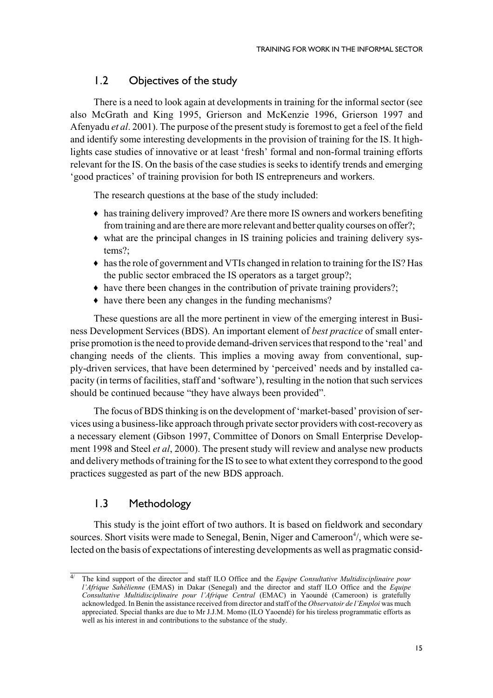### 1.2 Objectives of the study

There is a need to look again at developments in training for the informal sector (see also McGrath and King 1995, Grierson and McKenzie 1996, Grierson 1997 and Afenyadu *et al*. 2001). The purpose of the present study is foremost to get a feel of the field and identify some interesting developments in the provision of training for the IS. It highlights case studies of innovative or at least 'fresh' formal and non-formal training efforts relevant for the IS. On the basis of the case studies is seeks to identify trends and emerging 'good practices' of training provision for both IS entrepreneurs and workers.

The research questions at the base of the study included:

- has training delivery improved? Are there more IS owners and workers benefiting from training and are there are more relevant and better quality courses on offer?;
- what are the principal changes in IS training policies and training delivery systems?;
- has the role of government and VTIs changed in relation to training for the IS? Has the public sector embraced the IS operators as a target group?;
- $\bullet$  have there been changes in the contribution of private training providers?:
- have there been any changes in the funding mechanisms?

These questions are all the more pertinent in view of the emerging interest in Business Development Services (BDS). An important element of *best practice* of small enterprise promotion is the need to provide demand-driven services that respond to the 'real' and changing needs of the clients. This implies a moving away from conventional, supply-driven services, that have been determined by 'perceived' needs and by installed capacity (in terms of facilities, staff and 'software'), resulting in the notion that such services should be continued because "they have always been provided".

The focus of BDS thinking is on the development of 'market-based' provision of services using a business-like approach through private sector providers with cost-recovery as a necessary element (Gibson 1997, Committee of Donors on Small Enterprise Development 1998 and Steel *et al*, 2000). The present study will review and analyse new products and delivery methods of training for the IS to see to what extent they correspond to the good practices suggested as part of the new BDS approach.

### 1.3 Methodology

This study is the joint effort of two authors. It is based on fieldwork and secondary sources. Short visits were made to Senegal, Benin, Niger and Cameroon<sup>4</sup>/, which were selected on the basis of expectations of interesting developments as well as pragmatic consid-

<sup>4/</sup> The kind support of the director and staff ILO Office and the *Equipe Consultative Multidisciplinaire pour l'Afrique Sahélienne* (EMAS) in Dakar (Senegal) and the director and staff ILO Office and the *Equipe Consultative Multidisciplinaire pour l'Afrique Central* (EMAC) in Yaoundé (Cameroon) is gratefully acknowledged. In Benin the assistance received from director and staff of the *Observatoir de l'Emploi* was much appreciated. Special thanks are due to Mr J.J.M. Momo (ILO Yaoendé) for his tireless programmatic efforts as well as his interest in and contributions to the substance of the study.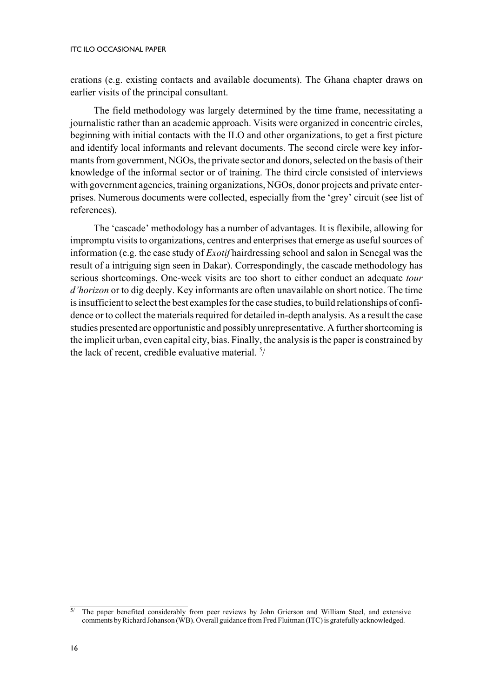erations (e.g. existing contacts and available documents). The Ghana chapter draws on earlier visits of the principal consultant.

The field methodology was largely determined by the time frame, necessitating a journalistic rather than an academic approach. Visits were organized in concentric circles, beginning with initial contacts with the ILO and other organizations, to get a first picture and identify local informants and relevant documents. The second circle were key informants from government, NGOs, the private sector and donors, selected on the basis of their knowledge of the informal sector or of training. The third circle consisted of interviews with government agencies, training organizations, NGOs, donor projects and private enterprises. Numerous documents were collected, especially from the 'grey' circuit (see list of references).

The 'cascade' methodology has a number of advantages. It is flexibile, allowing for impromptu visits to organizations, centres and enterprises that emerge as useful sources of information (e.g. the case study of *Exotif* hairdressing school and salon in Senegal was the result of a intriguing sign seen in Dakar). Correspondingly,the cascade methodology has serious shortcomings. One-week visits are too short to either conduct an adequate *tour d'horizon* or to dig deeply. Key informants are often unavailable on short notice. The time is insufficient to select the best examples for the case studies, to build relationships of confidence or to collect the materials required for detailed in-depth analysis. As a result the case studies presented are opportunistic and possibly unrepresentative. A further shortcoming is the implicit urban, even capital city, bias. Finally, the analysis is the paper is constrained by the lack of recent, credible evaluative material.  $\frac{5}{4}$ 

<sup>&</sup>lt;sup>5/</sup> The paper benefited considerably from peer reviews by John Grierson and William Steel, and extensive comments by Richard Johanson (WB). Overall guidance from Fred Fluitman (ITC) is gratefully acknowledged.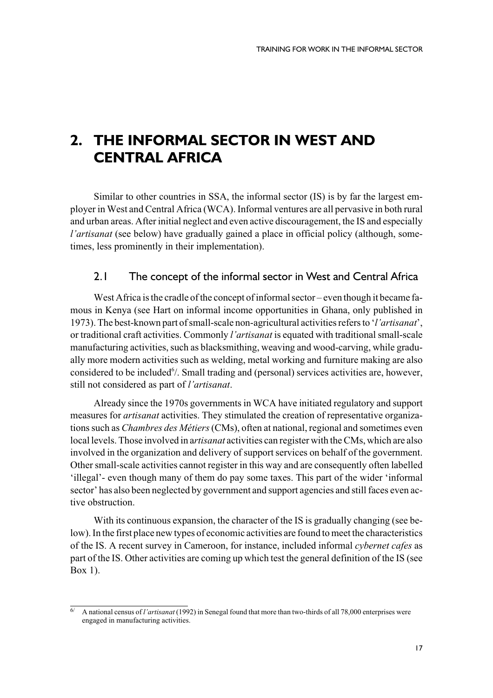# **2. THE INFORMAL SECTOR IN WEST AND CENTRAL AFRICA**

Similar to other countries in SSA, the informal sector  $(IS)$  is by far the largest employer in West and Central Africa (WCA). Informal ventures are all pervasive in both rural and urban areas. After initial neglect and even active discouragement, the IS and especially *l'artisanat* (see below) have gradually gained a place in official policy (although, sometimes, less prominently in their implementation).

### 2.1 The concept of the informal sector in West and Central Africa

West Africa is the cradle of the concept of informal sector – even though it became famous in Kenya (see Hart on informal income opportunities in Ghana, only published in 1973). The best-known part of small-scale non-agricultural activities refers to '*l'artisanat*', or traditional craft activities. Commonly *l'artisanat* is equated with traditional small-scale manufacturing activities, such as blacksmithing, weaving and wood-carving, while gradually more modern activities such as welding, metal working and furniture making are also considered to be included<sup>6</sup>/. Small trading and (personal) services activities are, however, still not considered as part of *l'artisanat*.

Already since the 1970s governments in WCA have initiated regulatory and support measures for *artisanat* activities. They stimulated the creation of representative organizations such as *Chambres des Métiers* (CMs), often at national, regional and sometimes even local levels. Those involved in *artisanat* activities can register with the CMs, which are also involved in the organization and delivery of support services on behalf of the government. Other small-scale activities cannot register in this way and are consequently often labelled 'illegal'- even though many of them do pay some taxes. This part of the wider 'informal sector' has also been neglected by government and support agencies and still faces even active obstruction.

With its continuous expansion, the character of the IS is gradually changing (see below). In the first place new types of economic activities are found to meet the characteristics of the IS. A recent survey in Cameroon, for instance, included informal *cybernet cafes* as part of the IS. Other activities are coming up which test the general definition of the IS (see Box 1).

<sup>6/</sup> A national census of *l'artisanat* (1992) in Senegal found that more than two-thirds of all 78,000 enterprises were engaged in manufacturing activities.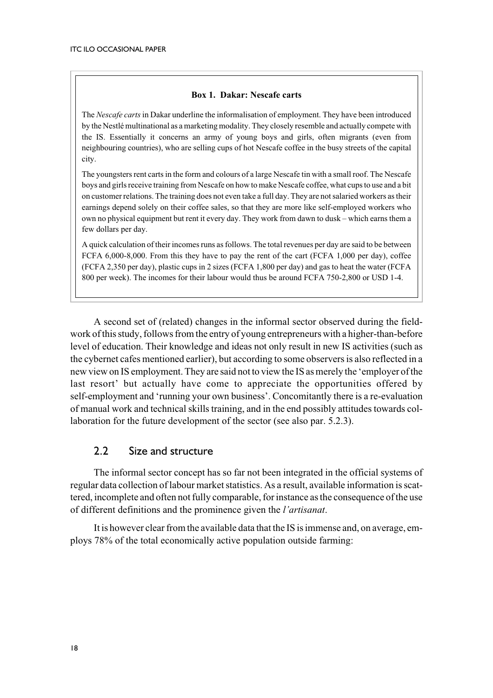#### **Box 1. Dakar: Nescafe carts**

The *Nescafe carts*in Dakar underline the informalisation of employment. They have been introduced by the Nestlé multinational as a marketing modality. They closely resemble and actually compete with the IS. Essentially it concerns an army of young boys and girls, often migrants (even from neighbouring countries), who are selling cups of hot Nescafe coffee in the busy streets of the capital city.

The youngsters rent carts in the form and colours of a large Nescafe tin with a small roof. The Nescafe boys and girls receive training from Nescafe on how to make Nescafe coffee, what cups to use and a bit on customer relations. The training does not even take a full day. They are not salaried workers as their earnings depend solely on their coffee sales, so that they are more like self-employed workers who own no physical equipment but rent it every day. They work from dawn to dusk – which earns them a few dollars per day.

A quick calculation of their incomes runs as follows. The total revenues per day are said to be between FCFA 6,000-8,000. From this they have to pay the rent of the cart (FCFA 1,000 per day), coffee (FCFA 2,350 per day), plastic cups in 2 sizes (FCFA 1,800 per day) and gas to heat the water (FCFA 800 per week). The incomes for their labour would thus be around FCFA 750-2,800 or USD 1-4.

A second set of (related) changes in the informal sector observed during the fieldwork of this study, follows from the entry of young entrepreneurs with a higher-than-before level of education. Their knowledge and ideas not only result in new IS activities (such as the cybernet cafes mentioned earlier), but according to some observers is also reflected in a new view on IS employment. They are said not to view the IS as merely the 'employer of the last resort' but actually have come to appreciate the opportunities offered by self-employment and 'running your own business'. Concomitantly there is a re-evaluation of manual work and technical skills training,and in the end possibly attitudes towards collaboration for the future development of the sector (see also par. 5.2.3).

### 2.2 Size and structure

The informal sector concept has so far not been integrated in the official systems of regular data collection of labour market statistics. As a result, available information is scattered,incomplete and often not fully comparable,for instance as the consequence of the use of different definitions and the prominence given the *l'artisanat*.

It is however clear from the available data that the IS is immense and, on average, employs 78% of the total economically active population outside farming: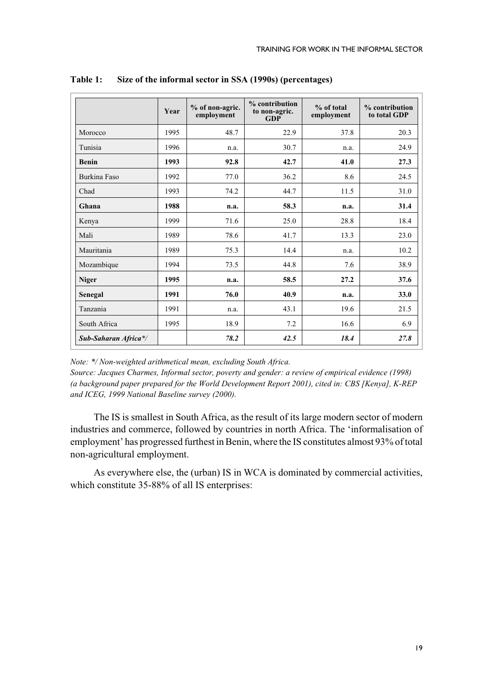|                      | Year | % of non-agric.<br>employment | % contribution<br>to non-agric.<br>GDP | $%$ of total<br>employment | % contribution<br>to total GDP |
|----------------------|------|-------------------------------|----------------------------------------|----------------------------|--------------------------------|
| Morocco              | 1995 | 48.7                          | 22.9                                   | 37.8                       | 20.3                           |
| Tunisia              | 1996 | n.a.                          | 30.7                                   | n.a.                       | 24.9                           |
| <b>Benin</b>         | 1993 | 92.8                          | 42.7                                   | 41.0                       | 27.3                           |
| Burkina Faso         | 1992 | 77.0                          | 36.2                                   | 8.6                        | 24.5                           |
| Chad                 | 1993 | 74.2                          | 44.7                                   | 11.5                       | 31.0                           |
| Ghana                | 1988 | n.a.                          | 58.3                                   | n.a.                       | 31.4                           |
| Kenya                | 1999 | 71.6                          | 25.0                                   | 28.8                       | 18.4                           |
| Mali                 | 1989 | 78.6                          | 41.7                                   | 13.3                       | 23.0                           |
| Mauritania           | 1989 | 75.3                          | 14.4                                   | n.a.                       | 10.2                           |
| Mozambique           | 1994 | 73.5                          | 44.8                                   | 7.6                        | 38.9                           |
| <b>Niger</b>         | 1995 | n.a.                          | 58.5                                   | 27.2                       | 37.6                           |
| Senegal              | 1991 | 76.0                          | 40.9                                   | n.a.                       | 33.0                           |
| Tanzania             | 1991 | n.a.                          | 43.1                                   | 19.6                       | 21.5                           |
| South Africa         | 1995 | 18.9                          | 7.2                                    | 16.6                       | 6.9                            |
| Sub-Saharan Africa*/ |      | 78.2                          | 42.5                                   | 18.4                       | 27.8                           |

**Table 1: Size of the informal sector in SSA (1990s) (percentages)**

*Note: \*/ Non-weighted arithmetical mean, excluding South Africa.*

*Source: Jacques Charmes, Informal sector, poverty and gender: a review of empirical evidence (1998) (a background paper prepared for the World Development Report 2001), cited in: CBS [Kenya], K-REP and ICEG, 1999 National Baseline survey (2000).*

The IS is smallest in South Africa, as the result of its large modern sector of modern industries and commerce, followed by countries in north Africa. The 'informalisation of employment' has progressed furthest in Benin,where the IS constitutes almost 93% of total non-agricultural employment.

As everywhere else, the (urban) IS in WCA is dominated by commercial activities, which constitute 35-88% of all IS enterprises: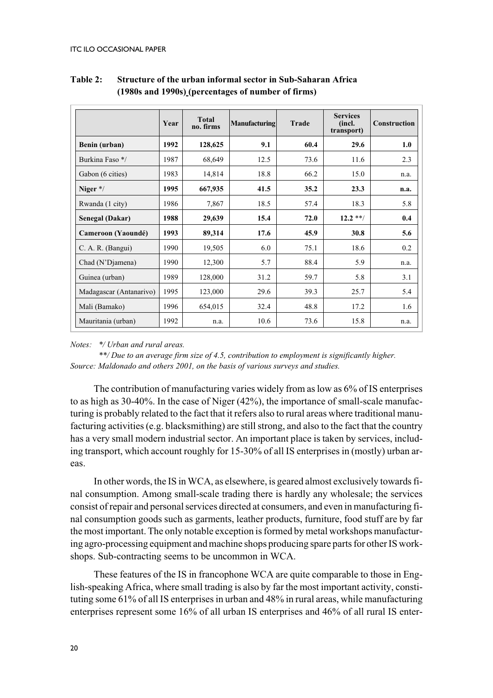#### **ITC ILO OCCASIONAL PAPER**

|                         | <b>Total</b><br>Year<br>no. firms |         | Manufacturing | <b>Trade</b> | <b>Services</b><br>(incl.<br>transport) | <b>Construction</b> |
|-------------------------|-----------------------------------|---------|---------------|--------------|-----------------------------------------|---------------------|
| Benin (urban)           | 1992                              | 128,625 | 9.1           | 60.4         | 29.6                                    | 1.0                 |
| Burkina Faso */         | 1987                              | 68,649  | 12.5          | 73.6         | 11.6                                    | 2.3                 |
| Gabon (6 cities)        | 1983                              | 14,814  | 18.8          | 66.2         | 15.0                                    | n.a.                |
| Niger $*/$              | 1995                              | 667,935 | 41.5          | 35.2         | 23.3                                    | n.a.                |
| Rwanda (1 city)         | 1986                              | 7,867   | 18.5          | 57.4         | 18.3                                    | 5.8                 |
| Senegal (Dakar)         | 1988                              | 29,639  | 15.4          | 72.0         | $12.2$ **/                              | 0.4                 |
| Cameroon (Yaoundé)      | 1993                              | 89,314  | 17.6          | 45.9         | 30.8                                    | 5.6                 |
| C. A. R. (Bangui)       | 1990                              | 19,505  | 6.0           | 75.1         | 18.6                                    | 0.2                 |
| Chad (N'Djamena)        | 1990                              | 12,300  | 5.7           | 88.4         | 5.9                                     | n.a.                |
| Guinea (urban)          | 1989                              | 128,000 | 31.2          | 59.7         | 5.8                                     | 3.1                 |
| Madagascar (Antanarivo) | 1995                              | 123,000 | 29.6          | 39.3         | 25.7                                    | 5.4                 |
| Mali (Bamako)           | 1996                              | 654,015 | 32.4          | 48.8         | 17.2                                    | 1.6                 |
| Mauritania (urban)      | 1992                              | n.a.    | 10.6          | 73.6         | 15.8                                    | n.a.                |

### **Table 2: Structure of the urban informal sector in Sub-Saharan Africa (1980s and 1990s) (percentages of number of firms)**

*Notes: \*/ Urban and rural areas.*

*\*\*/ Due to an average firm size of 4.5, contribution to employment is significantly higher. Source: Maldonado and others 2001, on the basis of various surveys and studies.*

The contribution of manufacturing varies widely from as low as 6% of IS enterprises to as high as  $30-40\%$ . In the case of Niger (42%), the importance of small-scale manufacturing is probably related to the fact that it refers also to rural areas where traditional manufacturing activities (e.g. blacksmithing) are still strong, and also to the fact that the country has a very small modern industrial sector. An important place is taken by services, including transport, which account roughly for 15-30% of all IS enterprises in (mostly) urban areas.

In other words, the IS in WCA, as elsewhere, is geared almost exclusively towards final consumption. Among small-scale trading there is hardly any wholesale; the services consist of repair and personal services directed at consumers,and even in manufacturing final consumption goods such as garments, leather products, furniture, food stuff are by far the most important. The only notable exception is formed by metal workshops manufacturing agro-processing equipment and machine shops producing spare parts for other IS workshops. Sub-contracting seems to be uncommon in WCA.

These features of the IS in francophone WCA are quite comparable to those in English-speaking Africa, where small trading is also by far the most important activity, constituting some  $61\%$  of all IS enterprises in urban and  $48\%$  in rural areas, while manufacturing enterprises represent some 16% of all urban IS enterprises and 46% of all rural IS enter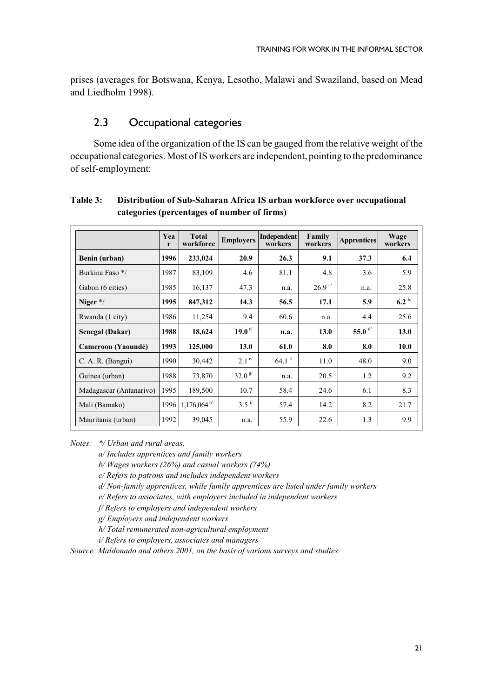prises (averages for Botswana, Kenya, Lesotho, Malawi and Swaziland, based on Mead and Liedholm 1998).

# 2.3 Occupational categories

Some idea of the organization of the IS can be gauged from the relative weight of the occupational categories. Most of IS workers are independent,pointing to the predominance of self-employment:

|                         | Yea<br>r | <b>Total</b><br>workforce | <b>Employers</b>    | Independent<br>workers | Family<br>workers  | Apprentices | Wage<br>workers |
|-------------------------|----------|---------------------------|---------------------|------------------------|--------------------|-------------|-----------------|
| Benin (urban)           | 1996     | 233,024                   | 20.9                | 26.3                   | 9.1                | 37.3        | 6.4             |
| Burkina Faso */         | 1987     | 83,109                    | 4.6                 | 81.1                   | 4.8                | 3.6         | 5.9             |
| Gabon (6 cities)        | 1985     | 16,137                    | 47.3                | n.a.                   | 26.9 <sup>a/</sup> | n.a.        | 25.8            |
| Niger $*/$              | 1995     | 847,312                   | 14.3                | 56.5                   | 17.1               | 5.9         | $6.2^{b/}$      |
| Rwanda (1 city)         | 1986     | 11,254                    | 9.4                 | 60.6                   | n.a.               | 4.4         | 25.6            |
| Senegal (Dakar)         | 1988     | 18,624                    | 19.0 $^{\circ}$     | n.a.                   | 13.0               | 55.0 $d/$   | 13.0            |
| Cameroon (Yaoundé)      | 1993     | 125,000                   | 13.0                | 61.0                   | 8.0                | 8.0         | 10.0            |
| C. A. R. (Bangui)       | 1990     | 30,442                    | $2.1^{\circ}$       | $64.1^{f}$             | 11.0               | 48.0        | 9.0             |
| Guinea (urban)          | 1988     | 73,870                    | 32.0 <sup>g</sup>   | n.a.                   | 20.5               | 1.2         | 9.2             |
| Madagascar (Antanarivo) | 1995     | 189,500                   | 10.7                | 58.4                   | 24.6               | 6.1         | 8.3             |
| Mali (Bamako)           | 1996     | 1,176,064 $\rm{^{h}}$     | $3.5^{\frac{1}{3}}$ | 57.4                   | 14.2               | 8.2         | 21.7            |
| Mauritania (urban)      | 1992     | 39,045                    | n.a.                | 55.9                   | 22.6               | 1.3         | 9.9             |

### **Table 3: Distribution of Sub-Saharan Africa IS urban workforce over occupational categories (percentages of number of firms)**

*Notes: \*/ Urban and rural areas.*

*a/ Includes apprentices and family workers*

*b/ Wages workers (26%) and casual workers (74%)*

*c/ Refers to patrons and includes independent workers*

*d/ Non-family apprentices, while family apprentices are listed under family workers*

*e/ Refers to associates, with employers included in independent workers*

*f/ Refers to employers and independent workers*

*g/ Employers and independent workers*

*h/ Total remunerated non-agricultural employment*

*i/ Refers to employers, associates and managers*

*Source: Maldonado and others 2001, on the basis of various surveys and studies.*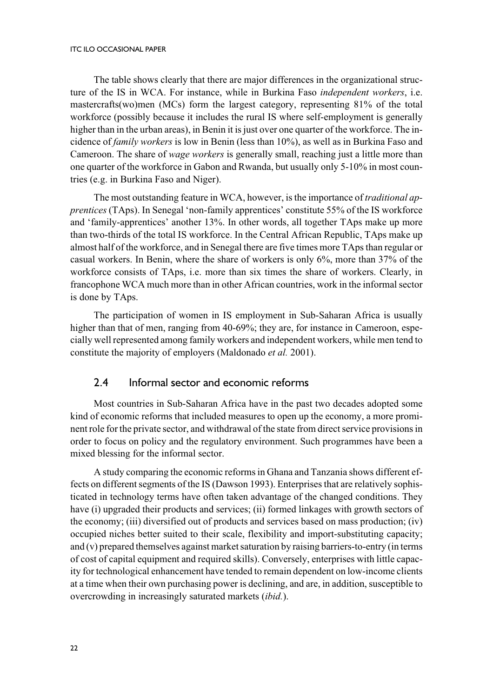The table shows clearly that there are major differences in the organizational structure of the IS in WCA. For instance, while in Burkina Faso *independent workers*, i.e. mastercrafts(wo)men (MCs) form the largest category, representing  $81\%$  of the total workforce (possibly because it includes the rural IS where self-employment is generally higher than in the urban areas), in Benin it is just over one quarter of the workforce. The incidence of *family workers* is low in Benin (less than 10%), as well as in Burkina Faso and Cameroon. The share of *wage workers* is generally small, reaching just a little more than one quarter of the workforce in Gabon and Rwanda, but usually only 5-10% in most countries (e.g. in Burkina Faso and Niger).

The most outstanding feature in WCA, however, is the importance of *traditional apprentices* (TAps). In Senegal 'non-family apprentices' constitute 55% of the IS workforce and 'family-apprentices' another 13%. In other words, all together TAps make up more than two-thirds of the total IS workforce. In the Central African Republic, TAps make up almost half of the workforce, and in Senegal there are five times more TAps than regular or casual workers. In Benin, where the share of workers is only  $6\%$ , more than  $37\%$  of the workforce consists of TAps, i.e. more than six times the share of workers. Clearly, in francophone WCA much more than in other African countries, work in the informal sector is done by TAps.

The participation of women in IS employment in Sub-Saharan Africa is usually higher than that of men, ranging from 40-69%; they are, for instance in Cameroon, especially well represented among family workers and independent workers,while men tend to constitute the majority of employers (Maldonado *et al.* 2001).

#### 2.4 Informal sector and economic reforms

Most countries in Sub-Saharan Africa have in the past two decades adopted some kind of economic reforms that included measures to open up the economy, a more prominent role for the private sector, and withdrawal of the state from direct service provisions in order to focus on policy and the regulatory environment. Such programmes have been a mixed blessing for the informal sector.

A study comparing the economic reforms in Ghana and Tanzania shows different effects on different segments of the IS (Dawson 1993). Enterprises that are relatively sophisticated in technology terms have often taken advantage of the changed conditions. They have (i) upgraded their products and services; (ii) formed linkages with growth sectors of the economy; (iii) diversified out of products and services based on mass production; (iv) occupied niches better suited to their scale, flexibility and import-substituting capacity; and (v) prepared themselves against market saturation by raising barriers-to-entry (in terms of cost of capital equipment and required skills). Conversely,enterprises with little capacity for technological enhancement have tended to remain dependent on low-income clients at a time when their own purchasing power is declining, and are, in addition, susceptible to overcrowding in increasingly saturated markets (*ibid.*).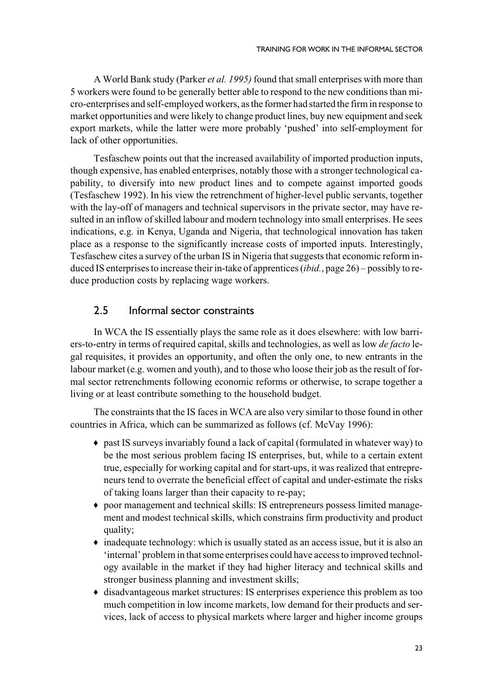A World Bank study (Parker *et al. 1995)* found that small enterprises with more than 5 workers were found to be generally better able to respond to the new conditions than micro-enterprises and self-employed workers, as the former had started the firm in response to market opportunities and were likely to change product lines, buy new equipment and seek export markets, while the latter were more probably 'pushed' into self-employment for lack of other opportunities.

Tesfaschew points out that the increased availability of imported production inputs, though expensive, has enabled enterprises, notably those with a stronger technological capability, to diversify into new product lines and to compete against imported goods (Tesfaschew 1992). In his view the retrenchment of higher-level public servants,together with the lay-off of managers and technical supervisors in the private sector, may have resulted in an inflow of skilled labour and modern technology into small enterprises. He sees indications, e.g. in Kenya, Uganda and Nigeria, that technological innovation has taken place as a response to the significantly increase costs of imported inputs. Interestingly, Tesfaschew cites a survey of the urban IS in Nigeria that suggests that economic reform induced IS enterprises to increase their in-take of apprentices *(ibid.*, page 26) – possibly to reduce production costs by replacing wage workers.

### 2.5 Informal sector constraints

In WCA the IS essentially plays the same role as it does elsewhere: with low barriers-to-entry in terms of required capital, skills and technologies, as well as low *de facto* legal requisites, it provides an opportunity, and often the only one, to new entrants in the labour market (e.g. women and youth), and to those who loose their job as the result of formal sector retrenchments following economic reforms or otherwise, to scrape together a living or at least contribute something to the household budget.

The constraints that the IS faces in WCA are also very similar to those found in other countries in Africa, which can be summarized as follows (cf. McVay 1996):

- past IS surveys invariably found a lack of capital (formulated in whatever way) to be the most serious problem facing IS enterprises, but, while to a certain extent true, especially for working capital and for start-ups, it was realized that entrepreneurs tend to overrate the beneficial effect of capital and under-estimate the risks of taking loans larger than their capacity to re-pay;
- poor management and technical skills: IS entrepreneurs possess limited management and modest technical skills, which constrains firm productivity and product quality;
- $\bullet$  inadequate technology: which is usually stated as an access issue, but it is also an 'internal' problem in that some enterprises could have access to improved technology available in the market if they had higher literacy and technical skills and stronger business planning and investment skills;
- disadvantageous market structures: IS enterprises experience this problem as too much competition in low income markets, low demand for their products and services, lack of access to physical markets where larger and higher income groups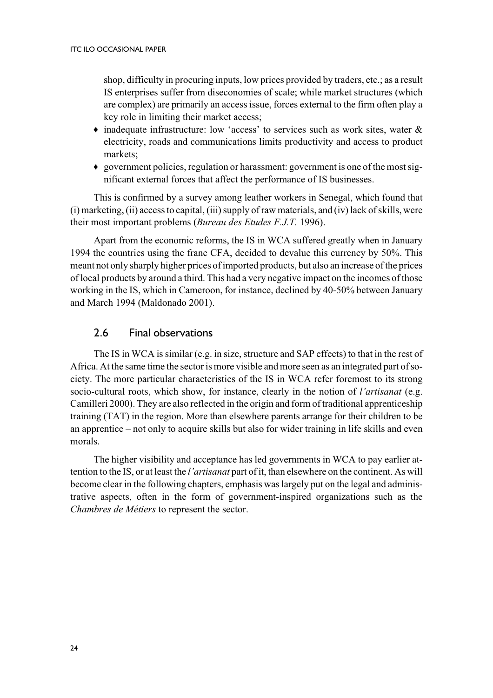shop, difficulty in procuring inputs, low prices provided by traders, etc.; as a result IS enterprises suffer from diseconomies of scale; while market structures (which are complex) are primarily an access issue, forces external to the firm often play a key role in limiting their market access;

- $\bullet$  inadequate infrastructure: low 'access' to services such as work sites, water  $\&$ electricity, roads and communications limits productivity and access to product markets;
- government policies, regulation or harassment: government is one of the most significant external forces that affect the performance of IS businesses.

This is confirmed by a survey among leather workers in Senegal,which found that  $(i)$  marketing,  $(ii)$  access to capital,  $(iii)$  supply of raw materials, and  $(iv)$  lack of skills, were their most important problems (*Bureau des Etudes F.J.T.* 1996).

Apart from the economic reforms, the IS in WCA suffered greatly when in January 1994 the countries using the franc CFA, decided to devalue this currency by 50%. This meant not only sharply higher prices of imported products, but also an increase of the prices of local products by around a third. This had a very negative impact on the incomes of those working in the IS, which in Cameroon, for instance, declined by 40-50% between January and March 1994 (Maldonado 2001).

# 2.6 Final observations

The IS in WCA is similar (e.g. in size, structure and SAP effects) to that in the rest of Africa. At the same time the sector is more visible and more seen as an integrated part of society. The more particular characteristics of the IS in WCA refer foremost to its strong socio-cultural roots, which show, for instance, clearly in the notion of *l'artisanat* (e.g. Camilleri 2000). They are also reflected in the origin and form of traditional apprenticeship training (TAT) in the region. More than elsewhere parents arrange for their children to be an apprentice – not only to acquire skills but also for wider training in life skills and even morals.

The higher visibility and acceptance has led governments in WCA to pay earlier attention to the IS, or at least the *l'artisanat* part of it, than elsewhere on the continent. As will become clear in the following chapters, emphasis was largely put on the legal and administrative aspects, often in the form of government-inspired organizations such as the *Chambres de Métiers* to represent the sector.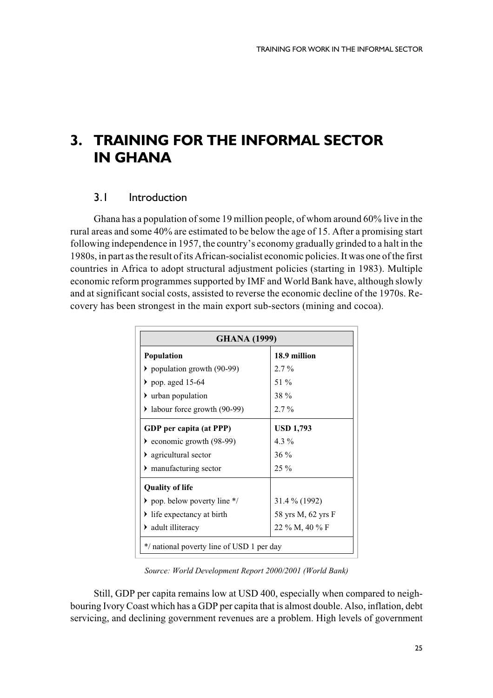# **3. TRAINING FOR THE INFORMAL SECTOR IN GHANA**

# 3.1 Introduction

Ghana has a population of some 19 million people, of whom around  $60\%$  live in the rural areas and some 40% are estimated to be below the age of 15. After a promising start following independence in 1957, the country's economy gradually grinded to a halt in the 1980s,in part as the result of its African-socialist economic policies. It was one of the first countries in Africa to adopt structural adjustment policies (starting in 1983). Multiple economic reform programmes supported by IMF and World Bank have, although slowly and at significant social costs, assisted to reverse the economic decline of the 1970s. Recovery has been strongest in the main export sub-sectors (mining and cocoa).

| <b>GHANA</b> (1999)                               |                    |  |  |  |  |
|---------------------------------------------------|--------------------|--|--|--|--|
| Population                                        | 18.9 million       |  |  |  |  |
| population growth $(90-99)$                       | $2.7\%$            |  |  |  |  |
| $\rightarrow$ pop. aged 15-64                     | 51 %               |  |  |  |  |
| $\rightarrow$ urban population                    | 38 %               |  |  |  |  |
| $\blacktriangleright$ labour force growth (90-99) | $2.7\%$            |  |  |  |  |
| GDP per capita (at PPP)                           | <b>USD 1,793</b>   |  |  |  |  |
| $\rightarrow$ economic growth (98-99)             | $4.3\%$            |  |  |  |  |
| $\rightarrow$ agricultural sector                 | $36\%$             |  |  |  |  |
| $\rightarrow$ manufacturing sector                | $25\%$             |  |  |  |  |
| <b>Quality of life</b>                            |                    |  |  |  |  |
| $\rightarrow$ pop. below poverty line */          | 31.4 % (1992)      |  |  |  |  |
| $\triangleright$ life expectancy at birth         | 58 yrs M, 62 yrs F |  |  |  |  |
| > adult illiteracy                                | 22 % M, 40 % F     |  |  |  |  |
| */ national poverty line of USD 1 per day         |                    |  |  |  |  |

*Source: World Development Report 2000/2001 (World Bank)*

Still, GDP per capita remains low at USD 400, especially when compared to neighbouring Ivory Coast which has a GDP per capita that is almost double. Also, inflation, debt servicing, and declining government revenues are a problem. High levels of government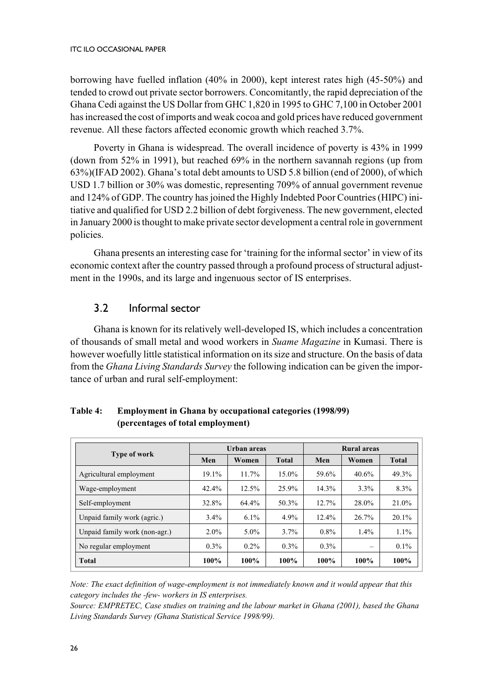borrowing have fuelled inflation  $(40\%$  in 2000), kept interest rates high  $(45-50\%)$  and tended to crowd out private sector borrowers. Concomitantly, the rapid depreciation of the Ghana Cedi against the US Dollar from GHC 1,820 in 1995 to GHC 7,100 in October 2001 has increased the cost of imports and weak cocoa and gold prices have reduced government revenue. All these factors affected economic growth which reached 3.7%.

Poverty in Ghana is widespread. The overall incidence of poverty is 43% in 1999 (down from  $52\%$  in 1991), but reached 69% in the northern savannah regions (up from 63%)(IFAD 2002). Ghana's total debt amounts to USD 5.8 billion (end of 2000), of which USD 1.7 billion or 30% was domestic, representing 709% of annual government revenue and 124% of GDP. The country has joined the Highly Indebted Poor Countries (HIPC) initiative and qualified for USD 2.2 billion of debt forgiveness. The new government, elected in January 2000 is thought to make private sector development a central role in government policies.

Ghana presents an interesting case for 'training for the informal sector' in view of its economic context after the country passed through a profound process of structural adjustment in the 1990s, and its large and ingenuous sector of IS enterprises.

### 3.2 Informal sector

Ghana is known for its relatively well-developed IS, which includes a concentration of thousands of small metal and wood workers in *Suame Magazine* in Kumasi. There is however woefully little statistical information on its size and structure. On the basis of data from the *Ghana Living Standards Survey* the following indication can be given the importance of urban and rural self-employment:

|                               | Urban areas |          |              | <b>Rural</b> areas |                          |              |
|-------------------------------|-------------|----------|--------------|--------------------|--------------------------|--------------|
| <b>Type of work</b>           | Men         | Women    | <b>Total</b> | Men                | Women                    | <b>Total</b> |
| Agricultural employment       | $19.1\%$    | $11.7\%$ | $15.0\%$     | 59.6%              | 40.6%                    | 49.3%        |
| Wage-employment               | $42.4\%$    | $12.5\%$ | 25.9%        | 14.3%              | $3.3\%$                  | $8.3\%$      |
| Self-employment               | 32.8%       | 64.4%    | 50.3%        | $12.7\%$           | 28.0%                    | 21.0%        |
| Unpaid family work (agric.)   | $3.4\%$     | $6.1\%$  | $4.9\%$      | $12.4\%$           | $26.7\%$                 | $20.1\%$     |
| Unpaid family work (non-agr.) | $2.0\%$     | $5.0\%$  | $3.7\%$      | $0.8\%$            | $1.4\%$                  | $1.1\%$      |
| No regular employment         | $0.3\%$     | $0.2\%$  | $0.3\%$      | $0.3\%$            | $\overline{\phantom{m}}$ | $0.1\%$      |
| <b>Total</b>                  | $100\%$     | $100\%$  | 100%         | $100\%$            | $100\%$                  | 100%         |

### **Table 4: Employment in Ghana by occupational categories (1998/99) (percentages of total employment)**

*Note: The exact definition of wage-employment is not immediately known and it would appear that this category includes the -few- workers in IS enterprises.*

*Source: EMPRETEC, Case studies on training and the labour market in Ghana (2001), based the Ghana Living Standards Survey (Ghana Statistical Service 1998/99).*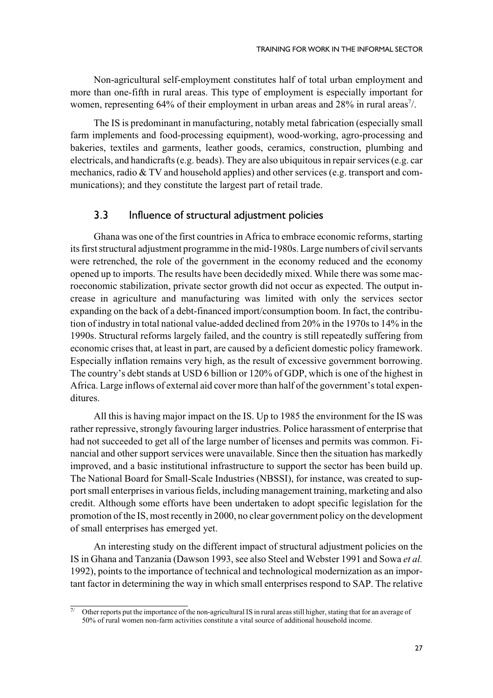Non-agricultural self-employment constitutes half of total urban employment and more than one-fifth in rural areas. This type of employment is especially important for women, representing 64% of their employment in urban areas and 28% in rural areas<sup>7</sup>/.

The IS is predominant in manufacturing, notably metal fabrication (especially small farm implements and food-processing equipment), wood-working, agro-processing and bakeries, textiles and garments, leather goods, ceramics, construction, plumbing and electricals,and handicrafts (e.g. beads). They are also ubiquitous in repair services (e.g. car mechanics, radio  $& TV$  and household applies) and other services (e.g. transport and communications); and they constitute the largest part of retail trade.

### 3.3 Influence of structural adjustment policies

Ghana was one of the first countries in Africa to embrace economic reforms, starting its first structural adjustment programme in the mid-1980s. Large numbers of civil servants were retrenched, the role of the government in the economy reduced and the economy opened up to imports. The results have been decidedly mixed. While there was some macroeconomic stabilization, private sector growth did not occur as expected. The output increase in agriculture and manufacturing was limited with only the services sector expanding on the back of a debt-financed import/consumption boom. In fact, the contribution of industry in total national value-added declined from 20% in the 1970s to 14% in the 1990s. Structural reforms largely failed, and the country is still repeatedly suffering from economic crises that, at least in part, are caused by a deficient domestic policy framework. Especially inflation remains very high, as the result of excessive government borrowing. The country's debt stands at USD 6 billion or 120% of GDP,which is one of the highest in Africa. Large inflows of external aid cover more than half of the government's total expenditures.

All this is having major impact on the IS. Up to 1985 the environment for the IS was rather repressive, strongly favouring larger industries. Police harassment of enterprise that had not succeeded to get all of the large number of licenses and permits was common. Financial and other support services were unavailable. Since then the situation has markedly improved, and a basic institutional infrastructure to support the sector has been build up. The National Board for Small-Scale Industries (NBSSI), for instance, was created to support small enterprises in various fields, including management training, marketing and also credit. Although some efforts have been undertaken to adopt specific legislation for the promotion of the IS, most recently in 2000, no clear government policy on the development of small enterprises has emerged yet.

An interesting study on the different impact of structural adjustment policies on the IS in Ghana and Tanzania (Dawson 1993, see also Steel and Webster 1991 and Sowa *et al.* 1992), points to the importance of technical and technological modernization as an important factor in determining the way in which small enterprises respond to SAP. The relative

 $\frac{7}{10}$  Other reports put the importance of the non-agricultural IS in rural areas still higher, stating that for an average of 50% of rural women non-farm activities constitute a vital source of additional household income.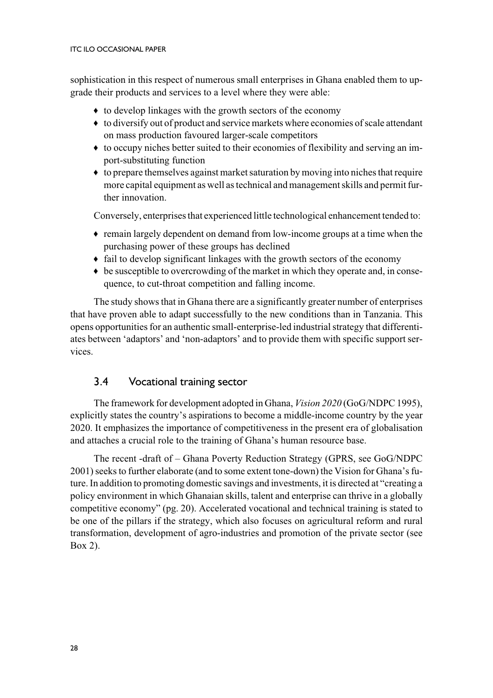#### **ITC ILO OCCASIONAL PAPER**

sophistication in this respect of numerous small enterprises in Ghana enabled them to upgrade their products and services to a level where they were able:

- $\bullet$  to develop linkages with the growth sectors of the economy
- $\bullet$  to diversify out of product and service markets where economies of scale attendant on mass production favoured larger-scale competitors
- to occupy niches better suited to their economies of flexibility and serving an import-substituting function
- to prepare themselves against market saturation by moving into niches that require more capital equipment as well as technical and management skills and permit further innovation.

Conversely, enterprises that experienced little technological enhancement tended to:

- remain largely dependent on demand from low-income groups at a time when the purchasing power of these groups has declined
- $\bullet$  fail to develop significant linkages with the growth sectors of the economy
- $\bullet$  be susceptible to overcrowding of the market in which they operate and, in consequence, to cut-throat competition and falling income.

The study shows that in Ghana there are a significantly greater number of enterprises that have proven able to adapt successfully to the new conditions than in Tanzania. This opens opportunities for an authentic small-enterprise-led industrial strategy that differentiates between 'adaptors' and 'non-adaptors' and to provide them with specific support services.

# 3.4 Vocational training sector

The framework for development adopted in Ghana, *Vision 2020* (GoG/NDPC 1995), explicitly states the country's aspirations to become a middle-income country by the year 2020. It emphasizes the importance of competitiveness in the present era of globalisation and attaches a crucial role to the training of Ghana's human resource base.

The recent -draft of – Ghana Poverty Reduction Strategy (GPRS, see GoG/NDPC) 2001) seeks to further elaborate (and to some extent tone-down) the Vision for Ghana's future. In addition to promoting domestic savings and investments, it is directed at "creating a policy environment in which Ghanaian skills, talent and enterprise can thrive in a globally competitive economy" (pg. 20). Accelerated vocational and technical training is stated to be one of the pillars if the strategy, which also focuses on agricultural reform and rural transformation, development of agro-industries and promotion of the private sector (see Box 2).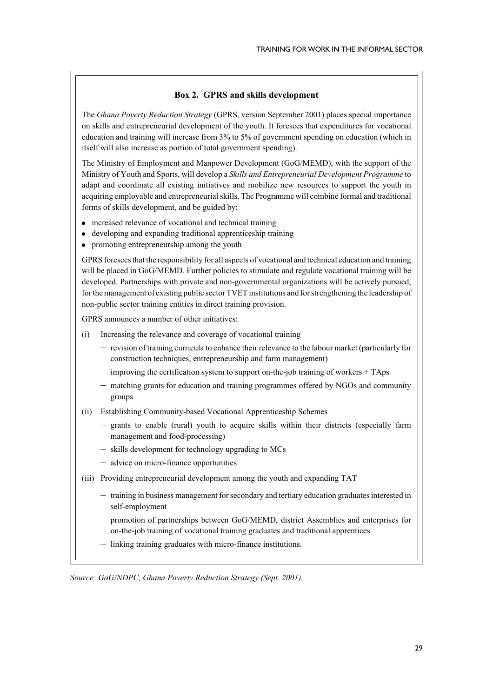#### **Box 2. GPRS and skills development**

The *Ghana Poverty Reduction Strategy* (GPRS, version September 2001) places special importance on skills and entrepreneurial development of the youth. It foresees that expenditures for vocational education and training will increase from 3% to 5% of government spending on education (which in itself will also increase as portion of total government spending).

The Ministry of Employment and Manpower Development (GoG/MEMD), with the support of the Ministry of Youth and Sports,will develop a *Skills and Entrepreneurial Development Programme* to adapt and coordinate all existing initiatives and mobilize new resources to support the youth in acquiring employable and entrepreneurial skills. The Programme will combine formal and traditional forms of skills development, and be guided by:

- increased relevance of vocational and technical training
- developing and expanding traditional apprenticeship training
- promoting entrepreneurship among the youth

GPRS foresees that the responsibility for all aspects of vocational and technical education and training will be placed in GoG/MEMD. Further policies to stimulate and regulate vocational training will be developed. Partnerships with private and non-governmental organizations will be actively pursued, for the management of existing public sector TVET institutions and for strengthening the leadership of non-public sector training entities in direct training provision.

GPRS announces a number of other initiatives:

- (i) Increasing the relevance and coverage of vocational training
	- revision of training curricula to enhance their relevance to the labour market (particularly for construction techniques, entrepreneurship and farm management)
	- $-$  improving the certification system to support on-the-job training of workers  $+$  TAps
	- matching grants for education and training programmes offered by NGOs and community groups
- (ii) Establishing Community-based Vocational Apprenticeship Schemes
	- grants to enable (rural) youth to acquire skills within their districts (especially farm management and food-processing)
	- skills development for technology upgrading to MCs
	- advice on micro-finance opportunities
- (iii) Providing entrepreneurial development among the youth and expanding TAT
	- training in business management for secondary and tertiary education graduates interested in self-employment
	- $-$  promotion of partnerships between GoG/MEMD, district Assemblies and enterprises for on-the-job training of vocational training graduates and traditional apprentices
	- linking training graduates with micro-finance institutions.

*Source: GoG/NDPC, Ghana Poverty Reduction Strategy (Sept. 2001).*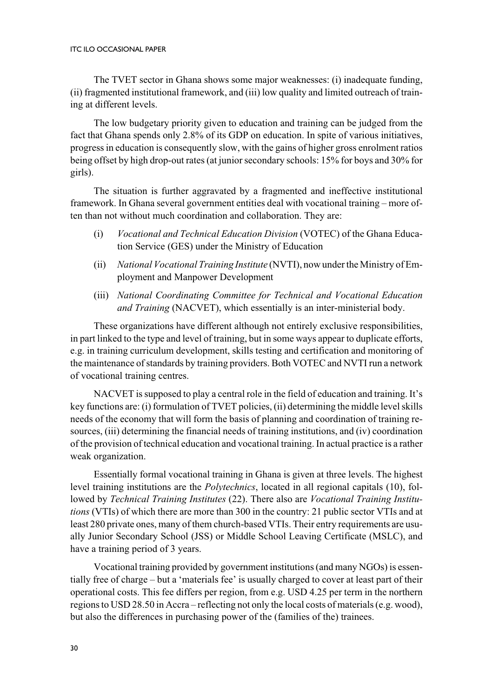The TVET sector in Ghana shows some major weaknesses: (i) inadequate funding, (ii) fragmented institutional framework, and (iii) low quality and limited outreach of training at different levels.

The low budgetary priority given to education and training can be judged from the fact that Ghana spends only 2.8% of its GDP on education. In spite of various initiatives, progress in education is consequently slow,with the gains of higher gross enrolment ratios being offset by high drop-out rates (at junior secondary schools: 15% for boys and 30% for girls).

The situation is further aggravated by a fragmented and ineffective institutional framework. In Ghana several government entities deal with vocational training – more often than not without much coordination and collaboration. They are:

- (i) *Vocational and Technical Education Division* (VOTEC) of the Ghana Education Service (GES) under the Ministry of Education
- (ii) *National Vocational Training Institute* (NVTI), now under the Ministry of Employment and Manpower Development
- (iii) *National Coordinating Committee for Technical and Vocational Education and Training* (NACVET), which essentially is an inter-ministerial body.

These organizations have different although not entirely exclusive responsibilities, in part linked to the type and level of training, but in some ways appear to duplicate efforts, e.g. in training curriculum development, skills testing and certification and monitoring of the maintenance of standards by training providers. Both VOTEC and NVTI run a network of vocational training centres.

NACVET is supposed to play a central role in the field of education and training. It's key functions are: (i) formulation of TVET policies,(ii) determining the middle level skills needs of the economy that will form the basis of planning and coordination of training resources, (iii) determining the financial needs of training institutions, and (iv) coordination of the provision of technical education and vocational training. In actual practice is a rather weak organization.

Essentially formal vocational training in Ghana is given at three levels. The highest level training institutions are the *Polytechnics*, located in all regional capitals (10), followed by *Technical Training Institutes* (22). There also are *Vocational Training Institutions* (VTIs) of which there are more than 300 in the country: 21 public sector VTIs and at least 280 private ones, many of them church-based VTIs. Their entry requirements are usually Junior Secondary School (JSS) or Middle School Leaving Certificate (MSLC), and have a training period of 3 years.

Vocational training provided by government institutions (and many NGOs) is essentially free of charge – but a 'materials fee' is usually charged to cover at least part of their operational costs. This fee differs per region, from e.g. USD 4.25 per term in the northern regions to USD 28.50 in Accra – reflecting not only the local costs of materials (e.g. wood), but also the differences in purchasing power of the (families of the) trainees.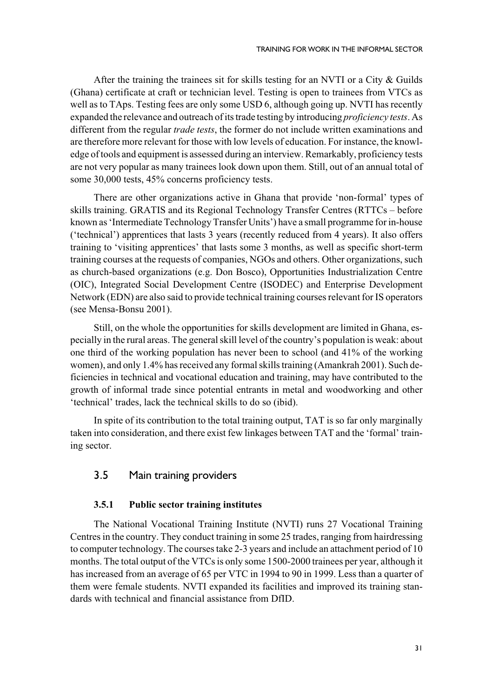After the training the trainees sit for skills testing for an NVTI or a City & Guilds (Ghana) certificate at craft or technician level. Testing is open to trainees from VTCs as well as to TAps. Testing fees are only some USD 6, although going up. NVTI has recently expanded the relevance and outreach of its trade testing by introducing *proficiency tests*. As different from the regular *trade tests*, the former do not include written examinations and are therefore more relevant for those with low levels of education. For instance, the knowledge of tools and equipment is assessed during an interview. Remarkably, proficiency tests are not very popular as many trainees look down upon them. Still, out of an annual total of some 30,000 tests, 45% concerns proficiency tests.

There are other organizations active in Ghana that provide 'non-formal' types of skills training. GRATIS and its Regional Technology Transfer Centres (RTTCs – before known as 'Intermediate Technology Transfer Units') have a small programme for in-house ('technical') apprentices that lasts 3 years (recently reduced from 4 years). It also offers training to 'visiting apprentices' that lasts some 3 months,as well as specific short-term training courses at the requests of companies, NGOs and others. Other organizations, such as church-based organizations (e.g. Don Bosco),Opportunities Industrialization Centre (OIC), Integrated Social Development Centre (ISODEC) and Enterprise Development Network (EDN) are also said to provide technical training courses relevant for IS operators (see Mensa-Bonsu 2001).

Still, on the whole the opportunities for skills development are limited in Ghana, especially in the rural areas. The general skill level of the country's population is weak: about one third of the working population has never been to school (and 41% of the working women), and only 1.4% has received any formal skills training (Amankrah 2001). Such deficiencies in technical and vocational education and training,may have contributed to the growth of informal trade since potential entrants in metal and woodworking and other 'technical' trades, lack the technical skills to do so (ibid).

In spite of its contribution to the total training output,TAT is so far only marginally taken into consideration, and there exist few linkages between TAT and the 'formal' training sector.

# 3.5 Main training providers

#### **3.5.1 Public sector training institutes**

The National Vocational Training Institute (NVTI) runs 27 Vocational Training Centres in the country. They conduct training in some 25 trades, ranging from hairdressing to computer technology. The courses take 2-3 years and include an attachment period of 10 months. The total output of the VTCs is only some 1500-2000 trainees per year, although it has increased from an average of 65 per VTC in 1994 to 90 in 1999. Less than a quarter of them were female students. NVTI expanded its facilities and improved its training standards with technical and financial assistance from DfID.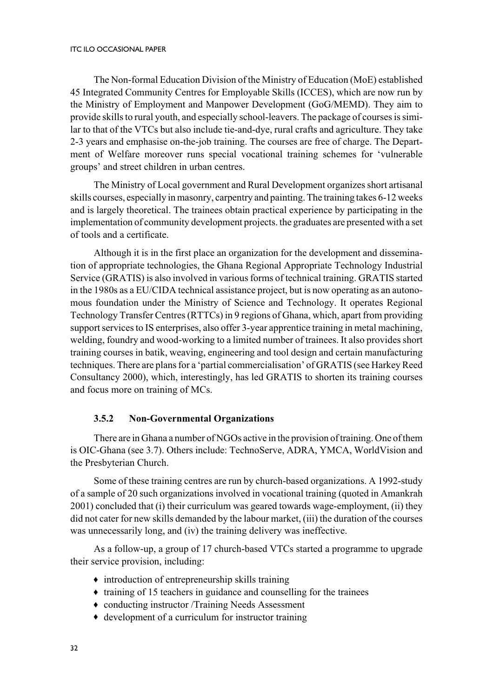#### ITC ILO OCCASIONAL PAPER

The Non-formal Education Division of the Ministry of Education (MoE) established 45 Integrated Community Centres for Employable Skills (ICCES), which are now run by the Ministry of Employment and Manpower Development (GoG/MEMD). They aim to provide skills to rural youth, and especially school-leavers. The package of courses is similar to that of the VTCs but also include tie-and-dye, rural crafts and agriculture. They take 2-3 years and emphasise on-the-job training. The courses are free of charge. The Department of Welfare moreover runs special vocational training schemes for 'vulnerable groups' and street children in urban centres.

The Ministry of Local government and Rural Development organizes short artisanal skills courses, especially in masonry, carpentry and painting. The training takes 6-12 weeks and is largely theoretical. The trainees obtain practical experience by participating in the implementation of community development projects. the graduates are presented with a set of tools and a certificate.

Although it is in the first place an organization for the development and dissemination of appropriate technologies, the Ghana Regional Appropriate Technology Industrial Service (GRATIS) is also involved in various forms of technical training. GRATIS started in the 1980s as a EU/CIDA technical assistance project, but is now operating as an autonomous foundation under the Ministry of Science and Technology. It operates Regional Technology Transfer Centres (RTTCs) in 9 regions of Ghana, which, apart from providing support services to IS enterprises, also offer 3-year apprentice training in metal machining, welding, foundry and wood-working to a limited number of trainees. It also provides short training courses in batik, weaving, engineering and tool design and certain manufacturing techniques. There are plans for a 'partial commercialisation' of GRATIS (see Harkey Reed Consultancy 2000), which, interestingly, has led GRATIS to shorten its training courses and focus more on training of MCs.

### **3.5.2 Non-Governmental Organizations**

There are in Ghana a number of NGOs active in the provision of training. One of them is OIC-Ghana (see 3.7). Others include: TechnoServe, ADRA, YMCA, WorldVision and the Presbyterian Church.

Some of these training centres are run by church-based organizations. A 1992-study of a sample of 20 such organizations involved in vocational training (quoted in Amankrah 2001) concluded that (i) their curriculum was geared towards wage-employment,(ii) they did not cater for new skills demanded by the labour market,(iii) the duration of the courses was unnecessarily long, and (iv) the training delivery was ineffective.

As a follow-up, a group of 17 church-based VTCs started a programme to upgrade their service provision, including:

- introduction of entrepreneurship skills training
- $\triangle$  training of 15 teachers in guidance and counselling for the trainees
- conducting instructor /Training Needs Assessment
- development of a curriculum for instructor training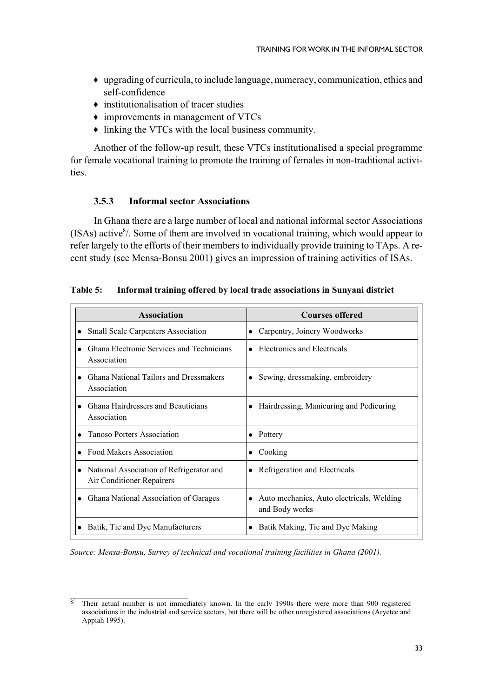- upgrading of curricula,to include language,numeracy,communication,ethics and self-confidence
- institutionalisation of tracer studies
- improvements in management of VTCs
- linking the VTCs with the local business community.

Another of the follow-up result, these VTCs institutionalised a special programme for female vocational training to promote the training of females in non-traditional activities.

#### **3.5.3 Informal sector Associations**

In Ghana there are a large number of local and national informal sector Associations (ISAs) active<sup>8</sup>/. Some of them are involved in vocational training, which would appear to refer largely to the efforts of their members to individually provide training to TAps. A recent study (see Mensa-Bonsu 2001) gives an impression of training activities of ISAs.

#### **Table 5: Informal training offered by local trade associations in Sunyani district**

| <b>Association</b>                                                         | <b>Courses offered</b>                                                   |
|----------------------------------------------------------------------------|--------------------------------------------------------------------------|
| <b>Small Scale Carpenters Association</b>                                  | Carpentry, Joinery Woodworks                                             |
| Ghana Electronic Services and Technicians<br>Association                   | Electronics and Electricals                                              |
| <b>Ghana National Tailors and Dressmakers</b><br>Association               | Sewing, dressmaking, embroidery<br>٠                                     |
| Ghana Hairdressers and Beauticians<br>Association                          | Hairdressing, Manicuring and Pedicuring<br>$\bullet$                     |
| <b>Tanoso Porters Association</b>                                          | Pottery                                                                  |
| <b>Food Makers Association</b>                                             | Cooking                                                                  |
| National Association of Refrigerator and<br>٠<br>Air Conditioner Repairers | Refrigeration and Electricals                                            |
| • Ghana National Association of Garages                                    | Auto mechanics, Auto electricals, Welding<br>$\bullet$<br>and Body works |
| Batik, Tie and Dye Manufacturers                                           | Batik Making, Tie and Dye Making<br>٠                                    |

*Source: Mensa-Bonsu, Survey of technical and vocational training facilities in Ghana (2001).*

Their actual number is not immediately known. In the early 1990s there were more than 900 registered associations in the industrial and service sectors, but there will be other unregistered associations (Aryetee and Appiah 1995).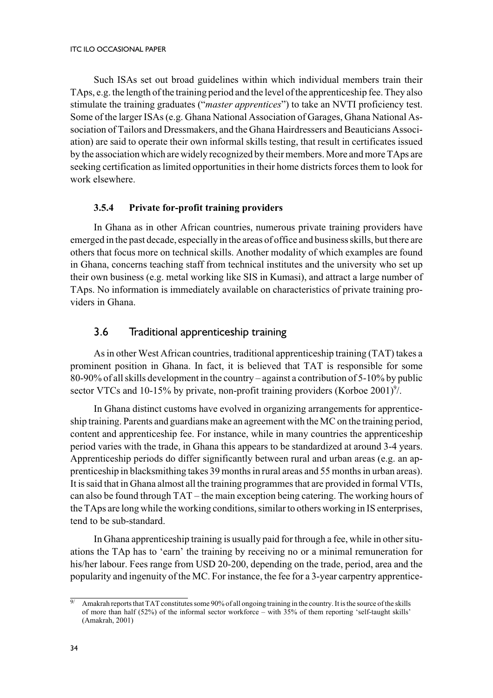Such ISAs set out broad guidelines within which individual members train their TAps, e.g. the length of the training period and the level of the apprenticeship fee. They also stimulate the training graduates ("*master apprentices*") to take an NVTI proficiency test. Some of the larger ISAs (e.g. Ghana National Association of Garages, Ghana National Association of Tailors and Dressmakers, and the Ghana Hairdressers and Beauticians Associ-ation) are said to operate their own informal skills testing, that result in certificates issued by the association which are widely recognized by their members. More and more TAps are seeking certification as limited opportunities in their home districts forces them to look for work elsewhere.

### **3.5.4 Private for-profit training providers**

In Ghana as in other African countries, numerous private training providers have emerged in the past decade, especially in the areas of office and business skills, but there are others that focus more on technical skills. Another modality of which examples are found in Ghana, concerns teaching staff from technical institutes and the university who set up their own business (e.g. metal working like SIS in Kumasi), and attract a large number of TAps. No information is immediately available on characteristics of private training providers in Ghana.

# 3.6 Traditional apprenticeship training

As in other West African countries, traditional apprenticeship training (TAT) takes a prominent position in Ghana. In fact, it is believed that TAT is responsible for some 80-90% of all skills development in the country – against a contribution of 5-10% by public sector VTCs and 10-15% by private, non-profit training providers (Korboe 2001) $^9$ .

In Ghana distinct customs have evolved in organizing arrangements for apprenticeship training. Parents and guardians make an agreement with the MC on the training period, content and apprenticeship fee. For instance, while in many countries the apprenticeship period varies with the trade, in Ghana this appears to be standardized at around 3-4 years. Apprenticeship periods do differ significantly between rural and urban areas (e.g. an apprenticeship in blacksmithing takes 39 months in rural areas and 55 months in urban areas). It is said that in Ghana almost all the training programmes that are provided in formal VTIs, can also be found through TAT – the main exception being catering. The working hours of the TAps are long while the working conditions, similar to others working in IS enterprises, tend to be sub-standard.

In Ghana apprenticeship training is usually paid for through a fee, while in other situations the TAp has to 'earn' the training by receiving no or a minimal remuneration for his/her labour. Fees range from USD 20-200, depending on the trade, period, area and the popularity and ingenuity of the MC. For instance, the fee for a 3-year carpentry apprentice-

 $\frac{9}{24}$  Amakrah reports that TAT constitutes some 90% of all ongoing training in the country. It is the source of the skills of more than half (52%) of the informal sector workforce – with 35% of them reporting 'self-taught skills' (Amakrah,2001)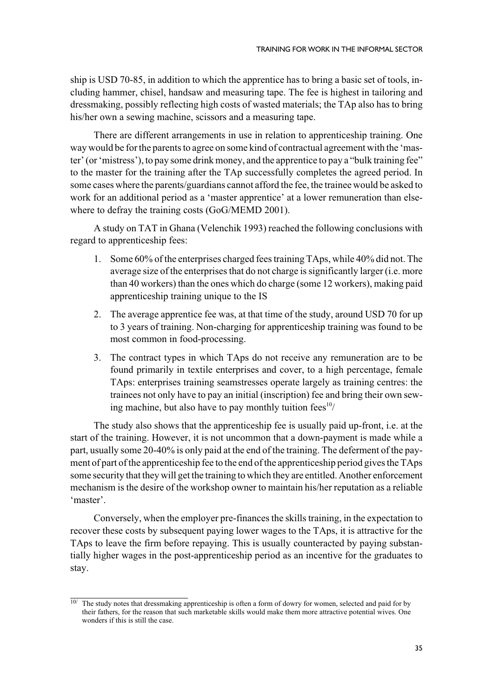ship is USD 70-85, in addition to which the apprentice has to bring a basic set of tools, including hammer, chisel, handsaw and measuring tape. The fee is highest in tailoring and dressmaking, possibly reflecting high costs of wasted materials; the TAp also has to bring his/her own a sewing machine, scissors and a measuring tape.

There are different arrangements in use in relation to apprenticeship training. One way would be for the parents to agree on some kind of contractual agreement with the 'master' (or 'mistress'), to pay some drink money, and the apprentice to pay a "bulk training fee" to the master for the training after the TAp successfully completes the agreed period. In some cases where the parents/guardians cannot afford the fee, the trainee would be asked to work for an additional period as a 'master apprentice' at a lower remuneration than elsewhere to defray the training costs (GoG/MEMD 2001).

A study on TAT in Ghana (Velenchik 1993) reached the following conclusions with regard to apprenticeship fees:

- 1. Some 60% of the enterprises charged fees training TAps,while 40% did not. The average size of the enterprises that do not charge is significantly larger (i.e. more than 40 workers) than the ones which do charge (some 12 workers), making paid apprenticeship training unique to the IS
- 2. The average apprentice fee was, at that time of the study, around USD 70 for up to 3 years of training. Non-charging for apprenticeship training was found to be most common in food-processing.
- 3. The contract types in which TAps do not receive any remuneration are to be found primarily in textile enterprises and cover, to a high percentage, female TAps: enterprises training seamstresses operate largely as training centres: the trainees not only have to pay an initial (inscription) fee and bring their own sewing machine, but also have to pay monthly tuition fees<sup>10</sup>/

The study also shows that the apprenticeship fee is usually paid up-front, i.e. at the start of the training. However, it is not uncommon that a down-payment is made while a part, usually some 20-40% is only paid at the end of the training. The deferment of the payment of part of the apprenticeship fee to the end of the apprenticeship period gives the TAps some security that they will get the training to which they are entitled. Another enforcement mechanism is the desire of the workshop owner to maintain his/her reputation as a reliable 'master'.

Conversely, when the employer pre-finances the skills training, in the expectation to recover these costs by subsequent paying lower wages to the TAps, it is attractive for the TAps to leave the firm before repaying. This is usually counteracted by paying substantially higher wages in the post-apprenticeship period as an incentive for the graduates to stay.

 $10/$  The study notes that dressmaking apprenticeship is often a form of dowry for women, selected and paid for by their fathers, for the reason that such marketable skills would make them more attractive potential wives. One wonders if this is still the case.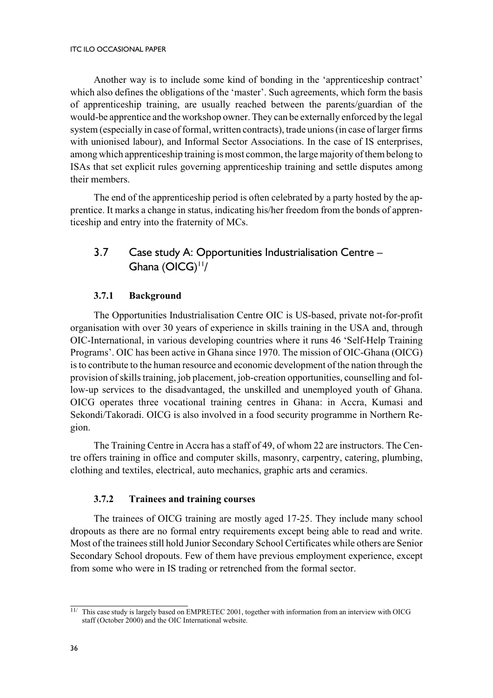Another way is to include some kind of bonding in the 'apprenticeship contract' which also defines the obligations of the 'master'. Such agreements, which form the basis of apprenticeship training, are usually reached between the parents/guardian of the would-be apprentice and the workshop owner. They can be externally enforced by the legal system (especially in case of formal, written contracts), trade unions (in case of larger firms with unionised labour), and Informal Sector Associations. In the case of IS enterprises, among which apprenticeship training is most common, the large majority of them belong to ISAs that set explicit rules governing apprenticeship training and settle disputes among their members.

The end of the apprenticeship period is often celebrated by a party hosted by the apprentice. It marks a change in status, indicating his/her freedom from the bonds of apprenticeship and entry into the fraternity of MCs.

# 3.7 Case study A: Opportunities Industrialisation Centre – Ghana (OICG)<sup>11</sup>/

### **3.7.1 Background**

The Opportunities Industrialisation Centre OIC is US-based, private not-for-profit organisation with over 30 years of experience in skills training in the USA and, through OIC-International,in various developing countries where it runs 46 'Self-Help Training Programs'. OIC has been active in Ghana since 1970. The mission of OIC-Ghana (OICG) is to contribute to the human resource and economic development of the nation through the provision of skills training, job placement, job-creation opportunities, counselling and follow-up services to the disadvantaged, the unskilled and unemployed youth of Ghana. OICG operates three vocational training centres in Ghana: in Accra, Kumasi and Sekondi/Takoradi. OICG is also involved in a food security programme in Northern Region.

The Training Centre in Accra has a staff of 49, of whom 22 are instructors. The Centre offers training in office and computer skills, masonry, carpentry, catering, plumbing, clothing and textiles, electrical, auto mechanics, graphic arts and ceramics.

### **3.7.2 Trainees and training courses**

The trainees of OICG training are mostly aged 17-25. They include many school dropouts as there are no formal entry requirements except being able to read and write. Most of the trainees still hold Junior Secondary School Certificates while others are Senior Secondary School dropouts. Few of them have previous employment experience, except from some who were in IS trading or retrenched from the formal sector.

 $11/$  This case study is largely based on EMPRETEC 2001, together with information from an interview with OICG staff (October 2000) and the OIC International website.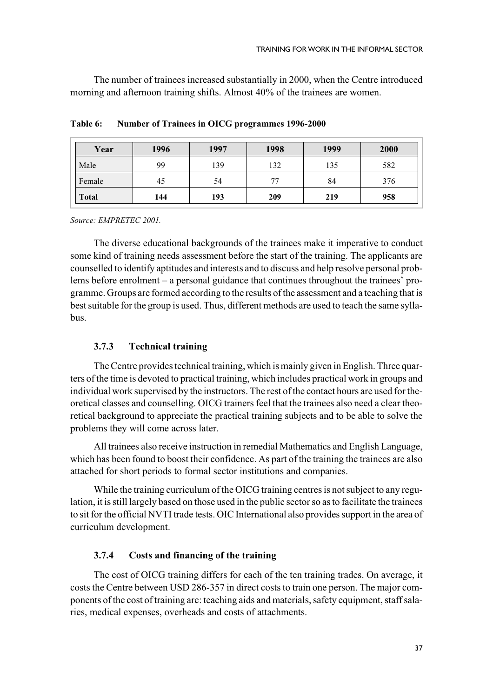The number of trainees increased substantially in 2000, when the Centre introduced morning and afternoon training shifts. Almost 40% of the trainees are women.

| Year         | 1996 | 1997 | 1998 | 1999 | 2000 |
|--------------|------|------|------|------|------|
| Male         | 99   | 139  | 132  | 135  | 582  |
| Female       | 45   | 54   | 77   | 84   | 376  |
| <b>Total</b> | 144  | 193  | 209  | 219  | 958  |

**Table 6: Number of Trainees in OICG programmes 1996-2000**

*Source: EMPRETEC 2001.*

The diverse educational backgrounds of the trainees make it imperative to conduct some kind of training needs assessment before the start of the training. The applicants are counselled to identify aptitudes and interests and to discuss and help resolve personal problems before enrolment – a personal guidance that continues throughout the trainees' programme. Groups are formed according to the results of the assessment and a teaching that is best suitable for the group is used. Thus, different methods are used to teach the same syllabus.

### **3.7.3 Technical training**

The Centre provides technical training,which is mainly given in English. Three quarters of the time is devoted to practical training,which includes practical work in groups and individual work supervised by the instructors. The rest of the contact hours are used for theoretical classes and counselling. OICG trainers feel that the trainees also need a clear theoretical background to appreciate the practical training subjects and to be able to solve the problems they will come across later.

All trainees also receive instruction in remedial Mathematics and English Language, which has been found to boost their confidence. As part of the training the trainees are also attached for short periods to formal sector institutions and companies.

While the training curriculum of the OICG training centres is not subject to any regulation, it is still largely based on those used in the public sector so as to facilitate the trainees to sit for the official NVTI trade tests. OIC International also provides support in the area of curriculum development.

### **3.7.4 Costs and financing of the training**

The cost of OICG training differs for each of the ten training trades. On average, it costs the Centre between USD 286-357 in direct costs to train one person. The major components of the cost of training are: teaching aids and materials, safety equipment, staff salaries, medical expenses, overheads and costs of attachments.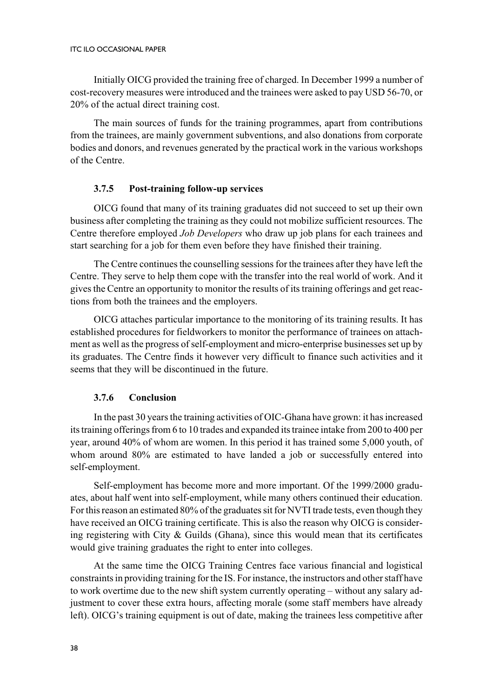Initially OICG provided the training free of charged. In December 1999 a number of cost-recovery measures were introduced and the trainees were asked to pay USD 56-70,or 20% of the actual direct training cost.

The main sources of funds for the training programmes, apart from contributions from the trainees, are mainly government subventions, and also donations from corporate bodies and donors, and revenues generated by the practical work in the various workshops of the Centre.

#### **3.7.5 Post-training follow-up services**

OICG found that many of its training graduates did not succeed to set up their own business after completing the training as they could not mobilize sufficient resources. The Centre therefore employed *Job Developers* who draw up job plans for each trainees and start searching for a job for them even before they have finished their training.

The Centre continues the counselling sessions for the trainees after they have left the Centre. They serve to help them cope with the transfer into the real world of work. And it gives the Centre an opportunity to monitor the results of its training offerings and get reactions from both the trainees and the employers.

OICG attaches particular importance to the monitoring of its training results. It has established procedures for fieldworkers to monitor the performance of trainees on attachment as well as the progress of self-employment and micro-enterprise businesses set up by its graduates. The Centre finds it however very difficult to finance such activities and it seems that they will be discontinued in the future.

### **3.7.6 Conclusion**

In the past 30 years the training activities of OIC-Ghana have grown: it has increased its training offerings from 6 to 10 trades and expanded its trainee intake from 200 to 400 per year, around 40% of whom are women. In this period it has trained some 5,000 youth, of whom around 80% are estimated to have landed a job or successfully entered into self-employment.

Self-employment has become more and more important. Of the 1999/2000 graduates, about half went into self-employment, while many others continued their education. For this reason an estimated 80% of the graduates sit for NVTI trade tests, even though they have received an OICG training certificate. This is also the reason why OICG is considering registering with City  $\&$  Guilds (Ghana), since this would mean that its certificates would give training graduates the right to enter into colleges.

At the same time the OICG Training Centres face various financial and logistical constraints in providing training for the IS. For instance, the instructors and other staff have to work overtime due to the new shift system currently operating – without any salary adjustment to cover these extra hours, affecting morale (some staff members have already left). OICG's training equipment is out of date, making the trainees less competitive after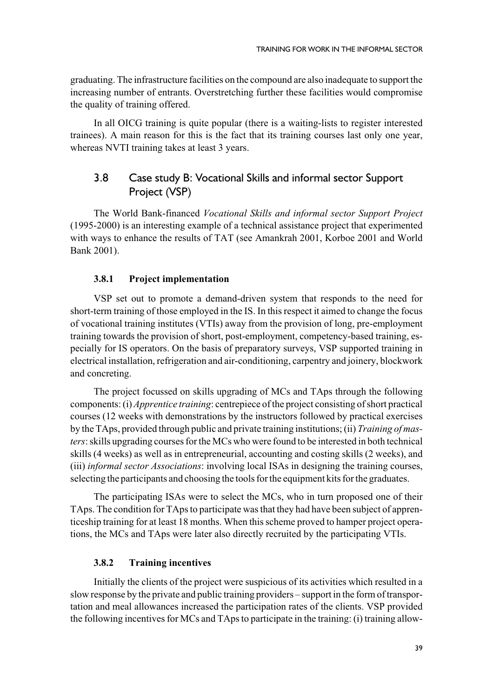graduating. The infrastructure facilities on the compound are also inadequate to support the increasing number of entrants. Overstretching further these facilities would compromise the quality of training offered.

In all OICG training is quite popular (there is a waiting-lists to register interested trainees). A main reason for this is the fact that its training courses last only one year, whereas NVTI training takes at least 3 years.

# 3.8 Case study B: Vocational Skills and informal sector Support Project (VSP)

The World Bank-financed *Vocational Skills and informal sector Support Project* (1995-2000) is an interesting example of a technical assistance project that experimented with ways to enhance the results of TAT (see Amankrah 2001, Korboe 2001 and World Bank 2001).

#### **3.8.1 Project implementation**

VSP set out to promote a demand-driven system that responds to the need for short-term training of those employed in the IS. In this respect it aimed to change the focus of vocational training institutes (VTIs) away from the provision of long, pre-employment training towards the provision of short, post-employment, competency-based training, especially for IS operators. On the basis of preparatory surveys, VSP supported training in electrical installation, refrigeration and air-conditioning, carpentry and joinery, blockwork and concreting.

The project focussed on skills upgrading of MCs and TAps through the following components: (i) *Apprentice training*: centrepiece of the project consisting of short practical courses (12 weeks with demonstrations by the instructors followed by practical exercises by the TAps, provided through public and private training institutions; (ii) *Training of masters*: skills upgrading courses for the MCs who were found to be interested in both technical skills (4 weeks) as well as in entrepreneurial, accounting and costing skills (2 weeks), and (iii) *informal sector Associations*: involving local ISAs in designing the training courses, selecting the participants and choosing the tools for the equipment kits for the graduates.

The participating ISAs were to select the MCs, who in turn proposed one of their TAps. The condition for TAps to participate was that they had have been subject of apprenticeship training for at least 18 months. When this scheme proved to hamper project operations, the MCs and TAps were later also directly recruited by the participating VTIs.

#### **3.8.2 Training incentives**

Initially the clients of the project were suspicious of its activities which resulted in a slow response by the private and public training providers – support in the form of transportation and meal allowances increased the participation rates of the clients. VSP provided the following incentives for MCs and TAps to participate in the training: (i) training allow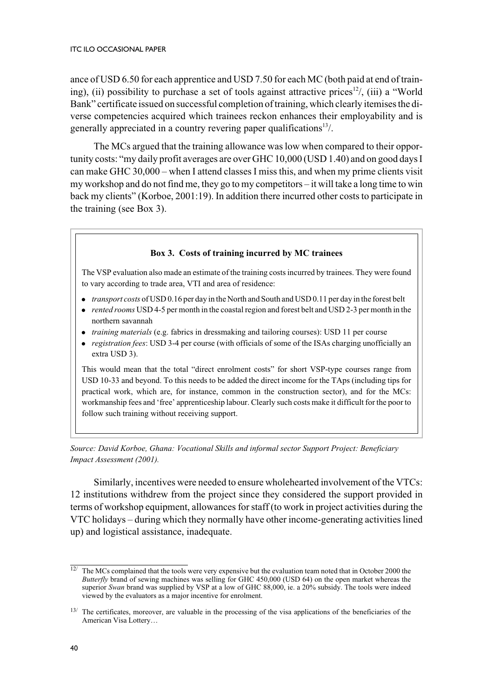ance of USD 6.50 for each apprentice and USD 7.50 for each MC (both paid at end of training), (ii) possibility to purchase a set of tools against attractive prices<sup>12</sup>/, (iii) a "World" Bank" certificate issued on successful completion of training, which clearly itemises the diverse competencies acquired which trainees reckon enhances their employability and is generally appreciated in a country revering paper qualifications<sup>13</sup>.

The MCs argued that the training allowance was low when compared to their opportunity costs: "my daily profit averages are over GHC 10,000 (USD 1.40) and on good days I can make GHC 30,000 – when I attend classes I miss this, and when my prime clients visit my workshop and do not find me, they go to my competitors  $-$  it will take a long time to win back my clients" (Korboe,2001:19). In addition there incurred other costs to participate in the training (see Box 3).

#### **Box 3. Costs of training incurred by MC trainees**

The VSP evaluation also made an estimate of the training costs incurred by trainees. They were found to vary according to trade area, VTI and area of residence:

- *transport costs* of USD 0.16 per day in the North and South and USD 0.11 per day in the forest belt
- *rented rooms* USD 4-5 per month in the coastal region and forest belt and USD 2-3 per month in the northern savannah
- *training materials* (e.g. fabrics in dressmaking and tailoring courses): USD 11 per course
- *registration fees*: USD 3-4 per course (with officials of some of the ISAs charging unofficially an extra USD 3).

This would mean that the total "direct enrolment costs" for short VSP-type courses range from USD 10-33 and beyond. To this needs to be added the direct income for the TAps (including tips for practical work, which are, for instance, common in the construction sector), and for the MCs: workmanship fees and 'free' apprenticeship labour. Clearly such costs make it difficult for the poor to follow such training without receiving support.

*Source: David Korboe, Ghana: Vocational Skills and informal sector Support Project: Beneficiary Impact Assessment (2001).*

Similarly, incentives were needed to ensure wholehearted involvement of the VTCs: 12 institutions withdrew from the project since they considered the support provided in terms of workshop equipment, allowances for staff (to work in project activities during the VTC holidays – during which they normally have other income-generating activities lined up) and logistical assistance, inadequate.

<sup>&</sup>lt;sup>12/</sup> The MCs complained that the tools were very expensive but the evaluation team noted that in October 2000 the *Butterfly* brand of sewing machines was selling for GHC 450,000 (USD 64) on the open market whereas the superior *Swan* brand was supplied by VSP at a low of GHC 88,000, ie. a 20% subsidy. The tools were indeed viewed by the evaluators as a major incentive for enrolment.

 $13/$  The certificates, moreover, are valuable in the processing of the visa applications of the beneficiaries of the American Visa Lottery…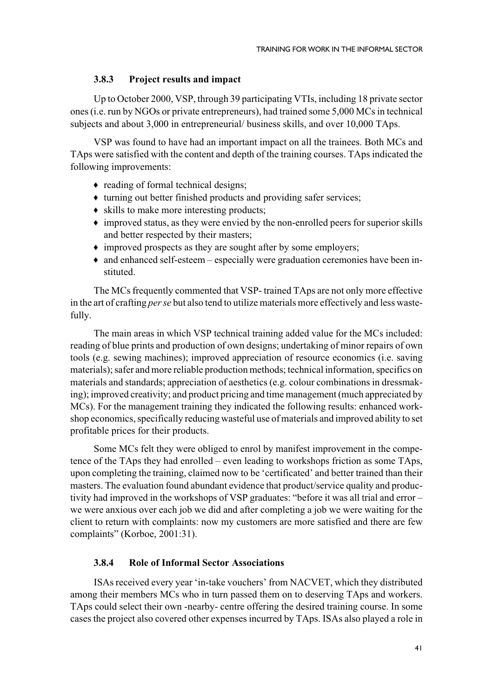#### **3.8.3 Project results and impact**

Up to October 2000, VSP, through 39 participating VTIs, including 18 private sector ones (i.e. run by NGOs or private entrepreneurs), had trained some 5,000 MCs in technical subjects and about 3,000 in entrepreneurial/ business skills, and over 10,000 TAps.

VSP was found to have had an important impact on all the trainees. Both MCs and TAps were satisfied with the content and depth of the training courses. TAps indicated the following improvements:

- reading of formal technical designs;
- $\bullet$  turning out better finished products and providing safer services;
- skills to make more interesting products;
- $\bullet$  improved status, as they were envied by the non-enrolled peers for superior skills and better respected by their masters;
- improved prospects as they are sought after by some employers;
- and enhanced self-esteem especially were graduation ceremonies have been instituted.

The MCs frequently commented that VSP- trained TAps are not only more effective in the art of crafting *per se* but also tend to utilize materials more effectively and less wastefully.

The main areas in which VSP technical training added value for the MCs included: reading of blue prints and production of own designs; undertaking of minor repairs of own tools (e.g. sewing machines); improved appreciation of resource economics (i.e. saving materials); safer and more reliable production methods; technical information, specifics on materials and standards; appreciation of aesthetics (e.g. colour combinations in dressmaking); improved creativity; and product pricing and time management (much appreciated by MCs). For the management training they indicated the following results: enhanced workshop economics, specifically reducing wasteful use of materials and improved ability to set profitable prices for their products.

Some MCs felt they were obliged to enrol by manifest improvement in the competence of the TAps they had enrolled – even leading to workshops friction as some TAps, upon completing the training, claimed now to be 'certificated' and better trained than their masters. The evaluation found abundant evidence that product/service quality and productivity had improved in the workshops of VSP graduates: "before it was all trial and error – we were anxious over each job we did and after completing a job we were waiting for the client to return with complaints: now my customers are more satisfied and there are few complaints" (Korboe, 2001:31).

### **3.8.4 Role of Informal Sector Associations**

ISAs received every year 'in-take vouchers' from NACVET,which they distributed among their members MCs who in turn passed them on to deserving TAps and workers. TAps could select their own -nearby- centre offering the desired training course. In some cases the project also covered other expenses incurred by TAps. ISAs also played a role in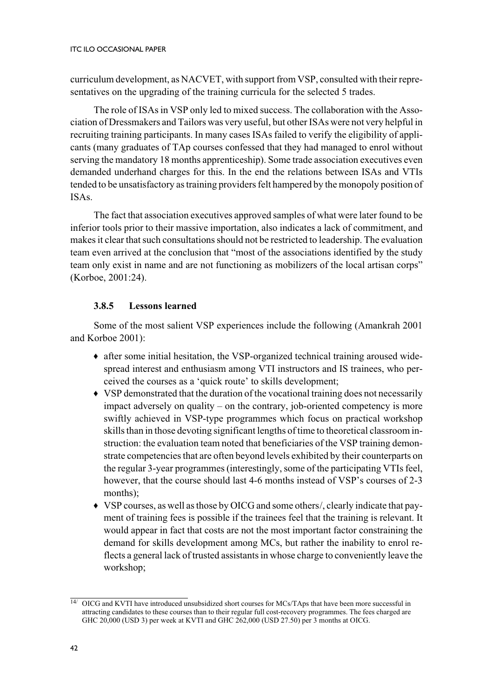curriculum development, as NACVET, with support from VSP, consulted with their representatives on the upgrading of the training curricula for the selected 5 trades.

The role of ISAs in VSP only led to mixed success. The collaboration with the Association of Dressmakers and Tailors was very useful,but other ISAs were not very helpful in recruiting training participants. In many cases ISAs failed to verify the eligibility of applicants (many graduates of TAp courses confessed that they had managed to enrol without serving the mandatory 18 months apprenticeship). Some trade association executives even demanded underhand charges for this. In the end the relations between ISAs and VTIs tended to be unsatisfactory as training providers felt hampered by the monopoly position of ISAs.

The fact that association executives approved samples of what were later found to be inferior tools prior to their massive importation, also indicates a lack of commitment, and makes it clear that such consultations should not be restricted to leadership. The evaluation team even arrived at the conclusion that "most of the associations identified by the study team only exist in name and are not functioning as mobilizers of the local artisan corps" (Korboe,2001:24).

### **3.8.5 Lessons learned**

Some of the most salient VSP experiences include the following (Amankrah 2001 and Korboe 2001):

- $\bullet$  after some initial hesitation, the VSP-organized technical training aroused widespread interest and enthusiasm among VTI instructors and IS trainees, who perceived the courses as a 'quick route' to skills development;
- VSP demonstrated that the duration of the vocational training does not necessarily impact adversely on quality – on the contrary, job-oriented competency is more swiftly achieved in VSP-type programmes which focus on practical workshop skills than in those devoting significant lengths of time to theoretical classroom instruction: the evaluation team noted that beneficiaries of the VSP training demonstrate competencies that are often beyond levels exhibited by their counterparts on the regular 3-year programmes (interestingly, some of the participating VTIs feel, however, that the course should last 4-6 months instead of VSP's courses of 2-3 months);
- $\blacklozenge$  VSP courses, as well as those by OICG and some others/, clearly indicate that payment of training fees is possible if the trainees feel that the training is relevant. It would appear in fact that costs are not the most important factor constraining the demand for skills development among MCs, but rather the inability to enrol reflects a general lack of trusted assistants in whose charge to conveniently leave the workshop;

<sup>&</sup>lt;sup>14/</sup> OICG and KVTI have introduced unsubsidized short courses for MCs/TAps that have been more successful in attracting candidates to these courses than to their regular full cost-recovery programmes. The fees charged are GHC 20,000 (USD 3) per week at KVTI and GHC 262,000 (USD 27.50) per 3 months at OICG.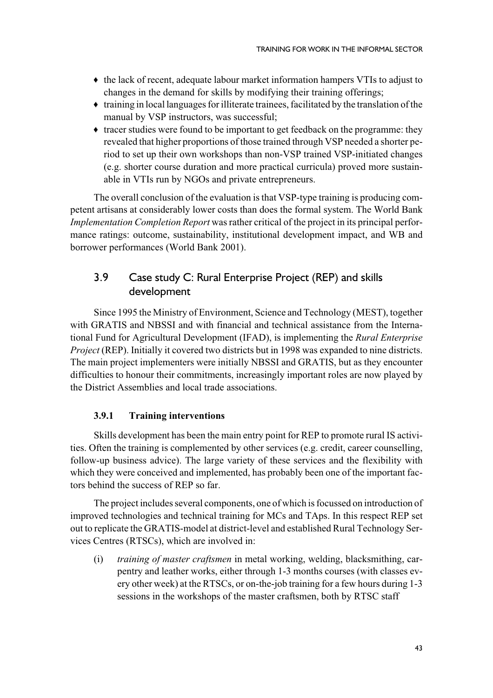- $\bullet$  the lack of recent, adequate labour market information hampers VTIs to adjust to changes in the demand for skills by modifying their training offerings;
- $\bullet$  training in local languages for illiterate trainees, facilitated by the translation of the manual by VSP instructors, was successful;
- tracer studies were found to be important to get feedback on the programme: they revealed that higher proportions of those trained through VSP needed a shorter period to set up their own workshops than non-VSP trained VSP-initiated changes (e.g. shorter course duration and more practical curricula) proved more sustainable in VTIs run by NGOs and private entrepreneurs.

The overall conclusion of the evaluation is that VSP-type training is producing competent artisans at considerably lower costs than does the formal system. The World Bank *Implementation Completion Report* was rather critical of the project in its principal performance ratings: outcome, sustainability, institutional development impact, and WB and borrower performances (World Bank 2001).

# 3.9 Case study C: Rural Enterprise Project (REP) and skills development

Since 1995 the Ministry of Environment, Science and Technology (MEST), together with GRATIS and NBSSI and with financial and technical assistance from the International Fund for Agricultural Development (IFAD), is implementing the *Rural Enterprise Project* (REP). Initially it covered two districts but in 1998 was expanded to nine districts. The main project implementers were initially NBSSI and GRATIS, but as they encounter difficulties to honour their commitments, increasingly important roles are now played by the District Assemblies and local trade associations.

# **3.9.1 Training interventions**

Skills development has been the main entry point for REP to promote rural IS activities. Often the training is complemented by other services (e.g. credit, career counselling, follow-up business advice). The large variety of these services and the flexibility with which they were conceived and implemented, has probably been one of the important factors behind the success of REP so far.

The project includes several components, one of which is focussed on introduction of improved technologies and technical training for MCs and TAps. In this respect REP set out to replicate the GRATIS-model at district-level and established Rural Technology Services Centres (RTSCs), which are involved in:

(i) *training of master craftsmen* in metal working, welding, blacksmithing, carpentry and leather works, either through 1-3 months courses (with classes every other week) at the RTSCs, or on-the-job training for a few hours during 1-3 sessions in the workshops of the master craftsmen, both by RTSC staff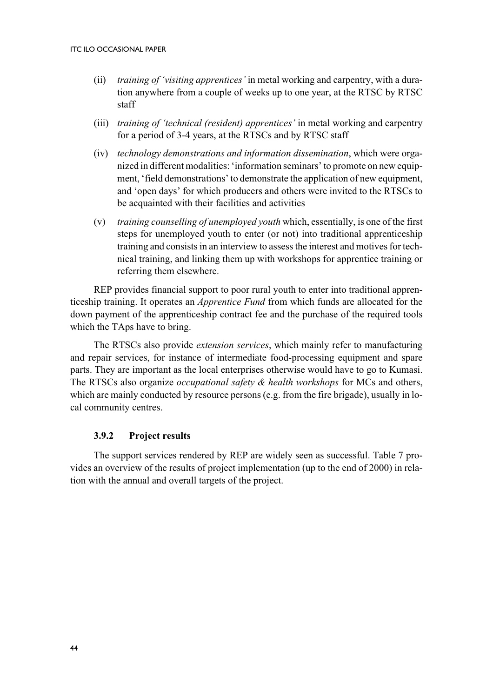- (ii) *training of 'visiting apprentices'* in metal working and carpentry,with a duration anywhere from a couple of weeks up to one year, at the RTSC by RTSC staff
- (iii) *training of 'technical (resident) apprentices'* in metal working and carpentry for a period of 3-4 years, at the RTSCs and by RTSC staff
- (iv) *technology demonstrations and information dissemination*,which were organized in different modalities: 'information seminars' to promote on new equipment, 'field demonstrations' to demonstrate the application of new equipment, and 'open days' for which producers and others were invited to the RTSCs to be acquainted with their facilities and activities
- (v) *training counselling of unemployed youth* which, essentially, is one of the first steps for unemployed youth to enter (or not) into traditional apprenticeship training and consists in an interview to assess the interest and motives for technical training, and linking them up with workshops for apprentice training or referring them elsewhere.

REP provides financial support to poor rural youth to enter into traditional apprenticeship training. It operates an *Apprentice Fund* from which funds are allocated for the down payment of the apprenticeship contract fee and the purchase of the required tools which the TAps have to bring.

The RTSCs also provide *extension services*, which mainly refer to manufacturing and repair services, for instance of intermediate food-processing equipment and spare parts. They are important as the local enterprises otherwise would have to go to Kumasi. The RTSCs also organize *occupational safety & health workshops* for MCs and others, which are mainly conducted by resource persons (e.g. from the fire brigade), usually in local community centres.

### **3.9.2 Project results**

The support services rendered by REP are widely seen as successful. Table 7 provides an overview of the results of project implementation (up to the end of 2000) in relation with the annual and overall targets of the project.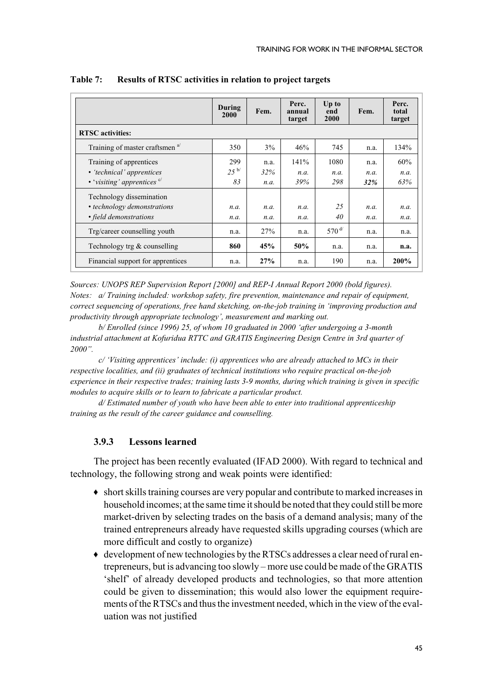|                                           | During<br>2000 | Fem. | Perc.<br>annual<br>target | Up to<br>end<br><b>2000</b> | Fem.       | Perc.<br>total<br>target |
|-------------------------------------------|----------------|------|---------------------------|-----------------------------|------------|--------------------------|
| <b>RTSC</b> activities:                   |                |      |                           |                             |            |                          |
| Training of master craftsmen <sup>a</sup> | 350            | 3%   | 46%                       | 745                         | n.a.       | 134%                     |
| Training of apprentices                   | 299            | n.a. | 141%                      | 1080                        | n.a.       | 60%                      |
| • 'technical' apprentices                 | $25^{b/}$      | 32%  | n.a.                      | n.a.                        | n.a.       | n.a.                     |
| • 'visiting' apprentices $e^{i}$          | 83             | n.a. | 39%                       | 298                         | <b>32%</b> | 63%                      |
| Technology dissemination                  |                |      |                           |                             |            |                          |
| • technology demonstrations               | n.a.           | n.a. | n.a.                      | 25                          | n.a.       | n.a.                     |
| • field demonstrations                    | n.a.           | n.a. | n.a.                      | 40                          | n.a.       | n.a.                     |
| Trg/career counselling youth              | n.a.           | 27%  | n.a.                      | 570 $\mathrm{d}$            | n.a.       | n.a.                     |
| Technology trg $\&$ counselling           | 860            | 45%  | 50%                       | n.a.                        | n.a.       | n.a.                     |
| Financial support for apprentices         | n.a.           | 27%  | n.a.                      | 190                         | n.a.       | <b>200%</b>              |

**Table 7: Results of RTSC activities in relation to project targets**

*Sources: UNOPS REP Supervision Report [2000] and REP-I Annual Report 2000 (bold figures). Notes: a/ Training included: workshop safety, fire prevention, maintenance and repair of equipment, correct sequencing of operations, free hand sketching, on-the-job training in 'improving production and productivity through appropriate technology', measurement and marking out.*

*b/ Enrolled (since 1996) 25, of whom 10 graduated in 2000 'after undergoing a 3-month industrial attachment at Kofuridua RTTC and GRATIS Engineering Design Centre in 3rd quarter of 2000".*

*c/ 'Visiting apprentices' include: (i) apprentices who are already attached to MCs in their respective localities, and (ii) graduates of technical institutions who require practical on-the-job experience in their respective trades; training lasts 3-9 months, during which training is given in specific modules to acquire skills or to learn to fabricate a particular product.*

*d/ Estimated number of youth who have been able to enter into traditional apprenticeship training as the result of the career guidance and counselling.*

### **3.9.3 Lessons learned**

The project has been recently evaluated (IFAD 2000). With regard to technical and technology, the following strong and weak points were identified:

- short skills training courses are very popular and contribute to marked increases in household incomes; at the same time it should be noted that they could still be more market-driven by selecting trades on the basis of a demand analysis; many of the trained entrepreneurs already have requested skills upgrading courses (which are more difficult and costly to organize)
- development of new technologies by the RTSCs addresses a clear need of rural entrepreneurs, but is advancing too slowly – more use could be made of the GRATIS 'shelf' of already developed products and technologies, so that more attention could be given to dissemination; this would also lower the equipment requirements of the RTSCs and thus the investment needed, which in the view of the evaluation was not justified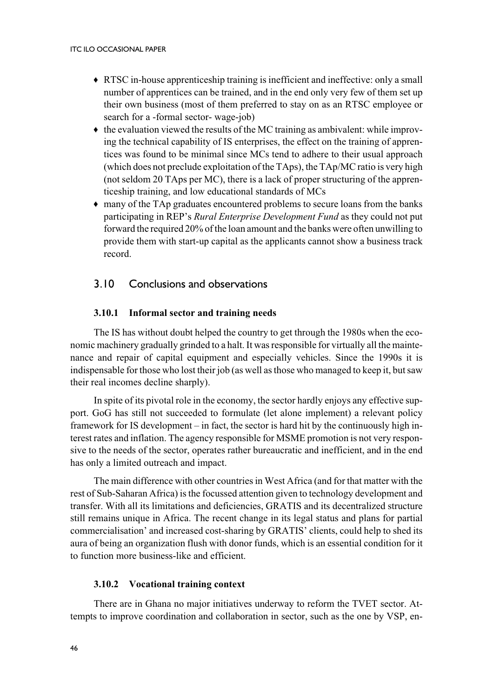- RTSC in-house apprenticeship training is inefficient and ineffective: only a small number of apprentices can be trained, and in the end only very few of them set up their own business (most of them preferred to stay on as an RTSC employee or search for a -formal sector- wage-job)
- $\bullet$  the evaluation viewed the results of the MC training as ambivalent: while improving the technical capability of IS enterprises, the effect on the training of apprentices was found to be minimal since MCs tend to adhere to their usual approach (which does not preclude exploitation of the TAps), the  $TAp/MC$  ratio is very high (not seldom  $20$  TAps per MC), there is a lack of proper structuring of the apprenticeship training, and low educational standards of MCs
- many of the TAp graduates encountered problems to secure loans from the banks participating in REP's *Rural Enterprise Development Fund* as they could not put forward the required 20% of the loan amount and the banks were often unwilling to provide them with start-up capital as the applicants cannot show a business track record.

### 3.10 Conclusions and observations

#### **3.10.1 Informal sector and training needs**

The IS has without doubt helped the country to get through the 1980s when the economic machinery gradually grinded to a halt. It was responsible for virtually all the maintenance and repair of capital equipment and especially vehicles. Since the 1990s it is indispensable for those who lost their job (as well as those who managed to keep it, but saw their real incomes decline sharply).

In spite of its pivotal role in the economy, the sector hardly enjoys any effective support. GoG has still not succeeded to formulate (let alone implement) a relevant policy framework for IS development  $-$  in fact, the sector is hard hit by the continuously high interest rates and inflation. The agency responsible for MSME promotion is not very responsive to the needs of the sector, operates rather bureaucratic and inefficient, and in the end has only a limited outreach and impact.

The main difference with other countries in West Africa (and for that matter with the rest of Sub-Saharan Africa) is the focussed attention given to technology development and transfer. With all its limitations and deficiencies,GRATIS and its decentralized structure still remains unique in Africa. The recent change in its legal status and plans for partial commercialisation' and increased cost-sharing by GRATIS' clients, could help to shed its aura of being an organization flush with donor funds, which is an essential condition for it to function more business-like and efficient.

#### **3.10.2 Vocational training context**

There are in Ghana no major initiatives underway to reform the TVET sector. Attempts to improve coordination and collaboration in sector, such as the one by VSP, en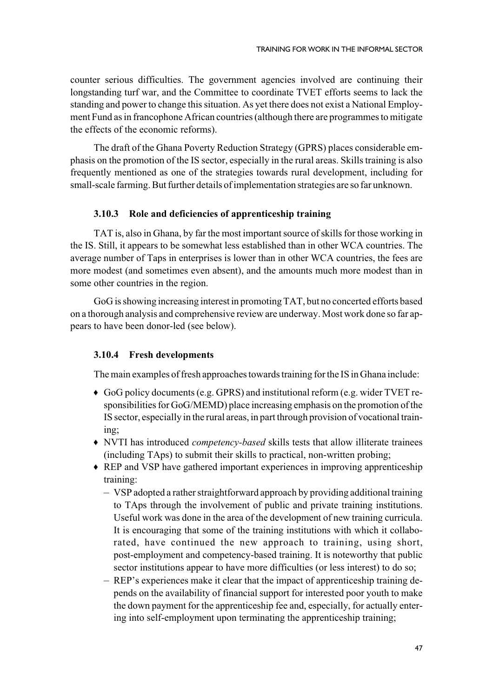counter serious difficulties. The government agencies involved are continuing their longstanding turf war, and the Committee to coordinate TVET efforts seems to lack the standing and power to change this situation. As yet there does not exist a National Employment Fund as in francophone African countries (although there are programmes to mitigate the effects of the economic reforms).

The draft of the Ghana Poverty Reduction Strategy (GPRS) places considerable emphasis on the promotion of the IS sector, especially in the rural areas. Skills training is also frequently mentioned as one of the strategies towards rural development, including for small-scale farming. But further details of implementation strategies are so far unknown.

#### **3.10.3 Role and deficiencies of apprenticeship training**

TAT is, also in Ghana, by far the most important source of skills for those working in the IS. Still, it appears to be somewhat less established than in other WCA countries. The average number of Taps in enterprises is lower than in other WCA countries, the fees are more modest (and sometimes even absent), and the amounts much more modest than in some other countries in the region.

GoG is showing increasing interest in promoting TAT,but no concerted efforts based on a thorough analysis and comprehensive review are underway. Most work done so far appears to have been donor-led (see below).

#### **3.10.4 Fresh developments**

The main examples of fresh approaches towards training for the IS in Ghana include:

- GoG policy documents (e.g. GPRS) and institutional reform (e.g. wider TVET responsibilities for GoG/MEMD) place increasing emphasis on the promotion of the IS sector, especially in the rural areas, in part through provision of vocational training;
- NVTI has introduced *competency-based* skills tests that allow illiterate trainees (including TAps) to submit their skills to practical, non-written probing;
- REP and VSP have gathered important experiences in improving apprenticeship training:
	- VSP adopted a rather straightforward approach by providing additional training to TAps through the involvement of public and private training institutions. Useful work was done in the area of the development of new training curricula. It is encouraging that some of the training institutions with which it collaborated, have continued the new approach to training, using short, post-employment and competency-based training. It is noteworthy that public sector institutions appear to have more difficulties (or less interest) to do so;
	- REP's experiences make it clear that the impact of apprenticeship training depends on the availability of financial support for interested poor youth to make the down payment for the apprenticeship fee and, especially, for actually entering into self-employment upon terminating the apprenticeship training;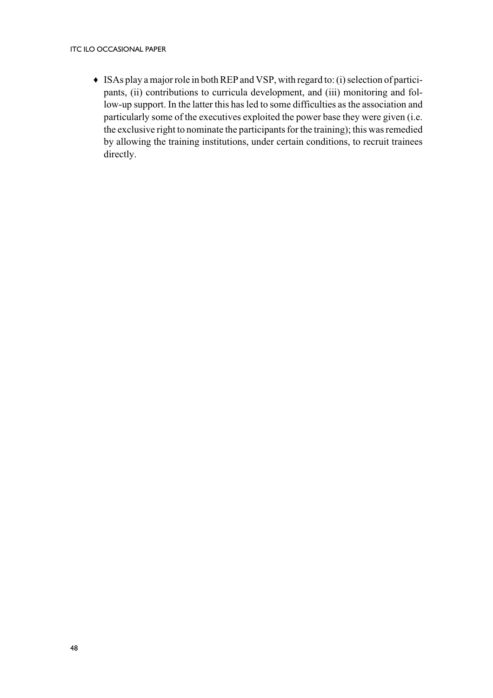#### ITC ILO OCCASIONAL PAPER

 ISAs play a major role in both REP and VSP,with regard to: (i) selection of participants, (ii) contributions to curricula development, and (iii) monitoring and follow-up support. In the latter this has led to some difficulties as the association and particularly some of the executives exploited the power base they were given (i.e. the exclusive right to nominate the participants for the training); this was remedied by allowing the training institutions, under certain conditions, to recruit trainees directly.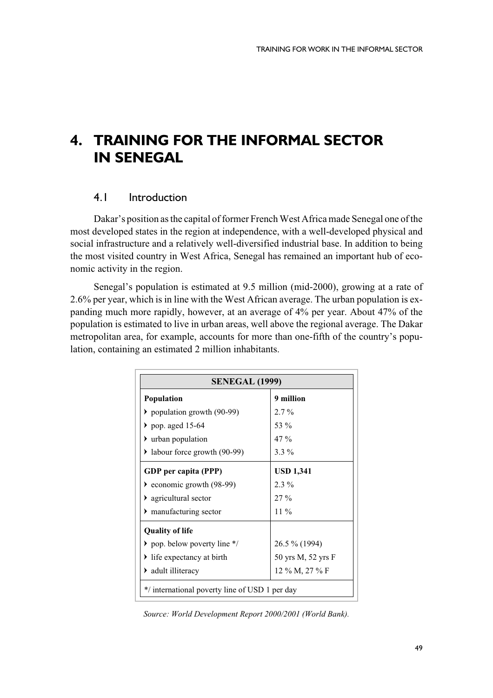# **4. TRAINING FOR THE INFORMAL SECTOR IN SENEGAL**

# 4.1 Introduction

Dakar's position as the capital of former French West Africa made Senegal one of the most developed states in the region at independence, with a well-developed physical and social infrastructure and a relatively well-diversified industrial base. In addition to being the most visited country in West Africa, Senegal has remained an important hub of economic activity in the region.

Senegal's population is estimated at 9.5 million (mid-2000), growing at a rate of 2.6% per year,which is in line with the West African average. The urban population is expanding much more rapidly, however, at an average of 4% per year. About 47% of the population is estimated to live in urban areas,well above the regional average. The Dakar metropolitan area, for example, accounts for more than one-fifth of the country's population, containing an estimated 2 million inhabitants.

| <b>SENEGAL (1999)</b>                             |                    |  |  |  |  |  |
|---------------------------------------------------|--------------------|--|--|--|--|--|
| <b>Population</b>                                 | 9 million          |  |  |  |  |  |
| population growth $(90-99)$                       | $2.7\%$            |  |  |  |  |  |
| $\rightarrow$ pop. aged 15-64                     | 53 %               |  |  |  |  |  |
| $\rightarrow$ urban population                    | 47 $%$             |  |  |  |  |  |
| $\blacktriangleright$ labour force growth (90-99) | $3.3\%$            |  |  |  |  |  |
| GDP per capita (PPP)                              | <b>USD 1,341</b>   |  |  |  |  |  |
| $\rightarrow$ economic growth (98-99)             | $2.3\%$            |  |  |  |  |  |
| $\rightarrow$ agricultural sector                 | $27\%$             |  |  |  |  |  |
| $\rightarrow$ manufacturing sector                | $11\%$             |  |  |  |  |  |
| <b>Quality of life</b>                            |                    |  |  |  |  |  |
| $\rightarrow$ pop. below poverty line */          | 26.5 % (1994)      |  |  |  |  |  |
| $\triangleright$ life expectancy at birth         | 50 yrs M, 52 yrs F |  |  |  |  |  |
| $\triangleright$ adult illiteracy                 | $12\% M, 27\% F$   |  |  |  |  |  |
| */ international poverty line of USD 1 per day    |                    |  |  |  |  |  |

*Source: World Development Report 2000/2001 (World Bank).*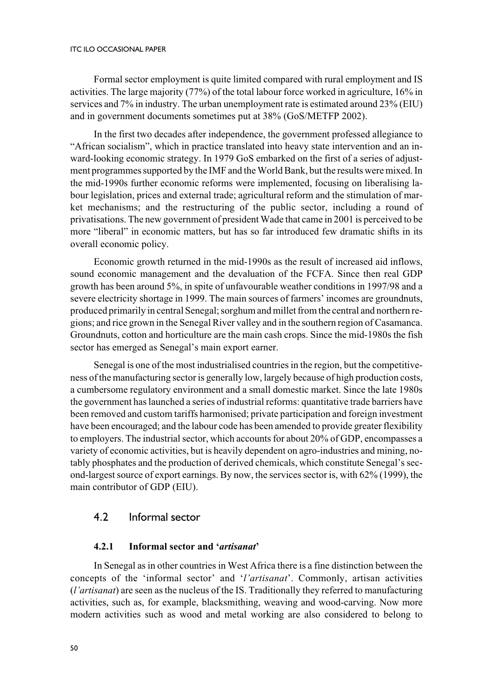#### ITC ILO OCCASIONAL PAPER

Formal sector employment is quite limited compared with rural employment and IS activities. The large majority (77%) of the total labour force worked in agriculture,16% in services and 7% in industry. The urban unemployment rate is estimated around 23% (EIU) and in government documents sometimes put at 38% (GoS/METFP 2002).

In the first two decades after independence, the government professed allegiance to "African socialism", which in practice translated into heavy state intervention and an inward-looking economic strategy. In 1979 GoS embarked on the first of a series of adjustment programmes supported by the IMF and the World Bank, but the results were mixed. In the mid-1990s further economic reforms were implemented, focusing on liberalising labour legislation, prices and external trade; agricultural reform and the stimulation of market mechanisms; and the restructuring of the public sector, including a round of privatisations. The new government of president Wade that came in 2001 is perceived to be more "liberal" in economic matters, but has so far introduced few dramatic shifts in its overall economic policy.

Economic growth returned in the mid-1990s as the result of increased aid inflows, sound economic management and the devaluation of the FCFA. Since then real GDP growth has been around 5%, in spite of unfavourable weather conditions in 1997/98 and a severe electricity shortage in 1999. The main sources of farmers' incomes are groundnuts, produced primarily in central Senegal; sorghum and millet from the central and northern regions; and rice grown in the Senegal River valley and in the southern region of Casamanca. Groundnuts, cotton and horticulture are the main cash crops. Since the mid-1980s the fish sector has emerged as Senegal's main export earner.

Senegal is one of the most industrialised countries in the region, but the competitiveness of the manufacturing sector is generally low, largely because of high production costs, a cumbersome regulatory environment and a small domestic market. Since the late 1980s the government has launched a series of industrial reforms: quantitative trade barriers have been removed and custom tariffs harmonised; private participation and foreign investment have been encouraged; and the labour code has been amended to provide greater flexibility to employers. The industrial sector, which accounts for about 20% of GDP, encompasses a variety of economic activities, but is heavily dependent on agro-industries and mining, notably phosphates and the production of derived chemicals, which constitute Senegal's second-largest source of export earnings. By now, the services sector is, with 62% (1999), the main contributor of GDP (EIU).

### 4.2 Informal sector

#### **4.2.1 Informal sector and '***artisanat***'**

In Senegal as in other countries in West Africa there is a fine distinction between the concepts of the 'informal sector' and '*l'artisanat*'. Commonly, artisan activities (*l'artisanat*) are seen as the nucleus of the IS. Traditionally they referred to manufacturing activities, such as, for example, blacksmithing, weaving and wood-carving. Now more modern activities such as wood and metal working are also considered to belong to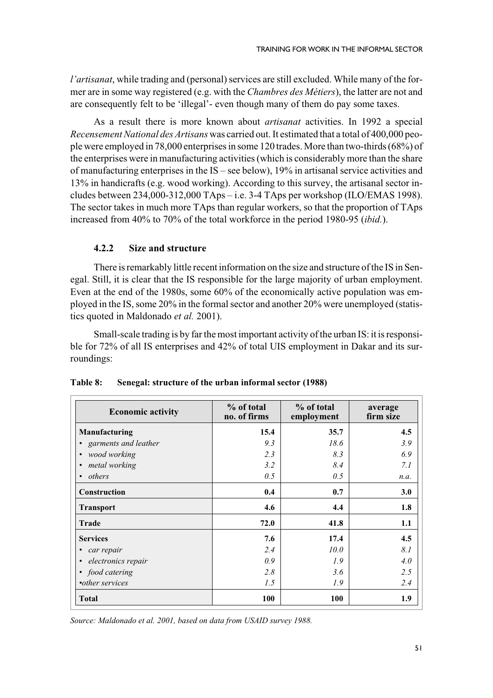*l'artisanat*, while trading and (personal) services are still excluded. While many of the former are in some way registered (e.g. with the *Chambres des Métiers*), the latter are not and are consequently felt to be 'illegal'- even though many of them do pay some taxes.

As a result there is more known about *artisanat* activities. In 1992 a special *Recensement National des Artisans* was carried out. It estimated that a total of 400,000 people were employed in 78,000 enterprises in some 120 trades. More than two-thirds (68%) of the enterprises were in manufacturing activities (which is considerably more than the share of manufacturing enterprises in the IS – see below),19% in artisanal service activities and 13% in handicrafts (e.g. wood working). According to this survey, the artisanal sector includes between  $234,000-312,000$  TAps – i.e. 3-4 TAps per workshop (ILO/EMAS 1998). The sector takes in much more TAps than regular workers, so that the proportion of TAps increased from 40% to 70% of the total workforce in the period 1980-95 (*ibid.*).

### **4.2.2 Size and structure**

There is remarkably little recent information on the size and structure of the IS in Senegal. Still, it is clear that the IS responsible for the large majority of urban employment. Even at the end of the 1980s, some 60% of the economically active population was employed in the IS,some 20% in the formal sector and another 20% were unemployed (statistics quoted in Maldonado *et al.* 2001).

Small-scale trading is by far the most important activity of the urban IS: it is responsible for 72% of all IS enterprises and 42% of total UIS employment in Dakar and its surroundings:

| <b>Economic activity</b>        | % of total<br>no. of firms | % of total<br>employment | average<br>firm size |  |
|---------------------------------|----------------------------|--------------------------|----------------------|--|
| Manufacturing                   | 15.4                       | 35.7                     | 4.5                  |  |
| garments and leather            | 9.3                        | 18.6                     | 3.9                  |  |
| wood working<br>$\bullet$       | 2.3                        | 8.3                      | 6.9                  |  |
| metal working<br>$\bullet$      | 3.2                        | 8.4                      | 7.1                  |  |
| others<br>$\bullet$             | 0.5                        | 0.5                      | n.a.                 |  |
| <b>Construction</b>             | 0.4                        | 0.7                      | <b>3.0</b>           |  |
| <b>Transport</b>                | 4.6                        | 4.4                      | 1.8                  |  |
| Trade                           | 72.0                       | 41.8                     | 1.1                  |  |
| <b>Services</b>                 | 7.6                        | 17.4                     | 4.5                  |  |
| car repair                      | 2.4                        | 10.0                     | 8.1                  |  |
| electronics repair<br>$\bullet$ | 0.9                        | 1.9                      | 4.0                  |  |
| • food catering                 | 2.8                        | 3.6                      | 2.5                  |  |
| •other services                 | 1.5                        | 1.9                      | 2.4                  |  |
| <b>Total</b>                    | 100                        | <b>100</b>               | 1.9                  |  |

#### **Table 8: Senegal: structure of the urban informal sector (1988)**

*Source: Maldonado et al. 2001, based on data from USAID survey 1988.*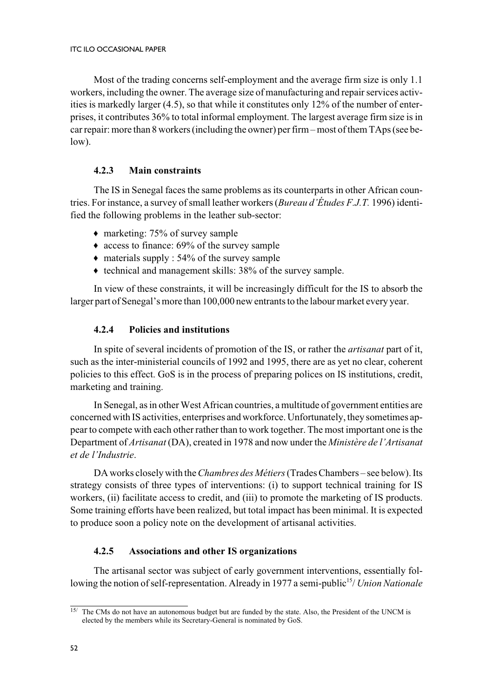Most of the trading concerns self-employment and the average firm size is only 1.1 workers, including the owner. The average size of manufacturing and repair services activities is markedly larger  $(4.5)$ , so that while it constitutes only 12% of the number of enterprises, it contributes 36% to total informal employment. The largest average firm size is in car repair: more than 8 workers (including the owner) per firm – most of them TAps (see below).

### **4.2.3 Main constraints**

The IS in Senegal faces the same problems as its counterparts in other African countries. For instance,a survey of small leather workers (*Bureau d'Études F.J.T.* 1996) identified the following problems in the leather sub-sector:

- marketing: 75% of survey sample
- access to finance: 69% of the survey sample
- $\bullet$  materials supply : 54% of the survey sample
- $\bullet$  technical and management skills: 38% of the survey sample.

In view of these constraints, it will be increasingly difficult for the IS to absorb the larger part of Senegal's more than 100,000 new entrants to the labour market every year.

### **4.2.4 Policies and institutions**

In spite of several incidents of promotion of the IS, or rather the *artisanat* part of it, such as the inter-ministerial councils of 1992 and 1995, there are as yet no clear, coherent policies to this effect. GoS is in the process of preparing polices on IS institutions, credit, marketing and training.

In Senegal, as in other West African countries, a multitude of government entities are concerned with IS activities, enterprises and workforce. Unfortunately, they sometimes appear to compete with each other rather than to work together. The most important one is the Department of *Artisanat* (DA), created in 1978 and now under the *Ministère de l'Artisanat et de l'Industrie*.

DA works closely with the*Chambres des Métiers*(Trades Chambers – see below). Its strategy consists of three types of interventions: (i) to support technical training for IS workers, (ii) facilitate access to credit, and (iii) to promote the marketing of IS products. Some training efforts have been realized, but total impact has been minimal. It is expected to produce soon a policy note on the development of artisanal activities.

### **4.2.5 Associations and other IS organizations**

The artisanal sector was subject of early government interventions, essentially following the notion of self-representation. Already in 1977 a semi-public<sup>15</sup>/ *Union Nationale* 

<sup>&</sup>lt;sup>15/</sup> The CMs do not have an autonomous budget but are funded by the state. Also, the President of the UNCM is elected by the members while its Secretary-General is nominated by GoS.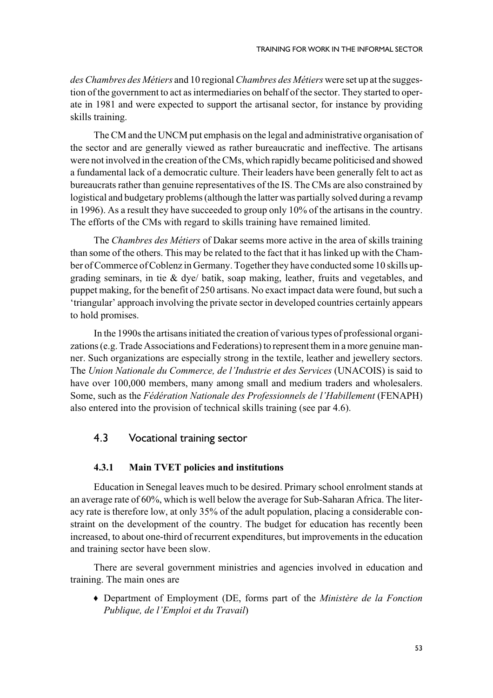*des Chambres des Métiers* and 10 regional*Chambres des Métiers* were set up at the suggestion of the government to act as intermediaries on behalf of the sector. They started to operate in 1981 and were expected to support the artisanal sector, for instance by providing skills training.

The CM and the UNCM put emphasis on the legal and administrative organisation of the sector and are generally viewed as rather bureaucratic and ineffective. The artisans were not involved in the creation of the CMs, which rapidly became politicised and showed a fundamental lack of a democratic culture. Their leaders have been generally felt to act as bureaucrats rather than genuine representatives of the IS. The CMs are also constrained by logistical and budgetary problems (although the latter was partially solved during a revamp in 1996). As a result they have succeeded to group only 10% of the artisans in the country. The efforts of the CMs with regard to skills training have remained limited.

The *Chambres des Métiers* of Dakar seems more active in the area of skills training than some of the others. This may be related to the fact that it has linked up with the Chamber of Commerce of Coblenz in Germany. Together they have conducted some 10 skills upgrading seminars, in tie  $\&$  dye/ batik, soap making, leather, fruits and vegetables, and puppet making, for the benefit of 250 artisans. No exact impact data were found, but such a 'triangular' approach involving the private sector in developed countries certainly appears to hold promises.

In the 1990s the artisans initiated the creation of various types of professional organizations (e.g. Trade Associations and Federations) to represent them in a more genuine manner. Such organizations are especially strong in the textile, leather and jewellery sectors. The *Union Nationale du Commerce, de l'Industrie et des Services* (UNACOIS) is said to have over 100,000 members, many among small and medium traders and wholesalers. Some, such as the *Fédération Nationale des Professionnels de l'Habillement* (FENAPH) also entered into the provision of technical skills training (see par 4.6).

### 4.3 Vocational training sector

#### **4.3.1 Main TVET policies and institutions**

Education in Senegal leaves much to be desired. Primary school enrolment stands at an average rate of 60%, which is well below the average for Sub-Saharan Africa. The literacy rate is therefore low, at only 35% of the adult population, placing a considerable constraint on the development of the country. The budget for education has recently been increased, to about one-third of recurrent expenditures, but improvements in the education and training sector have been slow.

There are several government ministries and agencies involved in education and training. The main ones are

 Department of Employment (DE,forms part of the *Ministère de la Fonction Publique, de l'Emploi et du Travail*)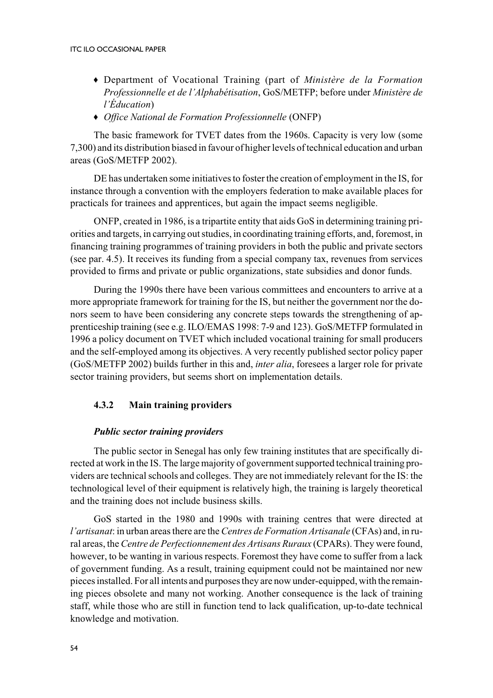- Department of Vocational Training (part of *Ministère de la Formation Professionnelle et de l'Alphabétisation*,GoS/METFP; before under *Ministère de l'Éducation*)
- *Office National de Formation Professionnelle* (ONFP)

The basic framework for TVET dates from the 1960s. Capacity is very low (some 7,300) and its distribution biased in favour of higher levels of technical education and urban areas (GoS/METFP 2002).

DE has undertaken some initiatives to foster the creation of employment in the IS, for instance through a convention with the employers federation to make available places for practicals for trainees and apprentices, but again the impact seems negligible.

ONFP, created in 1986, is a tripartite entity that aids GoS in determining training priorities and targets, in carrying out studies, in coordinating training efforts, and, foremost, in financing training programmes of training providers in both the public and private sectors (see par. 4.5). It receives its funding from a special company tax, revenues from services provided to firms and private or public organizations, state subsidies and donor funds.

During the 1990s there have been various committees and encounters to arrive at a more appropriate framework for training for the IS, but neither the government nor the donors seem to have been considering any concrete steps towards the strengthening of apprenticeship training (see e.g. ILO/EMAS 1998: 7-9 and 123). GoS/METFP formulated in 1996 a policy document on TVET which included vocational training for small producers and the self-employed among its objectives. A very recently published sector policy paper (GoS/METFP 2002) builds further in this and, *inter alia*, foresees a larger role for private sector training providers, but seems short on implementation details.

### **4.3.2 Main training providers**

#### *Public sector training providers*

The public sector in Senegal has only few training institutes that are specifically directed at work in the IS. The large majority of government supported technical training providers are technical schools and colleges. They are not immediately relevant for the IS: the technological level of their equipment is relatively high, the training is largely theoretical and the training does not include business skills.

GoS started in the 1980 and 1990s with training centres that were directed at *l'artisanat*: in urban areas there are the *Centres de Formation Artisanale* (CFAs) and, in rural areas, the *Centre de Perfectionnement des Artisans Ruraux* (CPARs). They were found, however, to be wanting in various respects. Foremost they have come to suffer from a lack of government funding. As a result, training equipment could not be maintained nor new pieces installed. For all intents and purposes they are now under-equipped,with the remaining pieces obsolete and many not working. Another consequence is the lack of training staff, while those who are still in function tend to lack qualification, up-to-date technical knowledge and motivation.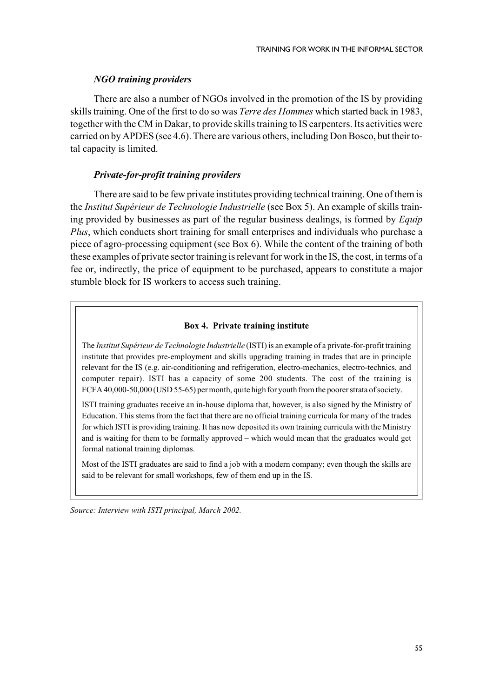### *NGO training providers*

There are also a number of NGOs involved in the promotion of the IS by providing skills training. One of the first to do so was *Terre des Hommes* which started back in 1983, together with the CM in Dakar, to provide skills training to IS carpenters. Its activities were carried on by APDES (see 4.6). There are various others, including Don Bosco, but their total capacity is limited.

### *Private-for-profit training providers*

There are said to be few private institutes providing technical training. One of them is the *Institut Supérieur de Technologie Industrielle* (see Box 5). An example of skills training provided by businesses as part of the regular business dealings, is formed by *Equip Plus*, which conducts short training for small enterprises and individuals who purchase a piece of agro-processing equipment (see Box 6). While the content of the training of both these examples of private sector training is relevant for work in the IS, the cost, in terms of a fee or, indirectly, the price of equipment to be purchased, appears to constitute a major stumble block for IS workers to access such training.

#### **Box 4. Private training institute**

The *Institut Supérieur de Technologie Industrielle* (ISTI) is an example of a private-for-profit training institute that provides pre-employment and skills upgrading training in trades that are in principle relevant for the IS (e.g. air-conditioning and refrigeration, electro-mechanics, electro-technics, and computer repair). ISTI has a capacity of some 200 students. The cost of the training is FCFA 40,000-50,000 (USD 55-65) per month, quite high for youth from the poorer strata of society.

ISTI training graduates receive an in-house diploma that, however, is also signed by the Ministry of Education. This stems from the fact that there are no official training curricula for many of the trades for which ISTI is providing training. It has now deposited its own training curricula with the Ministry and is waiting for them to be formally approved – which would mean that the graduates would get formal national training diplomas.

Most of the ISTI graduates are said to find a job with a modern company; even though the skills are said to be relevant for small workshops, few of them end up in the IS.

*Source: Interview with ISTI principal, March 2002.*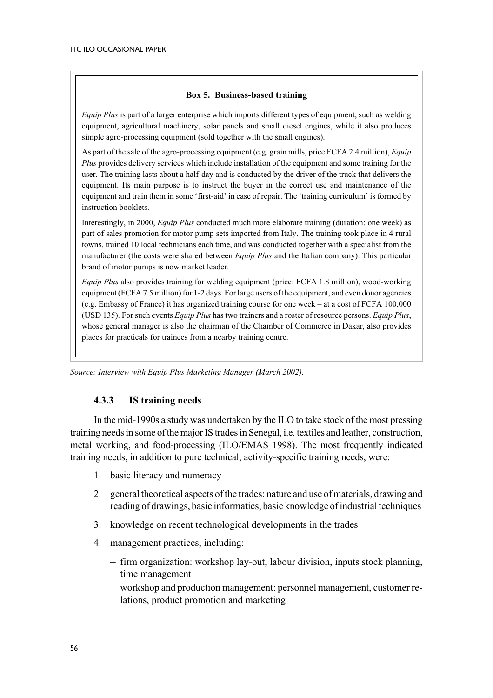#### **Box 5. Business-based training**

*Equip Plus* is part of a larger enterprise which imports different types of equipment, such as welding equipment, agricultural machinery, solar panels and small diesel engines, while it also produces simple agro-processing equipment (sold together with the small engines).

As part of the sale of the agro-processing equipment (e.g. grain mills,price FCFA 2.4 million), *Equip Plus* provides delivery services which include installation of the equipment and some training for the user. The training lasts about a half-day and is conducted by the driver of the truck that delivers the equipment. Its main purpose is to instruct the buyer in the correct use and maintenance of the equipment and train them in some 'first-aid' in case of repair. The 'training curriculum' is formed by instruction booklets.

Interestingly, in 2000, *Equip Plus* conducted much more elaborate training (duration: one week) as part of sales promotion for motor pump sets imported from Italy. The training took place in 4 rural towns, trained 10 local technicians each time, and was conducted together with a specialist from the manufacturer (the costs were shared between *Equip Plus* and the Italian company). This particular brand of motor pumps is now market leader.

*Equip Plus* also provides training for welding equipment (price: FCFA 1.8 million), wood-working equipment (FCFA 7.5 million) for 1-2 days. For large users of the equipment, and even donor agencies (e.g. Embassy of France) it has organized training course for one week – at a cost of FCFA 100,000 (USD 135). For such events *Equip Plus* has two trainers and a roster of resource persons. *Equip Plus*, whose general manager is also the chairman of the Chamber of Commerce in Dakar, also provides places for practicals for trainees from a nearby training centre.

*Source: Interview with Equip Plus Marketing Manager (March 2002).*

#### **4.3.3 IS training needs**

In the mid-1990s a study was undertaken by the ILO to take stock of the most pressing training needs in some of the major IS trades in Senegal, i.e. textiles and leather, construction, metal working, and food-processing (ILO/EMAS 1998). The most frequently indicated training needs, in addition to pure technical, activity-specific training needs, were:

- 1. basic literacy and numeracy
- 2. general theoretical aspects of the trades: nature and use of materials, drawing and reading of drawings, basic informatics, basic knowledge of industrial techniques
- 3. knowledge on recent technological developments in the trades
- 4. management practices, including:
	- firm organization: workshop lay-out, labour division, inputs stock planning, time management
	- workshop and production management: personnel management,customer relations, product promotion and marketing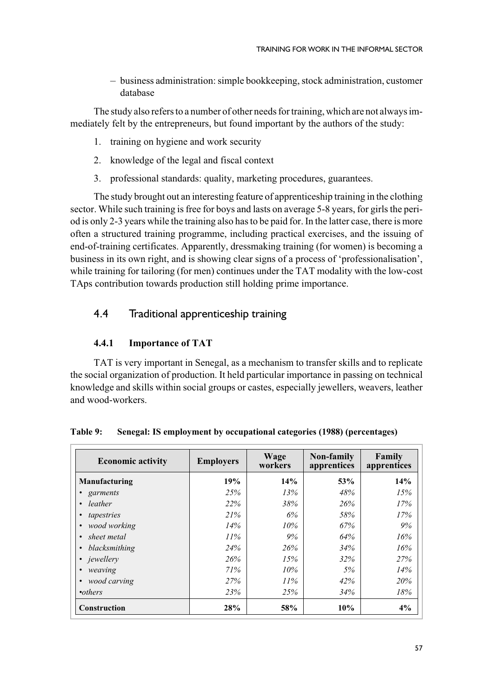– business administration: simple bookkeeping, stock administration, customer database

The study also refers to a number of other needs for training,which are not always immediately felt by the entrepreneurs, but found important by the authors of the study:

- 1. training on hygiene and work security
- 2. knowledge of the legal and fiscal context
- 3. professional standards: quality, marketing procedures, guarantees.

The study brought out an interesting feature of apprenticeship training in the clothing sector. While such training is free for boys and lasts on average 5-8 years, for girls the period is only 2-3 years while the training also has to be paid for. In the latter case, there is more often a structured training programme, including practical exercises, and the issuing of end-of-training certificates. Apparently, dressmaking training (for women) is becoming a business in its own right, and is showing clear signs of a process of 'professionalisation', while training for tailoring (for men) continues under the TAT modality with the low-cost TAps contribution towards production still holding prime importance.

# 4.4 Traditional apprenticeship training

# **4.4.1 Importance of TAT**

TAT is very important in Senegal, as a mechanism to transfer skills and to replicate the social organization of production. It held particular importance in passing on technical knowledge and skills within social groups or castes, especially jewellers, weavers, leather and wood-workers.

| <b>Economic activity</b> | <b>Employers</b> | Wage<br>workers | <b>Non-family</b><br>apprentices | Family<br>apprentices |  |
|--------------------------|------------------|-----------------|----------------------------------|-----------------------|--|
| <b>Manufacturing</b>     | 19%              | 14%             | 53%                              | 14%                   |  |
| garments                 | 25%              | 13%             | 48%                              | 15%                   |  |
| leather<br>$\bullet$     | 22%              | 38%             | 26%                              | 17%                   |  |
| tapestries               | 21%              | 6%              | 58%                              | 17%                   |  |
| wood working             | 14%              | $10\%$          | 67%                              | 9%                    |  |
| sheet metal              | $11\%$           | $9\%$           | 64%                              | 16%                   |  |
| blacksmithing            | 24%              | 26%             | 34%                              | 16%                   |  |
| • <i>jewellery</i>       | 26%              | 15%             | 32%                              | 27%                   |  |
| weaving                  | 71%              | $10\%$          | 5%                               | 14%                   |  |
| wood carving             | 27%              | $11\%$          | 42%                              | 20%                   |  |
| •others                  | 23%              | 25%             | 34%                              | 18%                   |  |
| <b>Construction</b>      | 28%              | 58%             | 10%                              | 4%                    |  |

**Table 9: Senegal: IS employment by occupational categories (1988) (percentages)**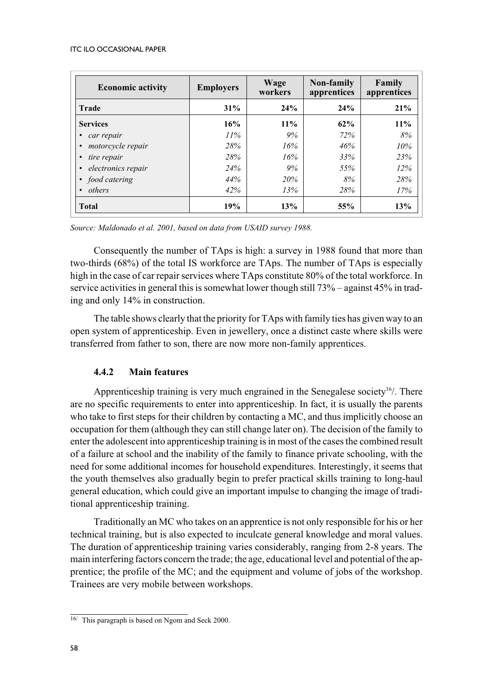| <b>Economic activity</b> | <b>Employers</b> | Wage<br>workers | <b>Non-family</b><br>apprentices | Family<br>apprentices |  |
|--------------------------|------------------|-----------------|----------------------------------|-----------------------|--|
| <b>Trade</b>             | 31%              | 24%             | 24%                              | 21%                   |  |
| <b>Services</b>          | 16%              | $11\%$          | 62%                              | $11\%$                |  |
| car repair               | $11\%$           | 9%              | 72%                              | 8%                    |  |
| motorcycle repair        | 28%              | 16%             | 46%                              | 10%                   |  |
| tire repair              | 28%              | 16%             | 33%                              | 23%                   |  |
| electronics repair       | 24%              | 9%              | 55%                              | 12%                   |  |
| food catering            | 44%              | 20%             | 8%                               | 28%                   |  |
| others<br>٠              | 42%              | 13%             | 28%                              | 17%                   |  |
| <b>Total</b>             | 19%              | 13%             | 55%                              | 13%                   |  |

*Source: Maldonado et al. 2001, based on data from USAID survey 1988.*

Consequently the number of TAps is high: a survey in 1988 found that more than two-thirds (68%) of the total IS workforce are TAps. The number of TAps is especially high in the case of car repair services where TAps constitute 80% of the total workforce. In service activities in general this is somewhat lower though still 73% – against 45% in trading and only 14% in construction.

The table shows clearly that the priority for TAps with family ties has given way to an open system of apprenticeship. Even in jewellery, once a distinct caste where skills were transferred from father to son, there are now more non-family apprentices.

### **4.4.2 Main features**

Apprenticeship training is very much engrained in the Senegalese society<sup>16</sup>. There are no specific requirements to enter into apprenticeship. In fact, it is usually the parents who take to first steps for their children by contacting a MC, and thus implicitly choose an occupation for them (although they can still change later on). The decision of the family to enter the adolescent into apprenticeship training is in most of the cases the combined result of a failure at school and the inability of the family to finance private schooling,with the need for some additional incomes for household expenditures. Interestingly, it seems that the youth themselves also gradually begin to prefer practical skills training to long-haul general education,which could give an important impulse to changing the image of traditional apprenticeship training.

Traditionally an MC who takes on an apprentice is not only responsible for his or her technical training, but is also expected to inculcate general knowledge and moral values. The duration of apprenticeship training varies considerably, ranging from 2-8 years. The main interfering factors concern the trade; the age, educational level and potential of the apprentice; the profile of the MC; and the equipment and volume of jobs of the workshop. Trainees are very mobile between workshops.

 $16/$  This paragraph is based on Ngom and Seck 2000.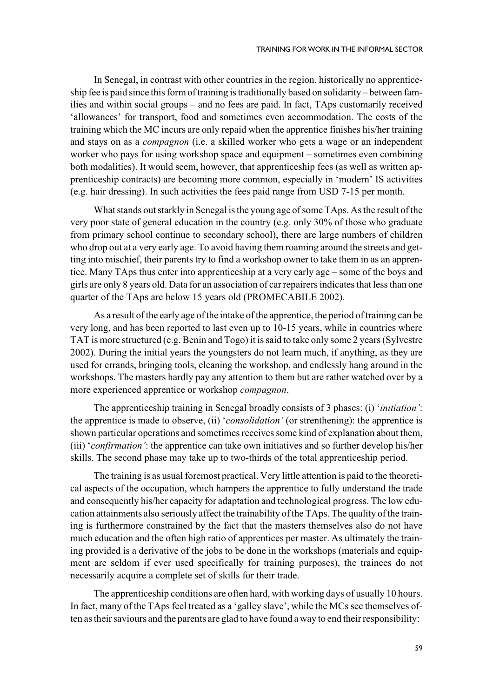In Senegal, in contrast with other countries in the region, historically no apprenticeship fee is paid since this form of training is traditionally based on solidarity – between families and within social groups – and no fees are paid. In fact, TAps customarily received 'allowances' for transport, food and sometimes even accommodation. The costs of the training which the MC incurs are only repaid when the apprentice finishes his/her training and stays on as a *compagnon* (i.e. a skilled worker who gets a wage or an independent worker who pays for using workshop space and equipment – sometimes even combining both modalities). It would seem, however, that apprenticeship fees (as well as written apprenticeship contracts) are becoming more common, especially in 'modern' IS activities (e.g. hair dressing). In such activities the fees paid range from USD 7-15 per month.

What stands out starkly in Senegal is the young age of some TAps. As the result of the very poor state of general education in the country (e.g. only 30% of those who graduate from primary school continue to secondary school), there are large numbers of children who drop out at a very early age. To avoid having them roaming around the streets and getting into mischief, their parents try to find a workshop owner to take them in as an apprentice. Many TAps thus enter into apprenticeship at a very early age – some of the boys and girls are only 8 years old. Data for an association of car repairers indicates that less than one quarter of the TAps are below 15 years old (PROMECABILE 2002).

As a result of the early age of the intake of the apprentice, the period of training can be very long, and has been reported to last even up to 10-15 years, while in countries where TAT is more structured (e.g. Benin and Togo) it is said to take only some 2 years (Sylvestre 2002). During the initial years the youngsters do not learn much, if anything, as they are used for errands, bringing tools, cleaning the workshop, and endlessly hang around in the workshops. The masters hardly pay any attention to them but are rather watched over by a more experienced apprentice or workshop *compagnon*.

The apprenticeship training in Senegal broadly consists of 3 phases: (i) '*initiation'*: the apprentice is made to observe,(ii) '*consolidation'* (or strenthening): the apprentice is shown particular operations and sometimes receives some kind of explanation about them, (iii) '*confirmation'*: the apprentice can take own initiatives and so further develop his/her skills. The second phase may take up to two-thirds of the total apprenticeship period.

The training is as usual foremost practical. Very little attention is paid to the theoretical aspects of the occupation,which hampers the apprentice to fully understand the trade and consequently his/her capacity for adaptation and technological progress. The low education attainments also seriously affect the trainability of the TAps. The quality of the training is furthermore constrained by the fact that the masters themselves also do not have much education and the often high ratio of apprentices per master. As ultimately the training provided is a derivative of the jobs to be done in the workshops (materials and equipment are seldom if ever used specifically for training purposes), the trainees do not necessarily acquire a complete set of skills for their trade.

The apprenticeship conditions are often hard, with working days of usually 10 hours. In fact, many of the TAps feel treated as a 'galley slave', while the MCs see themselves often as their saviours and the parents are glad to have found a way to end their responsibility: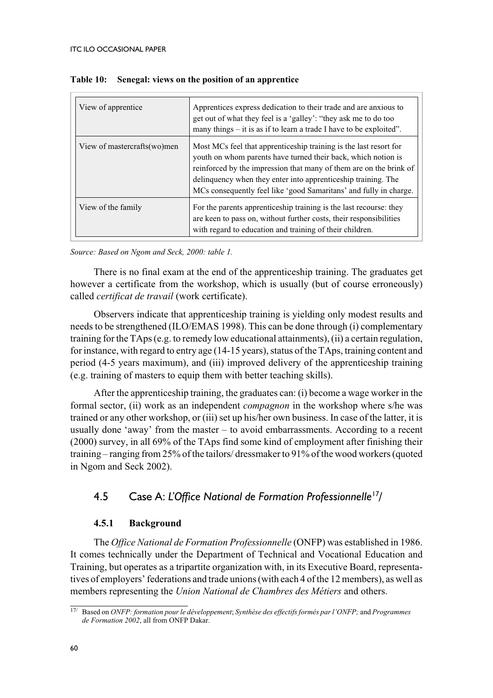| View of apprentice.          | Apprentices express dedication to their trade and are anxious to<br>get out of what they feel is a 'galley': "they ask me to do too<br>many things – it is as if to learn a trade I have to be exploited".                                                                                                                                     |
|------------------------------|------------------------------------------------------------------------------------------------------------------------------------------------------------------------------------------------------------------------------------------------------------------------------------------------------------------------------------------------|
| View of mastercrafts (wo)men | Most MCs feel that apprenticeship training is the last resort for<br>youth on whom parents have turned their back, which notion is<br>reinforced by the impression that many of them are on the brink of<br>delinquency when they enter into apprenticeship training. The<br>MCs consequently feel like 'good Samaritans' and fully in charge. |
| View of the family           | For the parents apprenticeship training is the last recourse: they<br>are keen to pass on, without further costs, their responsibilities<br>with regard to education and training of their children.                                                                                                                                           |

|  |  |  | Table 10: Senegal: views on the position of an apprentice |
|--|--|--|-----------------------------------------------------------|
|--|--|--|-----------------------------------------------------------|

*Source: Based on Ngom and Seck, 2000: table 1.*

There is no final exam at the end of the apprenticeship training. The graduates get however a certificate from the workshop, which is usually (but of course erroneously) called *certificat de travail* (work certificate).

Observers indicate that apprenticeship training is yielding only modest results and needs to be strengthened (ILO/EMAS 1998). This can be done through (i) complementary training for the TAps (e.g. to remedy low educational attainments),(ii) a certain regulation, for instance, with regard to entry age  $(14-15 \text{ years})$ , status of the TAps, training content and period (4-5 years maximum), and (iii) improved delivery of the apprenticeship training (e.g. training of masters to equip them with better teaching skills).

After the apprenticeship training, the graduates can: (i) become a wage worker in the formal sector,(ii) work as an independent *compagnon* in the workshop where s/he was trained or any other workshop, or (iii) set up his/her own business. In case of the latter, it is usually done 'away' from the master – to avoid embarrassments. According to a recent (2000) survey,in all 69% of the TAps find some kind of employment after finishing their training – ranging from 25% of the tailors/ dressmaker to 91% of the wood workers (quoted in Ngom and Seck 2002).

# 4.5 Case A: *L'Office National de Formation Professionnelle*<sup>17</sup>*/*

### **4.5.1 Background**

The *Office National de Formation Professionnelle* (ONFP) was established in 1986. It comes technically under the Department of Technical and Vocational Education and Training, but operates as a tripartite organization with, in its Executive Board, representatives of employers' federations and trade unions (with each 4 of the 12 members), as well as members representing the *Union National de Chambres des Métiers* and others.

<sup>17/</sup> Based on *ONFP: formation pour le développement*; *Synthèse des effectifs formés par l'ONFP;* and *Programmes de Formation 2002*,all from ONFP Dakar.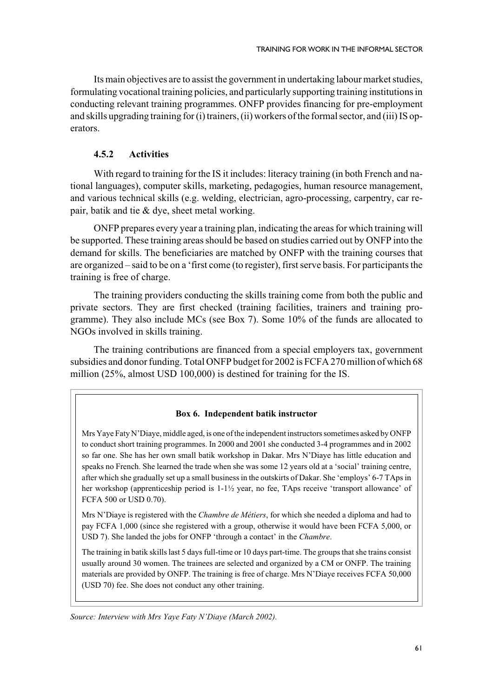Its main objectives are to assist the government in undertaking labour market studies, formulating vocational training policies, and particularly supporting training institutions in conducting relevant training programmes. ONFP provides financing for pre-employment and skills upgrading training for (i) trainers, (ii) workers of the formal sector, and (iii) IS operators.

#### **4.5.2 Activities**

With regard to training for the IS it includes: literacy training (in both French and national languages), computer skills, marketing, pedagogies, human resource management, and various technical skills (e.g. welding, electrician, agro-processing, carpentry, car repair, batik and tie  $&$  dye, sheet metal working.

ONFP prepares every year a training plan, indicating the areas for which training will be supported. These training areas should be based on studies carried out by ONFP into the demand for skills. The beneficiaries are matched by ONFP with the training courses that are organized – said to be on a 'first come (to register), first serve basis. For participants the training is free of charge.

The training providers conducting the skills training come from both the public and private sectors. They are first checked (training facilities, trainers and training programme). They also include MCs (see Box 7). Some 10% of the funds are allocated to NGOs involved in skills training.

The training contributions are financed from a special employers tax, government subsidies and donor funding. Total ONFP budget for 2002 is FCFA 270 million of which 68 million  $(25\%$ , almost USD 100,000) is destined for training for the IS.

#### **Box 6. Independent batik instructor**

Mrs Yaye Faty N'Diaye, middle aged, is one of the independent instructors sometimes asked by ONFP to conduct short training programmes. In 2000 and 2001 she conducted 3-4 programmes and in 2002 so far one. She has her own small batik workshop in Dakar. Mrs N'Diaye has little education and speaks no French. She learned the trade when she was some 12 years old at a 'social' training centre, after which she gradually set up a small business in the outskirts of Dakar. She 'employs' 6-7 TAps in her workshop (apprenticeship period is  $1-1\frac{1}{2}$  year, no fee, TAps receive 'transport allowance' of FCFA 500 or USD 0.70).

Mrs N'Diaye is registered with the *Chambre de Métiers*, for which she needed a diploma and had to pay FCFA 1,000 (since she registered with a group, otherwise it would have been FCFA 5,000, or USD 7). She landed the jobs for ONFP 'through a contact' in the *Chambre*.

The training in batik skills last 5 days full-time or 10 days part-time. The groups that she trains consist usually around 30 women. The trainees are selected and organized by a CM or ONFP. The training materials are provided by ONFP. The training is free of charge. Mrs N'Diaye receives FCFA 50,000 (USD 70) fee. She does not conduct any other training.

*Source: Interview with Mrs Yaye Faty N'Diaye (March 2002).*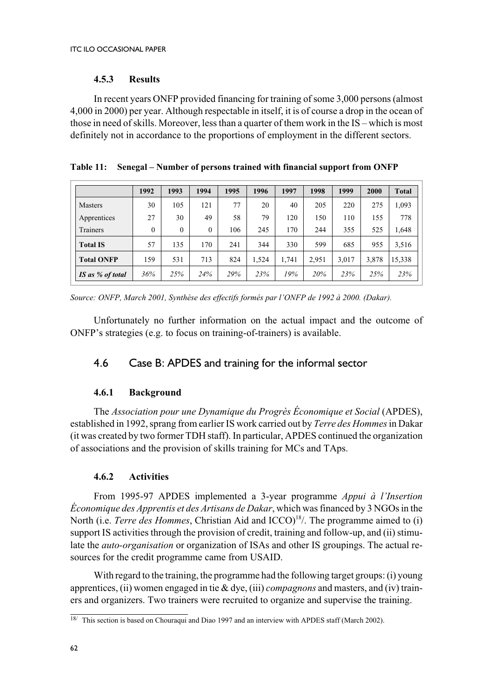### **4.5.3 Results**

In recent years ONFP provided financing for training of some 3,000 persons (almost 4,000 in 2000) per year. Although respectable in itself, it is of course a drop in the ocean of those in need of skills. Moreover, less than a quarter of them work in the  $IS$  – which is most definitely not in accordance to the proportions of employment in the different sectors.

|  |  |  | Table 11: Senegal – Number of persons trained with financial support from ONFP |
|--|--|--|--------------------------------------------------------------------------------|
|--|--|--|--------------------------------------------------------------------------------|

|                   | 1992     | 1993     | 1994     | 1995 | 1996  | 1997  | 1998  | 1999  | 2000  | <b>Total</b> |
|-------------------|----------|----------|----------|------|-------|-------|-------|-------|-------|--------------|
| <b>Masters</b>    | 30       | 105      | 121      | 77   | 20    | 40    | 205   | 220   | 275   | 1,093        |
| Apprentices       | 27       | 30       | 49       | 58   | 79    | 120   | 150   | 110   | 155   | 778          |
| Trainers          | $\theta$ | $\theta$ | $\theta$ | 106  | 245   | 170   | 244   | 355   | 525   | 1,648        |
| <b>Total IS</b>   | 57       | 135      | 170      | 241  | 344   | 330   | 599   | 685   | 955   | 3,516        |
| <b>Total ONFP</b> | 159      | 531      | 713      | 824  | 1.524 | 1,741 | 2,951 | 3,017 | 3,878 | 15,338       |
| IS as % of total  | 36%      | 25%      | 24%      | 29%  | 23%   | 19%   | 20%   | 23%   | 25%   | 23%          |

*Source: ONFP, March 2001, Synthèse des effectifs formés par l'ONFP de 1992 à 2000. (Dakar).*

Unfortunately no further information on the actual impact and the outcome of ONFP's strategies (e.g. to focus on training-of-trainers) is available.

# 4.6 Case B: APDES and training for the informal sector

### **4.6.1 Background**

The *Association pour une Dynamique du Progrès Économique et Social* (APDES), established in 1992, sprang from earlier IS work carried out by *Terre des Hommes* in Dakar (it was created by two former TDH staff). In particular,APDES continued the organization of associations and the provision of skills training for MCs and TAps.

### **4.6.2 Activities**

From 1995-97 APDES implemented a 3-year programme *Appui à l'Insertion Économique des Apprentis et des Artisans de Dakar*, which was financed by 3 NGOs in the North (i.e. *Terre des Hommes*, Christian Aid and ICCO)<sup>18</sup>/. The programme aimed to (i) support IS activities through the provision of credit, training and follow-up, and (ii) stimulate the *auto-organisation* or organization of ISAs and other IS groupings. The actual resources for the credit programme came from USAID.

With regard to the training, the programme had the following target groups: (i) young apprentices, (ii) women engaged in tie & dye, (iii) *compagnons* and masters, and (iv) trainers and organizers. Two trainers were recruited to organize and supervise the training.

<sup>&</sup>lt;sup>18/</sup> This section is based on Chouraqui and Diao 1997 and an interview with APDES staff (March 2002).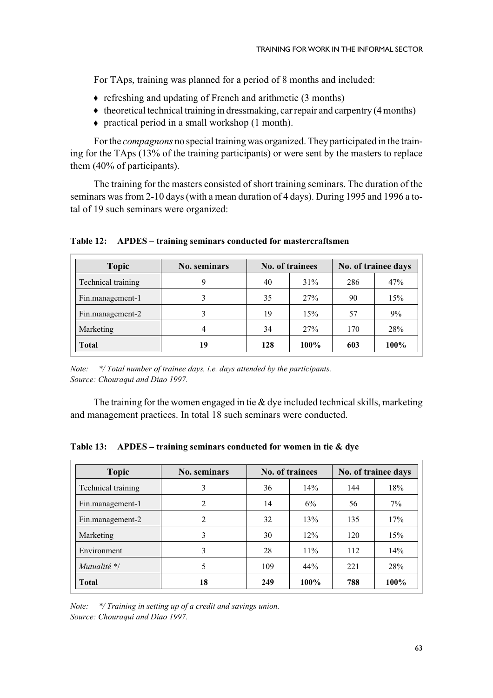For TAps, training was planned for a period of 8 months and included:

- refreshing and updating of French and arithmetic (3 months)
- $\bullet$  theoretical technical training in dressmaking, car repair and carpentry (4 months)
- practical period in a small workshop (1 month).

For the *compagnons* no special training was organized. They participated in the training for the TAps (13% of the training participants) or were sent by the masters to replace them (40% of participants).

The training for the masters consisted of short training seminars. The duration of the seminars was from 2-10 days (with a mean duration of 4 days). During 1995 and 1996 a total of 19 such seminars were organized:

**Table 12: APDES – training seminars conducted for mastercraftsmen**

| <b>Topic</b>       | <b>No.</b> seminars | No. of trainees |      |     | No. of trainee days |
|--------------------|---------------------|-----------------|------|-----|---------------------|
| Technical training | 9                   | 40              | 31%  | 286 | 47%                 |
| Fin.management-1   | 3                   | 35              | 27%  | 90  | 15%                 |
| Fin.management-2   | 3                   | 19              | 15%  | 57  | 9%                  |
| Marketing          | 4                   | 34              | 27%  | 170 | 28%                 |
| <b>Total</b>       | 19                  | 128             | 100% | 603 | 100%                |

*Note: \*/ Total number of trainee days, i.e. days attended by the participants. Source: Chouraqui and Diao 1997.*

The training for the women engaged in tie  $&$  dye included technical skills, marketing and management practices. In total 18 such seminars were conducted.

**Table 13: APDES – training seminars conducted for women in tie & dye**

| <b>Topic</b>       | <b>No. seminars</b> | <b>No. of trainees</b> |        | No. of trainee days |      |
|--------------------|---------------------|------------------------|--------|---------------------|------|
| Technical training | 3                   | 36                     | 14%    | 144                 | 18%  |
| Fin.management-1   | $\overline{2}$      | 14                     | 6%     | 56                  | 7%   |
| Fin.management-2   | $\overline{2}$      | 32                     | 13%    | 135                 | 17%  |
| Marketing          | 3                   | 30                     | 12%    | 120                 | 15%  |
| Environment        | 3                   | 28                     | $11\%$ | 112                 | 14%  |
| Mutualité */       | 5                   | 109                    | 44%    | 221                 | 28%  |
| <b>Total</b>       | 18                  | 249                    | 100%   | 788                 | 100% |

*Note: \*/ Training in setting up of a credit and savings union. Source: Chouraqui and Diao 1997.*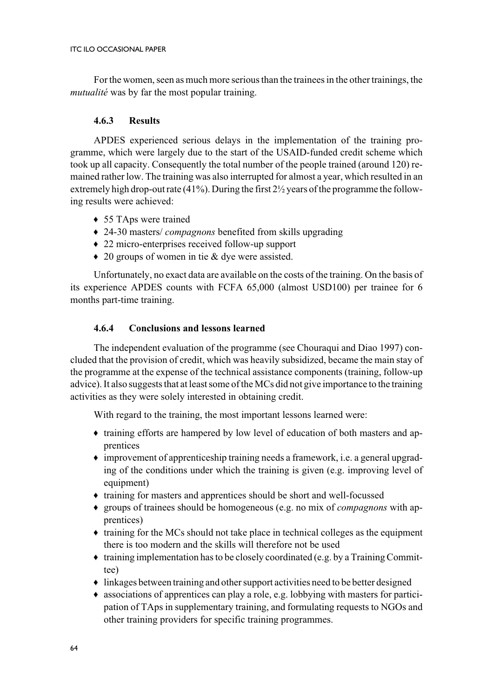For the women, seen as much more serious than the trainees in the other trainings, the *mutualité* was by far the most popular training.

### **4.6.3 Results**

APDES experienced serious delays in the implementation of the training programme, which were largely due to the start of the USAID-funded credit scheme which took up all capacity. Consequently the total number of the people trained (around 120) remained rather low. The training was also interrupted for almost a year, which resulted in an extremely high drop-out rate (41%). During the first 2½ years of the programme the following results were achieved:

- ◆ 55 TAps were trained
- 24-30 masters/ *compagnons* benefited from skills upgrading
- ◆ 22 micro-enterprises received follow-up support
- 20 groups of women in tie & dye were assisted.

Unfortunately, no exact data are available on the costs of the training. On the basis of its experience APDES counts with FCFA 65,000 (almost USD100) per trainee for 6 months part-time training.

### **4.6.4 Conclusions and lessons learned**

The independent evaluation of the programme (see Chouraqui and Diao 1997) concluded that the provision of credit, which was heavily subsidized, became the main stay of the programme at the expense of the technical assistance components (training, follow-up advice). It also suggests that at least some of the MCs did not give importance to the training activities as they were solely interested in obtaining credit.

With regard to the training, the most important lessons learned were:

- training efforts are hampered by low level of education of both masters and apprentices
- $\bullet$  improvement of apprenticeship training needs a framework, i.e. a general upgrading of the conditions under which the training is given (e.g. improving level of equipment)
- training for masters and apprentices should be short and well-focussed
- groups of trainees should be homogeneous (e.g. no mix of *compagnons* with apprentices)
- $\triangle$  training for the MCs should not take place in technical colleges as the equipment there is too modern and the skills will therefore not be used
- $\bullet$  training implementation has to be closely coordinated (e.g. by a Training Committee)
- linkages between training and other support activities need to be better designed
- $\bullet$  associations of apprentices can play a role, e.g. lobbying with masters for participation of TAps in supplementary training, and formulating requests to NGOs and other training providers for specific training programmes.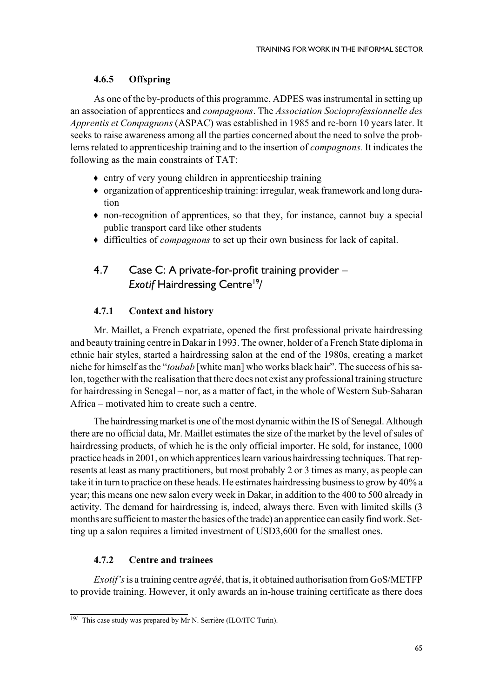# **4.6.5 Offspring**

As one of the by-products of this programme,ADPES was instrumental in setting up an association of apprentices and *compagnons*. The *Association Socioprofessionnelle des Apprentis et Compagnons* (ASPAC) was established in 1985 and re-born 10 years later. It seeks to raise awareness among all the parties concerned about the need to solve the problems related to apprenticeship training and to the insertion of *compagnons.* It indicates the following as the main constraints of TAT:

- entry of very young children in apprenticeship training
- organization of apprenticeship training: irregular,weak framework and long duration
- $\bullet$  non-recognition of apprentices, so that they, for instance, cannot buy a special public transport card like other students
- difficulties of *compagnons* to set up their own business for lack of capital.

# 4.7 Case C: A private-for-profit training provider – **Exotif Hairdressing Centre<sup>19</sup>/**

# **4.7.1 Context and history**

Mr. Maillet, a French expatriate, opened the first professional private hairdressing and beauty training centre in Dakar in 1993. The owner, holder of a French State diploma in ethnic hair styles, started a hairdressing salon at the end of the 1980s, creating a market niche for himself as the "*toubab* [white man] who works black hair". The success of his salon,together with the realisation that there does not exist any professional training structure for hairdressing in Senegal – nor, as a matter of fact, in the whole of Western Sub-Saharan Africa – motivated him to create such a centre.

The hairdressing market is one of the most dynamic within the IS of Senegal. Although there are no official data, Mr. Maillet estimates the size of the market by the level of sales of hairdressing products, of which he is the only official importer. He sold, for instance, 1000 practice heads in 2001,on which apprentices learn various hairdressing techniques. That represents at least as many practitioners, but most probably 2 or 3 times as many, as people can take it in turn to practice on these heads. He estimates hairdressing business to grow by 40% a year; this means one new salon every week in Dakar, in addition to the 400 to 500 already in activity. The demand for hairdressing is, indeed, always there. Even with limited skills (3 months are sufficient to master the basics of the trade) an apprentice can easily find work. Setting up a salon requires a limited investment of USD3,600 for the smallest ones.

# **4.7.2 Centre and trainees**

*Exotif's* is a training centre *agréé*, that is, it obtained authorisation from GoS/METFP to provide training. However, it only awards an in-house training certificate as there does

<sup>19/</sup> This case study was prepared by Mr N. Serrière (ILO/ITC Turin).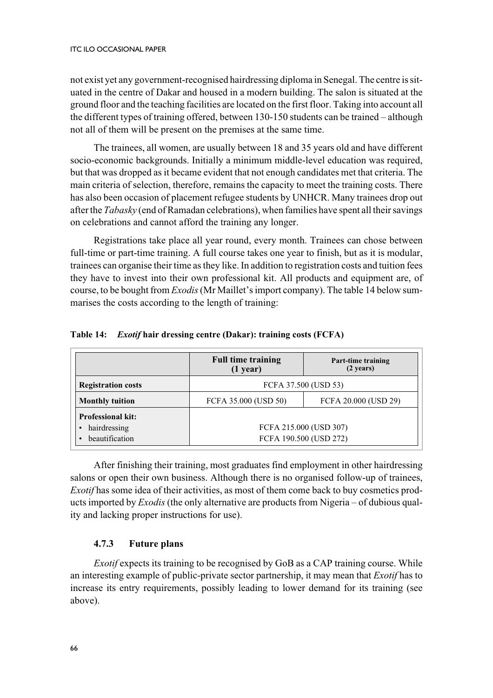not exist yet any government-recognised hairdressing diploma in Senegal. The centre is situated in the centre of Dakar and housed in a modern building. The salon is situated at the ground floor and the teaching facilities are located on the first floor. Taking into account all the different types of training offered, between 130-150 students can be trained – although not all of them will be present on the premises at the same time.

The trainees, all women, are usually between 18 and 35 years old and have different socio-economic backgrounds. Initially a minimum middle-level education was required, but that was dropped as it became evident that not enough candidates met that criteria. The main criteria of selection, therefore, remains the capacity to meet the training costs. There has also been occasion of placement refugee students by UNHCR. Many trainees drop out after the *Tabasky* (end of Ramadan celebrations), when families have spent all their savings on celebrations and cannot afford the training any longer.

Registrations take place all year round, every month. Trainees can chose between full-time or part-time training. A full course takes one year to finish, but as it is modular, trainees can organise their time as they like. In addition to registration costs and tuition fees they have to invest into their own professional kit. All products and equipment are, of course,to be bought from *Exodis*(Mr Maillet's import company). The table 14 below summarises the costs according to the length of training:

|                           | <b>Full time training</b><br>(1 year) | Part-time training<br>$(2 \text{ years})$ |  |  |
|---------------------------|---------------------------------------|-------------------------------------------|--|--|
| <b>Registration costs</b> | FCFA 37.500 (USD 53)                  |                                           |  |  |
| <b>Monthly tuition</b>    | FCFA 35.000 (USD 50)                  | FCFA 20.000 (USD 29)                      |  |  |
| <b>Professional kit:</b>  |                                       |                                           |  |  |
| hairdressing              |                                       | FCFA 215.000 (USD 307)                    |  |  |
| beautification            |                                       | FCFA 190.500 (USD 272)                    |  |  |

**Table 14:** *Exotif* **hair dressing centre (Dakar): training costs (FCFA)**

After finishing their training, most graduates find employment in other hairdressing salons or open their own business. Although there is no organised follow-up of trainees, *Exotif* has some idea of their activities, as most of them come back to buy cosmetics products imported by *Exodis* (the only alternative are products from Nigeria – of dubious quality and lacking proper instructions for use).

## **4.7.3 Future plans**

*Exotif* expects its training to be recognised by GoB as a CAP training course. While an interesting example of public-private sector partnership, it may mean that *Exotif* has to increase its entry requirements, possibly leading to lower demand for its training (see above).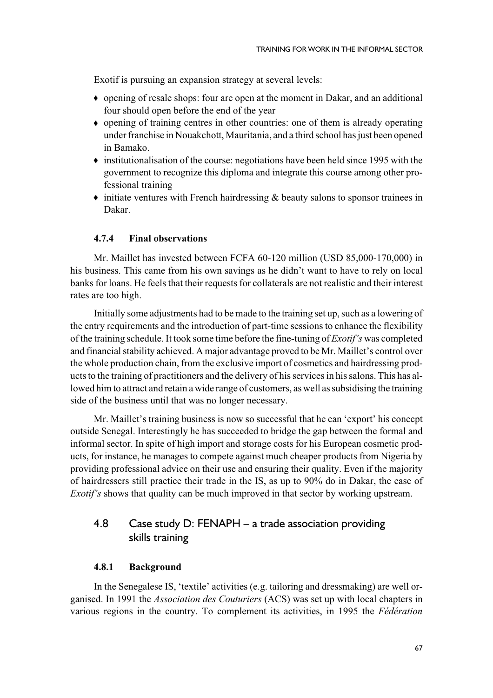Exotif is pursuing an expansion strategy at several levels:

- $\bullet$  opening of resale shops: four are open at the moment in Dakar, and an additional four should open before the end of the year
- opening of training centres in other countries: one of them is already operating under franchise in Nouakchott, Mauritania, and a third school has just been opened in Bamako.
- institutionalisation of the course: negotiations have been held since 1995 with the government to recognize this diploma and integrate this course among other professional training
- $\bullet$  initiate ventures with French hairdressing & beauty salons to sponsor trainees in Dakar.

#### **4.7.4 Final observations**

Mr. Maillet has invested between FCFA 60-120 million (USD 85,000-170,000) in his business. This came from his own savings as he didn't want to have to rely on local banks for loans. He feels that their requests for collaterals are not realistic and their interest rates are too high.

Initially some adjustments had to be made to the training set up, such as a lowering of the entry requirements and the introduction of part-time sessions to enhance the flexibility of the training schedule. It took some time before the fine-tuning of *Exotif's* was completed and financial stability achieved. A major advantage proved to be Mr. Maillet's control over the whole production chain, from the exclusive import of cosmetics and hairdressing products to the training of practitioners and the delivery of his services in his salons. This has allowed him to attract and retain a wide range of customers, as well as subsidising the training side of the business until that was no longer necessary.

Mr. Maillet's training business is now so successful that he can 'export' his concept outside Senegal. Interestingly he has succeeded to bridge the gap between the formal and informal sector. In spite of high import and storage costs for his European cosmetic products, for instance, he manages to compete against much cheaper products from Nigeria by providing professional advice on their use and ensuring their quality. Even if the majority of hairdressers still practice their trade in the IS, as up to 90% do in Dakar, the case of *Exotif's* shows that quality can be much improved in that sector by working upstream.

# 4.8 Case study D: FENAPH – a trade association providing skills training

## **4.8.1 Background**

In the Senegalese IS,'textile' activities (e.g. tailoring and dressmaking) are well organised. In 1991 the *Association des Couturiers* (ACS) was set up with local chapters in various regions in the country. To complement its activities, in 1995 the *Fédération*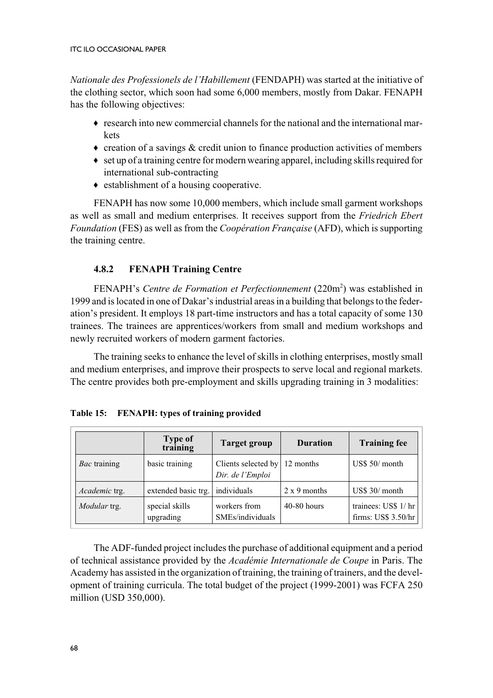*Nationale des Professionels de l'Habillement* (FENDAPH) was started at the initiative of the clothing sector, which soon had some 6,000 members, mostly from Dakar. FENAPH has the following objectives:

- research into new commercial channels for the national and the international markets
- $\bullet$  creation of a savings & credit union to finance production activities of members
- $\bullet$  set up of a training centre for modern wearing apparel, including skills required for international sub-contracting
- establishment of a housing cooperative.

FENAPH has now some 10,000 members, which include small garment workshops as well as small and medium enterprises. It receives support from the *Friedrich Ebert Foundation* (FES) as well as from the *Coopération Française* (AFD), which is supporting the training centre.

## **4.8.2 FENAPH Training Centre**

FENAPH's *Centre de Formation et Perfectionnement* (220m<sup>2</sup>) was established in 1999 and is located in one of Dakar's industrial areas in a building that belongs to the federation's president. It employs 18 part-time instructors and has a total capacity of some 130 trainees. The trainees are apprentices/workers from small and medium workshops and newly recruited workers of modern garment factories.

The training seeks to enhance the level of skills in clothing enterprises, mostly small and medium enterprises, and improve their prospects to serve local and regional markets. The centre provides both pre-employment and skills upgrading training in 3 modalities:

|               | <b>Type of</b><br>training  | Target group                            | <b>Duration</b>     | <b>Training fee</b>                         |
|---------------|-----------------------------|-----------------------------------------|---------------------|---------------------------------------------|
| Bac training  | basic training              | Clients selected by<br>Dir. de l'Emploi | 12 months           | US\$ 50/ month                              |
| Academic trg. | extended basic trg.         | individuals                             | $2 \times 9$ months | US\$ 30/ month                              |
| Modular trg.  | special skills<br>upgrading | workers from<br>SMEs/individuals        | $40-80$ hours       | trainees: US\$ 1/ hr<br>firms: US\$ 3.50/hr |

|  | Table 15: FENAPH: types of training provided |  |  |  |
|--|----------------------------------------------|--|--|--|
|--|----------------------------------------------|--|--|--|

The ADF-funded project includes the purchase of additional equipment and a period of technical assistance provided by the *Académie Internationale de Coupe* in Paris. The Academy has assisted in the organization of training, the training of trainers, and the development of training curricula. The total budget of the project (1999-2001) was FCFA 250 million (USD 350,000).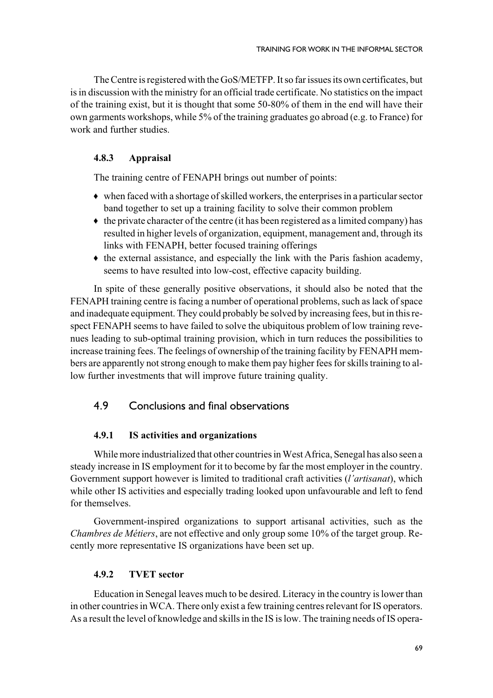The Centre is registered with the GoS/METFP. It so far issues its own certificates, but is in discussion with the ministry for an official trade certificate. No statistics on the impact of the training exist, but it is thought that some 50-80% of them in the end will have their own garments workshops, while 5% of the training graduates go abroad (e.g. to France) for work and further studies.

## **4.8.3 Appraisal**

The training centre of FENAPH brings out number of points:

- $\bullet$  when faced with a shortage of skilled workers, the enterprises in a particular sector band together to set up a training facility to solve their common problem
- $\bullet$  the private character of the centre (it has been registered as a limited company) has resulted in higher levels of organization, equipment, management and, through its links with FENAPH, better focused training offerings
- $\bullet$  the external assistance, and especially the link with the Paris fashion academy, seems to have resulted into low-cost, effective capacity building.

In spite of these generally positive observations, it should also be noted that the FENAPH training centre is facing a number of operational problems, such as lack of space and inadequate equipment. They could probably be solved by increasing fees, but in this respect FENAPH seems to have failed to solve the ubiquitous problem of low training revenues leading to sub-optimal training provision, which in turn reduces the possibilities to increase training fees. The feelings of ownership of the training facility by FENAPH members are apparently not strong enough to make them pay higher fees for skills training to allow further investments that will improve future training quality.

## 4.9 Conclusions and final observations

## **4.9.1 IS activities and organizations**

While more industrialized that other countries in West Africa, Senegal has also seen a steady increase in IS employment for it to become by far the most employer in the country. Government support however is limited to traditional craft activities (*l'artisanat*), which while other IS activities and especially trading looked upon unfavourable and left to fend for themselves.

Government-inspired organizations to support artisanal activities, such as the *Chambres de Métiers*, are not effective and only group some 10% of the target group. Recently more representative IS organizations have been set up.

#### **4.9.2 TVET sector**

Education in Senegal leaves much to be desired. Literacy in the country is lower than in other countries in WCA. There only exist a few training centres relevant for IS operators. As a result the level of knowledge and skills in the IS is low. The training needs of IS opera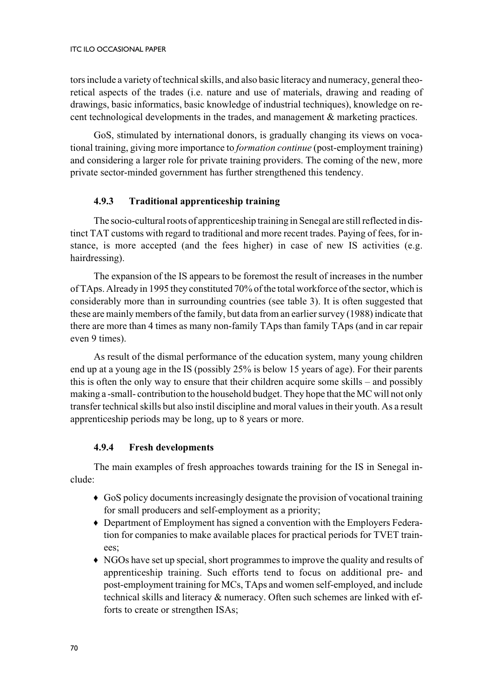tors include a variety of technical skills, and also basic literacy and numeracy, general theoretical aspects of the trades (i.e. nature and use of materials, drawing and reading of drawings, basic informatics, basic knowledge of industrial techniques), knowledge on recent technological developments in the trades, and management & marketing practices.

GoS, stimulated by international donors, is gradually changing its views on vocational training, giving more importance to *formation continue* (post-employment training) and considering a larger role for private training providers. The coming of the new, more private sector-minded government has further strengthened this tendency.

## **4.9.3 Traditional apprenticeship training**

The socio-cultural roots of apprenticeship training in Senegal are still reflected in distinct TAT customs with regard to traditional and more recent trades. Paying of fees, for instance, is more accepted (and the fees higher) in case of new IS activities (e.g. hairdressing).

The expansion of the IS appears to be foremost the result of increases in the number of TAps. Already in 1995 they constituted 70% of the total workforce of the sector,which is considerably more than in surrounding countries (see table 3). It is often suggested that these are mainly members of the family, but data from an earlier survey (1988) indicate that there are more than 4 times as many non-family TAps than family TAps (and in car repair even 9 times).

As result of the dismal performance of the education system, many young children end up at a young age in the IS (possibly 25% is below 15 years of age). For their parents this is often the only way to ensure that their children acquire some skills – and possibly making a -small- contribution to the household budget. They hope that the MC will not only transfer technical skills but also instil discipline and moral values in their youth. As a result apprenticeship periods may be long, up to 8 years or more.

## **4.9.4 Fresh developments**

The main examples of fresh approaches towards training for the IS in Senegal include:

- GoS policy documents increasingly designate the provision of vocational training for small producers and self-employment as a priority;
- Department of Employment has signed a convention with the Employers Federation for companies to make available places for practical periods for TVET trainees;
- $\triangle$  NGOs have set up special, short programmes to improve the quality and results of apprenticeship training. Such efforts tend to focus on additional pre- and post-employment training for MCs, TAps and women self-employed, and include technical skills and literacy & numeracy. Often such schemes are linked with efforts to create or strengthen ISAs;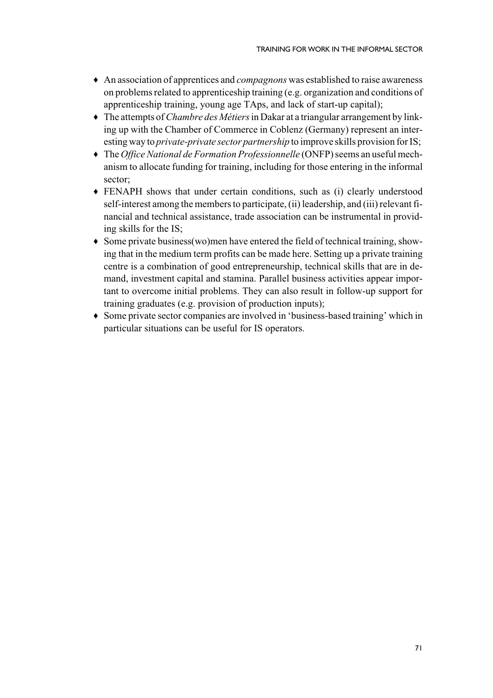- An association of apprentices and *compagnons* was established to raise awareness on problems related to apprenticeship training (e.g. organization and conditions of apprenticeship training, young age TAps, and lack of start-up capital);
- The attempts of*Chambre des Métiers*in Dakar at a triangular arrangement by linking up with the Chamber of Commerce in Coblenz (Germany) represent an interesting way to *private-private sector partnership* to improve skills provision for IS;
- The *Office National de Formation Professionnelle* (ONFP) seems an useful mechanism to allocate funding for training, including for those entering in the informal sector;
- $\bullet$  FENAPH shows that under certain conditions, such as (i) clearly understood self-interest among the members to participate,(ii) leadership,and (iii) relevant financial and technical assistance, trade association can be instrumental in providing skills for the IS;
- $\blacklozenge$  Some private business(wo)men have entered the field of technical training, showing that in the medium term profits can be made here. Setting up a private training centre is a combination of good entrepreneurship, technical skills that are in demand, investment capital and stamina. Parallel business activities appear important to overcome initial problems. They can also result in follow-up support for training graduates (e.g. provision of production inputs);
- Some private sector companies are involved in 'business-based training' which in particular situations can be useful for IS operators.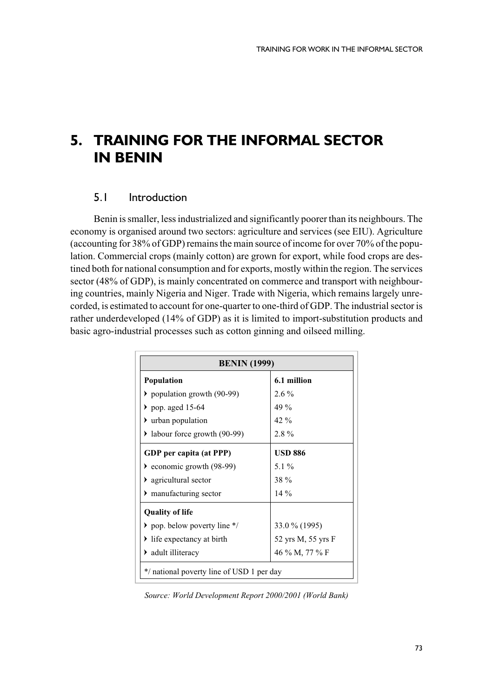# **5. TRAINING FOR THE INFORMAL SECTOR IN BENIN**

# 5.1 Introduction

Benin is smaller, less industrialized and significantly poorer than its neighbours. The economy is organised around two sectors: agriculture and services (see EIU). Agriculture (accounting for 38% of GDP) remains the main source of income for over 70% of the population. Commercial crops (mainly cotton) are grown for export, while food crops are destined both for national consumption and for exports, mostly within the region. The services sector (48% of GDP), is mainly concentrated on commerce and transport with neighbouring countries, mainly Nigeria and Niger. Trade with Nigeria, which remains largely unrecorded, is estimated to account for one-quarter to one-third of GDP. The industrial sector is rather underdeveloped (14% of GDP) as it is limited to import-substitution products and basic agro-industrial processes such as cotton ginning and oilseed milling.

| <b>BENIN</b> (1999)                               |                    |  |  |  |
|---------------------------------------------------|--------------------|--|--|--|
| Population                                        | 6.1 million        |  |  |  |
| population growth $(90-99)$                       | $2.6\%$            |  |  |  |
| $\rightarrow$ pop. aged 15-64                     | 49 %               |  |  |  |
| $\rightarrow$ urban population                    | $42\%$             |  |  |  |
| $\blacktriangleright$ labour force growth (90-99) | $2.8\%$            |  |  |  |
| GDP per capita (at PPP)                           | <b>USD 886</b>     |  |  |  |
| $\rightarrow$ economic growth (98-99)             | 5.1 $\%$           |  |  |  |
| $\rightarrow$ agricultural sector                 | $38\%$             |  |  |  |
| $\rightarrow$ manufacturing sector                | $14\%$             |  |  |  |
| <b>Quality of life</b>                            |                    |  |  |  |
| $\rightarrow$ pop. below poverty line */          | 33.0 % (1995)      |  |  |  |
| $\triangleright$ life expectancy at birth         | 52 yrs M, 55 yrs F |  |  |  |
| $\rightarrow$ adult illiteracy                    | 46 % M, 77 % F     |  |  |  |
| */ national poverty line of USD 1 per day         |                    |  |  |  |

*Source: World Development Report 2000/2001 (World Bank)*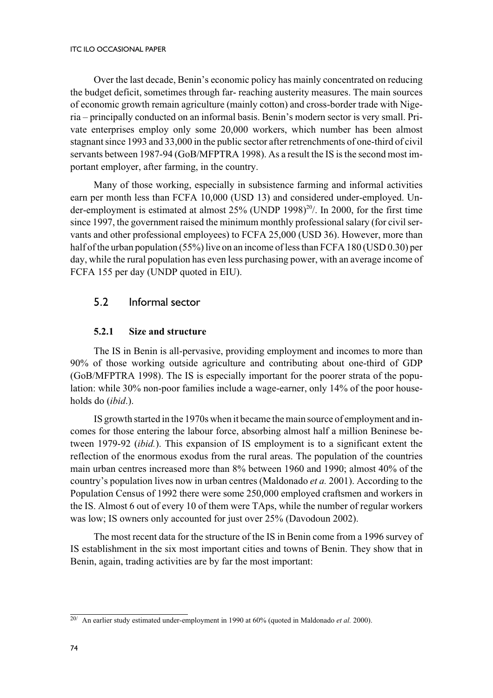Over the last decade, Benin's economic policy has mainly concentrated on reducing the budget deficit, sometimes through far- reaching austerity measures. The main sources of economic growth remain agriculture (mainly cotton) and cross-border trade with Nigeria – principally conducted on an informal basis. Benin's modern sector is very small. Private enterprises employ only some 20,000 workers, which number has been almost stagnant since 1993 and 33,000 in the public sector after retrenchments of one-third of civil servants between 1987-94 (GoB/MFPTRA 1998). As a result the IS is the second most important employer, after farming, in the country.

Many of those working, especially in subsistence farming and informal activities earn per month less than FCFA 10,000 (USD 13) and considered under-employed. Under-employment is estimated at almost  $25\%$  (UNDP 1998)<sup>20</sup>/. In 2000, for the first time since 1997, the government raised the minimum monthly professional salary (for civil servants and other professional employees) to FCFA 25,000 (USD 36). However, more than half of the urban population (55%) live on an income of less than FCFA 180 (USD 0.30) per day, while the rural population has even less purchasing power, with an average income of FCFA 155 per day (UNDP quoted in EIU).

## 5.2 Informal sector

## **5.2.1 Size and structure**

The IS in Benin is all-pervasive, providing employment and incomes to more than 90% of those working outside agriculture and contributing about one-third of GDP (GoB/MFPTRA 1998). The IS is especially important for the poorer strata of the population: while 30% non-poor families include a wage-earner, only 14% of the poor households do (*ibid*.).

IS growth started in the 1970s when it became the main source of employment and incomes for those entering the labour force, absorbing almost half a million Beninese between 1979-92 (*ibid.*). This expansion of IS employment is to a significant extent the reflection of the enormous exodus from the rural areas. The population of the countries main urban centres increased more than 8% between 1960 and 1990; almost 40% of the country's population lives now in urban centres (Maldonado *et a.* 2001). According to the Population Census of 1992 there were some 250,000 employed craftsmen and workers in the IS. Almost 6 out of every 10 of them were TAps, while the number of regular workers was low; IS owners only accounted for just over 25% (Davodoun 2002).

The most recent data for the structure of the IS in Benin come from a 1996 survey of IS establishment in the six most important cities and towns of Benin. They show that in Benin, again, trading activities are by far the most important:

<sup>20/</sup> An earlier study estimated under-employment in 1990 at 60% (quoted in Maldonado *et al.* 2000).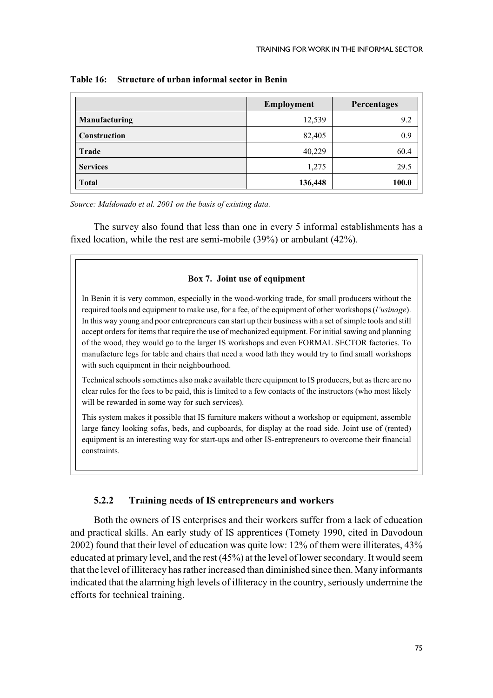|                     | Employment | Percentages |
|---------------------|------------|-------------|
| Manufacturing       | 12,539     | 9.2         |
| <b>Construction</b> | 82,405     | 0.9         |
| Trade               | 40,229     | 60.4        |
| <b>Services</b>     | 1,275      | 29.5        |
| <b>Total</b>        | 136,448    | 100.0       |

#### **Table 16: Structure of urban informal sector in Benin**

*Source: Maldonado et al. 2001 on the basis of existing data.*

The survey also found that less than one in every 5 informal establishments has a fixed location, while the rest are semi-mobile  $(39\%)$  or ambulant  $(42\%)$ .

#### **Box 7. Joint use of equipment**

In Benin it is very common, especially in the wood-working trade, for small producers without the required tools and equipment to make use, for a fee, of the equipment of other workshops (*l'usinage*). In this way young and poor entrepreneurs can start up their business with a set of simple tools and still accept orders for items that require the use of mechanized equipment. For initial sawing and planning of the wood, they would go to the larger IS workshops and even FORMAL SECTOR factories. To manufacture legs for table and chairs that need a wood lath they would try to find small workshops with such equipment in their neighbourhood.

Technical schools sometimes also make available there equipment to IS producers, but as there are no clear rules for the fees to be paid, this is limited to a few contacts of the instructors (who most likely will be rewarded in some way for such services).

This system makes it possible that IS furniture makers without a workshop or equipment, assemble large fancy looking sofas, beds, and cupboards, for display at the road side. Joint use of (rented) equipment is an interesting way for start-ups and other IS-entrepreneurs to overcome their financial constraints.

## **5.2.2 Training needs of IS entrepreneurs and workers**

Both the owners of IS enterprises and their workers suffer from a lack of education and practical skills. An early study of IS apprentices (Tomety 1990, cited in Davodoun 2002) found that their level of education was quite low: 12% of them were illiterates,43% educated at primary level, and the rest  $(45%)$  at the level of lower secondary. It would seem that the level of illiteracy has rather increased than diminished since then. Many informants indicated that the alarming high levels of illiteracy in the country, seriously undermine the efforts for technical training.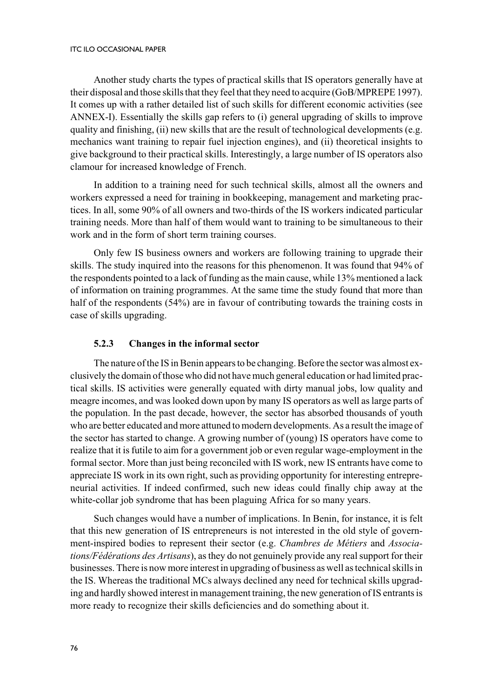Another study charts the types of practical skills that IS operators generally have at their disposal and those skills that they feel that they need to acquire (GoB/MPREPE 1997). It comes up with a rather detailed list of such skills for different economic activities (see ANNEX-I). Essentially the skills gap refers to (i) general upgrading of skills to improve quality and finishing,(ii) new skills that are the result of technological developments (e.g. mechanics want training to repair fuel injection engines), and (ii) theoretical insights to give background to their practical skills. Interestingly, a large number of IS operators also clamour for increased knowledge of French.

In addition to a training need for such technical skills, almost all the owners and workers expressed a need for training in bookkeeping, management and marketing practices. In all, some 90% of all owners and two-thirds of the IS workers indicated particular training needs. More than half of them would want to training to be simultaneous to their work and in the form of short term training courses.

Only few IS business owners and workers are following training to upgrade their skills. The study inquired into the reasons for this phenomenon. It was found that 94% of the respondents pointed to a lack of funding as the main cause, while 13% mentioned a lack of information on training programmes. At the same time the study found that more than half of the respondents (54%) are in favour of contributing towards the training costs in case of skills upgrading.

#### **5.2.3 Changes in the informal sector**

The nature of the IS in Benin appears to be changing. Before the sector was almost exclusively the domain of those who did not have much general education or had limited practical skills. IS activities were generally equated with dirty manual jobs, low quality and meagre incomes, and was looked down upon by many IS operators as well as large parts of the population. In the past decade, however, the sector has absorbed thousands of youth who are better educated and more attuned to modern developments. As a result the image of the sector has started to change. A growing number of (young) IS operators have come to realize that it is futile to aim for a government job or even regular wage-employment in the formal sector. More than just being reconciled with IS work, new IS entrants have come to appreciate IS work in its own right, such as providing opportunity for interesting entrepreneurial activities. If indeed confirmed, such new ideas could finally chip away at the white-collar job syndrome that has been plaguing Africa for so many years.

Such changes would have a number of implications. In Benin, for instance, it is felt that this new generation of IS entrepreneurs is not interested in the old style of government-inspired bodies to represent their sector (e.g. *Chambres de Métiers* and *Associations/Fédérations des Artisans*), as they do not genuinely provide any real support for their businesses. There is now more interest in upgrading of business as well as technical skills in the IS. Whereas the traditional MCs always declined any need for technical skills upgrading and hardly showed interest in management training, the new generation of IS entrants is more ready to recognize their skills deficiencies and do something about it.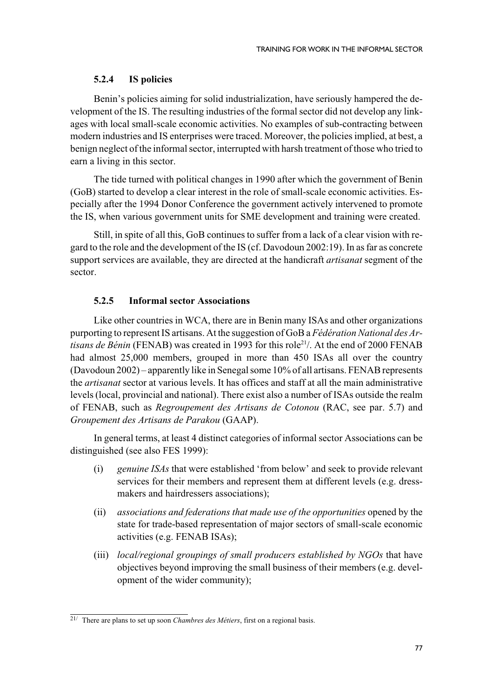#### **5.2.4 IS policies**

Benin's policies aiming for solid industrialization, have seriously hampered the development of the IS. The resulting industries of the formal sector did not develop any linkages with local small-scale economic activities. No examples of sub-contracting between modern industries and IS enterprises were traced. Moreover, the policies implied, at best, a benign neglect of the informal sector, interrupted with harsh treatment of those who tried to earn a living in this sector.

The tide turned with political changes in 1990 after which the government of Benin (GoB) started to develop a clear interest in the role of small-scale economic activities. Especially after the 1994 Donor Conference the government actively intervened to promote the IS, when various government units for SME development and training were created.

Still, in spite of all this, GoB continues to suffer from a lack of a clear vision with regard to the role and the development of the IS (cf. Davodoun 2002:19). In as far as concrete support services are available, they are directed at the handicraft *artisanat* segment of the sector.

#### **5.2.5 Informal sector Associations**

Like other countries in WCA, there are in Benin many ISAs and other organizations purporting to represent IS artisans. At the suggestion of GoB a *Fédération National des Artisans de Bénin* (FENAB) was created in 1993 for this role<sup>21</sup>. At the end of 2000 FENAB had almost 25,000 members, grouped in more than 450 ISAs all over the country (Davodoun 2002) – apparently like in Senegal some 10% of all artisans. FENAB represents the *artisanat* sector at various levels. It has offices and staff at all the main administrative levels (local, provincial and national). There exist also a number of ISAs outside the realm of FENAB, such as *Regroupement des Artisans de Cotonou* (RAC, see par. 5.7) and *Groupement des Artisans de Parakou* (GAAP).

In general terms, at least 4 distinct categories of informal sector Associations can be distinguished (see also FES 1999):

- (i) *genuine ISAs* that were established 'from below' and seek to provide relevant services for their members and represent them at different levels (e.g. dressmakers and hairdressers associations);
- (ii) *associations and federations that made use of the opportunities* opened by the state for trade-based representation of major sectors of small-scale economic activities (e.g. FENAB ISAs);
- (iii) *local/regional groupings of small producers established by NGOs* that have objectives beyond improving the small business of their members (e.g. development of the wider community);

<sup>&</sup>lt;sup>21/</sup> There are plans to set up soon *Chambres des Métiers*, first on a regional basis.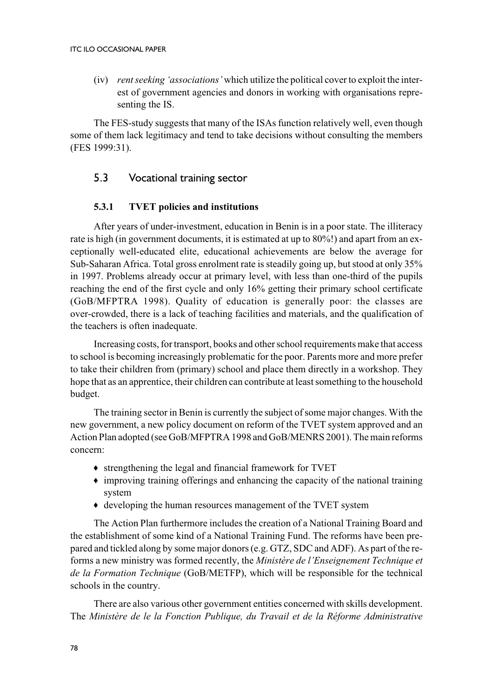(iv) *rent seeking 'associations'* which utilize the political cover to exploit the interest of government agencies and donors in working with organisations representing the IS.

The FES-study suggests that many of the ISAs function relatively well, even though some of them lack legitimacy and tend to take decisions without consulting the members (FES 1999:31).

## 5.3 Vocational training sector

## **5.3.1 TVET policies and institutions**

After years of under-investment, education in Benin is in a poor state. The illiteracy rate is high (in government documents, it is estimated at up to 80%!) and apart from an exceptionally well-educated elite, educational achievements are below the average for Sub-Saharan Africa. Total gross enrolment rate is steadily going up, but stood at only 35% in 1997. Problems already occur at primary level,with less than one-third of the pupils reaching the end of the first cycle and only 16% getting their primary school certificate (GoB/MFPTRA 1998). Quality of education is generally poor: the classes are over-crowded, there is a lack of teaching facilities and materials, and the qualification of the teachers is often inadequate.

Increasing costs, for transport, books and other school requirements make that access to school is becoming increasingly problematic for the poor. Parents more and more prefer to take their children from (primary) school and place them directly in a workshop. They hope that as an apprentice, their children can contribute at least something to the household budget.

The training sector in Benin is currently the subject of some major changes. With the new government,a new policy document on reform of the TVET system approved and an Action Plan adopted (see GoB/MFPTRA 1998 and GoB/MENRS 2001). The main reforms concern:

- strengthening the legal and financial framework for TVET
- improving training offerings and enhancing the capacity of the national training system
- developing the human resources management of the TVET system

The Action Plan furthermore includes the creation of a National Training Board and the establishment of some kind of a National Training Fund. The reforms have been prepared and tickled along by some major donors (e.g. GTZ,SDC and ADF). As part of the reforms a new ministry was formed recently, the *Ministère de l'Enseignement Technique et de la Formation Technique* (GoB/METFP), which will be responsible for the technical schools in the country.

There are also various other government entities concerned with skills development. The *Ministère de le la Fonction Publique, du Travail et de la Réforme Administrative*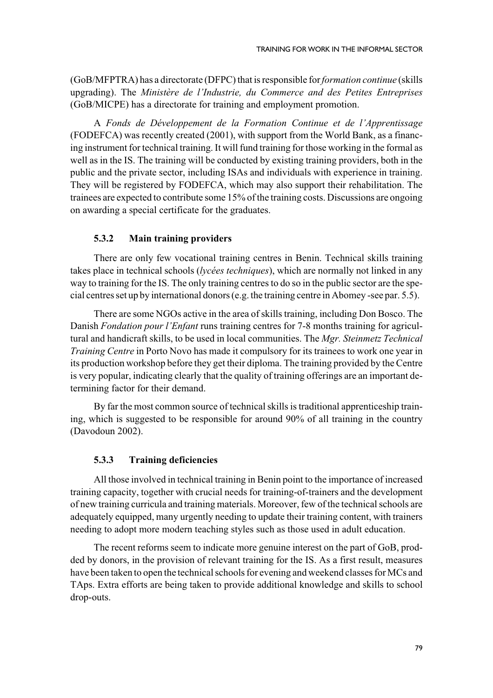(GoB/MFPTRA) has a directorate (DFPC) that is responsible for*formation continue* (skills upgrading). The *Ministère de l'Industrie, du Commerce and des Petites Entreprises* (GoB/MICPE) has a directorate for training and employment promotion.

A *Fonds de Développement de la Formation Continue et de l'Apprentissage*  $(FODEFCA)$  was recently created  $(2001)$ , with support from the World Bank, as a financing instrument for technical training. It will fund training for those working in the formal as well as in the IS. The training will be conducted by existing training providers, both in the public and the private sector, including ISAs and individuals with experience in training. They will be registered by FODEFCA, which may also support their rehabilitation. The trainees are expected to contribute some 15% of the training costs. Discussions are ongoing on awarding a special certificate for the graduates.

## **5.3.2 Main training providers**

There are only few vocational training centres in Benin. Technical skills training takes place in technical schools (*lycées techniques*), which are normally not linked in any way to training for the IS. The only training centres to do so in the public sector are the special centres set up by international donors (e.g. the training centre in Abomey -see par. 5.5).

There are some NGOs active in the area of skills training, including Don Bosco. The Danish *Fondation pour l'Enfant* runs training centres for 7-8 months training for agricultural and handicraft skills, to be used in local communities. The *Mgr. Steinmetz Technical Training Centre* in Porto Novo has made it compulsory for its trainees to work one year in its production workshop before they get their diploma. The training provided by the Centre is very popular, indicating clearly that the quality of training offerings are an important determining factor for their demand.

By far the most common source of technical skills is traditional apprenticeship training, which is suggested to be responsible for around 90% of all training in the country (Davodoun 2002).

#### **5.3.3 Training deficiencies**

All those involved in technical training in Benin point to the importance of increased training capacity, together with crucial needs for training-of-trainers and the development of new training curricula and training materials. Moreover,few of the technical schools are adequately equipped, many urgently needing to update their training content, with trainers needing to adopt more modern teaching styles such as those used in adult education.

The recent reforms seem to indicate more genuine interest on the part of GoB, prodded by donors, in the provision of relevant training for the IS. As a first result, measures have been taken to open the technical schools for evening and weekend classes for MCs and TAps. Extra efforts are being taken to provide additional knowledge and skills to school drop-outs.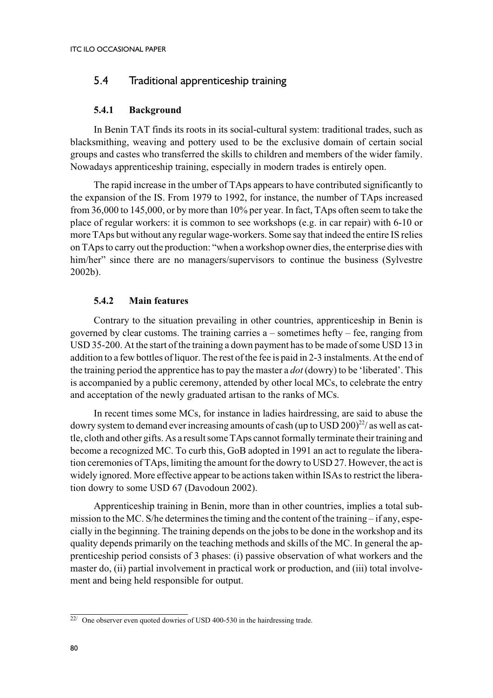# 5.4 Traditional apprenticeship training

#### **5.4.1 Background**

In Benin TAT finds its roots in its social-cultural system: traditional trades, such as blacksmithing,weaving and pottery used to be the exclusive domain of certain social groups and castes who transferred the skills to children and members of the wider family. Nowadays apprenticeship training, especially in modern trades is entirely open.

The rapid increase in the umber of TAps appears to have contributed significantly to the expansion of the IS. From 1979 to 1992, for instance, the number of TAps increased from 36,000 to 145,000, or by more than 10% per year. In fact, TAps often seem to take the place of regular workers: it is common to see workshops (e.g. in car repair) with 6-10 or more TAps but without any regular wage-workers. Some say that indeed the entire IS relies on TAps to carry out the production: "when a workshop owner dies, the enterprise dies with him/her" since there are no managers/supervisors to continue the business (Sylvestre 2002b).

#### **5.4.2 Main features**

Contrary to the situation prevailing in other countries, apprenticeship in Benin is governed by clear customs. The training carries  $a$  – sometimes hefty – fee, ranging from USD 35-200. At the start of the training a down payment has to be made of some USD 13 in addition to a few bottles of liquor. The rest of the fee is paid in 2-3 instalments. At the end of the training period the apprentice has to pay the master a *dot* (dowry) to be 'liberated'. This is accompanied by a public ceremony, attended by other local MCs, to celebrate the entry and acceptation of the newly graduated artisan to the ranks of MCs.

In recent times some MCs, for instance in ladies hairdressing, are said to abuse the dowry system to demand ever increasing amounts of cash (up to USD 200)<sup>22</sup>/ as well as cattle,cloth and other gifts. As a result some TAps cannot formally terminate their training and become a recognized MC. To curb this, GoB adopted in 1991 an act to regulate the liberation ceremonies of TAps, limiting the amount for the dowry to USD 27. However, the act is widely ignored. More effective appear to be actions taken within ISAs to restrict the liberation dowry to some USD 67 (Davodoun 2002).

Apprenticeship training in Benin, more than in other countries, implies a total submission to the MC. S/he determines the timing and the content of the training  $-i$  f any, especially in the beginning. The training depends on the jobs to be done in the workshop and its quality depends primarily on the teaching methods and skills of the MC. In general the apprenticeship period consists of 3 phases: (i) passive observation of what workers and the master do, (ii) partial involvement in practical work or production, and (iii) total involvement and being held responsible for output.

 $22/$  One observer even quoted dowries of USD 400-530 in the hairdressing trade.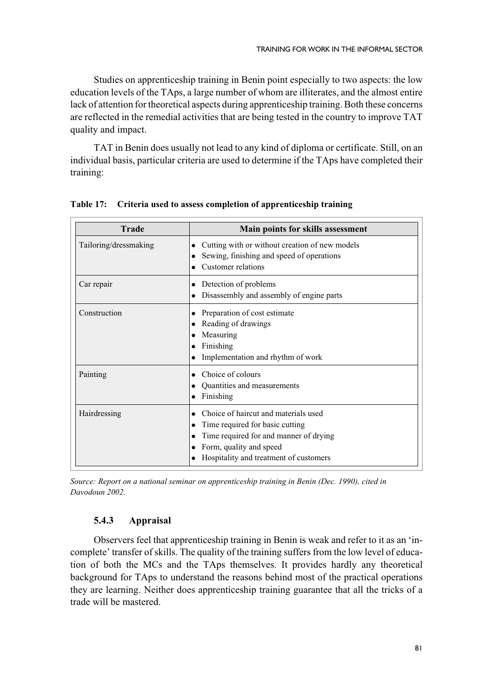Studies on apprenticeship training in Benin point especially to two aspects: the low education levels of the TAps, a large number of whom are illiterates, and the almost entire lack of attention for theoretical aspects during apprenticeship training. Both these concerns are reflected in the remedial activities that are being tested in the country to improve TAT quality and impact.

TAT in Benin does usually not lead to any kind of diploma or certificate. Still, on an individual basis, particular criteria are used to determine if the TAps have completed their training:

| <b>Trade</b>          | Main points for skills assessment                                                                                                                                                      |
|-----------------------|----------------------------------------------------------------------------------------------------------------------------------------------------------------------------------------|
| Tailoring/dressmaking | Cutting with or without creation of new models<br>Sewing, finishing and speed of operations<br><b>Customer relations</b>                                                               |
| Car repair            | Detection of problems<br>Disassembly and assembly of engine parts                                                                                                                      |
| Construction          | Preparation of cost estimate<br>Reading of drawings<br>Measuring<br>Finishing<br>Implementation and rhythm of work                                                                     |
| Painting              | Choice of colours<br>Quantities and measurements<br>Finishing                                                                                                                          |
| Hairdressing          | Choice of haircut and materials used<br>Time required for basic cutting<br>Time required for and manner of drying<br>Form, quality and speed<br>Hospitality and treatment of customers |

**Table 17: Criteria used to assess completion of apprenticeship training**

*Source: Report on a national seminar on apprenticeship training in Benin (Dec. 1990), cited in Davodoun 2002.*

## **5.4.3 Appraisal**

Observers feel that apprenticeship training in Benin is weak and refer to it as an 'incomplete' transfer of skills. The quality of the training suffers from the low level of education of both the MCs and the TAps themselves. It provides hardly any theoretical background for TAps to understand the reasons behind most of the practical operations they are learning. Neither does apprenticeship training guarantee that all the tricks of a trade will be mastered.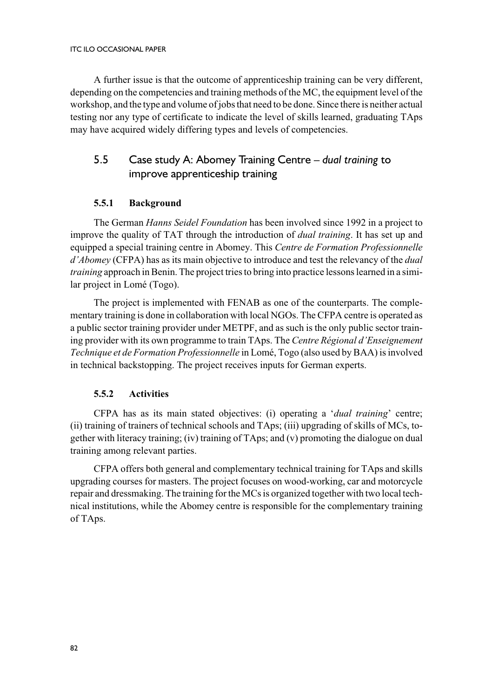A further issue is that the outcome of apprenticeship training can be very different, depending on the competencies and training methods of the MC, the equipment level of the workshop,and the type and volume of jobs that need to be done. Since there is neither actual testing nor any type of certificate to indicate the level of skills learned, graduating TAps may have acquired widely differing types and levels of competencies.

# 5.5 Case study A: Abomey Training Centre – *dual training* to improve apprenticeship training

## **5.5.1 Background**

The German *Hanns Seidel Foundation* has been involved since 1992 in a project to improve the quality of TAT through the introduction of *dual training*. It has set up and equipped a special training centre in Abomey. This *Centre de Formation Professionnelle d'Abomey* (CFPA) has as its main objective to introduce and test the relevancy of the *dual training* approach in Benin. The project tries to bring into practice lessons learned in a similar project in Lomé (Togo).

The project is implemented with FENAB as one of the counterparts. The complementary training is done in collaboration with local NGOs. The CFPA centre is operated as a public sector training provider under METPF, and as such is the only public sector training provider with its own programme to train TAps. The *Centre Régional d'Enseignement Technique et de Formation Professionnelle* in Lomé,Togo (also used by BAA) is involved in technical backstopping. The project receives inputs for German experts.

## **5.5.2 Activities**

CFPA has as its main stated objectives: (i) operating a '*dual training*' centre; (ii) training of trainers of technical schools and TAps; (iii) upgrading of skills of MCs,together with literacy training; (iv) training of TAps; and (v) promoting the dialogue on dual training among relevant parties.

CFPA offers both general and complementary technical training for TAps and skills upgrading courses for masters. The project focuses on wood-working, car and motorcycle repair and dressmaking. The training for the MCs is organized together with two local technical institutions,while the Abomey centre is responsible for the complementary training of TAps.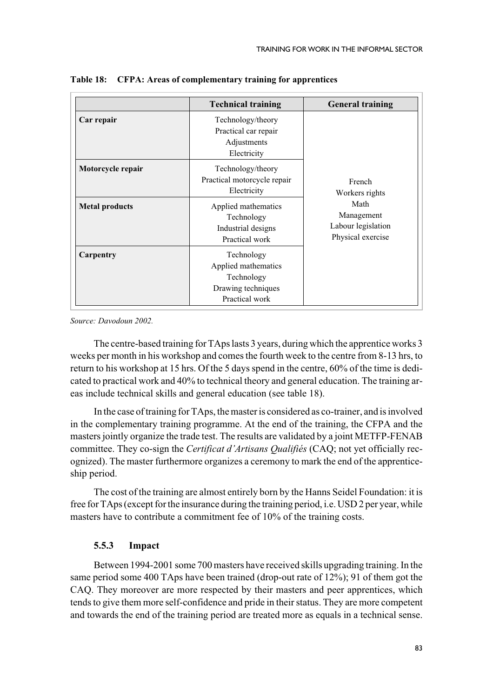|                                            | <b>Technical training</b>                                                                                                                    | <b>General training</b>                                                                   |
|--------------------------------------------|----------------------------------------------------------------------------------------------------------------------------------------------|-------------------------------------------------------------------------------------------|
| Car repair                                 | Technology/theory<br>Practical car repair<br>Adjustments<br>Electricity                                                                      |                                                                                           |
| Motorcycle repair<br><b>Metal products</b> | Technology/theory<br>Practical motorcycle repair<br>Electricity<br>Applied mathematics<br>Technology<br>Industrial designs<br>Practical work | French<br>Workers rights<br>Math<br>Management<br>Labour legislation<br>Physical exercise |
| Carpentry                                  | Technology<br>Applied mathematics<br>Technology<br>Drawing techniques<br>Practical work                                                      |                                                                                           |

**Table 18: CFPA: Areas of complementary training for apprentices**

*Source: Davodoun 2002.*

The centre-based training for TAps lasts 3 years, during which the apprentice works 3 weeks per month in his workshop and comes the fourth week to the centre from 8-13 hrs,to return to his workshop at 15 hrs. Of the 5 days spend in the centre, 60% of the time is dedicated to practical work and 40% to technical theory and general education. The training areas include technical skills and general education (see table 18).

In the case of training for TAps, the master is considered as co-trainer, and is involved in the complementary training programme. At the end of the training, the CFPA and the masters jointly organize the trade test. The results are validated by a joint METFP-FENAB committee. They co-sign the *Certificat d'Artisans Qualifiés* (CAQ; not yet officially recognized). The master furthermore organizes a ceremony to mark the end of the apprenticeship period.

The cost of the training are almost entirely born by the Hanns Seidel Foundation: it is free for TAps (except for the insurance during the training period, i.e. USD 2 per year, while masters have to contribute a commitment fee of 10% of the training costs.

## **5.5.3 Impact**

Between 1994-2001 some 700 masters have received skills upgrading training. In the same period some 400 TAps have been trained (drop-out rate of 12%); 91 of them got the CAQ. They moreover are more respected by their masters and peer apprentices, which tends to give them more self-confidence and pride in their status. They are more competent and towards the end of the training period are treated more as equals in a technical sense.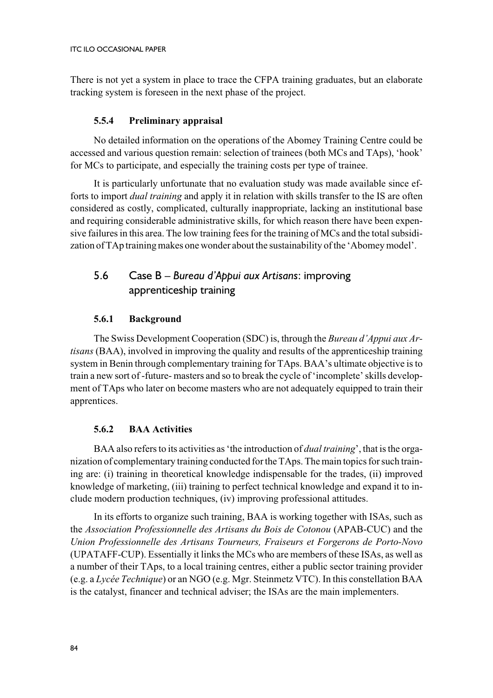There is not yet a system in place to trace the CFPA training graduates, but an elaborate tracking system is foreseen in the next phase of the project.

## **5.5.4 Preliminary appraisal**

No detailed information on the operations of the Abomey Training Centre could be accessed and various question remain: selection of trainees (both MCs and TAps),'hook' for MCs to participate, and especially the training costs per type of trainee.

It is particularly unfortunate that no evaluation study was made available since efforts to import *dual training* and apply it in relation with skills transfer to the IS are often considered as costly, complicated, culturally inappropriate, lacking an institutional base and requiring considerable administrative skills, for which reason there have been expensive failures in this area. The low training fees for the training of MCs and the total subsidization of TAp training makes one wonder about the sustainability of the 'Abomey model'.

# 5.6 Case B – *Bureau d'Appui aux Artisans*: improving apprenticeship training

## **5.6.1 Background**

The Swiss Development Cooperation (SDC) is, through the *Bureau d'Appui aux Artisans* (BAA), involved in improving the quality and results of the apprenticeship training system in Benin through complementary training for TAps. BAA's ultimate objective is to train a new sort of -future- masters and so to break the cycle of 'incomplete' skills development of TAps who later on become masters who are not adequately equipped to train their apprentices.

## **5.6.2 BAA Activities**

BAA also refers to its activities as 'the introduction of *dual training*', that is the organization of complementary training conducted for the TAps. The main topics for such training are: (i) training in theoretical knowledge indispensable for the trades,(ii) improved knowledge of marketing,(iii) training to perfect technical knowledge and expand it to include modern production techniques,(iv) improving professional attitudes.

In its efforts to organize such training, BAA is working together with ISAs, such as the *Association Professionnelle des Artisans du Bois de Cotonou* (APAB-CUC) and the *Union Professionnelle des Artisans Tourneurs, Fraiseurs et Forgerons de Porto-Novo* (UPATAFF-CUP). Essentially it links the MCs who are members of these ISAs,as well as a number of their TAps, to a local training centres, either a public sector training provider (e.g. a *Lycée Technique*) or an NGO (e.g. Mgr. Steinmetz VTC). In this constellation BAA is the catalyst, financer and technical adviser; the ISAs are the main implementers.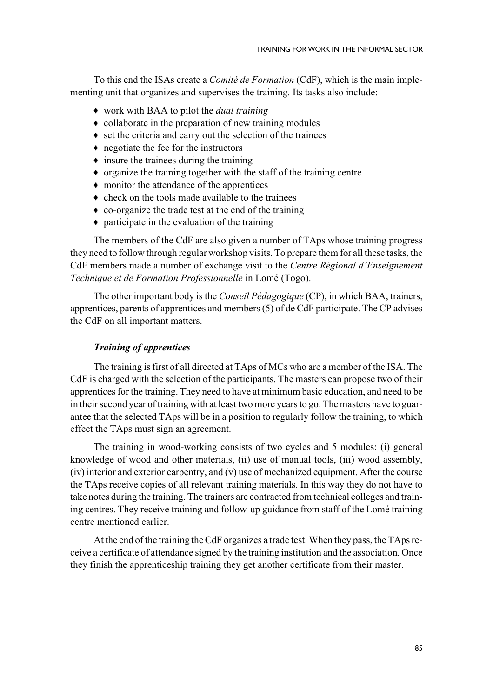To this end the ISAs create a *Comité de Formation* (CdF), which is the main implementing unit that organizes and supervises the training. Its tasks also include:

- work with BAA to pilot the *dual training*
- $\bullet$  collaborate in the preparation of new training modules
- $\bullet$  set the criteria and carry out the selection of the trainees
- negotiate the fee for the instructors
- $\bullet$  insure the trainees during the training
- $\bullet$  organize the training together with the staff of the training centre
- monitor the attendance of the apprentices
- $\bullet$  check on the tools made available to the trainees
- co-organize the trade test at the end of the training
- $\bullet$  participate in the evaluation of the training

The members of the CdF are also given a number of TAps whose training progress they need to follow through regular workshop visits. To prepare them for all these tasks, the CdF members made a number of exchange visit to the *Centre Régional d'Enseignement Technique et de Formation Professionnelle* in Lomé (Togo).

The other important body is the *Conseil Pédagogique* (CP), in which BAA, trainers, apprentices, parents of apprentices and members  $(5)$  of de CdF participate. The CP advises the CdF on all important matters.

#### *Training of apprentices*

The training is first of all directed at TAps of MCs who are a member of the ISA. The CdF is charged with the selection of the participants. The masters can propose two of their apprentices for the training. They need to have at minimum basic education, and need to be in their second year of training with at least two more years to go. The masters have to guarantee that the selected TAps will be in a position to regularly follow the training, to which effect the TAps must sign an agreement.

The training in wood-working consists of two cycles and 5 modules: (i) general knowledge of wood and other materials, (ii) use of manual tools, (iii) wood assembly,  $(iv)$  interior and exterior carpentry, and  $(v)$  use of mechanized equipment. After the course the TAps receive copies of all relevant training materials. In this way they do not have to take notes during the training. The trainers are contracted from technical colleges and training centres. They receive training and follow-up guidance from staff of the Lomé training centre mentioned earlier.

At the end of the training the CdF organizes a trade test. When they pass, the TAps receive a certificate of attendance signed by the training institution and the association. Once they finish the apprenticeship training they get another certificate from their master.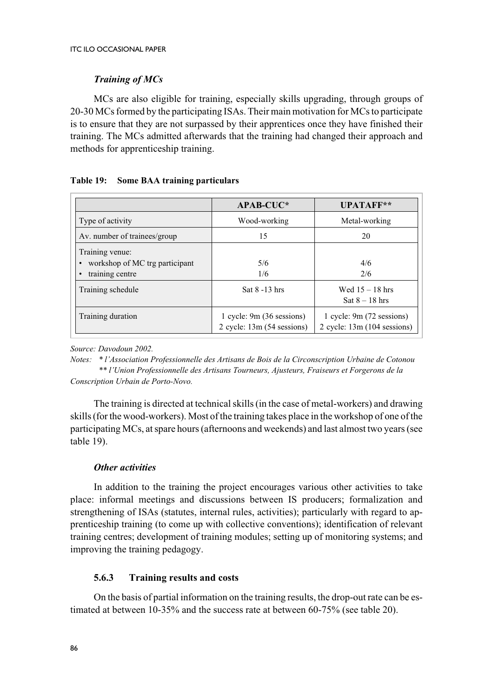## *Training of MCs*

MCs are also eligible for training, especially skills upgrading, through groups of 20-30 MCs formed by the participating ISAs. Their main motivation for MCs to participate is to ensure that they are not surpassed by their apprentices once they have finished their training. The MCs admitted afterwards that the training had changed their approach and methods for apprenticeship training.

#### **Table 19: Some BAA training particulars**

|                                             | APAB-CUC*                  | UPATAFF**                      |
|---------------------------------------------|----------------------------|--------------------------------|
| Type of activity                            | Wood-working               | Metal-working                  |
| Av. number of trainees/group                | 15                         | 20                             |
| Training venue:                             |                            |                                |
| workshop of MC trg participant<br>$\bullet$ | 5/6                        | 4/6                            |
| training centre                             | 1/6                        | 2/6                            |
| Training schedule                           | Sat $8-13$ hrs             | Wed $15 - 18$ hrs              |
|                                             |                            | $Sat 8 - 18$ hrs               |
| Training duration                           | 1 cycle: $9m(36$ sessions) | 1 cycle: $9m(72$ sessions)     |
|                                             | 2 cycle: 13m (54 sessions) | $2$ cycle: $13m(104$ sessions) |

#### *Source: Davodoun 2002.*

*Notes: \* l'Association Professionnelle des Artisans de Bois de la Circonscription Urbaine de Cotonou*

*\*\* l'Union Professionnelle des Artisans Tourneurs, Ajusteurs, Fraiseurs et Forgerons de la Conscription Urbain de Porto-Novo.*

The training is directed at technical skills (in the case of metal-workers) and drawing skills (for the wood-workers). Most of the training takes place in the workshop of one of the participating MCs, at spare hours (afternoons and weekends) and last almost two years (see table 19).

## *Other activities*

In addition to the training the project encourages various other activities to take place: informal meetings and discussions between IS producers; formalization and strengthening of ISAs (statutes, internal rules, activities); particularly with regard to apprenticeship training (to come up with collective conventions); identification of relevant training centres; development of training modules; setting up of monitoring systems; and improving the training pedagogy.

## **5.6.3 Training results and costs**

On the basis of partial information on the training results, the drop-out rate can be estimated at between 10-35% and the success rate at between 60-75% (see table 20).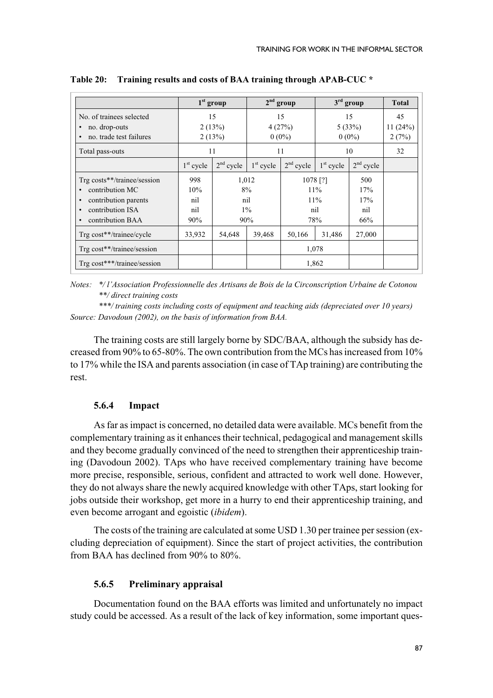|                             |             | $1st$ group |             | $2nd$ group |             | $3rd$ group | <b>Total</b> |
|-----------------------------|-------------|-------------|-------------|-------------|-------------|-------------|--------------|
| No. of trainees selected    |             | 15          |             | 15          |             | 15          | 45           |
| no. drop-outs               |             | 2(13%)      |             | 4(27%)      |             | 5(33%)      | 11(24%)      |
| no. trade test failures     |             | 2(13%)      |             | $0(0\%)$    |             | $0(0\%)$    | 2(7%)        |
| Total pass-outs             |             | 11          |             | 11          |             | 10          | 32           |
|                             | $1st$ cycle | $2nd$ cycle | $1st$ cycle | $2nd$ cycle | $1st$ cycle | $2nd$ cycle |              |
| Trg costs**/trainee/session | 998         | 1,012       |             | 1078 [?]    |             | 500         |              |
| contribution MC             | 10%         |             | 8%          |             | $11\%$      | 17%         |              |
| contribution parents        | nil         | nil         |             |             | $11\%$      | 17%         |              |
| contribution ISA            | nil         |             | $1\%$       | nil         |             | nil         |              |
| contribution BAA            | 90%         |             | 90%         |             | 78%         | 66%         |              |
| Trg cost**/trainee/cycle    | 33,932      | 54,648      | 39,468      | 50,166      | 31,486      | 27,000      |              |
| Trg cost**/trainee/session  |             |             |             |             | 1,078       |             |              |
| Trg cost***/trainee/session |             |             |             |             | 1,862       |             |              |

**Table 20: Training results and costs of BAA training through APAB-CUC \***

*Notes: \*/ l'Association Professionnelle des Artisans de Bois de la Circonscription Urbaine de Cotonou \*\*/ direct training costs*

*\*\*\*/ training costs including costs of equipment and teaching aids (depreciated over 10 years) Source: Davodoun (2002), on the basis of information from BAA.*

The training costs are still largely borne by SDC/BAA, although the subsidy has decreased from 90% to 65-80%. The own contribution from the MCs has increased from 10% to 17% while the ISA and parents association (in case of TAp training) are contributing the rest.

#### **5.6.4 Impact**

As far as impact is concerned, no detailed data were available. MCs benefit from the complementary training as it enhances their technical, pedagogical and management skills and they become gradually convinced of the need to strengthen their apprenticeship training (Davodoun 2002). TAps who have received complementary training have become more precise, responsible, serious, confident and attracted to work well done. However, they do not always share the newly acquired knowledge with other TAps, start looking for jobs outside their workshop, get more in a hurry to end their apprenticeship training, and even become arrogant and egoistic (*ibidem*).

The costs of the training are calculated at some USD 1.30 per trainee per session (excluding depreciation of equipment). Since the start of project activities, the contribution from BAA has declined from 90% to 80%.

#### **5.6.5 Preliminary appraisal**

Documentation found on the BAA efforts was limited and unfortunately no impact study could be accessed. As a result of the lack of key information, some important ques-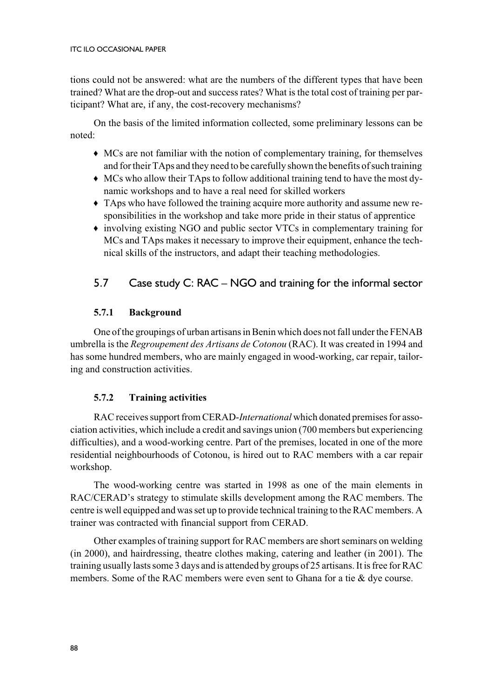#### ITC ILO OCCASIONAL PAPER

tions could not be answered: what are the numbers of the different types that have been trained? What are the drop-out and success rates? What is the total cost of training per participant? What are, if any, the cost-recovery mechanisms?

On the basis of the limited information collected, some preliminary lessons can be noted:

- $\triangleleft$  MCs are not familiar with the notion of complementary training, for themselves and for their TAps and they need to be carefully shown the benefits of such training
- MCs who allow their TAps to follow additional training tend to have the most dynamic workshops and to have a real need for skilled workers
- TAps who have followed the training acquire more authority and assume new responsibilities in the workshop and take more pride in their status of apprentice
- involving existing NGO and public sector VTCs in complementary training for MCs and TAps makes it necessary to improve their equipment, enhance the technical skills of the instructors, and adapt their teaching methodologies.

# 5.7 Case study C: RAC – NGO and training for the informal sector

## **5.7.1 Background**

One of the groupings of urban artisans in Benin which does not fall under the FENAB umbrella is the *Regroupement des Artisans de Cotonou* (RAC). It was created in 1994 and has some hundred members, who are mainly engaged in wood-working, car repair, tailoring and construction activities.

## **5.7.2 Training activities**

RAC receives support from CERAD-*International* which donated premises for association activities,which include a credit and savings union (700 members but experiencing difficulties), and a wood-working centre. Part of the premises, located in one of the more residential neighbourhoods of Cotonou, is hired out to RAC members with a car repair workshop.

The wood-working centre was started in 1998 as one of the main elements in RAC/CERAD's strategy to stimulate skills development among the RAC members. The centre is well equipped and was set up to provide technical training to the RAC members. A trainer was contracted with financial support from CERAD.

Other examples of training support for RAC members are short seminars on welding  $(in 2000)$ , and hairdressing, theatre clothes making, catering and leather  $(in 2001)$ . The training usually lasts some 3 days and is attended by groups of 25 artisans. It is free for RAC members. Some of the RAC members were even sent to Ghana for a tie & dye course.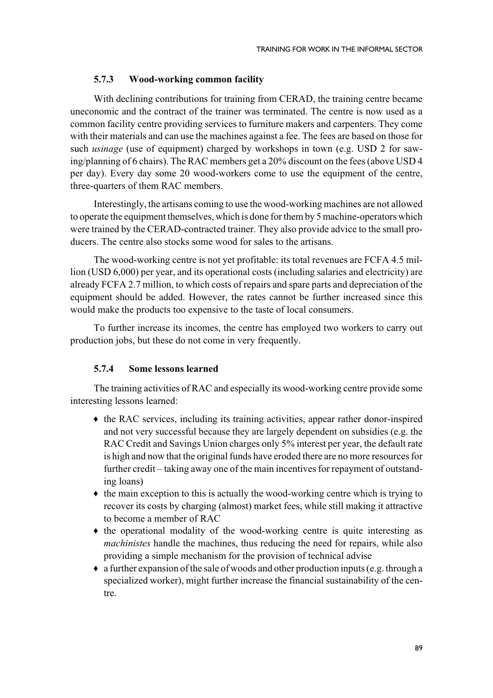#### **5.7.3 Wood-working common facility**

With declining contributions for training from CERAD, the training centre became uneconomic and the contract of the trainer was terminated. The centre is now used as a common facility centre providing services to furniture makers and carpenters. They come with their materials and can use the machines against a fee. The fees are based on those for such *usinage* (use of equipment) charged by workshops in town (e.g. USD 2 for sawing/planning of 6 chairs). The RAC members get a 20% discount on the fees (above USD 4 per day). Every day some 20 wood-workers come to use the equipment of the centre, three-quarters of them RAC members.

Interestingly, the artisans coming to use the wood-working machines are not allowed to operate the equipment themselves, which is done for them by 5 machine-operators which were trained by the CERAD-contracted trainer. They also provide advice to the small producers. The centre also stocks some wood for sales to the artisans.

The wood-working centre is not yet profitable: its total revenues are FCFA 4.5 million (USD 6,000) per year, and its operational costs (including salaries and electricity) are already FCFA 2.7 million, to which costs of repairs and spare parts and depreciation of the equipment should be added. However, the rates cannot be further increased since this would make the products too expensive to the taste of local consumers.

To further increase its incomes, the centre has employed two workers to carry out production jobs, but these do not come in very frequently.

## **5.7.4 Some lessons learned**

The training activities of RAC and especially its wood-working centre provide some interesting lessons learned:

- $\bullet$  the RAC services, including its training activities, appear rather donor-inspired and not very successful because they are largely dependent on subsidies (e.g. the RAC Credit and Savings Union charges only 5% interest per year, the default rate is high and now that the original funds have eroded there are no more resources for further credit – taking away one of the main incentives for repayment of outstanding loans)
- $\bullet$  the main exception to this is actually the wood-working centre which is trying to recover its costs by charging (almost) market fees, while still making it attractive to become a member of RAC
- $\bullet$  the operational modality of the wood-working centre is quite interesting as *machinistes* handle the machines, thus reducing the need for repairs, while also providing a simple mechanism for the provision of technical advise
- $\bullet$  a further expansion of the sale of woods and other production inputs (e.g. through a specialized worker), might further increase the financial sustainability of the centre.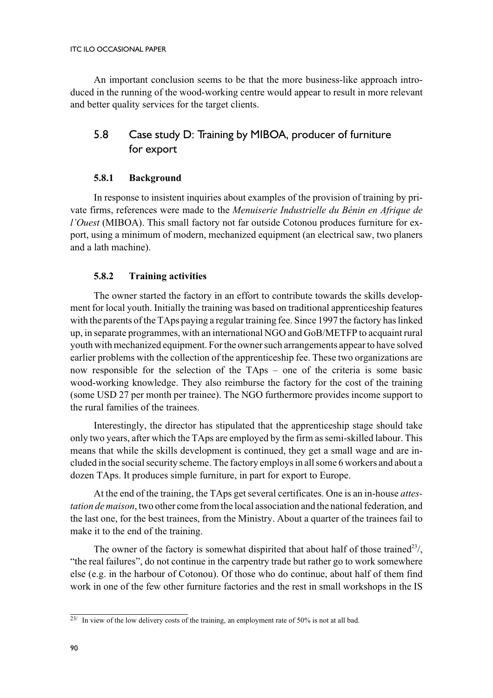An important conclusion seems to be that the more business-like approach introduced in the running of the wood-working centre would appear to result in more relevant and better quality services for the target clients.

# 5.8 Case study D: Training by MIBOA, producer of furniture for export

## **5.8.1 Background**

In response to insistent inquiries about examples of the provision of training by private firms, references were made to the *Menuiserie Industrielle du Bénin en Afrique de l'Ouest* (MIBOA). This small factory not far outside Cotonou produces furniture for export, using a minimum of modern, mechanized equipment (an electrical saw, two planers and a lath machine).

#### **5.8.2 Training activities**

The owner started the factory in an effort to contribute towards the skills development for local youth. Initially the training was based on traditional apprenticeship features with the parents of the TAps paying a regular training fee. Since 1997 the factory has linked up, in separate programmes, with an international NGO and GoB/METFP to acquaint rural youth with mechanized equipment. For the owner such arrangements appear to have solved earlier problems with the collection of the apprenticeship fee. These two organizations are now responsible for the selection of the TAps – one of the criteria is some basic wood-working knowledge. They also reimburse the factory for the cost of the training (some USD 27 per month per trainee). The NGO furthermore provides income support to the rural families of the trainees.

Interestingly, the director has stipulated that the apprenticeship stage should take only two years,after which the TAps are employed by the firm as semi-skilled labour. This means that while the skills development is continued, they get a small wage and are included in the social security scheme. The factory employs in all some 6 workers and about a dozen TAps. It produces simple furniture, in part for export to Europe.

At the end of the training, the TAps get several certificates. One is an in-house *attestation de maison*, two other come from the local association and the national federation, and the last one, for the best trainees, from the Ministry. About a quarter of the trainees fail to make it to the end of the training.

The owner of the factory is somewhat dispirited that about half of those trained<sup>23</sup>/, "the real failures", do not continue in the carpentry trade but rather go to work somewhere else (e.g. in the harbour of Cotonou). Of those who do continue, about half of them find work in one of the few other furniture factories and the rest in small workshops in the IS

 $23/$  In view of the low delivery costs of the training, an employment rate of 50% is not at all bad.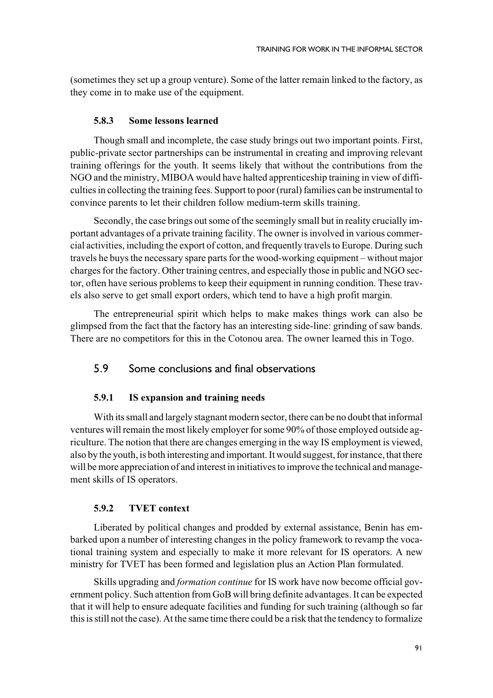(sometimes they set up a group venture). Some of the latter remain linked to the factory, as they come in to make use of the equipment.

#### **5.8.3 Some lessons learned**

Though small and incomplete, the case study brings out two important points. First, public-private sector partnerships can be instrumental in creating and improving relevant training offerings for the youth. It seems likely that without the contributions from the NGO and the ministry, MIBOA would have halted apprenticeship training in view of difficulties in collecting the training fees. Support to poor (rural) families can be instrumental to convince parents to let their children follow medium-term skills training.

Secondly, the case brings out some of the seemingly small but in reality crucially important advantages of a private training facility. The owner is involved in various commercial activities, including the export of cotton, and frequently travels to Europe. During such travels he buys the necessary spare parts for the wood-working equipment – without major charges for the factory. Other training centres, and especially those in public and NGO sector, often have serious problems to keep their equipment in running condition. These travels also serve to get small export orders, which tend to have a high profit margin.

The entrepreneurial spirit which helps to make makes things work can also be glimpsed from the fact that the factory has an interesting side-line: grinding of saw bands. There are no competitors for this in the Cotonou area. The owner learned this in Togo.

## 5.9 Some conclusions and final observations

## **5.9.1 IS expansion and training needs**

With its small and largely stagnant modern sector, there can be no doubt that informal ventures will remain the most likely employer for some 90% of those employed outside agriculture. The notion that there are changes emerging in the way IS employment is viewed, also by the youth, is both interesting and important. It would suggest, for instance, that there will be more appreciation of and interest in initiatives to improve the technical and management skills of IS operators.

#### **5.9.2 TVET context**

Liberated by political changes and prodded by external assistance, Benin has embarked upon a number of interesting changes in the policy framework to revamp the vocational training system and especially to make it more relevant for IS operators. A new ministry for TVET has been formed and legislation plus an Action Plan formulated.

Skills upgrading and *formation continue* for IS work have now become official government policy. Such attention from GoB will bring definite advantages. It can be expected that it will help to ensure adequate facilities and funding for such training (although so far this is still not the case). At the same time there could be a risk that the tendency to formalize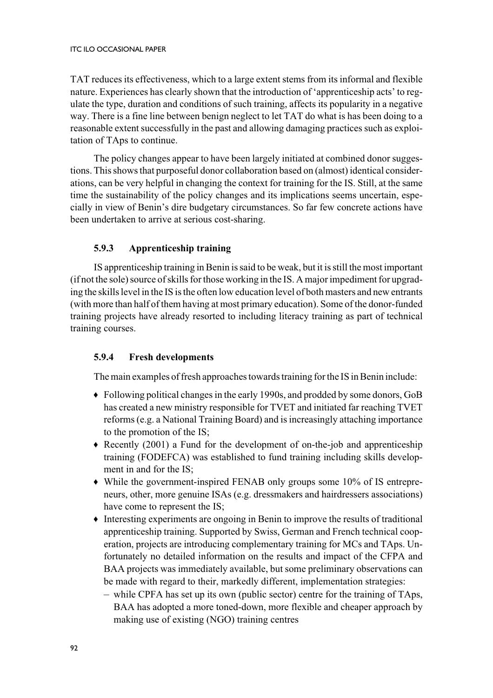TAT reduces its effectiveness, which to a large extent stems from its informal and flexible nature. Experiences has clearly shown that the introduction of 'apprenticeship acts' to regulate the type, duration and conditions of such training, affects its popularity in a negative way. There is a fine line between benign neglect to let TAT do what is has been doing to a reasonable extent successfully in the past and allowing damaging practices such as exploitation of TAps to continue.

The policy changes appear to have been largely initiated at combined donor suggestions. This shows that purposeful donor collaboration based on (almost) identical considerations, can be very helpful in changing the context for training for the IS. Still, at the same time the sustainability of the policy changes and its implications seems uncertain, especially in view of Benin's dire budgetary circumstances. So far few concrete actions have been undertaken to arrive at serious cost-sharing.

## **5.9.3 Apprenticeship training**

IS apprenticeship training in Benin is said to be weak, but it is still the most important (if not the sole) source of skills for those working in the IS. A major impediment for upgrading the skills level in the IS is the often low education level of both masters and new entrants (with more than half of them having at most primary education). Some of the donor-funded training projects have already resorted to including literacy training as part of technical training courses.

## **5.9.4 Fresh developments**

The main examples of fresh approaches towards training for the IS in Benin include:

- $\bullet$  Following political changes in the early 1990s, and prodded by some donors, GoB has created a new ministry responsible for TVET and initiated far reaching TVET reforms (e.g. a National Training Board) and is increasingly attaching importance to the promotion of the IS;
- Recently (2001) a Fund for the development of on-the-job and apprenticeship training (FODEFCA) was established to fund training including skills development in and for the IS;
- While the government-inspired FENAB only groups some 10% of IS entrepreneurs, other, more genuine ISAs (e.g. dressmakers and hairdressers associations) have come to represent the IS;
- $\bullet$  Interesting experiments are ongoing in Benin to improve the results of traditional apprenticeship training. Supported by Swiss,German and French technical cooperation, projects are introducing complementary training for MCs and TAps. Unfortunately no detailed information on the results and impact of the CFPA and BAA projects was immediately available, but some preliminary observations can be made with regard to their, markedly different, implementation strategies:
	- while CPFA has set up its own (public sector) centre for the training of TAps, BAA has adopted a more toned-down, more flexible and cheaper approach by making use of existing (NGO) training centres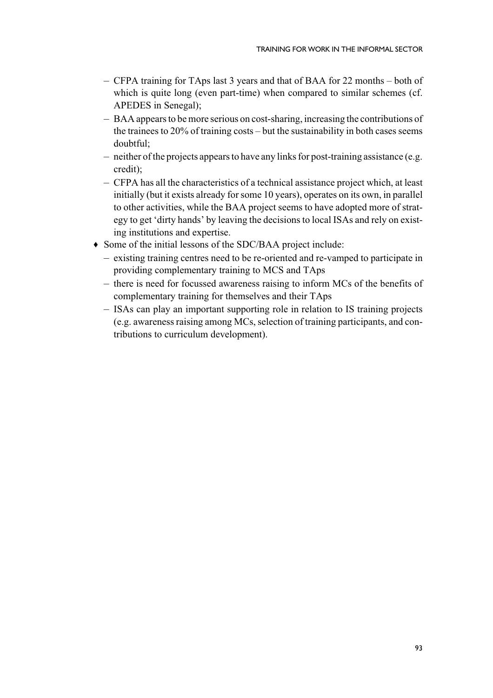- CFPA training for TAps last 3 years and that of BAA for 22 months both of which is quite long (even part-time) when compared to similar schemes (cf. APEDES in Senegal);
- BAA appears to be more serious on cost-sharing,increasing the contributions of the trainees to 20% of training costs – but the sustainability in both cases seems doubtful;
- neither of the projects appears to have any links for post-training assistance (e.g. credit);
- CFPA has all the characteristics of a technical assistance project which,at least initially (but it exists already for some 10 years), operates on its own, in parallel to other activities, while the BAA project seems to have adopted more of strategy to get 'dirty hands' by leaving the decisions to local ISAs and rely on existing institutions and expertise.
- Some of the initial lessons of the SDC/BAA project include:
	- existing training centres need to be re-oriented and re-vamped to participate in providing complementary training to MCS and TAps
	- there is need for focussed awareness raising to inform MCs of the benefits of complementary training for themselves and their TAps
	- ISAs can play an important supporting role in relation to IS training projects (e.g. awareness raising among MCs, selection of training participants, and contributions to curriculum development).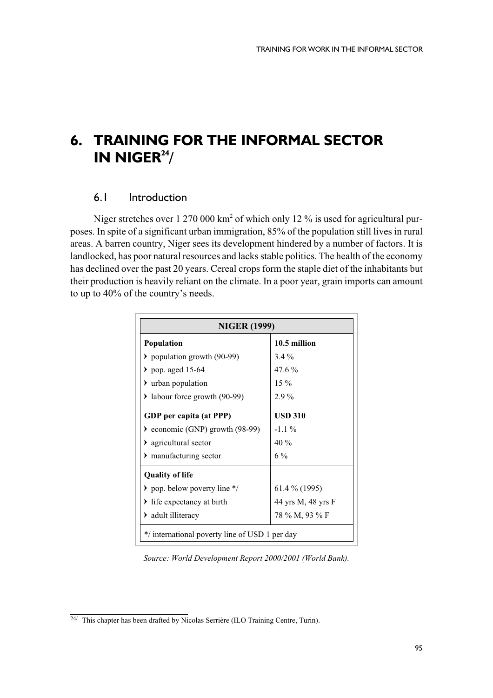# **6. TRAINING FOR THE INFORMAL SECTOR IN NIGER24/**

# 6.1 Introduction

Niger stretches over 1 270 000 km<sup>2</sup> of which only 12 % is used for agricultural purposes. In spite of a significant urban immigration,85% of the population still lives in rural areas. A barren country, Niger sees its development hindered by a number of factors. It is landlocked, has poor natural resources and lacks stable politics. The health of the economy has declined over the past 20 years. Cereal crops form the staple diet of the inhabitants but their production is heavily reliant on the climate. In a poor year, grain imports can amount to up to 40% of the country's needs.

| <b>NIGER (1999)</b>                               |                    |  |  |  |
|---------------------------------------------------|--------------------|--|--|--|
| Population                                        | 10.5 million       |  |  |  |
| population growth $(90-99)$                       | $3.4\%$            |  |  |  |
| $\rightarrow$ pop. aged 15-64                     | $47.6\%$           |  |  |  |
| $\rightarrow$ urban population                    | $15\%$             |  |  |  |
| $\blacktriangleright$ labour force growth (90-99) | $2.9\%$            |  |  |  |
| GDP per capita (at PPP)                           | <b>USD 310</b>     |  |  |  |
| $\rightarrow$ economic (GNP) growth (98-99)       | $-1.1\%$           |  |  |  |
| $\rightarrow$ agricultural sector                 | 40 $\%$            |  |  |  |
| manufacturing sector                              | $6\%$              |  |  |  |
| <b>Quality of life</b>                            |                    |  |  |  |
| $\rightarrow$ pop. below poverty line */          | 61.4 % (1995)      |  |  |  |
| $\triangleright$ life expectancy at birth         | 44 yrs M, 48 yrs F |  |  |  |
| $\triangleright$ adult illiteracy                 | 78 % M, 93 % F     |  |  |  |
| */ international poverty line of USD 1 per day    |                    |  |  |  |

*Source: World Development Report 2000/2001 (World Bank).*

 $24$ / This chapter has been drafted by Nicolas Serrière (ILO Training Centre, Turin).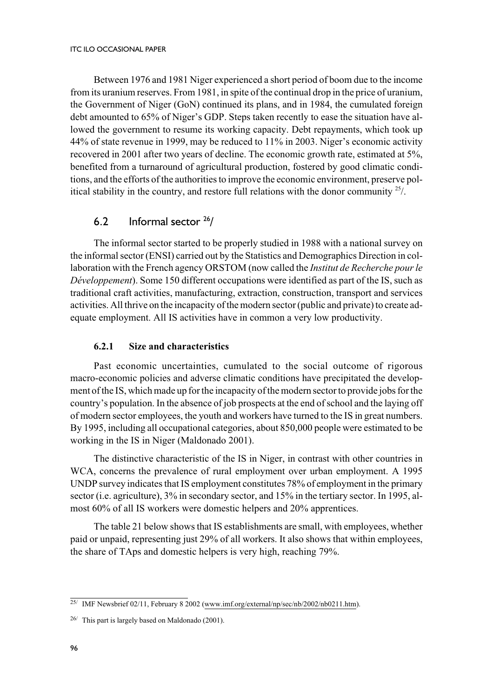Between 1976 and 1981 Niger experienced a short period of boom due to the income from its uranium reserves. From 1981, in spite of the continual drop in the price of uranium, the Government of Niger  $(GoN)$  continued its plans, and in 1984, the cumulated foreign debt amounted to 65% of Niger's GDP. Steps taken recently to ease the situation have allowed the government to resume its working capacity. Debt repayments, which took up 44% of state revenue in 1999,may be reduced to 11% in 2003. Niger's economic activity recovered in 2001 after two years of decline. The economic growth rate, estimated at 5%, benefited from a turnaround of agricultural production, fostered by good climatic conditions, and the efforts of the authorities to improve the economic environment, preserve political stability in the country, and restore full relations with the donor community  $25/$ .

# 6.2 Informal sector 26/

The informal sector started to be properly studied in 1988 with a national survey on the informal sector (ENSI) carried out by the Statistics and Demographics Direction in collaboration with the French agency ORSTOM (now called the *Institut de Recherche pour le Développement*). Some 150 different occupations were identified as part of the IS, such as traditional craft activities, manufacturing, extraction, construction, transport and services activities. All thrive on the incapacity of the modern sector (public and private) to create adequate employment. All IS activities have in common a very low productivity.

## **6.2.1 Size and characteristics**

Past economic uncertainties, cumulated to the social outcome of rigorous macro-economic policies and adverse climatic conditions have precipitated the development of the IS,which made up for the incapacity of the modern sector to provide jobs for the country's population. In the absence of job prospects at the end of school and the laying off of modern sector employees, the youth and workers have turned to the IS in great numbers. By 1995, including all occupational categories, about 850,000 people were estimated to be working in the IS in Niger (Maldonado 2001).

The distinctive characteristic of the IS in Niger, in contrast with other countries in WCA, concerns the prevalence of rural employment over urban employment. A 1995 UNDP survey indicates that IS employment constitutes 78% of employment in the primary sector (i.e. agriculture), 3% in secondary sector, and 15% in the tertiary sector. In 1995, almost 60% of all IS workers were domestic helpers and 20% apprentices.

The table 21 below shows that IS establishments are small, with employees, whether paid or unpaid, representing just 29% of all workers. It also shows that within employees, the share of TAps and domestic helpers is very high, reaching 79%.

<sup>&</sup>lt;sup>25/</sup> IMF Newsbrief 02/11, February 8 2002 (www.imf.org/external/np/sec/nb/2002/nb0211.htm).

 $26/$  This part is largely based on Maldonado (2001).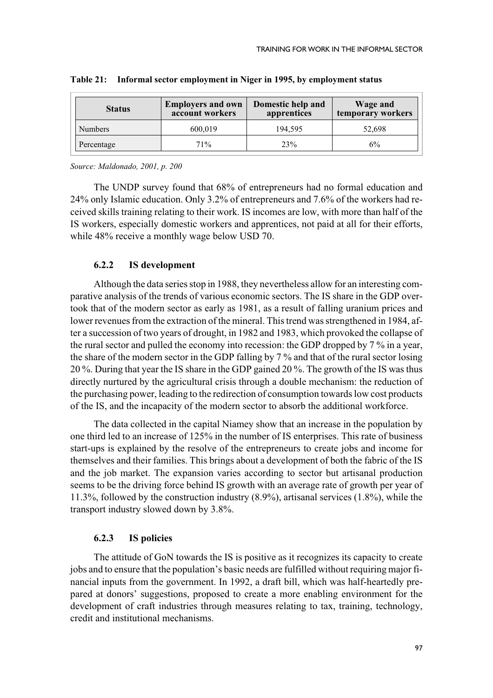| <b>Status</b>  | <b>Employers and own</b><br>account workers | Domestic help and<br>apprentices | Wage and<br>temporary workers |
|----------------|---------------------------------------------|----------------------------------|-------------------------------|
| <b>Numbers</b> | 600,019                                     | 194,595                          | 52,698                        |
| Percentage     | 71%                                         | 23%                              | 6%                            |

|  |  | Table 21: Informal sector employment in Niger in 1995, by employment status |  |
|--|--|-----------------------------------------------------------------------------|--|
|  |  |                                                                             |  |

*Source: Maldonado, 2001, p. 200*

The UNDP survey found that 68% of entrepreneurs had no formal education and 24% only Islamic education. Only 3.2% of entrepreneurs and 7.6% of the workers had received skills training relating to their work. IS incomes are low,with more than half of the IS workers, especially domestic workers and apprentices, not paid at all for their efforts, while 48% receive a monthly wage below USD 70.

#### **6.2.2 IS development**

Although the data series stop in 1988, they nevertheless allow for an interesting comparative analysis of the trends of various economic sectors. The IS share in the GDP overtook that of the modern sector as early as 1981, as a result of falling uranium prices and lower revenues from the extraction of the mineral. This trend was strengthened in 1984, after a succession of two years of drought, in 1982 and 1983, which provoked the collapse of the rural sector and pulled the economy into recession: the GDP dropped by 7 % in a year, the share of the modern sector in the GDP falling by 7 % and that of the rural sector losing 20 %. During that year the IS share in the GDP gained 20 %. The growth of the IS was thus directly nurtured by the agricultural crisis through a double mechanism: the reduction of the purchasing power, leading to the redirection of consumption towards low cost products of the IS,and the incapacity of the modern sector to absorb the additional workforce.

The data collected in the capital Niamey show that an increase in the population by one third led to an increase of 125% in the number of IS enterprises. This rate of business start-ups is explained by the resolve of the entrepreneurs to create jobs and income for themselves and their families. This brings about a development of both the fabric of the IS and the job market. The expansion varies according to sector but artisanal production seems to be the driving force behind IS growth with an average rate of growth per year of 11.3%, followed by the construction industry  $(8.9\%)$ , artisanal services  $(1.8\%)$ , while the transport industry slowed down by 3.8%.

#### **6.2.3 IS policies**

The attitude of GoN towards the IS is positive as it recognizes its capacity to create jobs and to ensure that the population's basic needs are fulfilled without requiring major financial inputs from the government. In 1992, a draft bill, which was half-heartedly prepared at donors' suggestions, proposed to create a more enabling environment for the development of craft industries through measures relating to tax, training, technology, credit and institutional mechanisms.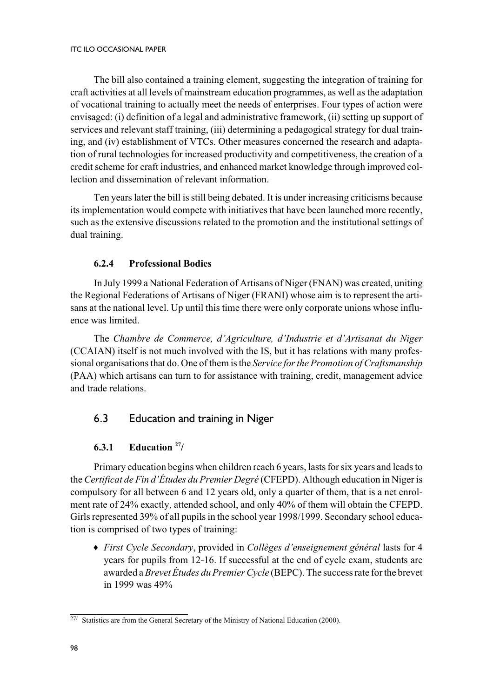The bill also contained a training element, suggesting the integration of training for craft activities at all levels of mainstream education programmes, as well as the adaptation of vocational training to actually meet the needs of enterprises. Four types of action were envisaged: (i) definition of a legal and administrative framework,(ii) setting up support of services and relevant staff training, (iii) determining a pedagogical strategy for dual training, and (iv) establishment of VTCs. Other measures concerned the research and adaptation of rural technologies for increased productivity and competitiveness, the creation of a credit scheme for craft industries, and enhanced market knowledge through improved collection and dissemination of relevant information.

Ten years later the bill is still being debated. It is under increasing criticisms because its implementation would compete with initiatives that have been launched more recently, such as the extensive discussions related to the promotion and the institutional settings of dual training.

## **6.2.4 Professional Bodies**

In July 1999 a National Federation of Artisans of Niger (FNAN) was created,uniting the Regional Federations of Artisans of Niger (FRANI) whose aim is to represent the artisans at the national level. Up until this time there were only corporate unions whose influence was limited.

The *Chambre de Commerce, d'Agriculture, d'Industrie et d'Artisanat du Niger* (CCAIAN) itself is not much involved with the IS, but it has relations with many professional organisations that do. One of them is the *Service for the Promotion of Craftsmanship* (PAA) which artisans can turn to for assistance with training, credit, management advice and trade relations.

# 6.3 Education and training in Niger

## **6.3.1 Education 27/**

Primary education begins when children reach 6 years, lasts for six years and leads to the *Certificat de Fin d'Études du Premier Degré* (CFEPD). Although education in Niger is compulsory for all between 6 and 12 years old, only a quarter of them, that is a net enrolment rate of  $24\%$  exactly, attended school, and only  $40\%$  of them will obtain the CFEPD. Girls represented 39% of all pupils in the school year 1998/1999. Secondary school education is comprised of two types of training:

◆ *First Cycle Secondary*, provided in *Collèges d'enseignement général* lasts for 4 years for pupils from 12-16. If successful at the end of cycle exam, students are awarded a *Brevet Études du Premier Cycle* (BEPC). The success rate for the brevet in 1999 was 49%

<sup>27/</sup> Statistics are from the General Secretary of the Ministry of National Education (2000).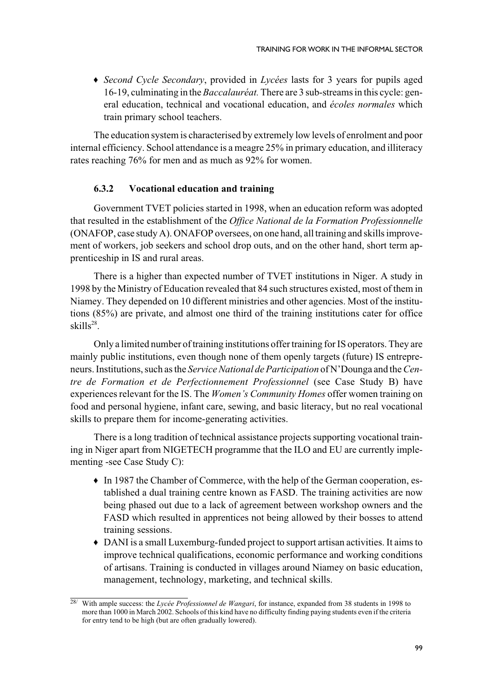• *Second Cycle Secondary*, provided in *Lycées* lasts for 3 years for pupils aged 16-19,culminating in the *Baccalauréat.* There are 3 sub-streams in this cycle: general education, technical and vocational education, and *écoles normales* which train primary school teachers.

The education system is characterised by extremely low levels of enrolment and poor internal efficiency. School attendance is a meagre 25% in primary education, and illiteracy rates reaching 76% for men and as much as 92% for women.

#### **6.3.2 Vocational education and training**

Government TVET policies started in 1998, when an education reform was adopted that resulted in the establishment of the *Office National de la Formation Professionnelle*  $(ONAFOP, case study A)$ . ONAFOP oversees, on one hand, all training and skills improvement of workers, job seekers and school drop outs, and on the other hand, short term apprenticeship in IS and rural areas.

There is a higher than expected number of TVET institutions in Niger. A study in 1998 by the Ministry of Education revealed that 84 such structures existed, most of them in Niamey. They depended on 10 different ministries and other agencies. Most of the institutions  $(85%)$  are private, and almost one third of the training institutions cater for office  $skills^{28}$ .

Only a limited number of training institutions offer training for IS operators. They are mainly public institutions, even though none of them openly targets (future) IS entrepreneurs. Institutions,such as the *Service National de Participation* of N'Dounga and the*Centre de Formation et de Perfectionnement Professionnel* (see Case Study B) have experiences relevant for the IS. The *Women's Community Homes* offer women training on food and personal hygiene, infant care, sewing, and basic literacy, but no real vocational skills to prepare them for income-generating activities.

There is a long tradition of technical assistance projects supporting vocational training in Niger apart from NIGETECH programme that the ILO and EU are currently implementing -see Case Study C):

- In 1987 the Chamber of Commerce, with the help of the German cooperation, established a dual training centre known as FASD. The training activities are now being phased out due to a lack of agreement between workshop owners and the FASD which resulted in apprentices not being allowed by their bosses to attend training sessions.
- DANI is a small Luxemburg-funded project to support artisan activities. It aims to improve technical qualifications, economic performance and working conditions of artisans. Training is conducted in villages around Niamey on basic education, management, technology, marketing, and technical skills.

<sup>&</sup>lt;sup>28/</sup> With ample success: the *Lycée Professionnel de Wangari*, for instance, expanded from 38 students in 1998 to more than 1000 in March 2002. Schools of this kind have no difficulty finding paying students even if the criteria for entry tend to be high (but are often gradually lowered).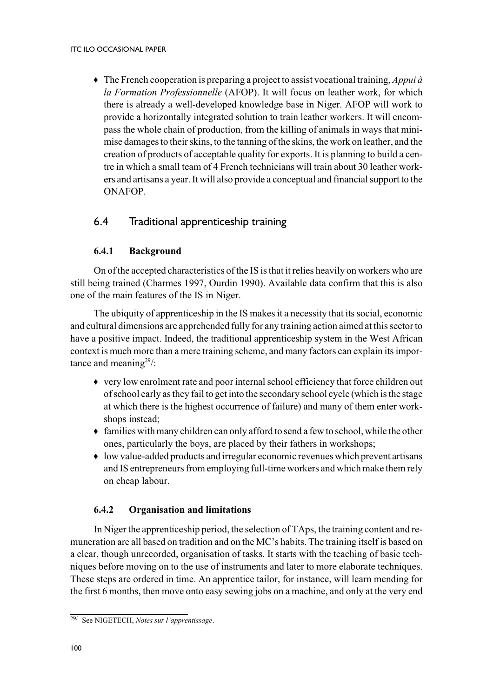The French cooperation is preparing a project to assist vocational training, *Appui à* la Formation Professionnelle (AFOP). It will focus on leather work, for which there is already a well-developed knowledge base in Niger. AFOP will work to provide a horizontally integrated solution to train leather workers. It will encompass the whole chain of production, from the killing of animals in ways that minimise damages to their skins, to the tanning of the skins, the work on leather, and the creation of products of acceptable quality for exports. It is planning to build a centre in which a small team of 4 French technicians will train about 30 leather workers and artisans a year. It will also provide a conceptual and financial support to the ONAFOP.

# 6.4 Traditional apprenticeship training

## **6.4.1 Background**

On of the accepted characteristics of the IS is that it relies heavily on workers who are still being trained (Charmes 1997, Ourdin 1990). Available data confirm that this is also one of the main features of the IS in Niger.

The ubiquity of apprenticeship in the IS makes it a necessity that its social, economic and cultural dimensions are apprehended fully for any training action aimed at this sector to have a positive impact. Indeed, the traditional apprenticeship system in the West African context is much more than a mere training scheme, and many factors can explain its importance and meaning $2^9$ :

- very low enrolment rate and poor internal school efficiency that force children out of school early as they fail to get into the secondary school cycle (which is the stage at which there is the highest occurrence of failure) and many of them enter workshops instead;
- $\triangle$  families with many children can only afford to send a few to school, while the other ones, particularly the boys, are placed by their fathers in workshops;
- low value-added products and irregular economic revenues which prevent artisans and IS entrepreneurs from employing full-time workers and which make them rely on cheap labour.

## **6.4.2 Organisation and limitations**

In Niger the apprenticeship period, the selection of TAps, the training content and remuneration are all based on tradition and on the MC's habits. The training itself is based on a clear, though unrecorded, organisation of tasks. It starts with the teaching of basic techniques before moving on to the use of instruments and later to more elaborate techniques. These steps are ordered in time. An apprentice tailor, for instance, will learn mending for the first 6 months, then move onto easy sewing jobs on a machine, and only at the very end

<sup>29/</sup> See NIGETECH, *Notes sur l'apprentissage*.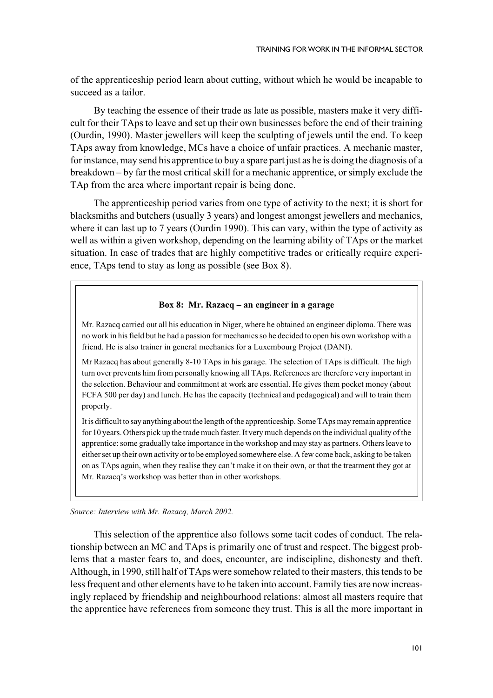of the apprenticeship period learn about cutting,without which he would be incapable to succeed as a tailor.

By teaching the essence of their trade as late as possible, masters make it very difficult for their TAps to leave and set up their own businesses before the end of their training (Ourdin,1990). Master jewellers will keep the sculpting of jewels until the end. To keep TAps away from knowledge, MCs have a choice of unfair practices. A mechanic master, for instance,may send his apprentice to buy a spare part just as he is doing the diagnosis of a  $breakdown - by far the most critical skill for a mechanic appropriate, or simply exclude the$ TAp from the area where important repair is being done.

The apprenticeship period varies from one type of activity to the next; it is short for blacksmiths and butchers (usually 3 years) and longest amongst jewellers and mechanics, where it can last up to 7 years (Ourdin 1990). This can vary, within the type of activity as well as within a given workshop, depending on the learning ability of TAps or the market situation. In case of trades that are highly competitive trades or critically require experience, TAps tend to stay as long as possible (see Box 8).

### **Box 8: Mr. Razacq – an engineer in a garage**

Mr. Razacq carried out all his education in Niger, where he obtained an engineer diploma. There was no work in his field but he had a passion for mechanics so he decided to open his own workshop with a friend. He is also trainer in general mechanics for a Luxembourg Project (DANI).

Mr Razacq has about generally 8-10 TAps in his garage. The selection of TAps is difficult. The high turn over prevents him from personally knowing all TAps. References are therefore very important in the selection. Behaviour and commitment at work are essential. He gives them pocket money (about FCFA 500 per day) and lunch. He has the capacity (technical and pedagogical) and will to train them properly.

It is difficult to say anything about the length of the apprenticeship. Some TAps may remain apprentice for 10 years. Others pick up the trade much faster. It very much depends on the individual quality of the apprentice: some gradually take importance in the workshop and may stay as partners. Others leave to either set up their own activity or to be employed somewhere else. A few come back, asking to be taken on as TAps again, when they realise they can't make it on their own, or that the treatment they got at Mr. Razacq's workshop was better than in other workshops.

*Source: Interview with Mr. Razacq, March 2002.*

This selection of the apprentice also follows some tacit codes of conduct. The relationship between an MC and TAps is primarily one of trust and respect. The biggest problems that a master fears to, and does, encounter, are indiscipline, dishonesty and theft. Although, in 1990, still half of TAps were somehow related to their masters, this tends to be less frequent and other elements have to be taken into account. Family ties are now increasingly replaced by friendship and neighbourhood relations: almost all masters require that the apprentice have references from someone they trust. This is all the more important in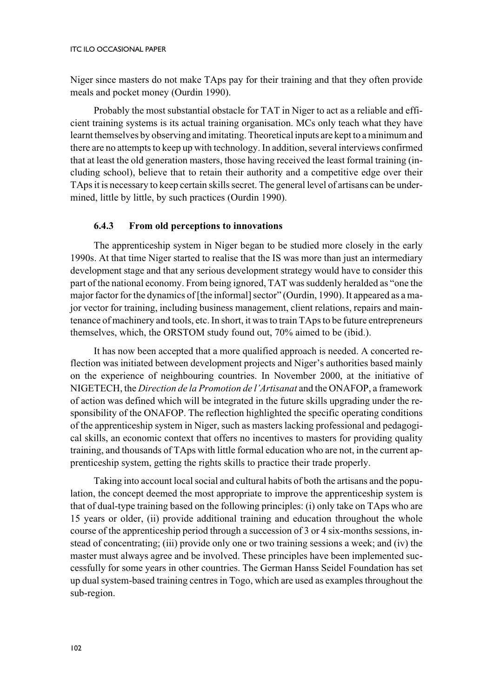Niger since masters do not make TAps pay for their training and that they often provide meals and pocket money (Ourdin 1990).

Probably the most substantial obstacle for TAT in Niger to act as a reliable and efficient training systems is its actual training organisation. MCs only teach what they have learnt themselves by observing and imitating. Theoretical inputs are kept to a minimum and there are no attempts to keep up with technology. In addition, several interviews confirmed that at least the old generation masters, those having received the least formal training (including school), believe that to retain their authority and a competitive edge over their TAps it is necessary to keep certain skills secret. The general level of artisans can be undermined, little by little, by such practices (Ourdin 1990).

### **6.4.3 From old perceptions to innovations**

The apprenticeship system in Niger began to be studied more closely in the early 1990s. At that time Niger started to realise that the IS was more than just an intermediary development stage and that any serious development strategy would have to consider this part of the national economy. From being ignored,TAT was suddenly heralded as "one the major factor for the dynamics of [the informal] sector" (Ourdin,1990). It appeared as a major vector for training, including business management, client relations, repairs and maintenance of machinery and tools, etc. In short, it was to train TAps to be future entrepreneurs themselves, which, the ORSTOM study found out, 70% aimed to be (ibid.).

It has now been accepted that a more qualified approach is needed. A concerted reflection was initiated between development projects and Niger's authorities based mainly on the experience of neighbouring countries. In November 2000, at the initiative of NIGETECH, the *Direction de la Promotion de l'Artisanat* and the ONAFOP, a framework of action was defined which will be integrated in the future skills upgrading under the responsibility of the ONAFOP. The reflection highlighted the specific operating conditions of the apprenticeship system in Niger, such as masters lacking professional and pedagogical skills, an economic context that offers no incentives to masters for providing quality training, and thousands of TAps with little formal education who are not, in the current apprenticeship system, getting the rights skills to practice their trade properly.

Taking into account local social and cultural habits of both the artisans and the population, the concept deemed the most appropriate to improve the apprenticeship system is that of dual-type training based on the following principles: (i) only take on TAps who are 15 years or older,(ii) provide additional training and education throughout the whole course of the apprenticeship period through a succession of 3 or 4 six-months sessions,instead of concentrating; (iii) provide only one or two training sessions a week; and (iv) the master must always agree and be involved. These principles have been implemented successfully for some years in other countries. The German Hanss Seidel Foundation has set up dual system-based training centres in Togo,which are used as examples throughout the sub-region.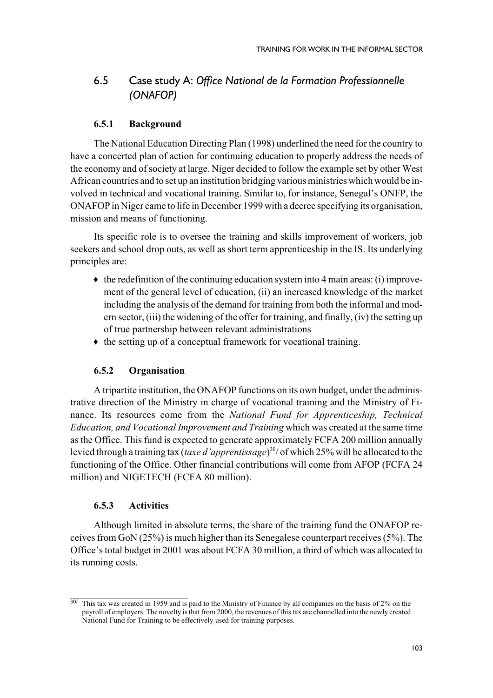# 6.5 Case study A: *Office National de la Formation Professionnelle (ONAFOP)*

# **6.5.1 Background**

The National Education Directing Plan (1998) underlined the need for the country to have a concerted plan of action for continuing education to properly address the needs of the economy and of society at large. Niger decided to follow the example set by other West African countries and to set up an institution bridging various ministries which would be involved in technical and vocational training. Similar to, for instance, Senegal's ONFP, the ONAFOP in Niger came to life in December 1999 with a decree specifying its organisation, mission and means of functioning.

Its specific role is to oversee the training and skills improvement of workers, job seekers and school drop outs, as well as short term apprenticeship in the IS. Its underlying principles are:

- $\bullet$  the redefinition of the continuing education system into 4 main areas: (i) improvement of the general level of education,(ii) an increased knowledge of the market including the analysis of the demand for training from both the informal and modern sector, (iii) the widening of the offer for training, and finally, (iv) the setting up of true partnership between relevant administrations
- $\bullet$  the setting up of a conceptual framework for vocational training.

# **6.5.2 Organisation**

A tripartite institution, the ONAFOP functions on its own budget, under the administrative direction of the Ministry in charge of vocational training and the Ministry of Finance. Its resources come from the *National Fund for Apprenticeship, Technical Education, and Vocational Improvement and Training* which was created at the same time as the Office. This fund is expected to generate approximately FCFA 200 million annually levied through a training tax (*taxe d'apprentissage*) 30/ of which 25% will be allocated to the functioning of the Office. Other financial contributions will come from AFOP (FCFA 24 million) and NIGETECH (FCFA 80 million).

# **6.5.3 Activities**

Although limited in absolute terms, the share of the training fund the ONAFOP receives from GoN (25%) is much higher than its Senegalese counterpart receives (5%). The Office's total budget in 2001 was about FCFA 30 million,a third of which was allocated to its running costs.

 $30/$  This tax was created in 1959 and is paid to the Ministry of Finance by all companies on the basis of 2% on the payroll of employers. The novelty is that from 2000, the revenues of this tax are channelled into the newly created National Fund for Training to be effectively used for training purposes.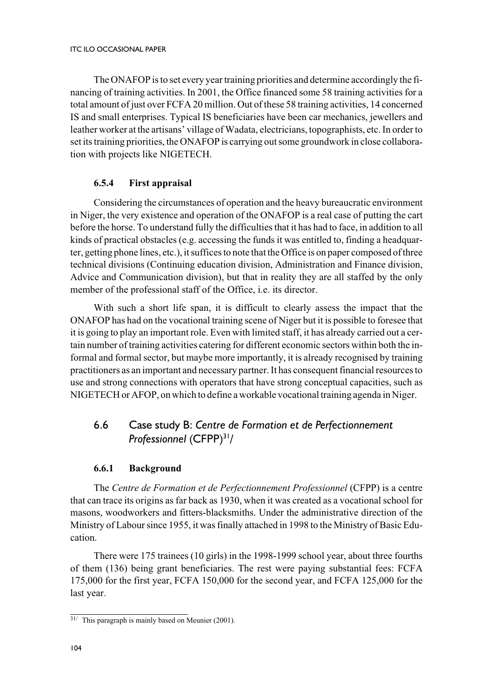The ONAFOP is to set every year training priorities and determine accordingly the financing of training activities. In 2001, the Office financed some 58 training activities for a total amount of just over FCFA 20 million. Out of these 58 training activities,14 concerned IS and small enterprises. Typical IS beneficiaries have been car mechanics, jewellers and leather worker at the artisans' village of Wadata, electricians, topographists, etc. In order to set its training priorities, the ONAFOP is carrying out some groundwork in close collaboration with projects like NIGETECH.

### **6.5.4 First appraisal**

Considering the circumstances of operation and the heavy bureaucratic environment in Niger, the very existence and operation of the ONAFOP is a real case of putting the cart before the horse. To understand fully the difficulties that it has had to face, in addition to all kinds of practical obstacles (e.g. accessing the funds it was entitled to, finding a headquarter, getting phone lines, etc.), it suffices to note that the Office is on paper composed of three technical divisions (Continuing education division, Administration and Finance division, Advice and Communication division), but that in reality they are all staffed by the only member of the professional staff of the Office, i.e. its director.

With such a short life span, it is difficult to clearly assess the impact that the ONAFOP has had on the vocational training scene of Niger but it is possible to foresee that it is going to play an important role. Even with limited staff, it has already carried out a certain number of training activities catering for different economic sectors within both the informal and formal sector, but maybe more importantly, it is already recognised by training practitioners as an important and necessary partner. It has consequent financial resources to use and strong connections with operators that have strong conceptual capacities, such as NIGETECH or AFOP,on which to define a workable vocational training agenda in Niger.

# 6.6 Case study B: *Centre de Formation et de Perfectionnement Professionnel* (CFPP)31/

# **6.6.1 Background**

The *Centre de Formation et de Perfectionnement Professionnel* (CFPP) is a centre that can trace its origins as far back as 1930, when it was created as a vocational school for masons,woodworkers and fitters-blacksmiths. Under the administrative direction of the Ministry of Labour since 1955, it was finally attached in 1998 to the Ministry of Basic Education.

There were 175 trainees (10 girls) in the 1998-1999 school year, about three fourths of them (136) being grant beneficiaries. The rest were paying substantial fees: FCFA 175,000 for the first year, FCFA 150,000 for the second year, and FCFA 125,000 for the last year.

 $31/$  This paragraph is mainly based on Meunier (2001).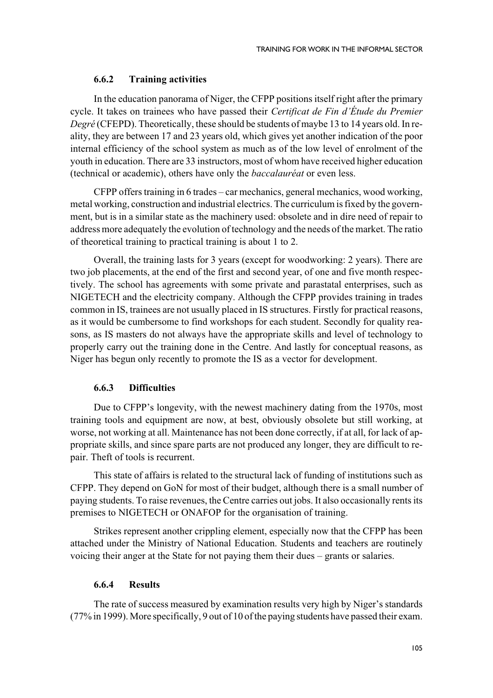### **6.6.2 Training activities**

In the education panorama of Niger, the CFPP positions itself right after the primary cycle. It takes on trainees who have passed their *Certificat de Fin d'Étude du Premier Degré* (CFEPD). Theoretically, these should be students of maybe 13 to 14 years old. In reality, they are between 17 and 23 years old, which gives yet another indication of the poor internal efficiency of the school system as much as of the low level of enrolment of the youth in education. There are 33 instructors, most of whom have received higher education (technical or academic), others have only the *baccalauréat* or even less.

CFPP offers training in 6 trades – car mechanics, general mechanics, wood working, metal working, construction and industrial electrics. The curriculum is fixed by the government, but is in a similar state as the machinery used: obsolete and in dire need of repair to address more adequately the evolution of technology and the needs of the market. The ratio of theoretical training to practical training is about 1 to 2.

Overall, the training lasts for 3 years (except for woodworking: 2 years). There are two job placements, at the end of the first and second year, of one and five month respectively. The school has agreements with some private and parastatal enterprises, such as NIGETECH and the electricity company. Although the CFPP provides training in trades common in IS, trainees are not usually placed in IS structures. Firstly for practical reasons, as it would be cumbersome to find workshops for each student. Secondly for quality reasons,as IS masters do not always have the appropriate skills and level of technology to properly carry out the training done in the Centre. And lastly for conceptual reasons, as Niger has begun only recently to promote the IS as a vector for development.

#### **6.6.3 Difficulties**

Due to CFPP's longevity, with the newest machinery dating from the 1970s, most training tools and equipment are now, at best, obviously obsolete but still working, at worse, not working at all. Maintenance has not been done correctly, if at all, for lack of appropriate skills, and since spare parts are not produced any longer, they are difficult to repair. Theft of tools is recurrent.

This state of affairs is related to the structural lack of funding of institutions such as CFPP. They depend on GoN for most of their budget, although there is a small number of paying students. To raise revenues, the Centre carries out jobs. It also occasionally rents its premises to NIGETECH or ONAFOP for the organisation of training.

Strikes represent another crippling element, especially now that the CFPP has been attached under the Ministry of National Education. Students and teachers are routinely voicing their anger at the State for not paying them their dues – grants or salaries.

### **6.6.4 Results**

The rate of success measured by examination results very high by Niger's standards (77% in 1999). More specifically,9 out of 10 of the paying students have passed their exam.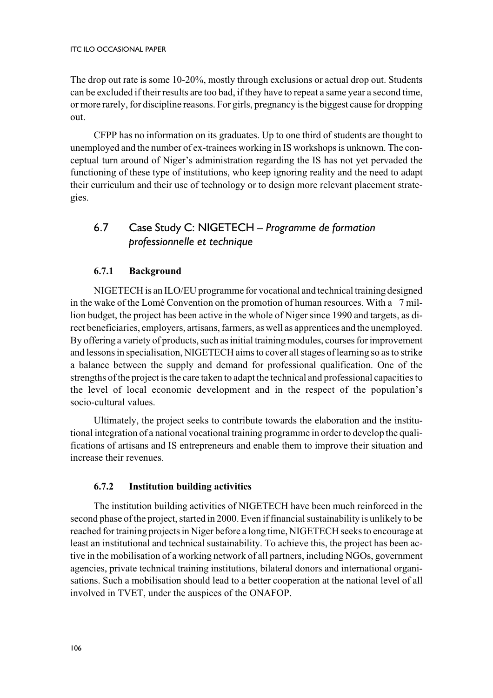The drop out rate is some 10-20%, mostly through exclusions or actual drop out. Students can be excluded if their results are too bad, if they have to repeat a same year a second time, or more rarely, for discipline reasons. For girls, pregnancy is the biggest cause for dropping out.

CFPP has no information on its graduates. Up to one third of students are thought to unemployed and the number of ex-trainees working in IS workshops is unknown. The conceptual turn around of Niger's administration regarding the IS has not yet pervaded the functioning of these type of institutions, who keep ignoring reality and the need to adapt their curriculum and their use of technology or to design more relevant placement strategies.

# 6.7 Case Study C: NIGETECH – *Programme de formation professionnelle et technique*

### **6.7.1 Background**

NIGETECH is an ILO/EU programme for vocational and technical training designed in the wake of the Lomé Convention on the promotion of human resources. With a ^7 million budget, the project has been active in the whole of Niger since 1990 and targets, as direct beneficiaries, employers, artisans, farmers, as well as apprentices and the unemployed. By offering a variety of products, such as initial training modules, courses for improvement and lessons in specialisation, NIGETECH aims to cover all stages of learning so as to strike a balance between the supply and demand for professional qualification. One of the strengths of the project is the care taken to adapt the technical and professional capacities to the level of local economic development and in the respect of the population's socio-cultural values.

Ultimately, the project seeks to contribute towards the elaboration and the institutional integration of a national vocational training programme in order to develop the qualifications of artisans and IS entrepreneurs and enable them to improve their situation and increase their revenues.

### **6.7.2 Institution building activities**

The institution building activities of NIGETECH have been much reinforced in the second phase of the project, started in 2000. Even if financial sustainability is unlikely to be reached for training projects in Niger before a long time, NIGETECH seeks to encourage at least an institutional and technical sustainability. To achieve this, the project has been active in the mobilisation of a working network of all partners, including NGOs, government agencies, private technical training institutions, bilateral donors and international organisations. Such a mobilisation should lead to a better cooperation at the national level of all involved in TVET, under the auspices of the ONAFOP.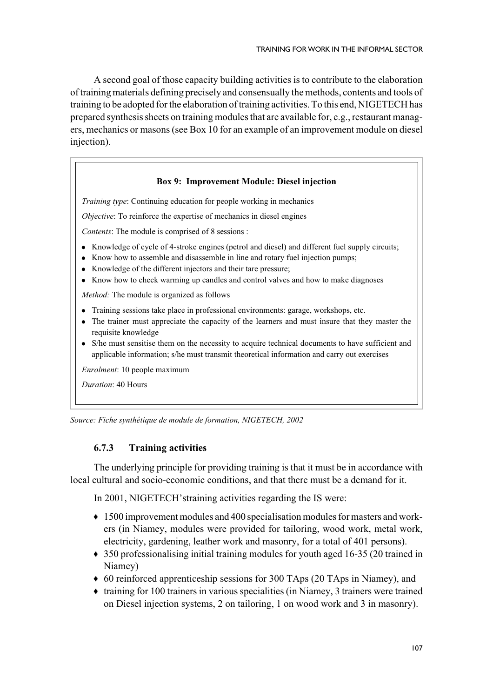A second goal of those capacity building activities is to contribute to the elaboration of training materials defining precisely and consensually the methods,contents and tools of training to be adopted for the elaboration of training activities. To this end, NIGETECH has prepared synthesis sheets on training modules that are available for, e.g., restaurant managers,mechanics or masons (see Box 10 for an example of an improvement module on diesel injection).

| <b>Box 9: Improvement Module: Diesel injection</b>                                                                                                                                                                                                                                                                                                      |
|---------------------------------------------------------------------------------------------------------------------------------------------------------------------------------------------------------------------------------------------------------------------------------------------------------------------------------------------------------|
| <i>Training type:</i> Continuing education for people working in mechanics                                                                                                                                                                                                                                                                              |
| <i>Objective:</i> To reinforce the expertise of mechanics in diesel engines                                                                                                                                                                                                                                                                             |
| Contents: The module is comprised of 8 sessions :                                                                                                                                                                                                                                                                                                       |
| Knowledge of cycle of 4-stroke engines (petrol and diesel) and different fuel supply circuits;<br>Know how to assemble and disassemble in line and rotary fuel injection pumps;<br>Knowledge of the different injectors and their tare pressure;<br>$\bullet$<br>Know how to check warming up candles and control valves and how to make diagnoses<br>٠ |
| <i>Method:</i> The module is organized as follows                                                                                                                                                                                                                                                                                                       |
| Training sessions take place in professional environments: garage, workshops, etc.<br>The trainer must appreciate the capacity of the learners and must insure that they master the<br>$\bullet$<br>requisite knowledge<br>S/he must sensitise them on the necessity to acquire technical documents to have sufficient and<br>$\bullet$                 |
| applicable information; s/he must transmit theoretical information and carry out exercises                                                                                                                                                                                                                                                              |
| <i>Enrolment</i> : 10 people maximum                                                                                                                                                                                                                                                                                                                    |
| <i>Duration:</i> 40 Hours                                                                                                                                                                                                                                                                                                                               |

*Source: Fiche synthétique de module de formation, NIGETECH, 2002*

# **6.7.3 Training activities**

The underlying principle for providing training is that it must be in accordance with local cultural and socio-economic conditions, and that there must be a demand for it.

In 2001, NIGETECH'straining activities regarding the IS were:

- 1500 improvement modules and 400 specialisation modules for masters and workers (in Niamey, modules were provided for tailoring, wood work, metal work, electricity, gardening, leather work and masonry, for a total of 401 persons).
- 350 professionalising initial training modules for youth aged 16-35 (20 trained in Niamey)
- $\bullet$  60 reinforced apprenticeship sessions for 300 TAps (20 TAps in Niamey), and
- $\triangle$  training for 100 trainers in various specialities (in Niamey, 3 trainers were trained on Diesel injection systems,2 on tailoring,1 on wood work and 3 in masonry).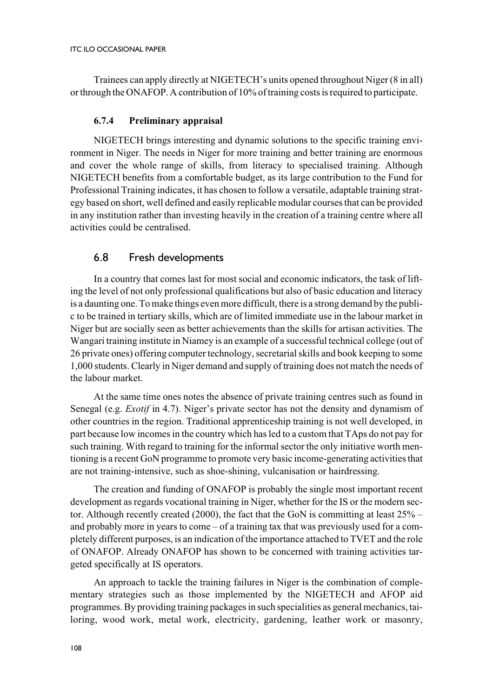Trainees can apply directly at NIGETECH's units opened throughout Niger (8 in all) or through the ONAFOP. A contribution of 10% of training costs is required to participate.

### **6.7.4 Preliminary appraisal**

NIGETECH brings interesting and dynamic solutions to the specific training environment in Niger. The needs in Niger for more training and better training are enormous and cover the whole range of skills, from literacy to specialised training. Although NIGETECH benefits from a comfortable budget, as its large contribution to the Fund for Professional Training indicates, it has chosen to follow a versatile, adaptable training strategy based on short,well defined and easily replicable modular courses that can be provided in any institution rather than investing heavily in the creation of a training centre where all activities could be centralised.

# 6.8 Fresh developments

In a country that comes last for most social and economic indicators, the task of lifting the level of not only professional qualifications but also of basic education and literacy is a daunting one. To make things even more difficult, there is a strong demand by the public to be trained in tertiary skills,which are of limited immediate use in the labour market in Niger but are socially seen as better achievements than the skills for artisan activities. The Wangari training institute in Niamey is an example of a successful technical college (out of 26 private ones) offering computer technology, secretarial skills and book keeping to some 1,000 students. Clearly in Niger demand and supply of training does not match the needs of the labour market.

At the same time ones notes the absence of private training centres such as found in Senegal (e.g. *Exotif* in 4.7). Niger's private sector has not the density and dynamism of other countries in the region. Traditional apprenticeship training is not well developed,in part because low incomes in the country which has led to a custom that TAps do not pay for such training. With regard to training for the informal sector the only initiative worth mentioning is a recent GoN programme to promote very basic income-generating activities that are not training-intensive, such as shoe-shining, vulcanisation or hairdressing.

The creation and funding of ONAFOP is probably the single most important recent development as regards vocational training in Niger, whether for the IS or the modern sector. Although recently created (2000), the fact that the GoN is committing at least  $25%$  – and probably more in years to come – of a training tax that was previously used for a completely different purposes, is an indication of the importance attached to TVET and the role of ONAFOP. Already ONAFOP has shown to be concerned with training activities targeted specifically at IS operators.

An approach to tackle the training failures in Niger is the combination of complementary strategies such as those implemented by the NIGETECH and AFOP aid programmes. By providing training packages in such specialities as general mechanics,tailoring, wood work, metal work, electricity, gardening, leather work or masonry,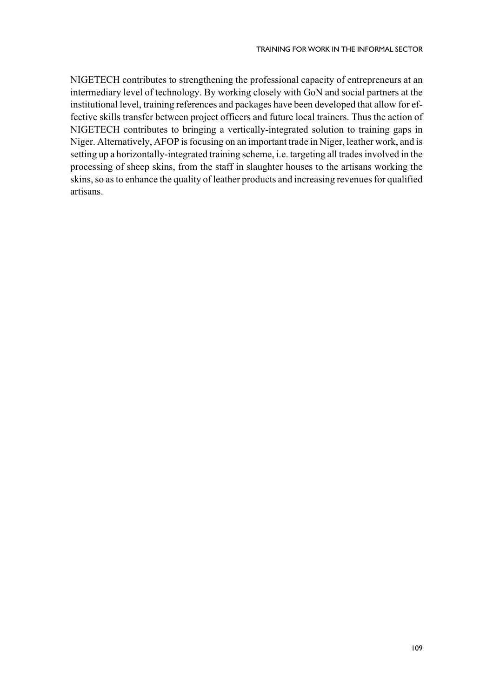NIGETECH contributes to strengthening the professional capacity of entrepreneurs at an intermediary level of technology. By working closely with GoN and social partners at the institutional level, training references and packages have been developed that allow for effective skills transfer between project officers and future local trainers. Thus the action of NIGETECH contributes to bringing a vertically-integrated solution to training gaps in Niger. Alternatively, AFOP is focusing on an important trade in Niger, leather work, and is setting up a horizontally-integrated training scheme, i.e. targeting all trades involved in the processing of sheep skins, from the staff in slaughter houses to the artisans working the skins, so as to enhance the quality of leather products and increasing revenues for qualified artisans.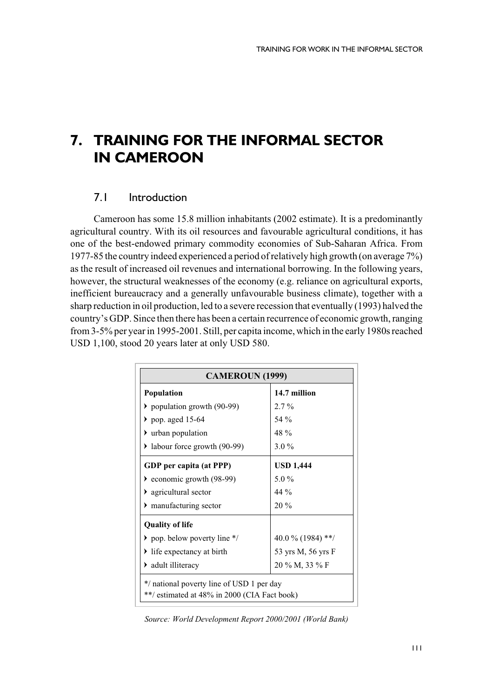# **7. TRAINING FOR THE INFORMAL SECTOR IN CAMEROON**

# 7.1 Introduction

Cameroon has some 15.8 million inhabitants (2002 estimate). It is a predominantly agricultural country. With its oil resources and favourable agricultural conditions, it has one of the best-endowed primary commodity economies of Sub-Saharan Africa. From 1977-85 the country indeed experienced a period of relatively high growth (on average 7%) as the result of increased oil revenues and international borrowing. In the following years, however, the structural weaknesses of the economy (e.g. reliance on agricultural exports, inefficient bureaucracy and a generally unfavourable business climate), together with a sharp reduction in oil production, led to a severe recession that eventually (1993) halved the country's GDP. Since then there has been a certain recurrence of economic growth, ranging from 3-5% per year in 1995-2001. Still, per capita income, which in the early 1980s reached USD 1,100, stood 20 years later at only USD 580.

| <b>CAMEROUN (1999)</b>                                                                    |                    |  |  |
|-------------------------------------------------------------------------------------------|--------------------|--|--|
| Population                                                                                | 14.7 million       |  |  |
| population growth $(90-99)$                                                               | $2.7\%$            |  |  |
| $\rightarrow$ pop. aged 15-64                                                             | 54 $\%$            |  |  |
| $\rightarrow$ urban population                                                            | 48 %               |  |  |
| $\blacktriangleright$ labour force growth (90-99)                                         | $3.0\%$            |  |  |
| GDP per capita (at PPP)                                                                   | <b>USD 1,444</b>   |  |  |
| $\rightarrow$ economic growth (98-99)                                                     | 5.0 $\%$           |  |  |
| $\rightarrow$ agricultural sector                                                         | 44 $\%$            |  |  |
| $\rightarrow$ manufacturing sector                                                        | $20\%$             |  |  |
| <b>Quality of life</b>                                                                    |                    |  |  |
| $\rightarrow$ pop. below poverty line */                                                  | 40.0 % (1984) **/  |  |  |
| $\rightarrow$ life expectancy at birth                                                    | 53 yrs M, 56 yrs F |  |  |
| $\triangleright$ adult illiteracy                                                         | $20\%$ M, 33 % F   |  |  |
| */ national poverty line of USD 1 per day<br>**/ estimated at 48% in 2000 (CIA Fact book) |                    |  |  |

*Source: World Development Report 2000/2001 (World Bank)*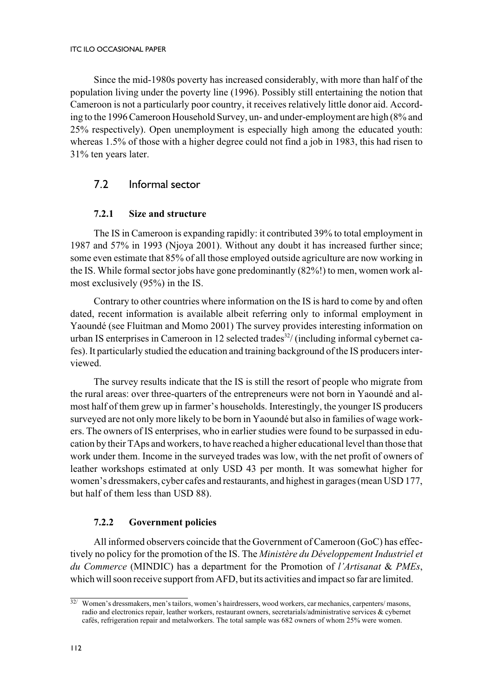Since the mid-1980s poverty has increased considerably, with more than half of the population living under the poverty line (1996). Possibly still entertaining the notion that Cameroon is not a particularly poor country, it receives relatively little donor aid. According to the 1996 Cameroon Household Survey,un- and under-employment are high (8% and 25% respectively). Open unemployment is especially high among the educated youth: whereas  $1.5\%$  of those with a higher degree could not find a job in 1983, this had risen to 31% ten years later.

# 7.2 Informal sector

# **7.2.1 Size and structure**

The IS in Cameroon is expanding rapidly: it contributed 39% to total employment in 1987 and 57% in 1993 (Njoya 2001). Without any doubt it has increased further since; some even estimate that 85% of all those employed outside agriculture are now working in the IS. While formal sector jobs have gone predominantly (82%!) to men, women work almost exclusively (95%) in the IS.

Contrary to other countries where information on the IS is hard to come by and often dated, recent information is available albeit referring only to informal employment in Yaoundé (see Fluitman and Momo 2001) The survey provides interesting information on urban IS enterprises in Cameroon in 12 selected trades<sup>32</sup>/ (including informal cybernet cafes). It particularly studied the education and training background of the IS producers interviewed.

The survey results indicate that the IS is still the resort of people who migrate from the rural areas: over three-quarters of the entrepreneurs were not born in Yaoundé and almost half of them grew up in farmer's households. Interestingly, the younger IS producers surveyed are not only more likely to be born in Yaoundé but also in families of wage workers. The owners of IS enterprises, who in earlier studies were found to be surpassed in education by their TAps and workers, to have reached a higher educational level than those that work under them. Income in the surveyed trades was low, with the net profit of owners of leather workshops estimated at only USD 43 per month. It was somewhat higher for women's dressmakers, cyber cafes and restaurants, and highest in garages (mean USD 177, but half of them less than USD 88).

# **7.2.2 Government policies**

All informed observers coincide that the Government of Cameroon (GoC) has effectively no policy for the promotion of the IS. The *Ministère du Développement Industriel et du Commerce* (MINDIC) has a department for the Promotion of *l'Artisanat* & *PMEs*, which will soon receive support from AFD, but its activities and impact so far are limited.

 $32/$  Women's dressmakers, men's tailors, women's hairdressers, wood workers, car mechanics, carpenters/ masons, radio and electronics repair, leather workers, restaurant owners, secretarials/administrative services & cybernet cafés, refrigeration repair and metalworkers. The total sample was 682 owners of whom 25% were women.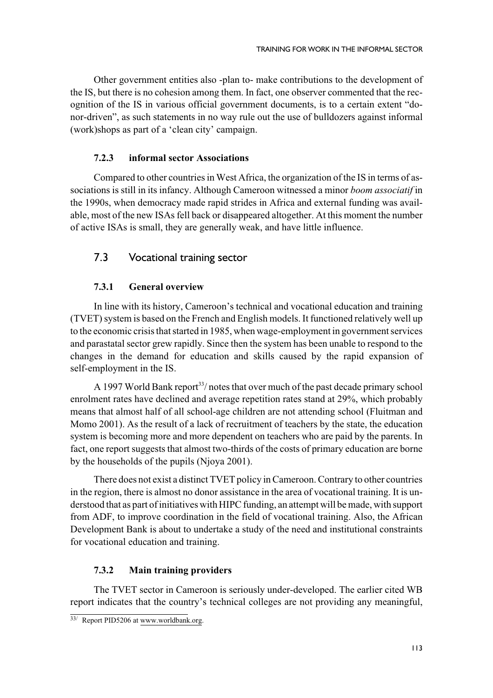Other government entities also -plan to- make contributions to the development of the IS, but there is no cohesion among them. In fact, one observer commented that the recognition of the IS in various official government documents, is to a certain extent "donor-driven", as such statements in no way rule out the use of bulldozers against informal (work)shops as part of a 'clean city' campaign.

### **7.2.3 informal sector Associations**

Compared to other countries in West Africa, the organization of the IS in terms of associations is still in its infancy. Although Cameroon witnessed a minor *boom associatif* in the 1990s, when democracy made rapid strides in Africa and external funding was available, most of the new ISAs fell back or disappeared altogether. At this moment the number of active ISAs is small, they are generally weak, and have little influence.

# 7.3 Vocational training sector

# **7.3.1 General overview**

In line with its history,Cameroon's technical and vocational education and training (TVET) system is based on the French and English models. It functioned relatively well up to the economic crisis that started in 1985, when wage-employment in government services and parastatal sector grew rapidly. Since then the system has been unable to respond to the changes in the demand for education and skills caused by the rapid expansion of self-employment in the IS.

A 1997 World Bank report<sup>33</sup>/ notes that over much of the past decade primary school enrolment rates have declined and average repetition rates stand at 29%, which probably means that almost half of all school-age children are not attending school (Fluitman and Momo 2001). As the result of a lack of recruitment of teachers by the state, the education system is becoming more and more dependent on teachers who are paid by the parents. In fact, one report suggests that almost two-thirds of the costs of primary education are borne by the households of the pupils (Njoya 2001).

There does not exist a distinct TVET policy in Cameroon. Contrary to other countries in the region, there is almost no donor assistance in the area of vocational training. It is understood that as part of initiatives with HIPC funding, an attempt will be made, with support from ADF, to improve coordination in the field of vocational training. Also, the African Development Bank is about to undertake a study of the need and institutional constraints for vocational education and training.

# **7.3.2 Main training providers**

The TVET sector in Cameroon is seriously under-developed. The earlier cited WB report indicates that the country's technical colleges are not providing any meaningful,

<sup>33/</sup> Report PID5206 at www.worldbank.org.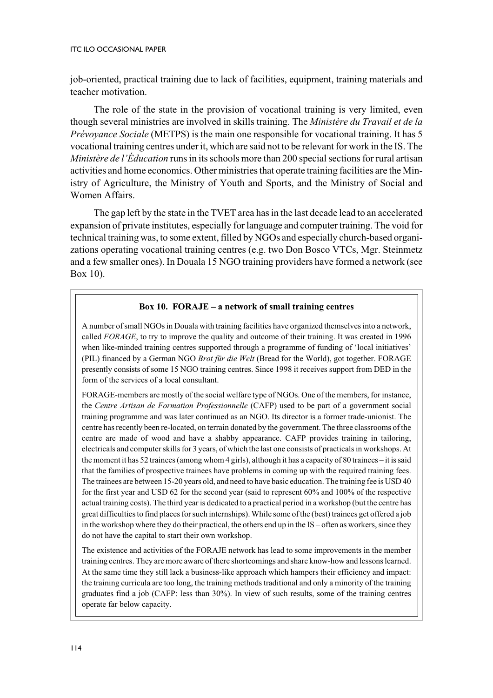job-oriented, practical training due to lack of facilities, equipment, training materials and teacher motivation.

The role of the state in the provision of vocational training is very limited, even though several ministries are involved in skills training. The *Ministère du Travail et de la Prévoyance Sociale* (METPS) is the main one responsible for vocational training. It has 5 vocational training centres under it,which are said not to be relevant for work in the IS. The *Ministère de l'Éducation* runs in its schools more than 200 special sections for rural artisan activities and home economics. Other ministries that operate training facilities are the Ministry of Agriculture, the Ministry of Youth and Sports, and the Ministry of Social and Women Affairs.

The gap left by the state in the TVET area has in the last decade lead to an accelerated expansion of private institutes, especially for language and computer training. The void for technical training was, to some extent, filled by NGOs and especially church-based organizations operating vocational training centres (e.g. two Don Bosco VTCs, Mgr. Steinmetz and a few smaller ones). In Douala 15 NGO training providers have formed a network (see Box 10).

### **Box 10. FORAJE – a network of small training centres**

A number of small NGOs in Douala with training facilities have organized themselves into a network, called *FORAGE*, to try to improve the quality and outcome of their training. It was created in 1996 when like-minded training centres supported through a programme of funding of 'local initiatives' (PIL) financed by a German NGO *Brot für die Welt* (Bread for the World), got together. FORAGE presently consists of some 15 NGO training centres. Since 1998 it receives support from DED in the form of the services of a local consultant.

FORAGE-members are mostly of the social welfare type of NGOs. One of the members, for instance, the *Centre Artisan de Formation Professionnelle* (CAFP) used to be part of a government social training programme and was later continued as an NGO. Its director is a former trade-unionist. The centre has recently been re-located, on terrain donated by the government. The three classrooms of the centre are made of wood and have a shabby appearance. CAFP provides training in tailoring, electricals and computer skills for 3 years, of which the last one consists of practicals in workshops. At the moment it has 52 trainees (among whom 4 girls), although it has a capacity of 80 trainees – it is said that the families of prospective trainees have problems in coming up with the required training fees. The trainees are between 15-20 years old, and need to have basic education. The training fee is USD 40 for the first year and USD 62 for the second year (said to represent 60% and 100% of the respective actual training costs). The third year is dedicated to a practical period in a workshop (but the centre has great difficulties to find places for such internships). While some of the (best) trainees get offered a job in the workshop where they do their practical, the others end up in the IS – often as workers, since they do not have the capital to start their own workshop.

The existence and activities of the FORAJE network has lead to some improvements in the member training centres. They are more aware of there shortcomings and share know-how and lessons learned. At the same time they still lack a business-like approach which hampers their efficiency and impact: the training curricula are too long, the training methods traditional and only a minority of the training graduates find a job (CAFP: less than 30%). In view of such results, some of the training centres operate far below capacity.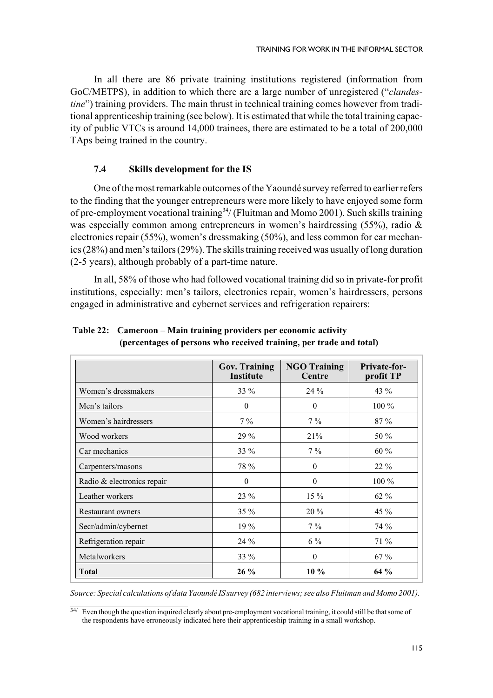In all there are 86 private training institutions registered (information from GoC/METPS), in addition to which there are a large number of unregistered ("*clandestine*") training providers. The main thrust in technical training comes however from traditional apprenticeship training (see below). It is estimated that while the total training capacity of public VTCs is around 14,000 trainees, there are estimated to be a total of 200,000 TAps being trained in the country.

### **7.4 Skills development for the IS**

One of the most remarkable outcomes of the Yaoundé survey referred to earlier refers to the finding that the younger entrepreneurs were more likely to have enjoyed some form of pre-employment vocational training<sup>34</sup>/ (Fluitman and Momo 2001). Such skills training was especially common among entrepreneurs in women's hairdressing (55%), radio  $\&$ electronics repair (55%), women's dressmaking (50%), and less common for car mechanics (28%) and men's tailors (29%). The skills training received was usually of long duration  $(2-5 \text{ years})$ , although probably of a part-time nature.

In all,58% of those who had followed vocational training did so in private-for profit institutions, especially: men's tailors, electronics repair, women's hairdressers, persons engaged in administrative and cybernet services and refrigeration repairers:

|                            | <b>Gov. Training</b><br><b>Institute</b> | <b>NGO Training</b><br><b>Centre</b> | <b>Private-for-</b><br>profit TP |  |
|----------------------------|------------------------------------------|--------------------------------------|----------------------------------|--|
| Women's dressmakers        | $33\%$                                   | $24\%$                               | 43 $\%$                          |  |
| Men's tailors              | $\boldsymbol{0}$                         | $\mathbf{0}$                         | $100\%$                          |  |
| Women's hairdressers       | $7\%$                                    | $7\%$                                | $87\%$                           |  |
| Wood workers               | $29\%$                                   | 21%                                  | 50 %                             |  |
| Car mechanics              | $33\%$                                   | $7\%$                                | $60\%$                           |  |
| Carpenters/masons          | 78 %                                     | $\theta$                             | $22\%$                           |  |
| Radio & electronics repair | $\theta$                                 | $\theta$                             | $100\%$                          |  |
| Leather workers            | 23 %                                     | 15 %                                 | 62 %                             |  |
| Restaurant owners          | $35\%$                                   | $20\%$                               | $45\%$                           |  |
| Secr/admin/cybernet        | $19\%$                                   | $7\%$                                | 74 %                             |  |
| Refrigeration repair       | 24 %                                     | $6\%$                                | 71 %                             |  |
| Metalworkers               | $33\%$                                   | $\theta$                             | 67 %                             |  |
| <b>Total</b>               | $26\%$                                   | $10\%$                               | $64\%$                           |  |

**Table 22: Cameroon – Main training providers per economic activity (percentages of persons who received training, per trade and total)**

*Source: Special calculations of data Yaoundé IS survey (682 interviews; see also Fluitman and Momo 2001).*

<sup>&</sup>lt;sup>34/</sup> Even though the question inquired clearly about pre-employment vocational training, it could still be that some of the respondents have erroneously indicated here their apprenticeship training in a small workshop.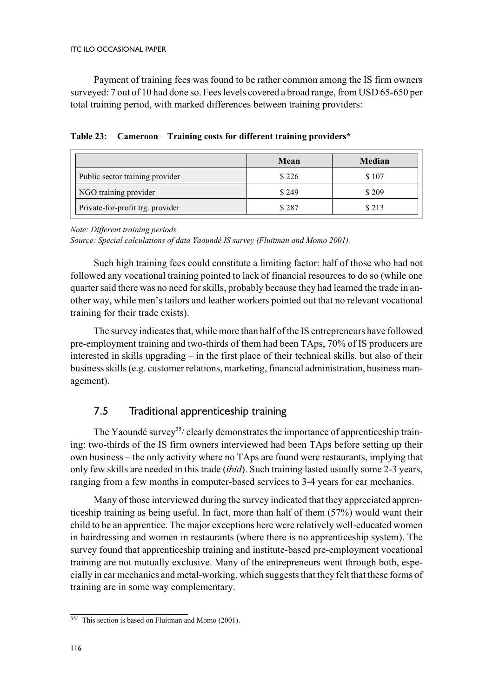#### **ITC ILO OCCASIONAL PAPER**

Payment of training fees was found to be rather common among the IS firm owners surveyed: 7 out of 10 had done so. Fees levels covered a broad range, from USD 65-650 per total training period, with marked differences between training providers:

|                                  | Mean  | Median |
|----------------------------------|-------|--------|
| Public sector training provider  | \$226 | \$107  |
| NGO training provider            | \$249 | \$209  |
| Private-for-profit trg. provider | \$287 | \$213  |

**Table 23: Cameroon – Training costs for different training providers\***

*Note: Different training periods.*

*Source: Special calculations of data Yaoundé IS survey (Fluitman and Momo 2001).*

Such high training fees could constitute a limiting factor: half of those who had not followed any vocational training pointed to lack of financial resources to do so (while one quarter said there was no need for skills, probably because they had learned the trade in another way,while men's tailors and leather workers pointed out that no relevant vocational training for their trade exists).

The survey indicates that, while more than half of the IS entrepreneurs have followed pre-employment training and two-thirds of them had been TAps,70% of IS producers are interested in skills upgrading  $-$  in the first place of their technical skills, but also of their business skills (e.g. customer relations, marketing, financial administration, business management).

# 7.5 Traditional apprenticeship training

The Yaoundé survey<sup>35</sup>/ clearly demonstrates the importance of apprenticeship training: two-thirds of the IS firm owners interviewed had been TAps before setting up their own business – the only activity where no TAps are found were restaurants, implying that only few skills are needed in this trade (*ibid*). Such training lasted usually some 2-3 years, ranging from a few months in computer-based services to 3-4 years for car mechanics.

Many of those interviewed during the survey indicated that they appreciated apprenticeship training as being useful. In fact, more than half of them  $(57%)$  would want their child to be an apprentice. The major exceptions here were relatively well-educated women in hairdressing and women in restaurants (where there is no apprenticeship system). The survey found that apprenticeship training and institute-based pre-employment vocational training are not mutually exclusive. Many of the entrepreneurs went through both, especially in car mechanics and metal-working,which suggests that they felt that these forms of training are in some way complementary.

 $35/$  This section is based on Fluitman and Momo (2001).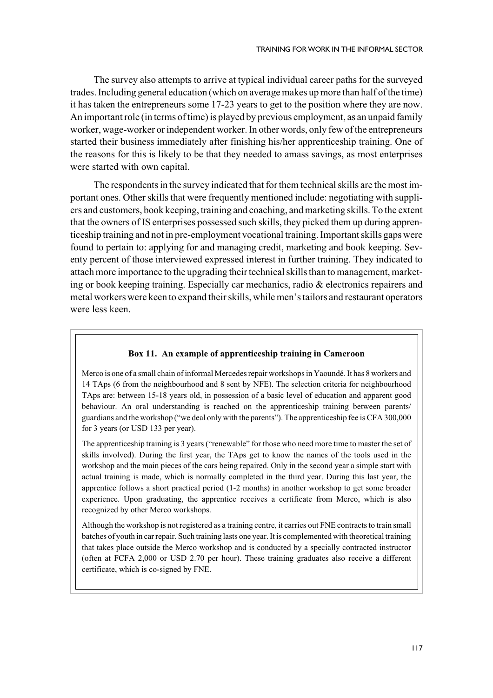The survey also attempts to arrive at typical individual career paths for the surveyed trades. Including general education (which on average makes up more than half of the time) it has taken the entrepreneurs some 17-23 years to get to the position where they are now. An important role (in terms of time) is played by previous employment, as an unpaid family worker, wage-worker or independent worker. In other words, only few of the entrepreneurs started their business immediately after finishing his/her apprenticeship training. One of the reasons for this is likely to be that they needed to amass savings, as most enterprises were started with own capital.

The respondents in the survey indicated that for them technical skills are the most important ones. Other skills that were frequently mentioned include: negotiating with suppliers and customers, book keeping, training and coaching, and marketing skills. To the extent that the owners of IS enterprises possessed such skills, they picked them up during apprenticeship training and not in pre-employment vocational training. Important skills gaps were found to pertain to: applying for and managing credit, marketing and book keeping. Seventy percent of those interviewed expressed interest in further training. They indicated to attach more importance to the upgrading their technical skills than to management, marketing or book keeping training. Especially car mechanics, radio  $\&$  electronics repairers and metal workers were keen to expand their skills, while men's tailors and restaurant operators were less keen.

### **Box 11. An example of apprenticeship training in Cameroon**

Merco is one of a small chain of informal Mercedes repair workshops in Yaoundé. It has 8 workers and 14 TAps (6 from the neighbourhood and 8 sent by NFE). The selection criteria for neighbourhood TAps are: between 15-18 years old, in possession of a basic level of education and apparent good behaviour. An oral understanding is reached on the apprenticeship training between parents/ guardians and the workshop ("we deal only with the parents"). The apprenticeship fee is CFA 300,000 for 3 years (or USD 133 per year).

The apprenticeship training is 3 years ("renewable" for those who need more time to master the set of skills involved). During the first year, the TAps get to know the names of the tools used in the workshop and the main pieces of the cars being repaired. Only in the second year a simple start with actual training is made, which is normally completed in the third year. During this last year, the apprentice follows a short practical period (1-2 months) in another workshop to get some broader experience. Upon graduating, the apprentice receives a certificate from Merco, which is also recognized by other Merco workshops.

Although the workshop is not registered as a training centre, it carries out FNE contracts to train small batches of youth in car repair. Such training lasts one year. It is complemented with theoretical training that takes place outside the Merco workshop and is conducted by a specially contracted instructor (often at FCFA 2,000 or USD 2.70 per hour). These training graduates also receive a different certificate, which is co-signed by FNE.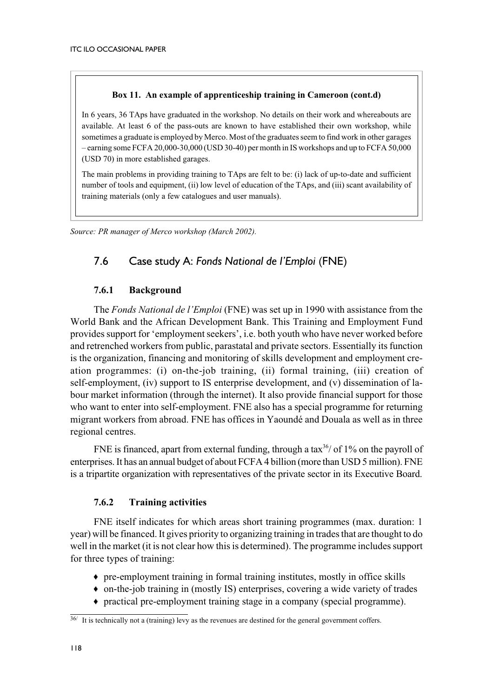### **Box 11. An example of apprenticeship training in Cameroon (cont.d)**

In 6 years,36 TAps have graduated in the workshop. No details on their work and whereabouts are available. At least 6 of the pass-outs are known to have established their own workshop, while sometimes a graduate is employed by Merco. Most of the graduates seem to find work in other garages – earning some FCFA 20,000-30,000 (USD 30-40) per month in IS workshops and up to FCFA 50,000 (USD 70) in more established garages.

The main problems in providing training to TAps are felt to be: (i) lack of up-to-date and sufficient number of tools and equipment, (ii) low level of education of the TAps, and (iii) scant availability of training materials (only a few catalogues and user manuals).

*Source: PR manager of Merco workshop (March 2002).*

# 7.6 Case study A: *Fonds National de l'Emploi* (FNE)

### **7.6.1 Background**

The *Fonds National de l'Emploi* (FNE) was set up in 1990 with assistance from the World Bank and the African Development Bank. This Training and Employment Fund provides support for 'employment seekers', i.e. both youth who have never worked before and retrenched workers from public, parastatal and private sectors. Essentially its function is the organization, financing and monitoring of skills development and employment creation programmes: (i) on-the-job training,(ii) formal training,(iii) creation of self-employment, (iv) support to IS enterprise development, and (v) dissemination of labour market information (through the internet). It also provide financial support for those who want to enter into self-employment. FNE also has a special programme for returning migrant workers from abroad. FNE has offices in Yaoundé and Douala as well as in three regional centres.

FNE is financed, apart from external funding, through a tax<sup>36</sup>/ of 1\% on the payroll of enterprises. It has an annual budget of about FCFA 4 billion (more than USD 5 million). FNE is a tripartite organization with representatives of the private sector in its Executive Board.

### **7.6.2 Training activities**

FNE itself indicates for which areas short training programmes (max. duration: 1 year) will be financed. It gives priority to organizing training in trades that are thought to do well in the market (it is not clear how this is determined). The programme includes support for three types of training:

- $\bullet$  pre-employment training in formal training institutes, mostly in office skills
- on-the-job training in (mostly IS) enterprises, covering a wide variety of trades
- practical pre-employment training stage in a company (special programme).

 $36/$  It is technically not a (training) levy as the revenues are destined for the general government coffers.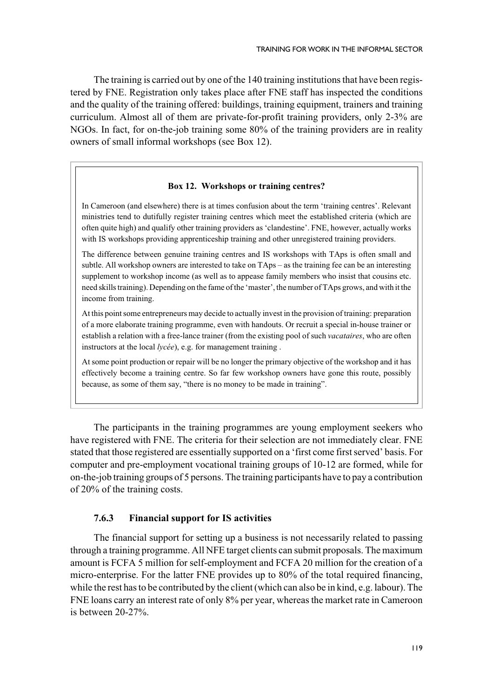The training is carried out by one of the 140 training institutions that have been registered by FNE. Registration only takes place after FNE staff has inspected the conditions and the quality of the training offered: buildings, training equipment, trainers and training curriculum. Almost all of them are private-for-profit training providers, only 2-3% are NGOs. In fact, for on-the-job training some 80% of the training providers are in reality owners of small informal workshops (see Box 12).

#### **Box 12. Workshops or training centres?**

In Cameroon (and elsewhere) there is at times confusion about the term 'training centres'. Relevant ministries tend to dutifully register training centres which meet the established criteria (which are often quite high) and qualify other training providers as 'clandestine'. FNE, however, actually works with IS workshops providing apprenticeship training and other unregistered training providers.

The difference between genuine training centres and IS workshops with TAps is often small and subtle. All workshop owners are interested to take on TAps – as the training fee can be an interesting supplement to workshop income (as well as to appease family members who insist that cousins etc. need skills training). Depending on the fame of the 'master', the number of TAps grows, and with it the income from training.

At this point some entrepreneurs may decide to actually invest in the provision of training: preparation of a more elaborate training programme, even with handouts. Or recruit a special in-house trainer or establish a relation with a free-lance trainer (from the existing pool of such *vacataires*, who are often instructors at the local *lycée*), e.g. for management training.

At some point production or repair will be no longer the primary objective of the workshop and it has effectively become a training centre. So far few workshop owners have gone this route, possibly because, as some of them say, "there is no money to be made in training".

The participants in the training programmes are young employment seekers who have registered with FNE. The criteria for their selection are not immediately clear. FNE stated that those registered are essentially supported on a 'first come first served' basis. For computer and pre-employment vocational training groups of 10-12 are formed, while for on-the-job training groups of 5 persons. The training participants have to pay a contribution of 20% of the training costs.

### **7.6.3 Financial support for IS activities**

The financial support for setting up a business is not necessarily related to passing through a training programme. All NFE target clients can submit proposals. The maximum amount is FCFA 5 million for self-employment and FCFA 20 million for the creation of a micro-enterprise. For the latter FNE provides up to 80% of the total required financing, while the rest has to be contributed by the client (which can also be in kind, e.g. labour). The FNE loans carry an interest rate of only 8% per year, whereas the market rate in Cameroon is between 20-27%.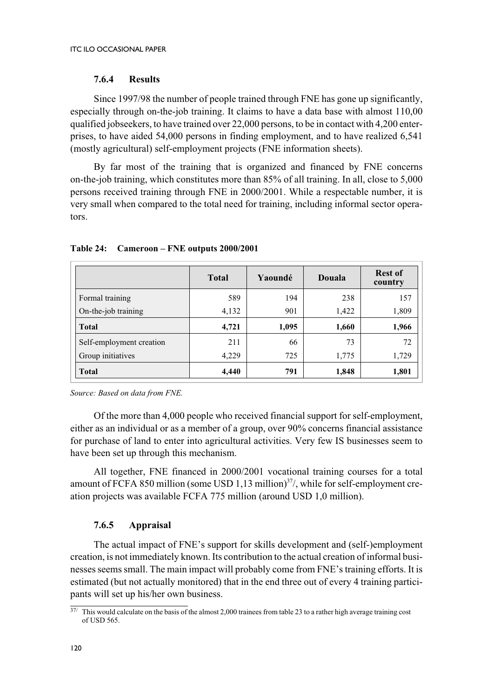### **7.6.4 Results**

Since 1997/98 the number of people trained through FNE has gone up significantly, especially through on-the-job training. It claims to have a data base with almost 110,00 qualified jobseekers, to have trained over 22,000 persons, to be in contact with 4,200 enterprises, to have aided 54,000 persons in finding employment, and to have realized 6,541 (mostly agricultural) self-employment projects (FNE information sheets).

By far most of the training that is organized and financed by FNE concerns on-the-job training, which constitutes more than  $85\%$  of all training. In all, close to  $5,000$ persons received training through FNE in 2000/2001. While a respectable number, it is very small when compared to the total need for training, including informal sector operators.

|                          | <b>Total</b> | Yaoundé | Douala | <b>Rest of</b><br>country |
|--------------------------|--------------|---------|--------|---------------------------|
| Formal training          | 589          | 194     | 238    | 157                       |
| On-the-job training      | 4,132        | 901     | 1,422  | 1,809                     |
| <b>Total</b>             | 4,721        | 1,095   | 1,660  | 1,966                     |
| Self-employment creation | 211          | 66      | 73     | 72                        |
| Group initiatives        | 4,229        | 725     | 1,775  | 1,729                     |
| <b>Total</b>             | 4,440        | 791     | 1,848  | 1,801                     |

**Table 24: Cameroon – FNE outputs 2000/2001**

*Source: Based on data from FNE.*

Of the more than 4,000 people who received financial support for self-employment, either as an individual or as a member of a group, over 90% concerns financial assistance for purchase of land to enter into agricultural activities. Very few IS businesses seem to have been set up through this mechanism.

All together, FNE financed in 2000/2001 vocational training courses for a total amount of FCFA 850 million (some USD 1,13 million) $37/$ , while for self-employment creation projects was available FCFA 775 million (around USD 1,0 million).

# **7.6.5 Appraisal**

The actual impact of FNE's support for skills development and (self-)employment creation, is not immediately known. Its contribution to the actual creation of informal businesses seems small. The main impact will probably come from FNE's training efforts. It is estimated (but not actually monitored) that in the end three out of every 4 training participants will set up his/her own business.

 $37/$  This would calculate on the basis of the almost 2,000 trainees from table 23 to a rather high average training cost of USD 565.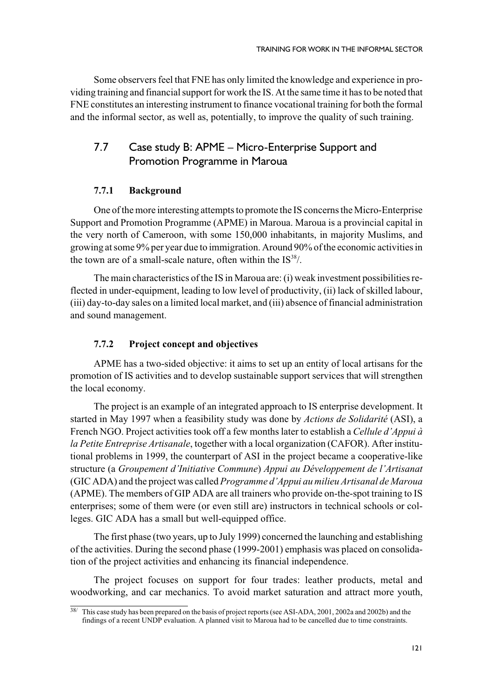Some observers feel that FNE has only limited the knowledge and experience in providing training and financial support for work the IS. At the same time it has to be noted that FNE constitutes an interesting instrument to finance vocational training for both the formal and the informal sector, as well as, potentially, to improve the quality of such training.

# 7.7 Case study B: APME – Micro-Enterprise Support and Promotion Programme in Maroua

### **7.7.1 Background**

One of the more interesting attempts to promote the IS concerns the Micro-Enterprise Support and Promotion Programme (APME) in Maroua. Maroua is a provincial capital in the very north of Cameroon, with some 150,000 inhabitants, in majority Muslims, and growing at some 9% per year due to immigration. Around 90% of the economic activities in the town are of a small-scale nature, often within the  $IS^{38}$ .

The main characteristics of the IS in Maroua are: (i) weak investment possibilities reflected in under-equipment, leading to low level of productivity, (ii) lack of skilled labour, (iii) day-to-day sales on a limited local market,and (iii) absence of financial administration and sound management.

### **7.7.2 Project concept and objectives**

APME has a two-sided objective: it aims to set up an entity of local artisans for the promotion of IS activities and to develop sustainable support services that will strengthen the local economy.

The project is an example of an integrated approach to IS enterprise development. It started in May 1997 when a feasibility study was done by *Actions de Solidarité* (ASI),a French NGO. Project activities took off a few months later to establish a *Cellule d'Appui à la Petite Entreprise Artisanale*, together with a local organization (CAFOR). After institutional problems in 1999, the counterpart of ASI in the project became a cooperative-like structure (a *Groupement d'Initiative Commune*) *Appui au Développement de l'Artisanat* (GIC ADA) and the project was called *Programme d'Appui au milieu Artisanal de Maroua* (APME). The members of GIP ADA are all trainers who provide on-the-spot training to IS enterprises; some of them were (or even still are) instructors in technical schools or colleges. GIC ADA has a small but well-equipped office.

The first phase (two years, up to July 1999) concerned the launching and establishing of the activities. During the second phase (1999-2001) emphasis was placed on consolidation of the project activities and enhancing its financial independence.

The project focuses on support for four trades: leather products, metal and woodworking, and car mechanics. To avoid market saturation and attract more youth,

<sup>&</sup>lt;sup>38/</sup> This case study has been prepared on the basis of project reports (see ASI-ADA, 2001, 2002a and 2002b) and the findings of a recent UNDP evaluation. A planned visit to Maroua had to be cancelled due to time constraints.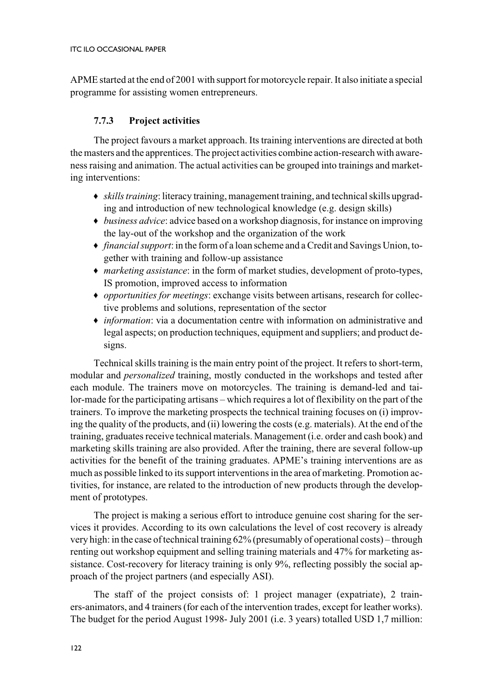APME started at the end of 2001 with support for motorcycle repair. It also initiate a special programme for assisting women entrepreneurs.

### **7.7.3 Project activities**

The project favours a market approach. Its training interventions are directed at both the masters and the apprentices. The project activities combine action-research with awareness raising and animation. The actual activities can be grouped into trainings and marketing interventions:

- *skills training*: literacy training,management training,and technical skills upgrading and introduction of new technological knowledge (e.g. design skills)
- ◆ *business advice*: advice based on a workshop diagnosis, for instance on improving the lay-out of the workshop and the organization of the work
- *financial support*: in the form of a loan scheme and a Credit and Savings Union,together with training and follow-up assistance
- *marketing assistance*: in the form of market studies, development of proto-types, IS promotion, improved access to information
- *opportunities for meetings*: exchange visits between artisans, research for collective problems and solutions, representation of the sector
- *information*: via a documentation centre with information on administrative and legal aspects; on production techniques, equipment and suppliers; and product designs.

Technical skills training is the main entry point of the project. It refers to short-term, modular and *personalized* training, mostly conducted in the workshops and tested after each module. The trainers move on motorcycles. The training is demand-led and tailor-made for the participating artisans – which requires a lot of flexibility on the part of the trainers. To improve the marketing prospects the technical training focuses on (i) improving the quality of the products, and (ii) lowering the costs (e.g. materials). At the end of the training, graduates receive technical materials. Management (i.e. order and cash book) and marketing skills training are also provided. After the training, there are several follow-up activities for the benefit of the training graduates. APME's training interventions are as much as possible linked to its support interventions in the area of marketing. Promotion activities, for instance, are related to the introduction of new products through the development of prototypes.

The project is making a serious effort to introduce genuine cost sharing for the services it provides. According to its own calculations the level of cost recovery is already very high: in the case of technical training 62% (presumably of operational costs) – through renting out workshop equipment and selling training materials and 47% for marketing assistance. Cost-recovery for literacy training is only  $9\%$ , reflecting possibly the social approach of the project partners (and especially ASI).

The staff of the project consists of: 1 project manager (expatriate), 2 trainers-animators, and 4 trainers (for each of the intervention trades, except for leather works). The budget for the period August 1998- July 2001 (i.e. 3 years) totalled USD 1,7 million: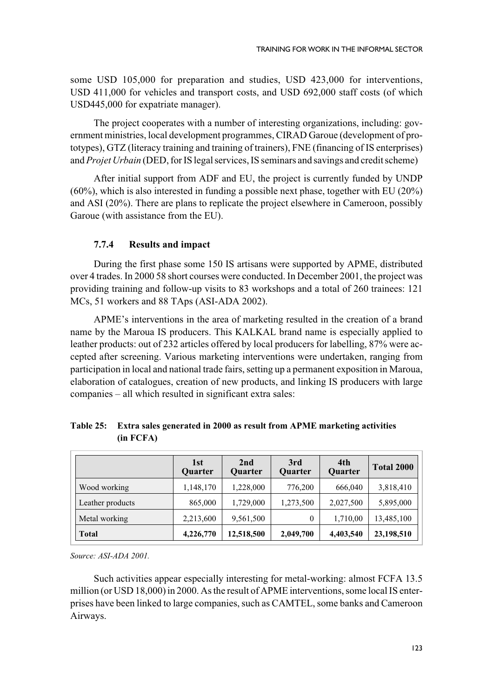some USD 105,000 for preparation and studies, USD 423,000 for interventions, USD 411,000 for vehicles and transport costs, and USD 692,000 staff costs (of which USD445,000 for expatriate manager).

The project cooperates with a number of interesting organizations, including: government ministries, local development programmes, CIRAD Garoue (development of prototypes),GTZ (literacy training and training of trainers),FNE (financing of IS enterprises) and *Projet Urbain* (DED, for IS legal services, IS seminars and savings and credit scheme)

After initial support from ADF and EU, the project is currently funded by UNDP  $(60\%)$ , which is also interested in funding a possible next phase, together with EU (20%) and ASI (20%). There are plans to replicate the project elsewhere in Cameroon, possibly Garoue (with assistance from the EU).

### **7.7.4 Results and impact**

During the first phase some 150 IS artisans were supported by APME, distributed over 4 trades. In 2000 58 short courses were conducted. In December 2001, the project was providing training and follow-up visits to 83 workshops and a total of 260 trainees: 121 MCs,51 workers and 88 TAps (ASI-ADA 2002).

APME's interventions in the area of marketing resulted in the creation of a brand name by the Maroua IS producers. This KALKAL brand name is especially applied to leather products: out of 232 articles offered by local producers for labelling, 87% were accepted after screening. Various marketing interventions were undertaken, ranging from participation in local and national trade fairs, setting up a permanent exposition in Maroua, elaboration of catalogues, creation of new products, and linking IS producers with large companies – all which resulted in significant extra sales:

|                  | 1st<br>Quarter | 2nd<br>Quarter | 3rd<br>Quarter | 4th<br>Quarter | <b>Total 2000</b> |
|------------------|----------------|----------------|----------------|----------------|-------------------|
| Wood working     | 1,148,170      | 1,228,000      | 776,200        | 666,040        | 3,818,410         |
| Leather products | 865,000        | 1,729,000      | 1,273,500      | 2,027,500      | 5,895,000         |
| Metal working    | 2,213,600      | 9,561,500      | $\theta$       | 1,710,00       | 13,485,100        |
| <b>Total</b>     | 4,226,770      | 12,518,500     | 2,049,700      | 4,403,540      | 23,198,510        |

**Table 25: Extra sales generated in 2000 as result from APME marketing activities (in FCFA)**

*Source: ASI-ADA 2001.*

Such activities appear especially interesting for metal-working: almost FCFA 13.5 million (or USD 18,000) in 2000. As the result of APME interventions, some local IS enterprises have been linked to large companies, such as CAMTEL, some banks and Cameroon Airways.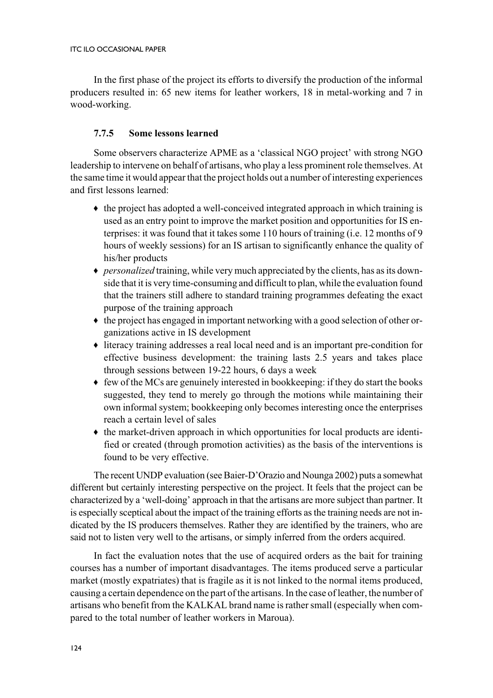In the first phase of the project its efforts to diversify the production of the informal producers resulted in: 65 new items for leather workers,18 in metal-working and 7 in wood-working.

### **7.7.5 Some lessons learned**

Some observers characterize APME as a 'classical NGO project' with strong NGO leadership to intervene on behalf of artisans, who play a less prominent role themselves. At the same time it would appear that the project holds out a number of interesting experiences and first lessons learned:

- $\bullet$  the project has adopted a well-conceived integrated approach in which training is used as an entry point to improve the market position and opportunities for IS enterprises: it was found that it takes some 110 hours of training (i.e. 12 months of 9 hours of weekly sessions) for an IS artisan to significantly enhance the quality of his/her products
- *personalized* training, while very much appreciated by the clients, has as its downside that it is very time-consuming and difficult to plan, while the evaluation found that the trainers still adhere to standard training programmes defeating the exact purpose of the training approach
- $\bullet$  the project has engaged in important networking with a good selection of other organizations active in IS development
- literacy training addresses a real local need and is an important pre-condition for effective business development: the training lasts 2.5 years and takes place through sessions between 19-22 hours, 6 days a week
- $\bullet$  few of the MCs are genuinely interested in bookkeeping: if they do start the books suggested, they tend to merely go through the motions while maintaining their own informal system; bookkeeping only becomes interesting once the enterprises reach a certain level of sales
- $\bullet$  the market-driven approach in which opportunities for local products are identified or created (through promotion activities) as the basis of the interventions is found to be very effective.

The recent UNDP evaluation (see Baier-D'Orazio and Nounga 2002) puts a somewhat different but certainly interesting perspective on the project. It feels that the project can be characterized by a 'well-doing' approach in that the artisans are more subject than partner. It is especially sceptical about the impact of the training efforts as the training needs are not indicated by the IS producers themselves. Rather they are identified by the trainers, who are said not to listen very well to the artisans, or simply inferred from the orders acquired.

In fact the evaluation notes that the use of acquired orders as the bait for training courses has a number of important disadvantages. The items produced serve a particular market (mostly expatriates) that is fragile as it is not linked to the normal items produced, causing a certain dependence on the part of the artisans. In the case of leather, the number of artisans who benefit from the KALKAL brand name is rather small (especially when compared to the total number of leather workers in Maroua).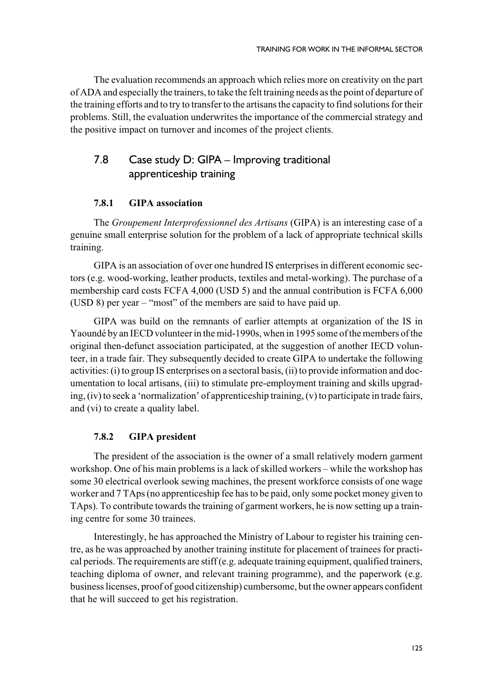The evaluation recommends an approach which relies more on creativity on the part of ADA and especially the trainers, to take the felt training needs as the point of departure of the training efforts and to try to transfer to the artisans the capacity to find solutions for their problems. Still, the evaluation underwrites the importance of the commercial strategy and the positive impact on turnover and incomes of the project clients.

# 7.8 Case study D: GIPA – Improving traditional apprenticeship training

### **7.8.1 GIPA association**

The *Groupement Interprofessionnel des Artisans* (GIPA) is an interesting case of a genuine small enterprise solution for the problem of a lack of appropriate technical skills training.

GIPA is an association of over one hundred IS enterprises in different economic sectors (e.g. wood-working, leather products, textiles and metal-working). The purchase of a membership card costs FCFA 4,000 (USD 5) and the annual contribution is FCFA 6,000 (USD 8) per year – "most" of the members are said to have paid up.

GIPA was build on the remnants of earlier attempts at organization of the IS in Yaoundé by an IECD volunteer in the mid-1990s, when in 1995 some of the members of the original then-defunct association participated,at the suggestion of another IECD volunteer, in a trade fair. They subsequently decided to create GIPA to undertake the following activities: (i) to group IS enterprises on a sectoral basis,(ii) to provide information and documentation to local artisans,(iii) to stimulate pre-employment training and skills upgrading,(iv) to seek a 'normalization' of apprenticeship training,(v) to participate in trade fairs, and (vi) to create a quality label.

# **7.8.2 GIPA president**

The president of the association is the owner of a small relatively modern garment workshop. One of his main problems is a lack of skilled workers – while the workshop has some 30 electrical overlook sewing machines, the present workforce consists of one wage worker and 7 TAps (no apprenticeship fee has to be paid, only some pocket money given to TAps). To contribute towards the training of garment workers, he is now setting up a training centre for some 30 trainees.

Interestingly, he has approached the Ministry of Labour to register his training centre, as he was approached by another training institute for placement of trainees for practical periods. The requirements are stiff (e.g. adequate training equipment,qualified trainers, teaching diploma of owner, and relevant training programme), and the paperwork (e.g. business licenses, proof of good citizenship) cumbersome, but the owner appears confident that he will succeed to get his registration.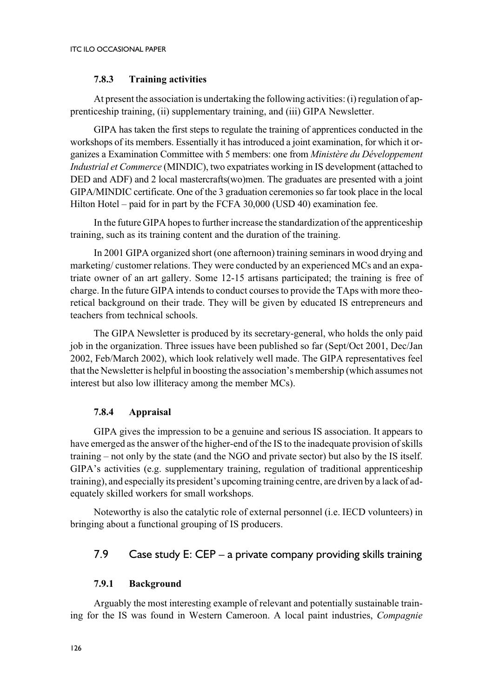### **7.8.3 Training activities**

At present the association is undertaking the following activities: (i) regulation of apprenticeship training, (ii) supplementary training, and (iii) GIPA Newsletter.

GIPA has taken the first steps to regulate the training of apprentices conducted in the workshops of its members. Essentially it has introduced a joint examination, for which it organizes a Examination Committee with 5 members: one from *Ministère du Développement Industrial et Commerce* (MINDIC), two expatriates working in IS development (attached to DED and ADF) and 2 local mastercrafts(wo)men. The graduates are presented with a joint GIPA/MINDIC certificate. One of the 3 graduation ceremonies so far took place in the local Hilton Hotel – paid for in part by the FCFA 30,000 (USD 40) examination fee.

In the future GIPA hopes to further increase the standardization of the apprenticeship training, such as its training content and the duration of the training.

In 2001 GIPA organized short (one afternoon) training seminars in wood drying and marketing/ customer relations. They were conducted by an experienced MCs and an expatriate owner of an art gallery. Some 12-15 artisans participated; the training is free of charge. In the future GIPA intends to conduct courses to provide the TAps with more theoretical background on their trade. They will be given by educated IS entrepreneurs and teachers from technical schools.

The GIPA Newsletter is produced by its secretary-general,who holds the only paid job in the organization. Three issues have been published so far (Sept/Oct 2001, Dec/Jan 2002, Feb/March 2002), which look relatively well made. The GIPA representatives feel that the Newsletter is helpful in boosting the association's membership (which assumes not interest but also low illiteracy among the member MCs).

# **7.8.4 Appraisal**

GIPA gives the impression to be a genuine and serious IS association. It appears to have emerged as the answer of the higher-end of the IS to the inadequate provision of skills training – not only by the state (and the NGO and private sector) but also by the IS itself. GIPA's activities (e.g. supplementary training, regulation of traditional apprenticeship training), and especially its president's upcoming training centre, are driven by a lack of adequately skilled workers for small workshops.

Noteworthy is also the catalytic role of external personnel (i.e. IECD volunteers) in bringing about a functional grouping of IS producers.

# 7.9 Case study E: CEP – a private company providing skills training

# **7.9.1 Background**

Arguably the most interesting example of relevant and potentially sustainable training for the IS was found in Western Cameroon. A local paint industries, *Compagnie*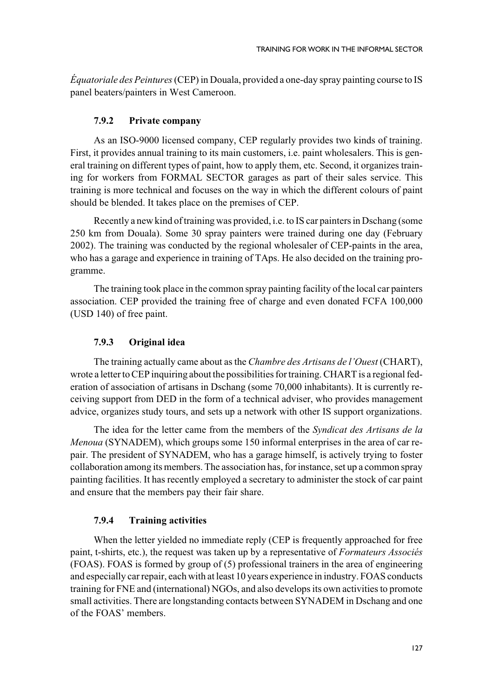*Équatoriale des Peintures* (CEP) in Douala, provided a one-day spray painting course to IS panel beaters/painters in West Cameroon.

### **7.9.2 Private company**

As an ISO-9000 licensed company, CEP regularly provides two kinds of training. First, it provides annual training to its main customers, i.e. paint wholesalers. This is general training on different types of paint, how to apply them, etc. Second, it organizes training for workers from FORMAL SECTOR garages as part of their sales service. This training is more technical and focuses on the way in which the different colours of paint should be blended. It takes place on the premises of CEP.

Recently a new kind of training was provided, i.e. to IS car painters in Dschang (some 250 km from Douala). Some 30 spray painters were trained during one day (February 2002). The training was conducted by the regional wholesaler of CEP-paints in the area, who has a garage and experience in training of TAps. He also decided on the training programme.

The training took place in the common spray painting facility of the local car painters association. CEP provided the training free of charge and even donated FCFA 100,000 (USD 140) of free paint.

### **7.9.3 Original idea**

The training actually came about as the *Chambre des Artisans de l'Ouest* (CHART), wrote a letter to CEP inquiring about the possibilities for training. CHART is a regional federation of association of artisans in Dschang (some 70,000 inhabitants). It is currently receiving support from DED in the form of a technical adviser, who provides management advice, organizes study tours, and sets up a network with other IS support organizations.

The idea for the letter came from the members of the *Syndicat des Artisans de la Menoua* (SYNADEM), which groups some 150 informal enterprises in the area of car repair. The president of SYNADEM, who has a garage himself, is actively trying to foster collaboration among its members. The association has, for instance, set up a common spray painting facilities. It has recently employed a secretary to administer the stock of car paint and ensure that the members pay their fair share.

### **7.9.4 Training activities**

When the letter yielded no immediate reply (CEP is frequently approached for free paint, t-shirts, etc.), the request was taken up by a representative of *Formateurs Associés* (FOAS). FOAS is formed by group of (5) professional trainers in the area of engineering and especially car repair, each with at least 10 years experience in industry. FOAS conducts training for FNE and (international) NGOs, and also develops its own activities to promote small activities. There are longstanding contacts between SYNADEM in Dschang and one of the FOAS' members.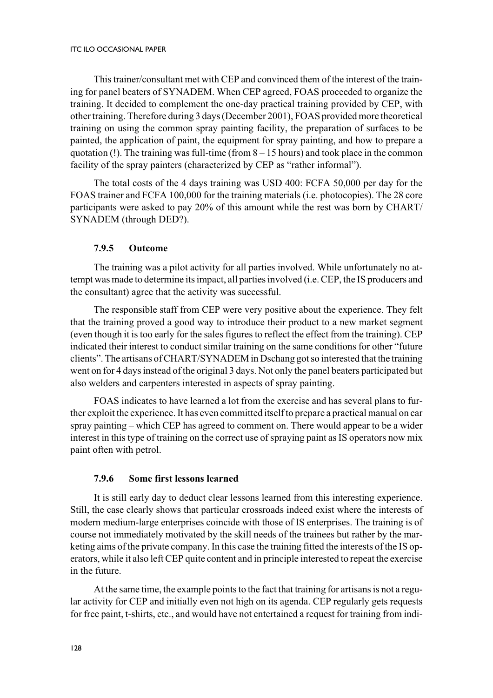This trainer/consultant met with CEP and convinced them of the interest of the training for panel beaters of SYNADEM. When CEP agreed,FOAS proceeded to organize the training. It decided to complement the one-day practical training provided by CEP, with other training. Therefore during 3 days (December 2001),FOAS provided more theoretical training on using the common spray painting facility, the preparation of surfaces to be painted, the application of paint, the equipment for spray painting, and how to prepare a quotation (!). The training was full-time (from  $8 - 15$  hours) and took place in the common facility of the spray painters (characterized by CEP as "rather informal").

The total costs of the 4 days training was USD 400: FCFA 50,000 per day for the FOAS trainer and FCFA 100,000 for the training materials (i.e. photocopies). The 28 core participants were asked to pay 20% of this amount while the rest was born by CHART/ SYNADEM (through DED?).

### **7.9.5 Outcome**

The training was a pilot activity for all parties involved. While unfortunately no attempt was made to determine its impact, all parties involved (i.e. CEP, the IS producers and the consultant) agree that the activity was successful.

The responsible staff from CEP were very positive about the experience. They felt that the training proved a good way to introduce their product to a new market segment (even though it is too early for the sales figures to reflect the effect from the training). CEP indicated their interest to conduct similar training on the same conditions for other "future clients". The artisans of CHART/SYNADEM in Dschang got so interested that the training went on for 4 days instead of the original 3 days. Not only the panel beaters participated but also welders and carpenters interested in aspects of spray painting.

FOAS indicates to have learned a lot from the exercise and has several plans to further exploit the experience. It has even committed itself to prepare a practical manual on car spray painting – which CEP has agreed to comment on. There would appear to be a wider interest in this type of training on the correct use of spraying paint as IS operators now mix paint often with petrol.

### **7.9.6 Some first lessons learned**

It is still early day to deduct clear lessons learned from this interesting experience. Still, the case clearly shows that particular crossroads indeed exist where the interests of modern medium-large enterprises coincide with those of IS enterprises. The training is of course not immediately motivated by the skill needs of the trainees but rather by the marketing aims of the private company. In this case the training fitted the interests of the IS operators,while it also left CEP quite content and in principle interested to repeat the exercise in the future.

At the same time, the example points to the fact that training for artisans is not a regular activity for CEP and initially even not high on its agenda. CEP regularly gets requests for free paint, t-shirts, etc., and would have not entertained a request for training from indi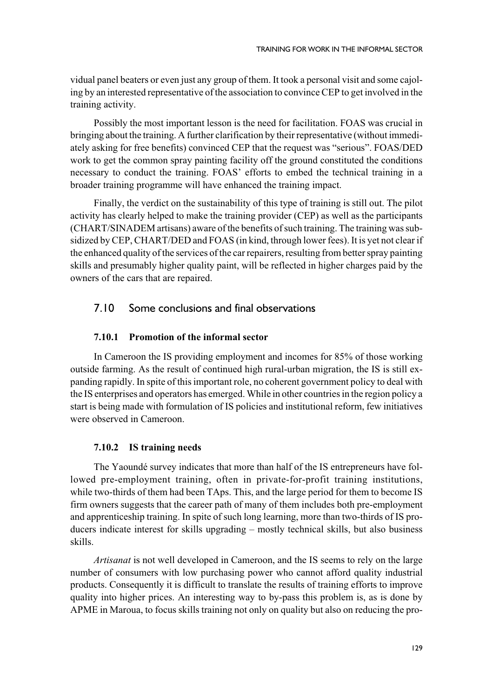vidual panel beaters or even just any group of them. It took a personal visit and some cajoling by an interested representative of the association to convince CEP to get involved in the training activity.

Possibly the most important lesson is the need for facilitation. FOAS was crucial in bringing about the training. A further clarification by their representative (without immediately asking for free benefits) convinced CEP that the request was "serious". FOAS/DED work to get the common spray painting facility off the ground constituted the conditions necessary to conduct the training. FOAS' efforts to embed the technical training in a broader training programme will have enhanced the training impact.

Finally, the verdict on the sustainability of this type of training is still out. The pilot activity has clearly helped to make the training provider (CEP) as well as the participants (CHART/SINADEM artisans) aware of the benefits of such training. The training was subsidized by CEP, CHART/DED and FOAS (in kind, through lower fees). It is yet not clear if the enhanced quality of the services of the car repairers, resulting from better spray painting skills and presumably higher quality paint, will be reflected in higher charges paid by the owners of the cars that are repaired.

# 7.10 Some conclusions and final observations

### **7.10.1 Promotion of the informal sector**

In Cameroon the IS providing employment and incomes for 85% of those working outside farming. As the result of continued high rural-urban migration, the IS is still expanding rapidly. In spite of this important role, no coherent government policy to deal with the IS enterprises and operators has emerged.While in other countries in the region policy a start is being made with formulation of IS policies and institutional reform, few initiatives were observed in Cameroon.

### **7.10.2 IS training needs**

The Yaoundé survey indicates that more than half of the IS entrepreneurs have followed pre-employment training, often in private-for-profit training institutions, while two-thirds of them had been TAps. This, and the large period for them to become IS firm owners suggests that the career path of many of them includes both pre-employment and apprenticeship training. In spite of such long learning, more than two-thirds of IS producers indicate interest for skills upgrading – mostly technical skills, but also business skills.

*Artisanat* is not well developed in Cameroon,and the IS seems to rely on the large number of consumers with low purchasing power who cannot afford quality industrial products. Consequently it is difficult to translate the results of training efforts to improve quality into higher prices. An interesting way to by-pass this problem is, as is done by APME in Maroua, to focus skills training not only on quality but also on reducing the pro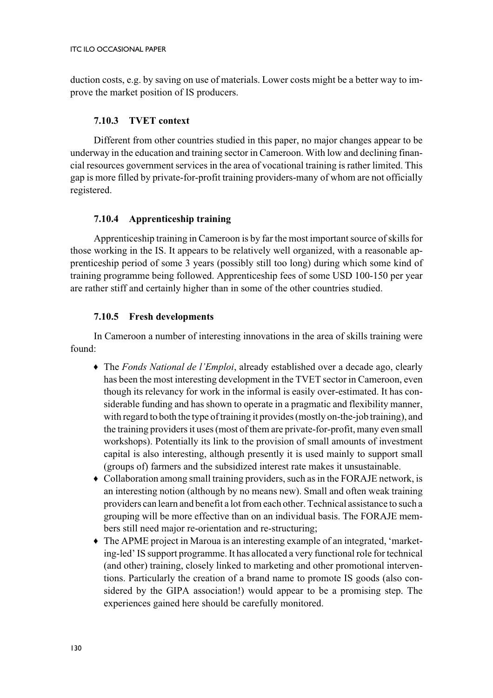duction costs, e.g. by saving on use of materials. Lower costs might be a better way to improve the market position of IS producers.

### **7.10.3 TVET context**

Different from other countries studied in this paper, no major changes appear to be underway in the education and training sector in Cameroon. With low and declining financial resources government services in the area of vocational training is rather limited. This gap is more filled by private-for-profit training providers-many of whom are not officially registered.

### **7.10.4 Apprenticeship training**

Apprenticeship training in Cameroon is by far the most important source of skills for those working in the IS. It appears to be relatively well organized, with a reasonable apprenticeship period of some 3 years (possibly still too long) during which some kind of training programme being followed. Apprenticeship fees of some USD 100-150 per year are rather stiff and certainly higher than in some of the other countries studied.

### **7.10.5 Fresh developments**

In Cameroon a number of interesting innovations in the area of skills training were found:

- ◆ The *Fonds National de l'Emploi*, already established over a decade ago, clearly has been the most interesting development in the TVET sector in Cameroon, even though its relevancy for work in the informal is easily over-estimated. It has considerable funding and has shown to operate in a pragmatic and flexibility manner, with regard to both the type of training it provides (mostly on-the-job training), and the training providers it uses (most of them are private-for-profit, many even small workshops). Potentially its link to the provision of small amounts of investment capital is also interesting, although presently it is used mainly to support small (groups of) farmers and the subsidized interest rate makes it unsustainable.
- $\bullet$  Collaboration among small training providers, such as in the FORAJE network, is an interesting notion (although by no means new). Small and often weak training providers can learn and benefit a lot from each other. Technical assistance to such a grouping will be more effective than on an individual basis. The FORAJE members still need major re-orientation and re-structuring;
- The APME project in Maroua is an interesting example of an integrated,'marketing-led' IS support programme. It has allocated a very functional role for technical (and other) training, closely linked to marketing and other promotional interventions. Particularly the creation of a brand name to promote IS goods (also considered by the GIPA association!) would appear to be a promising step. The experiences gained here should be carefully monitored.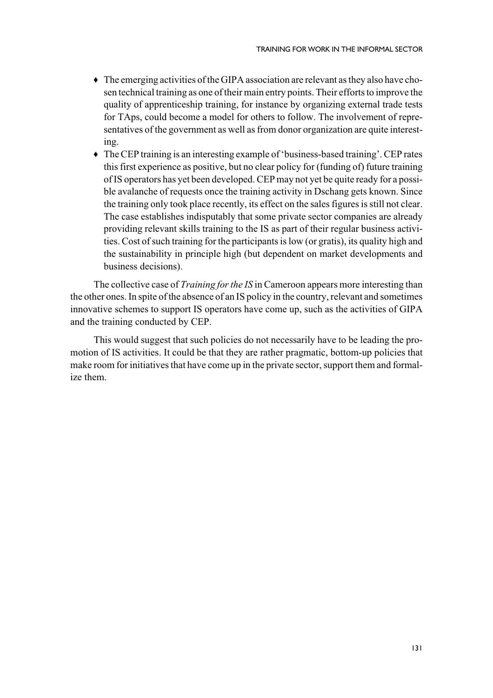- The emerging activities of the GIPA association are relevant as they also have chosen technical training as one of their main entry points. Their efforts to improve the quality of apprenticeship training, for instance by organizing external trade tests for TAps, could become a model for others to follow. The involvement of representatives of the government as well as from donor organization are quite interesting.
- The CEP training is an interesting example of 'business-based training'. CEP rates this first experience as positive, but no clear policy for (funding of) future training of IS operators has yet been developed. CEP may not yet be quite ready for a possible avalanche of requests once the training activity in Dschang gets known. Since the training only took place recently, its effect on the sales figures is still not clear. The case establishes indisputably that some private sector companies are already providing relevant skills training to the IS as part of their regular business activities. Cost of such training for the participants is low (or gratis), its quality high and the sustainability in principle high (but dependent on market developments and business decisions).

The collective case of *Training for the IS* in Cameroon appears more interesting than the other ones. In spite of the absence of an IS policy in the country, relevant and sometimes innovative schemes to support IS operators have come up, such as the activities of GIPA and the training conducted by CEP.

This would suggest that such policies do not necessarily have to be leading the promotion of IS activities. It could be that they are rather pragmatic, bottom-up policies that make room for initiatives that have come up in the private sector, support them and formalize them.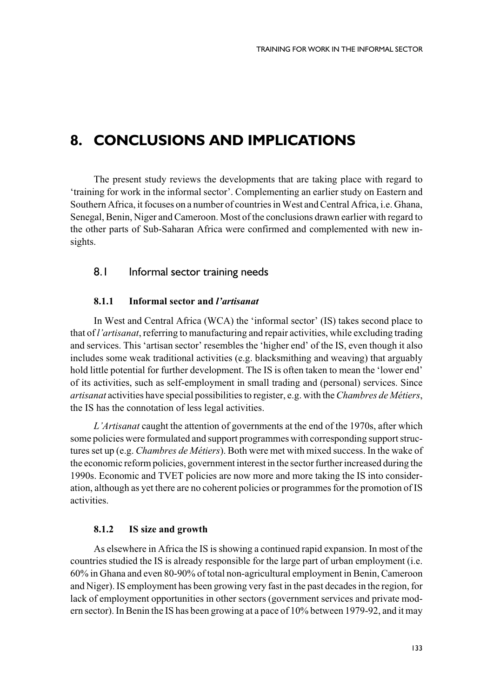# **8. CONCLUSIONS AND IMPLICATIONS**

The present study reviews the developments that are taking place with regard to 'training for work in the informal sector'. Complementing an earlier study on Eastern and Southern Africa, it focuses on a number of countries in West and Central Africa, i.e. Ghana, Senegal, Benin, Niger and Cameroon. Most of the conclusions drawn earlier with regard to the other parts of Sub-Saharan Africa were confirmed and complemented with new insights.

# 8.1 Informal sector training needs

### **8.1.1 Informal sector and** *l'artisanat*

In West and Central Africa (WCA) the 'informal sector' (IS) takes second place to that of *l'artisanat*, referring to manufacturing and repair activities, while excluding trading and services. This 'artisan sector' resembles the 'higher end' of the IS, even though it also includes some weak traditional activities (e.g. blacksmithing and weaving) that arguably hold little potential for further development. The IS is often taken to mean the 'lower end' of its activities, such as self-employment in small trading and (personal) services. Since *artisanat* activities have special possibilities to register,e.g. with the*Chambres de Métiers*, the IS has the connotation of less legal activities.

*L'Artisanat* caught the attention of governments at the end of the 1970s, after which some policies were formulated and support programmes with corresponding support structures set up (e.g. *Chambres de Métiers*). Both were met with mixed success. In the wake of the economic reform policies, government interest in the sector further increased during the 1990s. Economic and TVET policies are now more and more taking the IS into consideration,although as yet there are no coherent policies or programmes for the promotion of IS activities.

### **8.1.2 IS size and growth**

As elsewhere in Africa the IS is showing a continued rapid expansion. In most of the countries studied the IS is already responsible for the large part of urban employment (i.e. 60% in Ghana and even 80-90% of total non-agricultural employment in Benin,Cameroon and Niger). IS employment has been growing very fast in the past decades in the region, for lack of employment opportunities in other sectors (government services and private modern sector). In Benin the IS has been growing at a pace of 10% between 1979-92, and it may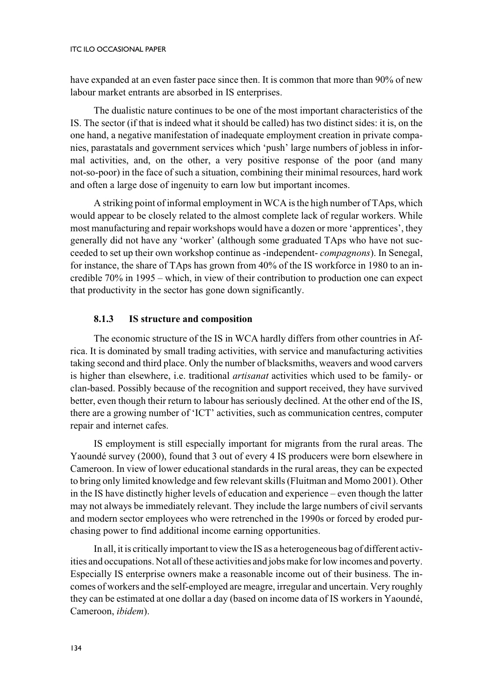have expanded at an even faster pace since then. It is common that more than 90% of new labour market entrants are absorbed in IS enterprises.

The dualistic nature continues to be one of the most important characteristics of the IS. The sector (if that is indeed what it should be called) has two distinct sides: it is, on the one hand,a negative manifestation of inadequate employment creation in private companies, parastatals and government services which 'push' large numbers of jobless in informal activities, and, on the other, a very positive response of the poor (and many not-so-poor) in the face of such a situation, combining their minimal resources, hard work and often a large dose of ingenuity to earn low but important incomes.

A striking point of informal employment in WCA is the high number of TAps, which would appear to be closely related to the almost complete lack of regular workers. While most manufacturing and repair workshops would have a dozen or more 'apprentices', they generally did not have any 'worker' (although some graduated TAps who have not succeeded to set up their own workshop continue as -independent- *compagnons*). In Senegal, for instance, the share of TAps has grown from  $40\%$  of the IS workforce in 1980 to an incredible  $70\%$  in  $1995$  – which, in view of their contribution to production one can expect that productivity in the sector has gone down significantly.

### **8.1.3 IS structure and composition**

The economic structure of the IS in WCA hardly differs from other countries in Africa. It is dominated by small trading activities, with service and manufacturing activities taking second and third place. Only the number of blacksmiths, weavers and wood carvers is higher than elsewhere, i.e. traditional *artisanat* activities which used to be family- or clan-based. Possibly because of the recognition and support received, they have survived better, even though their return to labour has seriously declined. At the other end of the IS, there are a growing number of 'ICT' activities, such as communication centres, computer repair and internet cafes.

IS employment is still especially important for migrants from the rural areas. The Yaoundé survey (2000), found that 3 out of every 4 IS producers were born elsewhere in Cameroon. In view of lower educational standards in the rural areas, they can be expected to bring only limited knowledge and few relevant skills (Fluitman and Momo 2001). Other in the IS have distinctly higher levels of education and experience – even though the latter may not always be immediately relevant. They include the large numbers of civil servants and modern sector employees who were retrenched in the 1990s or forced by eroded purchasing power to find additional income earning opportunities.

In all, it is critically important to view the IS as a heterogeneous bag of different activities and occupations. Not all of these activities and jobs make for low incomes and poverty. Especially IS enterprise owners make a reasonable income out of their business. The incomes of workers and the self-employed are meagre, irregular and uncertain. Very roughly they can be estimated at one dollar a day (based on income data of IS workers in Yaoundé, Cameroon, *ibidem*).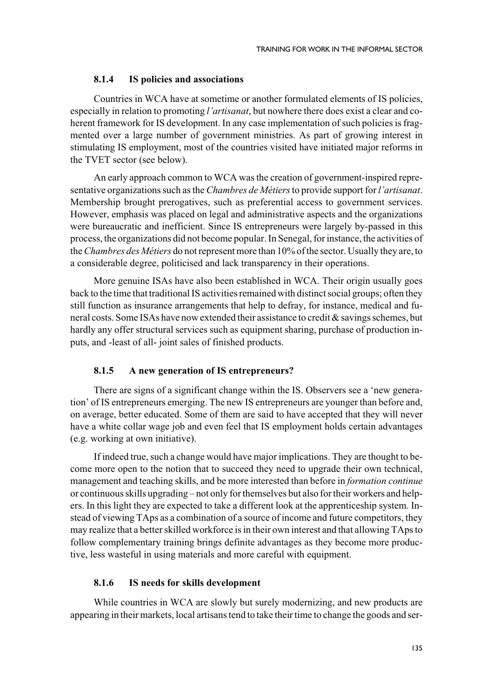### **8.1.4 IS policies and associations**

Countries in WCA have at sometime or another formulated elements of IS policies, especially in relation to promoting *l'artisanat*, but nowhere there does exist a clear and coherent framework for IS development. In any case implementation of such policies is fragmented over a large number of government ministries. As part of growing interest in stimulating IS employment, most of the countries visited have initiated major reforms in the TVET sector (see below).

An early approach common to WCA was the creation of government-inspired representative organizations such as the *Chambres de Métiers*to provide support for *l'artisanat*. Membership brought prerogatives, such as preferential access to government services. However,emphasis was placed on legal and administrative aspects and the organizations were bureaucratic and inefficient. Since IS entrepreneurs were largely by-passed in this process, the organizations did not become popular. In Senegal, for instance, the activities of the*Chambres des Métiers* do not represent more than 10% of the sector. Usually they are,to a considerable degree, politicised and lack transparency in their operations.

More genuine ISAs have also been established in WCA. Their origin usually goes back to the time that traditional IS activities remained with distinct social groups; often they still function as insurance arrangements that help to defray, for instance, medical and funeral costs. Some ISAs have now extended their assistance to credit  $\&$  savings schemes, but hardly any offer structural services such as equipment sharing, purchase of production inputs, and -least of all- joint sales of finished products.

### **8.1.5 A new generation of IS entrepreneurs?**

There are signs of a significant change within the IS. Observers see a 'new generation' of IS entrepreneurs emerging. The new IS entrepreneurs are younger than before and, on average,better educated. Some of them are said to have accepted that they will never have a white collar wage job and even feel that IS employment holds certain advantages (e.g. working at own initiative).

If indeed true, such a change would have major implications. They are thought to become more open to the notion that to succeed they need to upgrade their own technical, management and teaching skills, and be more interested than before in *formation continue* or continuous skills upgrading – not only for themselves but also for their workers and helpers. In this light they are expected to take a different look at the apprenticeship system. Instead of viewing TAps as a combination of a source of income and future competitors, they may realize that a better skilled workforce is in their own interest and that allowing TAps to follow complementary training brings definite advantages as they become more productive, less wasteful in using materials and more careful with equipment.

### **8.1.6 IS needs for skills development**

While countries in WCA are slowly but surely modernizing, and new products are appearing in their markets, local artisans tend to take their time to change the goods and ser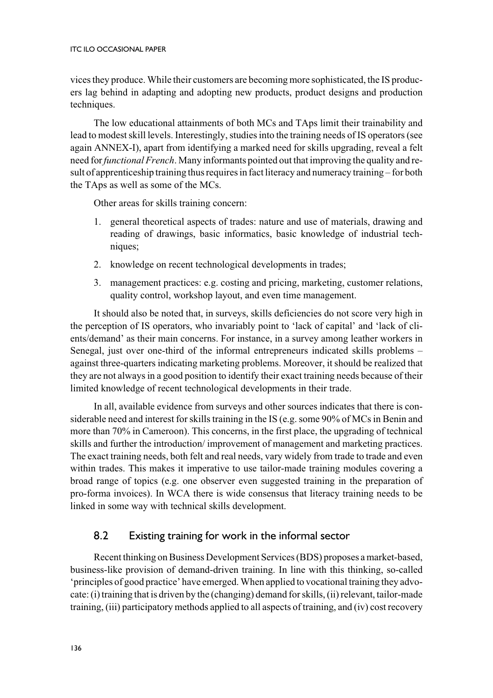vices they produce. While their customers are becoming more sophisticated, the IS producers lag behind in adapting and adopting new products, product designs and production techniques.

The low educational attainments of both MCs and TAps limit their trainability and lead to modest skill levels. Interestingly, studies into the training needs of IS operators (see again ANNEX-I), apart from identifying a marked need for skills upgrading, reveal a felt need for*functional French*. Many informants pointed out that improving the quality and result of apprenticeship training thus requires in fact literacy and numeracy training – for both the TAps as well as some of the MCs.

Other areas for skills training concern:

- 1. general theoretical aspects of trades: nature and use of materials, drawing and reading of drawings, basic informatics, basic knowledge of industrial techniques;
- 2. knowledge on recent technological developments in trades;
- 3. management practices: e.g. costing and pricing, marketing, customer relations, quality control, workshop layout, and even time management.

It should also be noted that, in surveys, skills deficiencies do not score very high in the perception of IS operators, who invariably point to 'lack of capital' and 'lack of clients/demand' as their main concerns. For instance, in a survey among leather workers in Senegal, just over one-third of the informal entrepreneurs indicated skills problems – against three-quarters indicating marketing problems. Moreover, it should be realized that they are not always in a good position to identify their exact training needs because of their limited knowledge of recent technological developments in their trade.

In all, available evidence from surveys and other sources indicates that there is considerable need and interest for skills training in the IS (e.g. some 90% of MCs in Benin and more than  $70\%$  in Cameroon). This concerns, in the first place, the upgrading of technical skills and further the introduction/ improvement of management and marketing practices. The exact training needs, both felt and real needs, vary widely from trade to trade and even within trades. This makes it imperative to use tailor-made training modules covering a broad range of topics (e.g. one observer even suggested training in the preparation of pro-forma invoices). In WCA there is wide consensus that literacy training needs to be linked in some way with technical skills development.

### 8.2 Existing training for work in the informal sector

Recent thinking on Business Development Services (BDS) proposes a market-based, business-like provision of demand-driven training. In line with this thinking, so-called 'principles of good practice' have emerged.When applied to vocational training they advocate: (i) training that is driven by the (changing) demand for skills, (ii) relevant, tailor-made training, (iii) participatory methods applied to all aspects of training, and (iv) cost recovery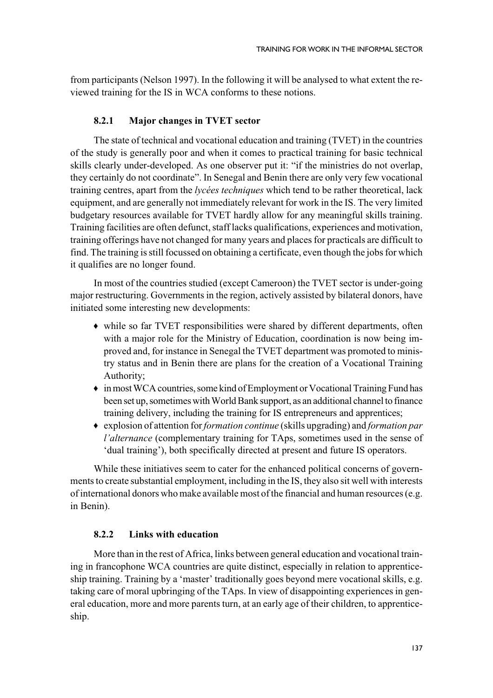from participants (Nelson 1997). In the following it will be analysed to what extent the reviewed training for the IS in WCA conforms to these notions.

## **8.2.1 Major changes in TVET sector**

The state of technical and vocational education and training (TVET) in the countries of the study is generally poor and when it comes to practical training for basic technical skills clearly under-developed. As one observer put it: "if the ministries do not overlap, they certainly do not coordinate". In Senegal and Benin there are only very few vocational training centres, apart from the *lycées techniques* which tend to be rather theoretical, lack equipment, and are generally not immediately relevant for work in the IS. The very limited budgetary resources available for TVET hardly allow for any meaningful skills training. Training facilities are often defunct, staff lacks qualifications, experiences and motivation, training offerings have not changed for many years and places for practicals are difficult to find. The training is still focussed on obtaining a certificate, even though the jobs for which it qualifies are no longer found.

In most of the countries studied (except Cameroon) the TVET sector is under-going major restructuring. Governments in the region, actively assisted by bilateral donors, have initiated some interesting new developments:

- $\bullet$  while so far TVET responsibilities were shared by different departments, often with a major role for the Ministry of Education, coordination is now being improved and, for instance in Senegal the TVET department was promoted to ministry status and in Benin there are plans for the creation of a Vocational Training Authority;
- $\bullet$  in most WCA countries, some kind of Employment or Vocational Training Fund has been set up, sometimes with World Bank support, as an additional channel to finance training delivery, including the training for IS entrepreneurs and apprentices;
- explosion of attention for *formation continue* (skills upgrading) and *formation par l'alternance* (complementary training for TAps, sometimes used in the sense of 'dual training'), both specifically directed at present and future IS operators.

While these initiatives seem to cater for the enhanced political concerns of governments to create substantial employment, including in the IS, they also sit well with interests of international donors who make available most of the financial and human resources (e.g. in Benin).

#### **8.2.2 Links with education**

More than in the rest of Africa, links between general education and vocational training in francophone WCA countries are quite distinct, especially in relation to apprenticeship training. Training by a 'master' traditionally goes beyond mere vocational skills, e.g. taking care of moral upbringing of the TAps. In view of disappointing experiences in general education, more and more parents turn, at an early age of their children, to apprenticeship.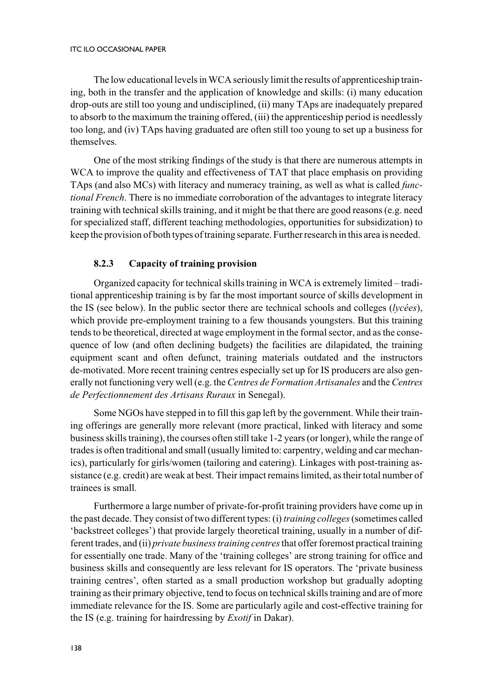The low educational levels inWCA seriously limit the results of apprenticeship training, both in the transfer and the application of knowledge and skills: (i) many education drop-outs are still too young and undisciplined,(ii) many TAps are inadequately prepared to absorb to the maximum the training offered,(iii) the apprenticeship period is needlessly too long, and (iv) TAps having graduated are often still too young to set up a business for themselves.

One of the most striking findings of the study is that there are numerous attempts in WCA to improve the quality and effectiveness of TAT that place emphasis on providing TAps (and also MCs) with literacy and numeracy training, as well as what is called *functional French*. There is no immediate corroboration of the advantages to integrate literacy training with technical skills training, and it might be that there are good reasons (e.g. need for specialized staff, different teaching methodologies, opportunities for subsidization) to keep the provision of both types of training separate. Further research in this area is needed.

#### **8.2.3 Capacity of training provision**

Organized capacity for technical skills training in WCA is extremely limited – traditional apprenticeship training is by far the most important source of skills development in the IS (see below). In the public sector there are technical schools and colleges (*lycées*), which provide pre-employment training to a few thousands youngsters. But this training tends to be theoretical, directed at wage employment in the formal sector, and as the consequence of low (and often declining budgets) the facilities are dilapidated, the training equipment scant and often defunct, training materials outdated and the instructors de-motivated. More recent training centres especially set up for IS producers are also generally not functioning very well (e.g. the*Centres de Formation Artisanales* and the*Centres de Perfectionnement des Artisans Ruraux* in Senegal).

Some NGOs have stepped in to fill this gap left by the government. While their training offerings are generally more relevant (more practical, linked with literacy and some business skills training), the courses often still take 1-2 years (or longer), while the range of trades is often traditional and small (usually limited to: carpentry, welding and car mechanics), particularly for girls/women (tailoring and catering). Linkages with post-training assistance (e.g. credit) are weak at best. Their impact remains limited, as their total number of trainees is small.

Furthermore a large number of private-for-profit training providers have come up in the past decade. They consist of two different types: (i)*training colleges*(sometimes called 'backstreet colleges') that provide largely theoretical training,usually in a number of different trades,and (ii) *private business training centres*that offer foremost practical training for essentially one trade. Many of the 'training colleges' are strong training for office and business skills and consequently are less relevant for IS operators. The 'private business training centres', often started as a small production workshop but gradually adopting training as their primary objective, tend to focus on technical skills training and are of more immediate relevance for the IS. Some are particularly agile and cost-effective training for the IS (e.g. training for hairdressing by *Exotif* in Dakar).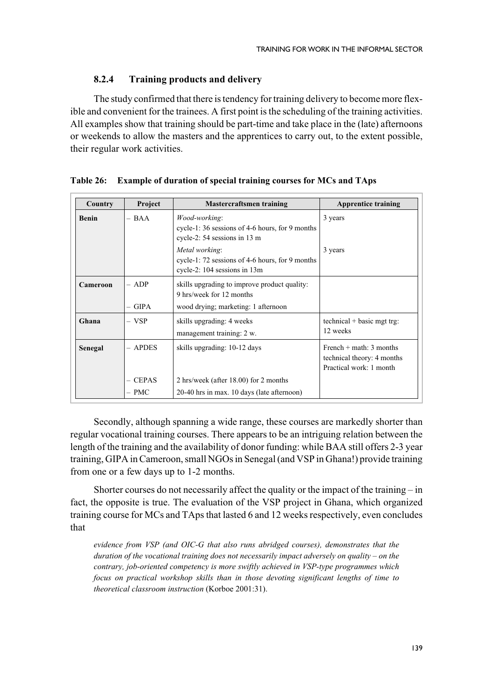### **8.2.4 Training products and delivery**

The study confirmed that there is tendency for training delivery to become more flexible and convenient for the trainees. A first point is the scheduling of the training activities. All examples show that training should be part-time and take place in the (late) afternoons or weekends to allow the masters and the apprentices to carry out, to the extent possible, their regular work activities.

| Country      | Project              | <b>Mastercraftsmen training</b>                                                                                                                                                                              | <b>Apprentice training</b>                                                         |
|--------------|----------------------|--------------------------------------------------------------------------------------------------------------------------------------------------------------------------------------------------------------|------------------------------------------------------------------------------------|
| <b>Benin</b> | $-BAA$               | <i>Wood-working:</i><br>cycle-1: 36 sessions of 4-6 hours, for 9 months<br>cycle-2: 54 sessions in 13 m<br>Metal working:<br>cycle-1: 72 sessions of 4-6 hours, for 9 months<br>cycle-2: 104 sessions in 13m | 3 years<br>3 years                                                                 |
| Cameroon     | $-$ ADP<br>$-$ GIPA  | skills upgrading to improve product quality:<br>9 hrs/week for 12 months<br>wood drying; marketing: 1 afternoon                                                                                              |                                                                                    |
| Ghana        | $- VSP$              | skills upgrading: 4 weeks<br>management training: 2 w.                                                                                                                                                       | $\text{technical} + \text{basic} \text{ mgt}$ trg:<br>12 weeks                     |
| Senegal      | - APDES              | skills upgrading: 10-12 days                                                                                                                                                                                 | French $+$ math: 3 months<br>technical theory: 4 months<br>Practical work: 1 month |
|              | $-$ CEPAS<br>$-$ PMC | 2 hrs/week (after 18.00) for 2 months<br>20-40 hrs in max. 10 days (late afternoon)                                                                                                                          |                                                                                    |

#### **Table 26: Example of duration of special training courses for MCs and TAps**

Secondly, although spanning a wide range, these courses are markedly shorter than regular vocational training courses. There appears to be an intriguing relation between the length of the training and the availability of donor funding: while BAA still offers 2-3 year training,GIPA in Cameroon,small NGOs in Senegal (and VSP in Ghana!) provide training from one or a few days up to 1-2 months.

Shorter courses do not necessarily affect the quality or the impact of the training – in fact, the opposite is true. The evaluation of the VSP project in Ghana, which organized training course for MCs and TAps that lasted 6 and 12 weeks respectively, even concludes that

*evidence from VSP (and OIC-G that also runs abridged courses), demonstrates that the duration of the vocational training does not necessarily impact adversely on quality – on the contrary, job-oriented competency is more swiftly achieved in VSP-type programmes which focus on practical workshop skills than in those devoting significant lengths of time to theoretical classroom instruction* (Korboe 2001:31).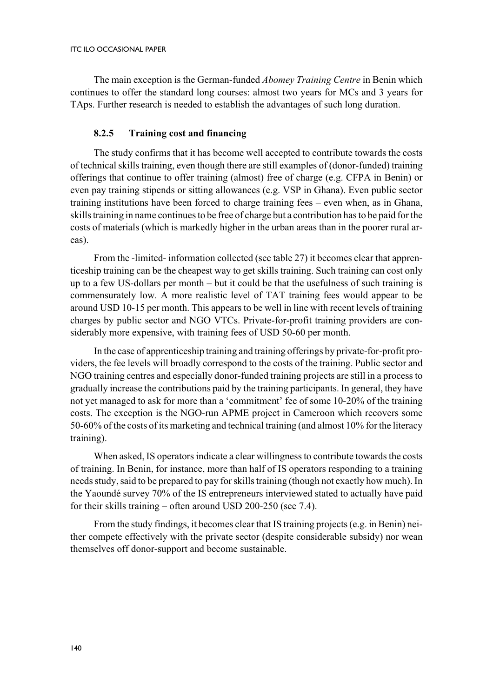The main exception is the German-funded *Abomey Training Centre* in Benin which continues to offer the standard long courses: almost two years for MCs and 3 years for TAps. Further research is needed to establish the advantages of such long duration.

## **8.2.5 Training cost and financing**

The study confirms that it has become well accepted to contribute towards the costs of technical skills training, even though there are still examples of (donor-funded) training offerings that continue to offer training (almost) free of charge (e.g. CFPA in Benin) or even pay training stipends or sitting allowances (e.g. VSP in Ghana). Even public sector training institutions have been forced to charge training fees – even when, as in Ghana, skills training in name continues to be free of charge but a contribution has to be paid for the costs of materials (which is markedly higher in the urban areas than in the poorer rural areas).

From the -limited- information collected (see table 27) it becomes clear that apprenticeship training can be the cheapest way to get skills training. Such training can cost only up to a few US-dollars per month – but it could be that the usefulness of such training is commensurately low. A more realistic level of TAT training fees would appear to be around USD 10-15 per month. This appears to be well in line with recent levels of training charges by public sector and NGO VTCs. Private-for-profit training providers are considerably more expensive, with training fees of USD 50-60 per month.

In the case of apprenticeship training and training offerings by private-for-profit providers, the fee levels will broadly correspond to the costs of the training. Public sector and NGO training centres and especially donor-funded training projects are still in a process to gradually increase the contributions paid by the training participants. In general, they have not yet managed to ask for more than a 'commitment' fee of some 10-20% of the training costs. The exception is the NGO-run APME project in Cameroon which recovers some 50-60% of the costs of its marketing and technical training (and almost 10% for the literacy training).

When asked, IS operators indicate a clear willingness to contribute towards the costs of training. In Benin, for instance, more than half of IS operators responding to a training needs study, said to be prepared to pay for skills training (though not exactly how much). In the Yaoundé survey 70% of the IS entrepreneurs interviewed stated to actually have paid for their skills training – often around USD 200-250 (see 7.4).

From the study findings, it becomes clear that IS training projects (e.g. in Benin) neither compete effectively with the private sector (despite considerable subsidy) nor wean themselves off donor-support and become sustainable.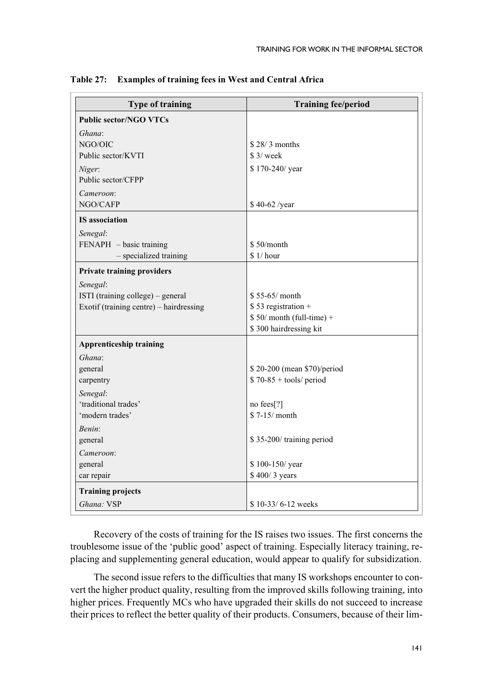| <b>Type of training</b>                 | <b>Training fee/period</b>  |
|-----------------------------------------|-----------------------------|
| <b>Public sector/NGO VTCs</b>           |                             |
| Ghana:                                  |                             |
| NGO/OIC                                 | \$28/3 months               |
| Public sector/KVTI                      | \$ 3/ week                  |
| Niger:                                  | \$170-240/year              |
| Public sector/CFPP                      |                             |
| Cameroon:                               |                             |
| NGO/CAFP                                | \$40-62/year                |
| <b>IS</b> association                   |                             |
| Senegal:                                |                             |
| FENAPH - basic training                 | \$50/month                  |
| - specialized training                  | \$1/hour                    |
| <b>Private training providers</b>       |                             |
| Senegal:                                |                             |
| ISTI (training college) - general       | $$55-65/$ month             |
| Exotif (training centre) – hairdressing | \$53 registration +         |
|                                         | $$50/$ month (full-time) +  |
|                                         | \$300 hairdressing kit      |
| <b>Apprenticeship training</b>          |                             |
| Ghana:                                  |                             |
| general                                 | \$20-200 (mean \$70)/period |
| carpentry                               | $$70-85 + tools/period$     |
| Senegal:                                |                             |
| 'traditional trades'                    | no fees[?]                  |
| 'modern trades'                         | \$7-15/ month               |
| Benin:                                  |                             |
| general                                 | \$35-200/training period    |
| Cameroon:                               |                             |
| general                                 | \$100-150/year              |
| car repair                              | \$400/3 years               |
| <b>Training projects</b>                |                             |
| Ghana: VSP                              | \$10-33/6-12 weeks          |

#### **Table 27: Examples of training fees in West and Central Africa**

Recovery of the costs of training for the IS raises two issues. The first concerns the troublesome issue of the 'public good' aspect of training. Especially literacy training,replacing and supplementing general education,would appear to qualify for subsidization.

The second issue refers to the difficulties that many IS workshops encounter to convert the higher product quality, resulting from the improved skills following training, into higher prices. Frequently MCs who have upgraded their skills do not succeed to increase their prices to reflect the better quality of their products. Consumers, because of their lim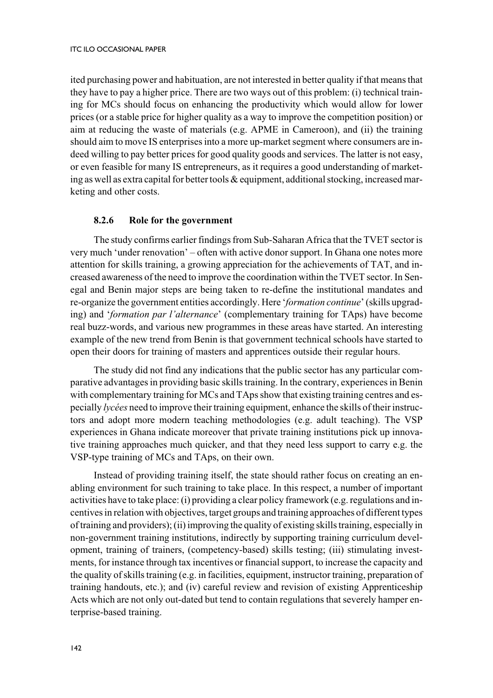ited purchasing power and habituation, are not interested in better quality if that means that they have to pay a higher price. There are two ways out of this problem: (i) technical training for MCs should focus on enhancing the productivity which would allow for lower prices (or a stable price for higher quality as a way to improve the competition position) or aim at reducing the waste of materials (e.g. APME in Cameroon), and (ii) the training should aim to move IS enterprises into a more up-market segment where consumers are indeed willing to pay better prices for good quality goods and services. The latter is not easy, or even feasible for many IS entrepreneurs, as it requires a good understanding of marketing as well as extra capital for better tools  $\&$  equipment, additional stocking, increased marketing and other costs.

#### **8.2.6 Role for the government**

The study confirms earlier findings from Sub-Saharan Africa that the TVET sector is very much 'under renovation' – often with active donor support. In Ghana one notes more attention for skills training, a growing appreciation for the achievements of TAT, and increased awareness of the need to improve the coordination within the TVET sector. In Senegal and Benin major steps are being taken to re-define the institutional mandates and re-organize the government entities accordingly. Here '*formation continue*' (skills upgrading) and '*formation par l'alternance*' (complementary training for TAps) have become real buzz-words, and various new programmes in these areas have started. An interesting example of the new trend from Benin is that government technical schools have started to open their doors for training of masters and apprentices outside their regular hours.

The study did not find any indications that the public sector has any particular comparative advantages in providing basic skills training. In the contrary, experiences in Benin with complementary training for MCs and TAps show that existing training centres and especially *lycées* need to improve their training equipment, enhance the skills of their instructors and adopt more modern teaching methodologies (e.g. adult teaching). The VSP experiences in Ghana indicate moreover that private training institutions pick up innovative training approaches much quicker, and that they need less support to carry e.g. the VSP-type training of MCs and TAps, on their own.

Instead of providing training itself, the state should rather focus on creating an enabling environment for such training to take place. In this respect, a number of important activities have to take place: (i) providing a clear policy framework (e.g. regulations and incentives in relation with objectives, target groups and training approaches of different types of training and providers); (ii) improving the quality of existing skills training, especially in non-government training institutions, indirectly by supporting training curriculum development, training of trainers, (competency-based) skills testing; (iii) stimulating investments, for instance through tax incentives or financial support, to increase the capacity and the quality of skills training (e.g. in facilities, equipment, instructor training, preparation of training handouts, etc.); and (iv) careful review and revision of existing Apprenticeship Acts which are not only out-dated but tend to contain regulations that severely hamper enterprise-based training.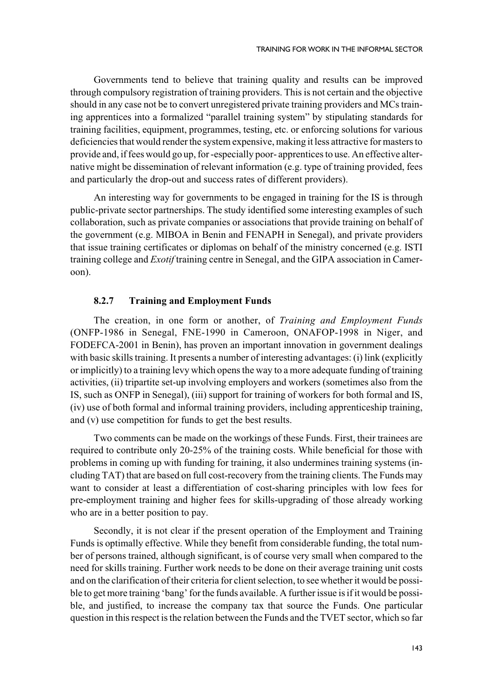Governments tend to believe that training quality and results can be improved through compulsory registration of training providers. This is not certain and the objective should in any case not be to convert unregistered private training providers and MCs training apprentices into a formalized "parallel training system" by stipulating standards for training facilities, equipment, programmes, testing, etc. or enforcing solutions for various deficiencies that would render the system expensive, making it less attractive for masters to provide and, if fees would go up, for -especially poor- apprentices to use. An effective alternative might be dissemination of relevant information (e.g. type of training provided, fees and particularly the drop-out and success rates of different providers).

An interesting way for governments to be engaged in training for the IS is through public-private sector partnerships. The study identified some interesting examples of such collaboration, such as private companies or associations that provide training on behalf of the government (e.g. MIBOA in Benin and FENAPH in Senegal), and private providers that issue training certificates or diplomas on behalf of the ministry concerned (e.g. ISTI training college and *Exotif* training centre in Senegal,and the GIPA association in Cameroon).

#### **8.2.7 Training and Employment Funds**

The creation, in one form or another, of *Training and Employment Funds* (ONFP-1986 in Senegal, FNE-1990 in Cameroon, ONAFOP-1998 in Niger, and FODEFCA-2001 in Benin), has proven an important innovation in government dealings with basic skills training. It presents a number of interesting advantages: (i) link (explicitly or implicitly) to a training levy which opens the way to a more adequate funding of training activities,(ii) tripartite set-up involving employers and workers (sometimes also from the IS, such as ONFP in Senegal), (iii) support for training of workers for both formal and IS, (iv) use of both formal and informal training providers, including apprenticeship training, and (v) use competition for funds to get the best results.

Two comments can be made on the workings of these Funds. First, their trainees are required to contribute only 20-25% of the training costs. While beneficial for those with problems in coming up with funding for training, it also undermines training systems (including TAT) that are based on full cost-recovery from the training clients. The Funds may want to consider at least a differentiation of cost-sharing principles with low fees for pre-employment training and higher fees for skills-upgrading of those already working who are in a better position to pay.

Secondly, it is not clear if the present operation of the Employment and Training Funds is optimally effective. While they benefit from considerable funding, the total number of persons trained, although significant, is of course very small when compared to the need for skills training. Further work needs to be done on their average training unit costs and on the clarification of their criteria for client selection, to see whether it would be possible to get more training 'bang' for the funds available. A further issue is if it would be possible, and justified, to increase the company tax that source the Funds. One particular question in this respect is the relation between the Funds and the TVET sector, which so far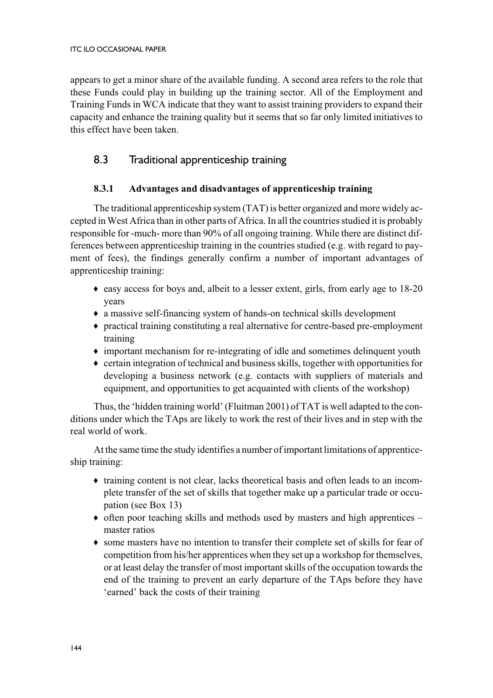appears to get a minor share of the available funding. A second area refers to the role that these Funds could play in building up the training sector. All of the Employment and Training Funds in WCA indicate that they want to assist training providers to expand their capacity and enhance the training quality but it seems that so far only limited initiatives to this effect have been taken.

# 8.3 Traditional apprenticeship training

## **8.3.1 Advantages and disadvantages of apprenticeship training**

The traditional apprenticeship system (TAT) is better organized and more widely accepted in West Africa than in other parts of Africa. In all the countries studied it is probably responsible for -much- more than 90% of all ongoing training. While there are distinct differences between apprenticeship training in the countries studied (e.g. with regard to payment of fees), the findings generally confirm a number of important advantages of apprenticeship training:

- $\bullet$  easy access for boys and, albeit to a lesser extent, girls, from early age to 18-20 years
- a massive self-financing system of hands-on technical skills development
- practical training constituting a real alternative for centre-based pre-employment training
- important mechanism for re-integrating of idle and sometimes delinquent youth
- $\bullet$  certain integration of technical and business skills, together with opportunities for developing a business network (e.g. contacts with suppliers of materials and equipment, and opportunities to get acquainted with clients of the workshop)

Thus, the 'hidden training world' (Fluitman 2001) of TAT is well adapted to the conditions under which the TAps are likely to work the rest of their lives and in step with the real world of work.

At the same time the study identifies a number of important limitations of apprenticeship training:

- $\bullet$  training content is not clear, lacks theoretical basis and often leads to an incomplete transfer of the set of skills that together make up a particular trade or occupation (see Box 13)
- $\bullet$  often poor teaching skills and methods used by masters and high apprentices master ratios
- some masters have no intention to transfer their complete set of skills for fear of competition from his/her apprentices when they set up a workshop for themselves, or at least delay the transfer of most important skills of the occupation towards the end of the training to prevent an early departure of the TAps before they have 'earned' back the costs of their training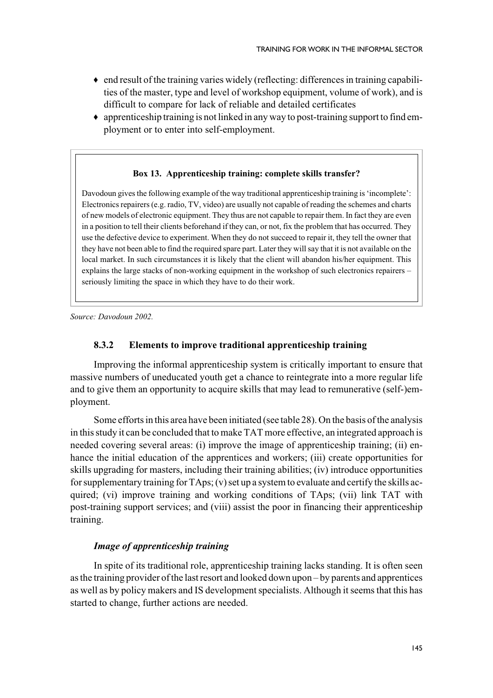- $\bullet$  end result of the training varies widely (reflecting: differences in training capabilities of the master, type and level of workshop equipment, volume of work), and is difficult to compare for lack of reliable and detailed certificates
- apprenticeship training is not linked in any way to post-training support to find employment or to enter into self-employment.

#### **Box 13. Apprenticeship training: complete skills transfer?**

Davodoun gives the following example of the way traditional apprenticeship training is 'incomplete': Electronics repairers (e.g. radio, TV, video) are usually not capable of reading the schemes and charts of new models of electronic equipment. They thus are not capable to repair them. In fact they are even in a position to tell their clients beforehand if they can, or not, fix the problem that has occurred. They use the defective device to experiment. When they do not succeed to repair it, they tell the owner that they have not been able to find the required spare part. Later they will say that it is not available on the local market. In such circumstances it is likely that the client will abandon his/her equipment. This explains the large stacks of non-working equipment in the workshop of such electronics repairers – seriously limiting the space in which they have to do their work.

*Source: Davodoun 2002.*

#### **8.3.2 Elements to improve traditional apprenticeship training**

Improving the informal apprenticeship system is critically important to ensure that massive numbers of uneducated youth get a chance to reintegrate into a more regular life and to give them an opportunity to acquire skills that may lead to remunerative (self-)employment.

Some efforts in this area have been initiated (see table 28). On the basis of the analysis in this study it can be concluded that to make TAT more effective, an integrated approach is needed covering several areas: (i) improve the image of apprenticeship training; (ii) enhance the initial education of the apprentices and workers; (iii) create opportunities for skills upgrading for masters, including their training abilities;  $(iv)$  introduce opportunities for supplementary training for TAps; (v) set up a system to evaluate and certify the skills acquired; (vi) improve training and working conditions of TAps; (vii) link TAT with post-training support services; and (viii) assist the poor in financing their apprenticeship training.

#### *Image of apprenticeship training*

In spite of its traditional role, apprenticeship training lacks standing. It is often seen as the training provider of the last resort and looked down upon – by parents and apprentices as well as by policy makers and IS development specialists. Although it seems that this has started to change, further actions are needed.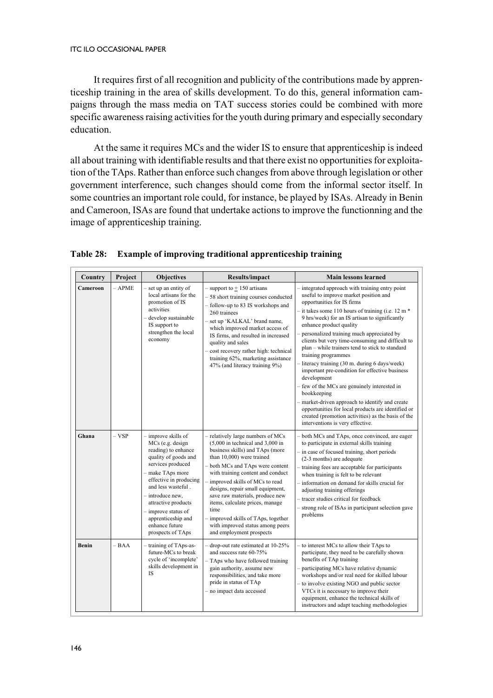It requires first of all recognition and publicity of the contributions made by apprenticeship training in the area of skills development. To do this, general information campaigns through the mass media on TAT success stories could be combined with more specific awareness raising activities for the youth during primary and especially secondary education.

At the same it requires MCs and the wider IS to ensure that apprenticeship is indeed all about training with identifiable results and that there exist no opportunities for exploitation of the TAps. Rather than enforce such changes from above through legislation or other government interference, such changes should come from the informal sector itself. In some countries an important role could, for instance, be played by ISAs. Already in Benin and Cameroon,ISAs are found that undertake actions to improve the functionning and the image of apprenticeship training.

| Country      | Project  | <b>Objectives</b>                                                                                                                                                                                                                                                                                          | <b>Results/impact</b>                                                                                                                                                                                                                                                                                                                                                                                                                                                      | <b>Main lessons learned</b>                                                                                                                                                                                                                                                                                                                                                                                                                                                                                                                                                                                                                                                                                                                                                                                               |
|--------------|----------|------------------------------------------------------------------------------------------------------------------------------------------------------------------------------------------------------------------------------------------------------------------------------------------------------------|----------------------------------------------------------------------------------------------------------------------------------------------------------------------------------------------------------------------------------------------------------------------------------------------------------------------------------------------------------------------------------------------------------------------------------------------------------------------------|---------------------------------------------------------------------------------------------------------------------------------------------------------------------------------------------------------------------------------------------------------------------------------------------------------------------------------------------------------------------------------------------------------------------------------------------------------------------------------------------------------------------------------------------------------------------------------------------------------------------------------------------------------------------------------------------------------------------------------------------------------------------------------------------------------------------------|
| Cameroon     | $-$ APME | set up an entity of<br>local artisans for the<br>promotion of IS<br>activities<br>develop sustainable<br>IS support to<br>strengthen the local<br>economy                                                                                                                                                  | - support to $\pm$ 150 artisans<br>- 58 short training courses conducted<br>- follow-up to 83 IS workshops and<br>260 trainees<br>- set up 'KALKAL' brand name,<br>which improved market access of<br>IS firms, and resulted in increased<br>quality and sales<br>cost recovery rather high: technical<br>training 62%, marketing assistance<br>47% (and literacy training 9%)                                                                                             | integrated approach with training entry point<br>useful to improve market position and<br>opportunities for IS firms<br>$-$ it takes some 110 hours of training (i.e. 12 m $*$<br>9 hrs/week) for an IS artisan to significantly<br>enhance product quality<br>personalized training much appreciated by<br>clients but very time-consuming and difficult to<br>plan – while trainers tend to stick to standard<br>training programmes<br>- literacy training (30 m. during 6 days/week)<br>important pre-condition for effective business<br>development<br>- few of the MCs are genuinely interested in<br>bookkeeping<br>market-driven approach to identify and create<br>opportunities for local products are identified or<br>created (promotion activities) as the basis of the<br>interventions is very effective. |
| Ghana        | $- VSP$  | improve skills of<br>MCs (e.g. design<br>reading) to enhance<br>quality of goods and<br>services produced<br>make TAps more<br>effective in producing<br>and less wasteful.<br>- introduce new,<br>attractive products<br>- improve status of<br>apprenticeship and<br>enhance future<br>prospects of TAps | - relatively large numbers of MCs<br>$(5,000)$ in technical and 3,000 in<br>business skills) and TAps (more<br>than 10,000) were trained<br>- both MCs and TAps were content<br>with training content and conduct<br>improved skills of MCs to read<br>designs, repair small equipment,<br>save raw materials, produce new<br>items, calculate prices, manage<br>time<br>improved skills of TAps, together<br>with improved status among peers<br>and employment prospects | - both MCs and TAps, once convinced, are eager<br>to participate in external skills training<br>- in case of focused training, short periods<br>(2-3 months) are adequate<br>- training fees are acceptable for participants<br>when training is felt to be relevant<br>- information on demand for skills crucial for<br>adjusting training offerings<br>tracer studies critical for feedback<br>- strong role of ISAs in participant selection gave<br>problems                                                                                                                                                                                                                                                                                                                                                         |
| <b>Benin</b> | $-BAA$   | training of TAps-as-<br>future-MCs to break<br>cycle of 'incomplete'<br>skills development in<br><b>IS</b>                                                                                                                                                                                                 | drop-out rate estimated at 10-25%<br>and success rate 60-75%<br>TAps who have followed training<br>gain authority, assume new<br>responsibilities, and take more<br>pride in status of TAp<br>- no impact data accessed                                                                                                                                                                                                                                                    | - to interest MCs to allow their TAps to<br>participate, they need to be carefully shown<br>benefits of TAp training<br>- participating MCs have relative dynamic<br>workshops and/or real need for skilled labour<br>- to involve existing NGO and public sector<br>VTCs it is necessary to improve their<br>equipment, enhance the technical skills of<br>instructors and adapt teaching methodologies                                                                                                                                                                                                                                                                                                                                                                                                                  |

#### **Table 28: Example of improving traditional apprenticeship training**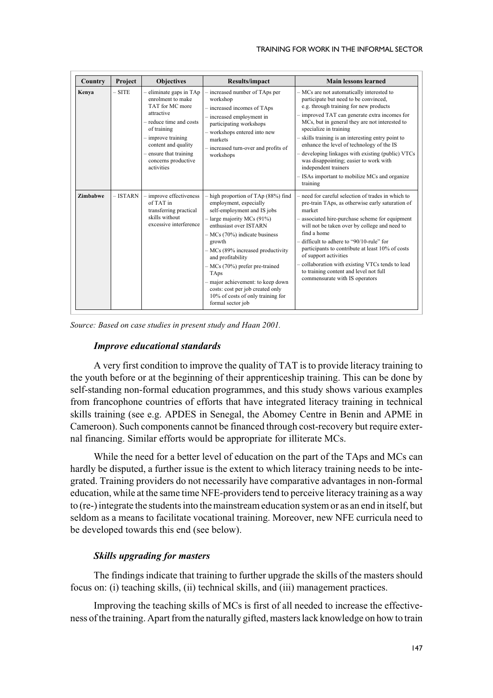| Country  | Project  | <b>Objectives</b>                                                                                                                                                                                                                 | <b>Results/impact</b>                                                                                                                                                                                                                                                                                                                                                                                                                    | <b>Main lessons learned</b>                                                                                                                                                                                                                                                                                                                                                                                                                                                                                                                      |
|----------|----------|-----------------------------------------------------------------------------------------------------------------------------------------------------------------------------------------------------------------------------------|------------------------------------------------------------------------------------------------------------------------------------------------------------------------------------------------------------------------------------------------------------------------------------------------------------------------------------------------------------------------------------------------------------------------------------------|--------------------------------------------------------------------------------------------------------------------------------------------------------------------------------------------------------------------------------------------------------------------------------------------------------------------------------------------------------------------------------------------------------------------------------------------------------------------------------------------------------------------------------------------------|
| Kenya    | $-$ SITE | - eliminate gaps in TAp<br>enrolment to make<br>TAT for MC more<br>attractive<br>- reduce time and costs<br>of training<br>- improve training<br>content and quality<br>ensure that training<br>concerns productive<br>activities | increased number of TAps per<br>workshop<br>- increased incomes of TAps<br>- increased employment in<br>participating workshops<br>- workshops entered into new<br>markets<br>- increased turn-over and profits of<br>workshops                                                                                                                                                                                                          | - MCs are not automatically interested to<br>participate but need to be convinced,<br>e.g. through training for new products<br>- improved TAT can generate extra incomes for<br>MCs, but in general they are not interested to<br>specialize in training<br>- skills training is an interesting entry point to<br>enhance the level of technology of the IS<br>- developing linkages with existing (public) VTCs<br>was disappointing; easier to work with<br>independent trainers<br>- ISAs important to mobilize MCs and organize<br>training |
| Zimbabwe | - ISTARN | improve effectiveness<br>of TAT in<br>transferring practical<br>skills without<br>excessive interference                                                                                                                          | high proportion of TAp (88%) find<br>employment, especially<br>self-employment and IS jobs<br>large majority MCs (91%)<br>enthusiast over ISTARN<br>$-$ MCs (70%) indicate business<br>growth<br>$-$ MCs (89% increased productivity<br>and profitability<br>$-$ MCs (70%) prefer pre-trained<br>TAps<br>- major achievement: to keep down<br>costs: cost per job created only<br>10% of costs of only training for<br>formal sector job | - need for careful selection of trades in which to<br>pre-train TAps, as otherwise early saturation of<br>market<br>associated hire-purchase scheme for equipment<br>will not be taken over by college and need to<br>find a home<br>- difficult to adhere to "90/10-rule" for<br>participants to contribute at least 10% of costs<br>of support activities<br>- collaboration with existing VTCs tends to lead<br>to training content and level not full<br>commensurate with IS operators                                                      |

*Source: Based on case studies in present study and Haan 2001.*

#### *Improve educational standards*

A very first condition to improve the quality of TAT is to provide literacy training to the youth before or at the beginning of their apprenticeship training. This can be done by self-standing non-formal education programmes, and this study shows various examples from francophone countries of efforts that have integrated literacy training in technical skills training (see e.g. APDES in Senegal, the Abomey Centre in Benin and APME in Cameroon). Such components cannot be financed through cost-recovery but require external financing. Similar efforts would be appropriate for illiterate MCs.

While the need for a better level of education on the part of the TAps and MCs can hardly be disputed, a further issue is the extent to which literacy training needs to be integrated. Training providers do not necessarily have comparative advantages in non-formal education,while at the same time NFE-providers tend to perceive literacy training as a way to (re-) integrate the students into the mainstream education system or as an end in itself, but seldom as a means to facilitate vocational training. Moreover, new NFE curricula need to be developed towards this end (see below).

#### *Skills upgrading for masters*

The findings indicate that training to further upgrade the skills of the masters should focus on: (i) teaching skills, (ii) technical skills, and (iii) management practices.

Improving the teaching skills of MCs is first of all needed to increase the effectiveness of the training. Apart from the naturally gifted, masters lack knowledge on how to train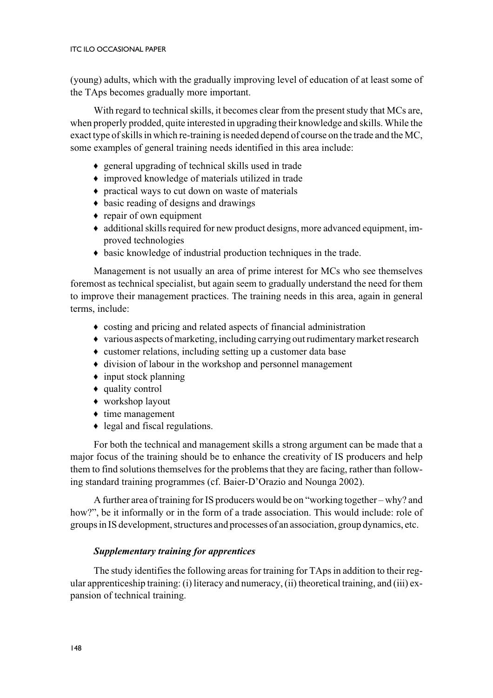(young) adults, which with the gradually improving level of education of at least some of the TAps becomes gradually more important.

With regard to technical skills, it becomes clear from the present study that MCs are, when properly prodded, quite interested in upgrading their knowledge and skills. While the exact type of skills in which re-training is needed depend of course on the trade and the MC, some examples of general training needs identified in this area include:

- general upgrading of technical skills used in trade
- improved knowledge of materials utilized in trade
- practical ways to cut down on waste of materials
- basic reading of designs and drawings
- $\bullet$  repair of own equipment
- $\bullet$  additional skills required for new product designs, more advanced equipment, improved technologies
- basic knowledge of industrial production techniques in the trade.

Management is not usually an area of prime interest for MCs who see themselves foremost as technical specialist, but again seem to gradually understand the need for them to improve their management practices. The training needs in this area, again in general terms, include:

- costing and pricing and related aspects of financial administration
- $\bullet$  various aspects of marketing, including carrying out rudimentary market research
- $\bullet$  customer relations, including setting up a customer data base
- division of labour in the workshop and personnel management
- $\bullet$  input stock planning
- quality control
- workshop layout
- $\triangle$  time management
- legal and fiscal regulations.

For both the technical and management skills a strong argument can be made that a major focus of the training should be to enhance the creativity of IS producers and help them to find solutions themselves for the problems that they are facing, rather than following standard training programmes (cf. Baier-D'Orazio and Nounga 2002).

A further area of training for IS producers would be on "working together – why? and how?", be it informally or in the form of a trade association. This would include: role of groups in IS development, structures and processes of an association, group dynamics, etc.

## *Supplementary training for apprentices*

The study identifies the following areas for training for TAps in addition to their regular apprenticeship training: (i) literacy and numeracy, (ii) theoretical training, and (iii) expansion of technical training.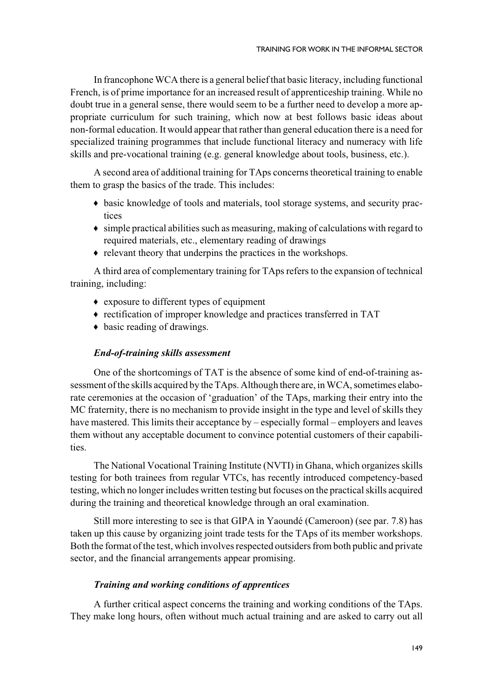In francophone WCA there is a general belief that basic literacy, including functional French, is of prime importance for an increased result of apprenticeship training. While no doubt true in a general sense, there would seem to be a further need to develop a more appropriate curriculum for such training, which now at best follows basic ideas about non-formal education. It would appear that rather than general education there is a need for specialized training programmes that include functional literacy and numeracy with life skills and pre-vocational training (e.g. general knowledge about tools, business, etc.).

A second area of additional training for TAps concerns theoretical training to enable them to grasp the basics of the trade. This includes:

- $\bullet$  basic knowledge of tools and materials, tool storage systems, and security practices
- $\bullet$  simple practical abilities such as measuring, making of calculations with regard to required materials, etc., elementary reading of drawings
- relevant theory that underpins the practices in the workshops.

A third area of complementary training for TAps refers to the expansion of technical training, including:

- exposure to different types of equipment
- rectification of improper knowledge and practices transferred in TAT
- basic reading of drawings.

#### *End-of-training skills assessment*

One of the shortcomings of TAT is the absence of some kind of end-of-training assessment of the skills acquired by the TAps. Although there are, in WCA, sometimes elaborate ceremonies at the occasion of 'graduation' of the TAps, marking their entry into the MC fraternity, there is no mechanism to provide insight in the type and level of skills they have mastered. This limits their acceptance by – especially formal – employers and leaves them without any acceptable document to convince potential customers of their capabilities.

The National Vocational Training Institute (NVTI) in Ghana, which organizes skills testing for both trainees from regular VTCs, has recently introduced competency-based testing,which no longer includes written testing but focuses on the practical skills acquired during the training and theoretical knowledge through an oral examination.

Still more interesting to see is that GIPA in Yaoundé (Cameroon) (see par. 7.8) has taken up this cause by organizing joint trade tests for the TAps of its member workshops. Both the format of the test, which involves respected outsiders from both public and private sector, and the financial arrangements appear promising.

#### *Training and working conditions of apprentices*

A further critical aspect concerns the training and working conditions of the TAps. They make long hours, often without much actual training and are asked to carry out all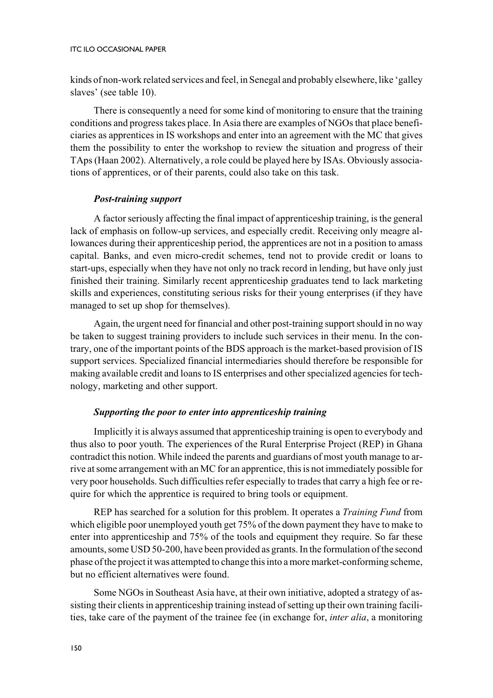#### **ITC ILO OCCASIONAL PAPER**

kinds of non-work related services and feel, in Senegal and probably elsewhere, like 'galley slaves' (see table 10).

There is consequently a need for some kind of monitoring to ensure that the training conditions and progress takes place. In Asia there are examples of NGOs that place beneficiaries as apprentices in IS workshops and enter into an agreement with the MC that gives them the possibility to enter the workshop to review the situation and progress of their TAps (Haan 2002). Alternatively, a role could be played here by ISAs. Obviously associations of apprentices, or of their parents, could also take on this task.

#### *Post-training support*

A factor seriously affecting the final impact of apprenticeship training, is the general lack of emphasis on follow-up services, and especially credit. Receiving only meagre allowances during their apprenticeship period, the apprentices are not in a position to amass capital. Banks, and even micro-credit schemes, tend not to provide credit or loans to start-ups, especially when they have not only no track record in lending, but have only just finished their training. Similarly recent apprenticeship graduates tend to lack marketing skills and experiences, constituting serious risks for their young enterprises (if they have managed to set up shop for themselves).

Again, the urgent need for financial and other post-training support should in no way be taken to suggest training providers to include such services in their menu. In the contrary,one of the important points of the BDS approach is the market-based provision of IS support services. Specialized financial intermediaries should therefore be responsible for making available credit and loans to IS enterprises and other specialized agencies for technology,marketing and other support.

## *Supporting the poor to enter into apprenticeship training*

Implicitly it is always assumed that apprenticeship training is open to everybody and thus also to poor youth. The experiences of the Rural Enterprise Project (REP) in Ghana contradict this notion. While indeed the parents and guardians of most youth manage to arrive at some arrangement with an MC for an apprentice, this is not immediately possible for very poor households. Such difficulties refer especially to trades that carry a high fee or require for which the apprentice is required to bring tools or equipment.

REP has searched for a solution for this problem. It operates a *Training Fund* from which eligible poor unemployed youth get 75% of the down payment they have to make to enter into apprenticeship and 75% of the tools and equipment they require. So far these amounts, some USD 50-200, have been provided as grants. In the formulation of the second phase of the project it was attempted to change this into a more market-conforming scheme, but no efficient alternatives were found.

Some NGOs in Southeast Asia have, at their own initiative, adopted a strategy of assisting their clients in apprenticeship training instead of setting up their own training facilities, take care of the payment of the trainee fee (in exchange for, *inter alia*, a monitoring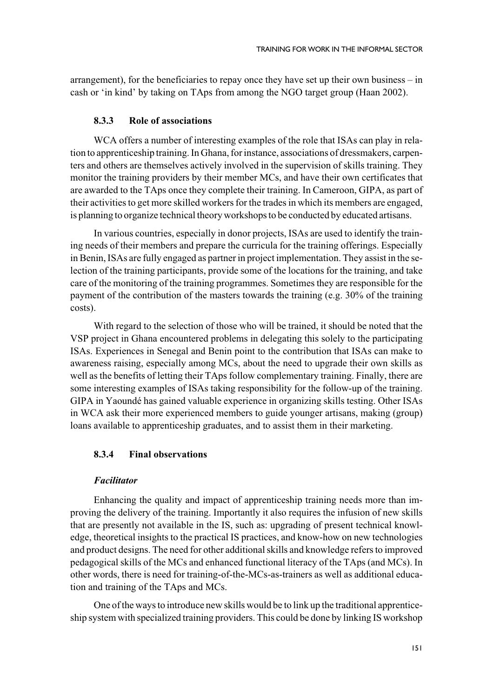arrangement), for the beneficiaries to repay once they have set up their own business – in cash or 'in kind' by taking on TAps from among the NGO target group (Haan 2002).

#### **8.3.3 Role of associations**

WCA offers a number of interesting examples of the role that ISAs can play in relation to apprenticeship training. In Ghana, for instance, associations of dressmakers, carpenters and others are themselves actively involved in the supervision of skills training. They monitor the training providers by their member MCs, and have their own certificates that are awarded to the TAps once they complete their training. In Cameroon, GIPA, as part of their activities to get more skilled workers for the trades in which its members are engaged, is planning to organize technical theory workshops to be conducted by educated artisans.

In various countries, especially in donor projects, ISAs are used to identify the training needs of their members and prepare the curricula for the training offerings. Especially in Benin, ISAs are fully engaged as partner in project implementation. They assist in the selection of the training participants, provide some of the locations for the training, and take care of the monitoring of the training programmes. Sometimes they are responsible for the payment of the contribution of the masters towards the training (e.g. 30% of the training costs).

With regard to the selection of those who will be trained, it should be noted that the VSP project in Ghana encountered problems in delegating this solely to the participating ISAs. Experiences in Senegal and Benin point to the contribution that ISAs can make to awareness raising, especially among MCs, about the need to upgrade their own skills as well as the benefits of letting their TAps follow complementary training. Finally, there are some interesting examples of ISAs taking responsibility for the follow-up of the training. GIPA in Yaoundé has gained valuable experience in organizing skills testing. Other ISAs in WCA ask their more experienced members to guide younger artisans, making (group) loans available to apprenticeship graduates, and to assist them in their marketing.

#### **8.3.4 Final observations**

#### *Facilitator*

Enhancing the quality and impact of apprenticeship training needs more than improving the delivery of the training. Importantly it also requires the infusion of new skills that are presently not available in the IS, such as: upgrading of present technical knowledge, theoretical insights to the practical IS practices, and know-how on new technologies and product designs. The need for other additional skills and knowledge refers to improved pedagogical skills of the MCs and enhanced functional literacy of the TAps (and MCs). In other words, there is need for training-of-the-MCs-as-trainers as well as additional education and training of the TAps and MCs.

One of the ways to introduce new skills would be to link up the traditional apprenticeship system with specialized training providers. This could be done by linking IS workshop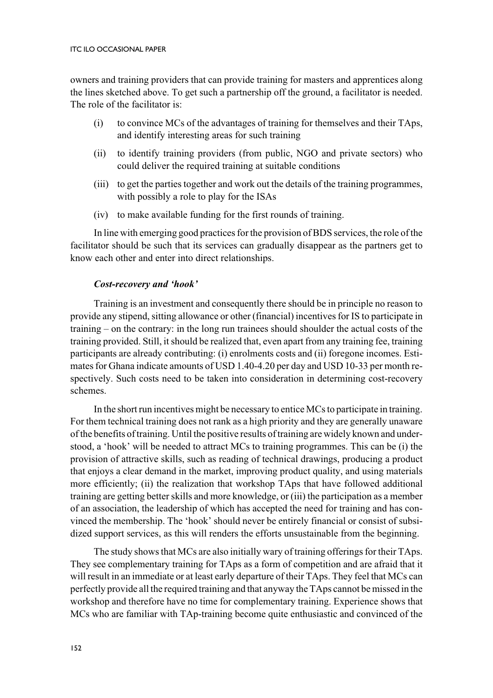#### **ITC ILO OCCASIONAL PAPER**

owners and training providers that can provide training for masters and apprentices along the lines sketched above. To get such a partnership off the ground, a facilitator is needed. The role of the facilitator is:

- (i) to convince MCs of the advantages of training for themselves and their TAps, and identify interesting areas for such training
- (ii) to identify training providers (from public,NGO and private sectors) who could deliver the required training at suitable conditions
- (iii) to get the parties together and work out the details of the training programmes, with possibly a role to play for the ISAs
- (iv) to make available funding for the first rounds of training.

In line with emerging good practices for the provision of BDS services, the role of the facilitator should be such that its services can gradually disappear as the partners get to know each other and enter into direct relationships.

## *Cost-recovery and 'hook'*

Training is an investment and consequently there should be in principle no reason to provide any stipend, sitting allowance or other (financial) incentives for IS to participate in training – on the contrary: in the long run trainees should shoulder the actual costs of the training provided. Still, it should be realized that, even apart from any training fee, training participants are already contributing: (i) enrolments costs and (ii) foregone incomes. Estimates for Ghana indicate amounts of USD 1.40-4.20 per day and USD 10-33 per month respectively. Such costs need to be taken into consideration in determining cost-recovery schemes.

In the short run incentives might be necessary to entice MCs to participate in training. For them technical training does not rank as a high priority and they are generally unaware of the benefits of training. Until the positive results of training are widely known and understood,a 'hook' will be needed to attract MCs to training programmes. This can be (i) the provision of attractive skills, such as reading of technical drawings, producing a product that enjoys a clear demand in the market, improving product quality, and using materials more efficiently; (ii) the realization that workshop TAps that have followed additional training are getting better skills and more knowledge, or (iii) the participation as a member of an association, the leadership of which has accepted the need for training and has convinced the membership. The 'hook' should never be entirely financial or consist of subsidized support services, as this will renders the efforts unsustainable from the beginning.

The study shows that MCs are also initially wary of training offerings for their TAps. They see complementary training for TAps as a form of competition and are afraid that it will result in an immediate or at least early departure of their TAps. They feel that MCs can perfectly provide all the required training and that anyway the TAps cannot be missed in the workshop and therefore have no time for complementary training. Experience shows that MCs who are familiar with TAp-training become quite enthusiastic and convinced of the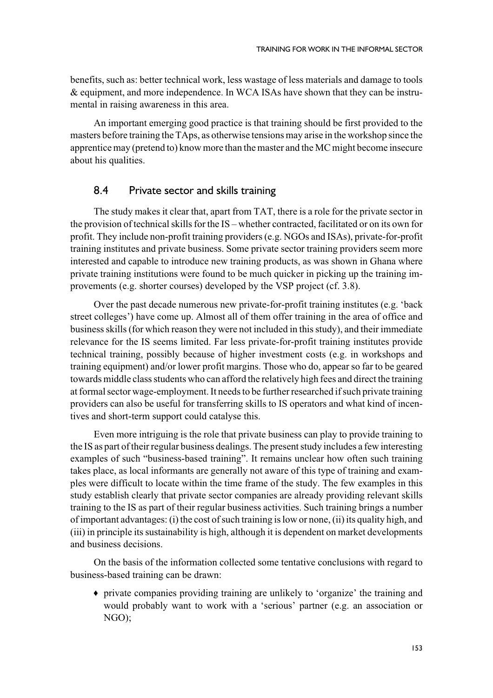benefits, such as: better technical work, less wastage of less materials and damage to tools & equipment,and more independence. In WCA ISAs have shown that they can be instrumental in raising awareness in this area.

An important emerging good practice is that training should be first provided to the masters before training the TAps, as otherwise tensions may arise in the workshop since the apprentice may (pretend to) know more than the master and the MC might become insecure about his qualities.

## 8.4 Private sector and skills training

The study makes it clear that, apart from TAT, there is a role for the private sector in the provision of technical skills for the IS – whether contracted, facilitated or on its own for profit. They include non-profit training providers (e.g. NGOs and ISAs), private-for-profit training institutes and private business. Some private sector training providers seem more interested and capable to introduce new training products, as was shown in Ghana where private training institutions were found to be much quicker in picking up the training improvements (e.g. shorter courses) developed by the VSP project (cf. 3.8).

Over the past decade numerous new private-for-profit training institutes (e.g. 'back street colleges') have come up. Almost all of them offer training in the area of office and business skills (for which reason they were not included in this study), and their immediate relevance for the IS seems limited. Far less private-for-profit training institutes provide technical training, possibly because of higher investment costs (e.g. in workshops and training equipment) and/or lower profit margins. Those who do, appear so far to be geared towards middle class students who can afford the relatively high fees and direct the training at formal sector wage-employment. It needs to be further researched if such private training providers can also be useful for transferring skills to IS operators and what kind of incentives and short-term support could catalyse this.

Even more intriguing is the role that private business can play to provide training to the IS as part of their regular business dealings. The present study includes a few interesting examples of such "business-based training". It remains unclear how often such training takes place, as local informants are generally not aware of this type of training and examples were difficult to locate within the time frame of the study. The few examples in this study establish clearly that private sector companies are already providing relevant skills training to the IS as part of their regular business activities. Such training brings a number of important advantages: (i) the cost of such training is low or none,(ii) its quality high,and (iii) in principle its sustainability is high, although it is dependent on market developments and business decisions.

On the basis of the information collected some tentative conclusions with regard to business-based training can be drawn:

 private companies providing training are unlikely to 'organize' the training and would probably want to work with a 'serious' partner (e.g. an association or NGO);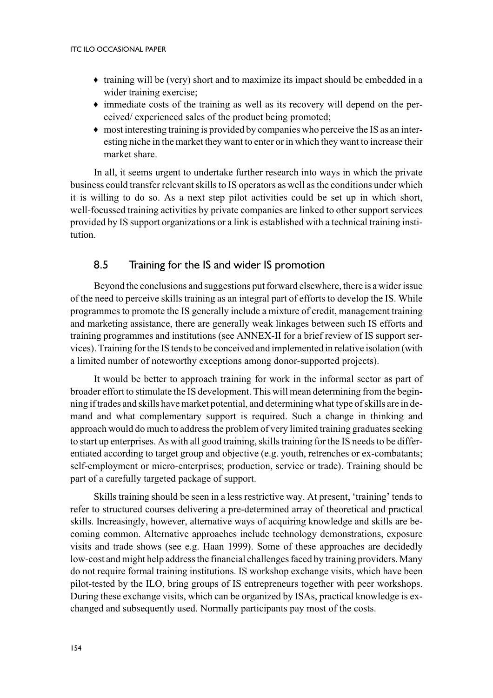- training will be (very) short and to maximize its impact should be embedded in a wider training exercise;
- immediate costs of the training as well as its recovery will depend on the perceived/ experienced sales of the product being promoted;
- most interesting training is provided by companies who perceive the IS as an interesting niche in the market they want to enter or in which they want to increase their market share.

In all, it seems urgent to undertake further research into ways in which the private business could transfer relevant skills to IS operators as well as the conditions under which it is willing to do so. As a next step pilot activities could be set up in which short, well-focussed training activities by private companies are linked to other support services provided by IS support organizations or a link is established with a technical training institution.

## 8.5 Training for the IS and wider IS promotion

Beyond the conclusions and suggestions put forward elsewhere, there is a wider issue of the need to perceive skills training as an integral part of efforts to develop the IS. While programmes to promote the IS generally include a mixture of credit, management training and marketing assistance, there are generally weak linkages between such IS efforts and training programmes and institutions (see ANNEX-II for a brief review of IS support services). Training for the IS tends to be conceived and implemented in relative isolation (with a limited number of noteworthy exceptions among donor-supported projects).

It would be better to approach training for work in the informal sector as part of broader effort to stimulate the IS development. This will mean determining from the beginning if trades and skills have market potential,and determining what type of skills are in demand and what complementary support is required. Such a change in thinking and approach would do much to address the problem of very limited training graduates seeking to start up enterprises. As with all good training, skills training for the IS needs to be differentiated according to target group and objective (e.g. youth, retrenches or ex-combatants; self-employment or micro-enterprises; production, service or trade). Training should be part of a carefully targeted package of support.

Skills training should be seen in a less restrictive way. At present, 'training' tends to refer to structured courses delivering a pre-determined array of theoretical and practical skills. Increasingly, however, alternative ways of acquiring knowledge and skills are becoming common. Alternative approaches include technology demonstrations, exposure visits and trade shows (see e.g. Haan 1999). Some of these approaches are decidedly low-cost and might help address the financial challenges faced by training providers. Many do not require formal training institutions. IS workshop exchange visits, which have been pilot-tested by the ILO, bring groups of IS entrepreneurs together with peer workshops. During these exchange visits, which can be organized by ISAs, practical knowledge is exchanged and subsequently used. Normally participants pay most of the costs.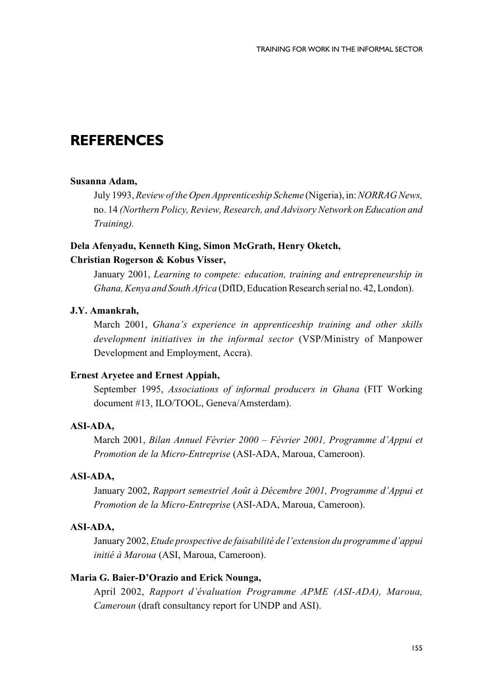# **REFERENCES**

#### **Susanna Adam,**

July 1993,*Review of the Open Apprenticeship Scheme* (Nigeria),in:*NORRAG News,* no. 14 *(Northern Policy, Review, Research, and Advisory Network on Education and Training).*

## **Dela Afenyadu, Kenneth King, Simon McGrath, Henry Oketch,**

#### **Christian Rogerson & Kobus Visser,**

January 2001, *Learning to compete: education, training and entrepreneurship in Ghana, Kenya and South Africa* (DfID,Education Research serial no. 42,London).

## **J.Y. Amankrah,**

March 2001, *Ghana's experience in apprenticeship training and other skills development initiatives in the informal sector* (VSP/Ministry of Manpower Development and Employment, Accra).

#### **Ernest Aryetee and Ernest Appiah,**

September 1995, *Associations of informal producers in Ghana* (FIT Working document #13, ILO/TOOL, Geneva/Amsterdam).

## **ASI-ADA,**

March 2001, *Bilan Annuel Février 2000 – Février 2001, Programme d'Appui et Promotion de la Micro-Entreprise* (ASI-ADA, Maroua, Cameroon).

## **ASI-ADA,**

January 2002, *Rapport semestriel Août à Décembre 2001, Programme d'Appui et Promotion de la Micro-Entreprise* (ASI-ADA, Maroua, Cameroon).

#### **ASI-ADA,**

January 2002, *Etude prospective de faisabilité de l'extension du programme d'appui initié à Maroua* (ASI, Maroua, Cameroon).

### **Maria G. Baier-D'Orazio and Erick Nounga,**

April 2002, *Rapport d'évaluation Programme APME (ASI-ADA), Maroua, Cameroun* (draft consultancy report for UNDP and ASI).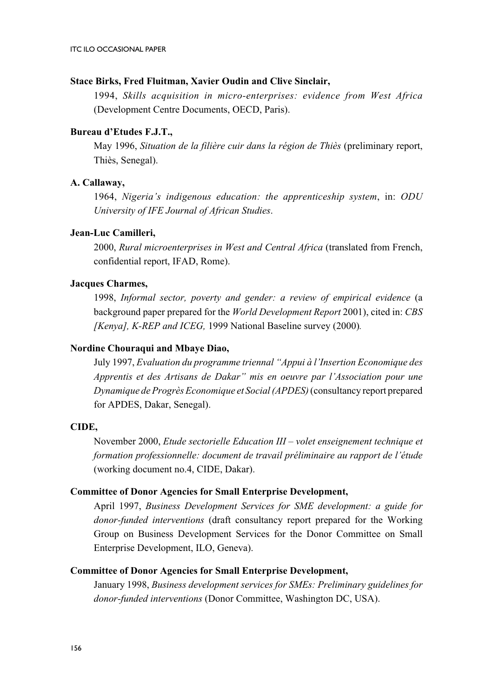#### **Stace Birks, Fred Fluitman, Xavier Oudin and Clive Sinclair,**

1994, *Skills acquisition in micro-enterprises: evidence from West Africa* (Development Centre Documents, OECD, Paris).

#### **Bureau d'Etudes F.J.T.,**

May 1996, *Situation de la filière cuir dans la région de Thiès* (preliminary report, Thiès, Senegal).

## **A. Callaway,**

1964, *Nigeria's indigenous education: the apprenticeship system*, in: *ODU University of IFE Journal of African Studies*.

## **Jean-Luc Camilleri,**

2000, *Rural microenterprises in West and Central Africa* (translated from French, confidential report, IFAD, Rome).

#### **Jacques Charmes,**

1998, *Informal sector, poverty and gender: a review of empirical evidence* (a background paper prepared for the *World Development Report* 2001), cited in: *CBS [Kenya], K-REP and ICEG,* 1999 National Baseline survey (2000)*.*

#### **Nordine Chouraqui and Mbaye Diao,**

July 1997, *Evaluation du programme triennal "Appui à l'Insertion Economique des Apprentis et des Artisans de Dakar" mis en oeuvre par l'Association pour une Dynamique de Progrès Economique et Social (APDES)*(consultancy report prepared for APDES, Dakar, Senegal).

#### **CIDE,**

November 2000, *Etude sectorielle Education III – volet enseignement technique et formation professionnelle: document de travail préliminaire au rapport de l'étude* (working document no.4, CIDE, Dakar).

#### **Committee of Donor Agencies for Small Enterprise Development,**

April 1997, *Business Development Services for SME development: a guide for donor-funded interventions* (draft consultancy report prepared for the Working Group on Business Development Services for the Donor Committee on Small Enterprise Development, ILO, Geneva).

#### **Committee of Donor Agencies for Small Enterprise Development,**

January 1998, *Business development services for SMEs: Preliminary guidelines for donor-funded interventions* (Donor Committee,Washington DC,USA).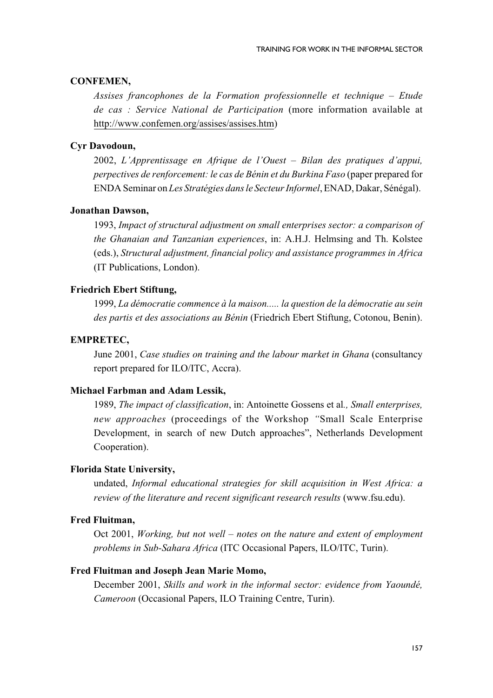#### **CONFEMEN,**

*Assises francophones de la Formation professionnelle et technique – Etude de cas : Service National de Participation* (more information available at http://www.confemen.org/assises/assises.htm)

#### **Cyr Davodoun,**

2002, *L'Apprentissage en Afrique de l'Ouest – Bilan des pratiques d'appui, perpectives de renforcement: le cas de Bénin et du Burkina Faso* (paper prepared for ENDA Seminar on *Les Stratégies dans le Secteur Informel*,ENAD,Dakar,Sénégal).

#### **Jonathan Dawson,**

1993, *Impact of structural adjustment on small enterprises sector: a comparison of the Ghanaian and Tanzanian experiences*, in: A.H.J. Helmsing and Th. Kolstee (eds.), *Structural adjustment, financial policy and assistance programmes in Africa* (IT Publications,London).

#### **Friedrich Ebert Stiftung,**

1999, *La démocratie commence à la maison..... la question de la démocratie au sein* des partis et des associations au Bénin (Friedrich Ebert Stiftung, Cotonou, Benin).

#### **EMPRETEC,**

June 2001, *Case studies on training and the labour market in Ghana* (consultancy report prepared for ILO/ITC, Accra).

#### **Michael Farbman and Adam Lessik,**

1989, *The impact of classification*, in: Antoinette Gossens et al., *Small enterprises*, *new approaches* (proceedings of the Workshop *"*Small Scale Enterprise Development, in search of new Dutch approaches", Netherlands Development Cooperation).

## **Florida State University,**

undated, *Informal educational strategies for skill acquisition in West Africa: a review of the literature and recent significant research results* (www.fsu.edu).

## **Fred Fluitman,**

Oct 2001, *Working, but not well – notes on the nature and extent of employment problems in Sub-Sahara Africa* (ITC Occasional Papers, ILO/ITC, Turin).

#### **Fred Fluitman and Joseph Jean Marie Momo,**

December 2001, *Skills and work in the informal sector: evidence from Yaoundé, Cameroon* (Occasional Papers, ILO Training Centre, Turin).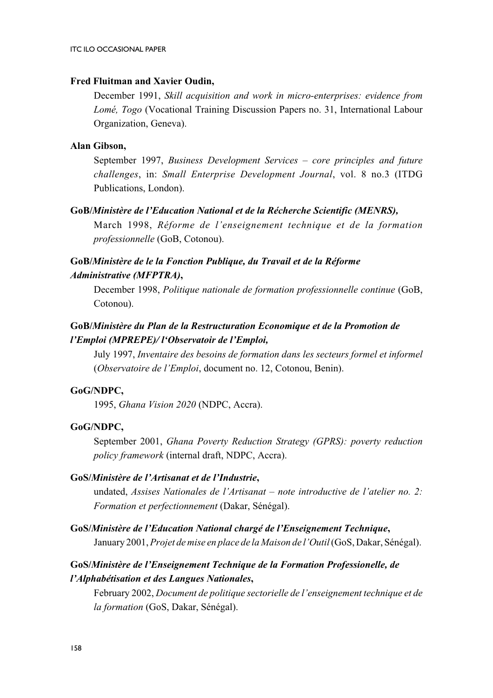#### **Fred Fluitman and Xavier Oudin,**

December 1991, *Skill acquisition and work in micro-enterprises: evidence from Lomé, Togo* (Vocational Training Discussion Papers no. 31, International Labour Organization, Geneva).

#### **Alan Gibson,**

September 1997, *Business Development Services – core principles and future challenges*, in: *Small Enterprise Development Journal*, vol. 8 no.3 (ITDG Publications, London).

#### **GoB/***Ministère de l'Education National et de la Récherche Scientific (MENRS),*

March 1998, *Réforme de l'enseignement technique et de la formation professionnelle* (GoB,Cotonou).

## **GoB/***Ministère de le la Fonction Publique, du Travail et de la Réforme Administrative (MFPTRA)***,**

December 1998, *Politique nationale de formation professionnelle continue* (GoB, Cotonou).

## **GoB/***Ministère du Plan de la Restructuration Economique et de la Promotion de l'Emploi (MPREPE)/ l'Observatoir de l'Emploi,*

July 1997, *Inventaire des besoins de formation dans les secteurs formel et informel* (Observatoire de l'Emploi, document no. 12, Cotonou, Benin).

#### **GoG/NDPC,**

1995, *Ghana Vision 2020* (NDPC, Accra).

#### **GoG/NDPC,**

September 2001, *Ghana Poverty Reduction Strategy (GPRS): poverty reduction policy framework* (internal draft, NDPC, Accra).

## **GoS/***Ministère de l'Artisanat et de l'Industrie***,**

undated, *Assises Nationales de l'Artisanat – note introductive de l'atelier no. 2: Formation et perfectionnement* (Dakar, Sénégal).

## **GoS/***Ministère de l'Education National chargé de l'Enseignement Technique***,** January 2001, Projet de mise en place de la Maison de l'Outil (GoS, Dakar, Sénégal).

## **GoS/***Ministère de l'Enseignement Technique de la Formation Professionelle, de l'Alphabétisation et des Langues Nationales***,**

February 2002, *Document de politique sectorielle de l'enseignement technique et de la formation* (GoS, Dakar, Sénégal).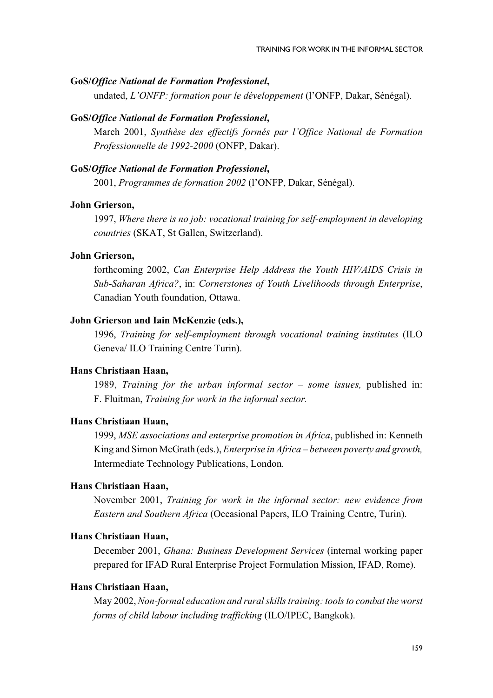#### **GoS/***Office National de Formation Professionel***,**

undated, *L'ONFP: formation pour le développement* (l'ONFP, Dakar, Sénégal).

#### **GoS/***Office National de Formation Professionel***,**

March 2001, *Synthèse des effectifs formés par l'Office National de Formation Professionnelle de 1992-2000* (ONFP,Dakar).

## **GoS/***Office National de Formation Professionel***,**

2001, *Programmes de formation 2002* (l'ONFP, Dakar, Sénégal).

### **John Grierson,**

1997, *Where there is no job: vocational training for self-employment in developing countries* (SKAT, St Gallen, Switzerland).

## **John Grierson,**

forthcoming 2002, *Can Enterprise Help Address the Youth HIV/AIDS Crisis in Sub-Saharan Africa?*, in: *Cornerstones of Youth Livelihoods through Enterprise*, Canadian Youth foundation, Ottawa.

#### **John Grierson and Iain McKenzie (eds.),**

1996, *Training for self-employment through vocational training institutes* (ILO Geneva/ ILO Training Centre Turin).

#### **Hans Christiaan Haan,**

1989, *Training for the urban informal sector – some issues,* published in: F. Fluitman, *Training for work in the informal sector.*

#### **Hans Christiaan Haan,**

1999, *MSE associations and enterprise promotion in Africa*, published in: Kenneth King and Simon McGrath (eds.), *Enterprise in Africa – between poverty and growth,* Intermediate Technology Publications, London.

#### **Hans Christiaan Haan,**

November 2001, *Training for work in the informal sector: new evidence from Eastern and Southern Africa* (Occasional Papers, ILO Training Centre, Turin).

#### **Hans Christiaan Haan,**

December 2001, *Ghana: Business Development Services* (internal working paper prepared for IFAD Rural Enterprise Project Formulation Mission, IFAD, Rome).

## **Hans Christiaan Haan,**

May 2002, *Non-formal education and rural skills training: tools to combat the worst forms of child labour including trafficking* (ILO/IPEC, Bangkok).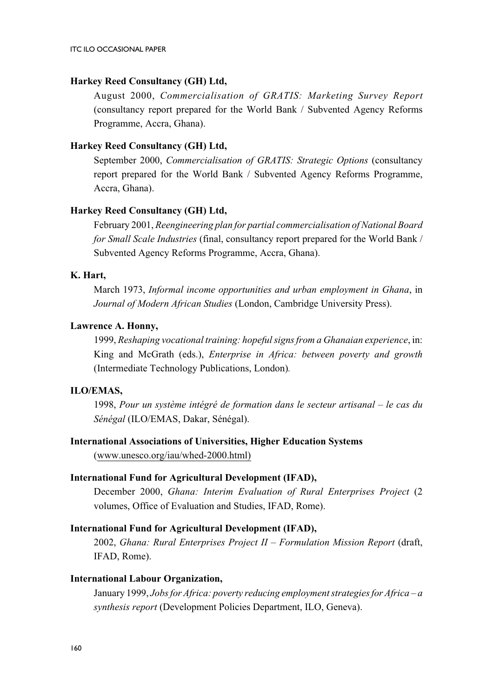#### ITC ILO OCCASIONAL PAPER

#### **Harkey Reed Consultancy (GH) Ltd,**

August 2000, *Commercialisation of GRATIS: Marketing Survey Report* (consultancy report prepared for the World Bank / Subvented Agency Reforms Programme, Accra, Ghana).

## **Harkey Reed Consultancy (GH) Ltd,**

September 2000, *Commercialisation of GRATIS: Strategic Options* (consultancy report prepared for the World Bank / Subvented Agency Reforms Programme, Accra, Ghana).

#### **Harkey Reed Consultancy (GH) Ltd,**

February 2001, *Reengineering plan for partial commercialisation of National Board for Small Scale Industries* (final, consultancy report prepared for the World Bank / Subvented Agency Reforms Programme, Accra, Ghana).

#### **K. Hart,**

March 1973, *Informal income opportunities and urban employment in Ghana*, in *Journal of Modern African Studies* (London,Cambridge University Press).

## **Lawrence A. Honny,**

1999, *Reshaping vocational training: hopeful signs from a Ghanaian experience*,in: King and McGrath (eds.), *Enterprise in Africa: between poverty and growth* (Intermediate Technology Publications,London)*.*

#### **ILO/EMAS,**

1998, *Pour un système intégré de formation dans le secteur artisanal – le cas du Sénégal* (ILO/EMAS, Dakar, Sénégal).

**International Associations of Universities, Higher Education Systems** (www.unesco.org/iau/whed-2000.html)

## **International Fund for Agricultural Development (IFAD),**

December 2000, *Ghana: Interim Evaluation of Rural Enterprises Project* (2 volumes, Office of Evaluation and Studies, IFAD, Rome).

#### **International Fund for Agricultural Development (IFAD),**

2002, *Ghana: Rural Enterprises Project II – Formulation Mission Report* (draft, IFAD, Rome).

#### **International Labour Organization,**

January 1999, *Jobs for Africa: poverty reducing employment strategies for Africa – a synthesis report* (Development Policies Department, ILO, Geneva).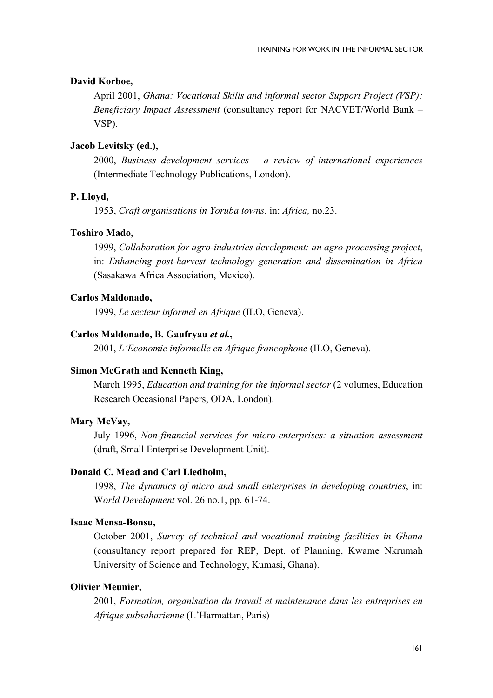#### **David Korboe,**

April 2001, *Ghana: Vocational Skills and informal sector Support Project (VSP): Beneficiary Impact Assessment* (consultancy report for NACVET/World Bank – VSP).

## **Jacob Levitsky (ed.),**

2000, *Business development services – a review of international experiences* (Intermediate Technology Publications, London).

## **P. Lloyd,**

1953, *Craft organisations in Yoruba towns*,in: *Africa,* no.23.

## **Toshiro Mado,**

1999, *Collaboration for agro-industries development: an agro-processing project*, in: *Enhancing post-harvest technology generation and dissemination in Africa* (Sasakawa Africa Association, Mexico).

#### **Carlos Maldonado,**

1999, *Le secteur informel en Afrique* (ILO,Geneva).

#### **Carlos Maldonado, B. Gaufryau** *et al.***,**

2001, *L'Economie informelle en Afrique francophone* (ILO,Geneva).

## **Simon McGrath and Kenneth King,**

March 1995, *Education and training for the informal sector* (2 volumes, Education Research Occasional Papers, ODA, London).

#### **Mary McVay,**

July 1996, *Non-financial services for micro-enterprises: a situation assessment* (draft, Small Enterprise Development Unit).

## **Donald C. Mead and Carl Liedholm,**

1998, *The dynamics of micro and small enterprises in developing countries*, in: World Development vol. 26 no.1, pp. 61-74.

#### **Isaac Mensa-Bonsu,**

October 2001, *Survey of technical and vocational training facilities in Ghana* (consultancy report prepared for REP, Dept. of Planning, Kwame Nkrumah University of Science and Technology, Kumasi, Ghana).

## **Olivier Meunier,**

2001, *Formation, organisation du travail et maintenance dans les entreprises en Afrique subsaharienne* (L'Harmattan, Paris)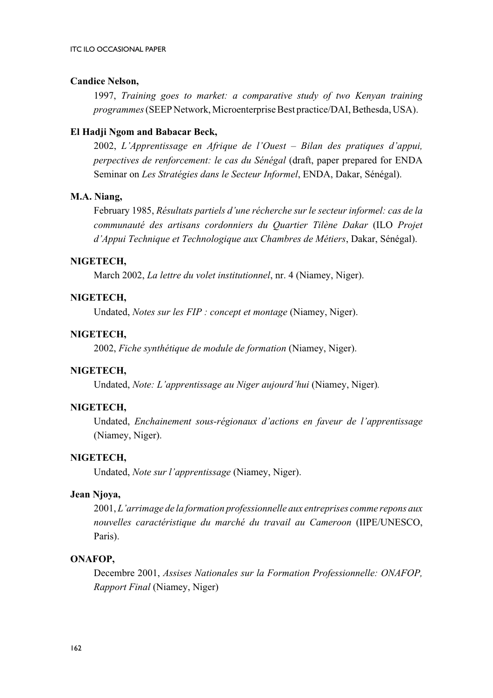#### **Candice Nelson,**

1997, *Training goes to market: a comparative study of two Kenyan training programmes* (SEEP Network, Microenterprise Best practice/DAI, Bethesda, USA).

## **El Hadji Ngom and Babacar Beck,**

2002, *L'Apprentissage en Afrique de l'Ouest – Bilan des pratiques d'appui, perpectives de renforcement: le cas du Sénégal* (draft, paper prepared for ENDA Seminar on *Les Stratégies dans le Secteur Informel*, ENDA, Dakar, Sénégal).

## **M.A. Niang,**

February 1985, *Résultats partiels d'une récherche sur le secteur informel: cas de la communauté des artisans cordonniers du Quartier Tilène Dakar* (ILO *Projet d'Appui Technique et Technologique aux Chambres de Métiers*, Dakar, Sénégal).

## **NIGETECH,**

March 2002, *La lettre du volet institutionnel*, nr. 4 (Niamey, Niger).

#### **NIGETECH,**

Undated, *Notes sur les FIP : concept et montage* (Niamey, Niger).

#### **NIGETECH,**

2002, *Fiche synthétique de module de formation* (Niamey, Niger).

## **NIGETECH,**

Undated, *Note: L'apprentissage au Niger aujourd'hui* (Niamey, Niger).

#### **NIGETECH,**

Undated, *Enchainement sous-régionaux d'actions en faveur de l'apprentissage* (Niamey, Niger).

#### **NIGETECH,**

Undated, *Note sur l'apprentissage* (Niamey, Niger).

## **Jean Njoya,**

2001, *L'arrimage de la formation professionnelle aux entreprises comme repons aux nouvelles caractéristique du marché du travail au Cameroon* (IIPE/UNESCO, Paris).

## **ONAFOP,**

Decembre 2001, *Assises Nationales sur la Formation Professionnelle: ONAFOP, Rapport Final* (Niamey, Niger)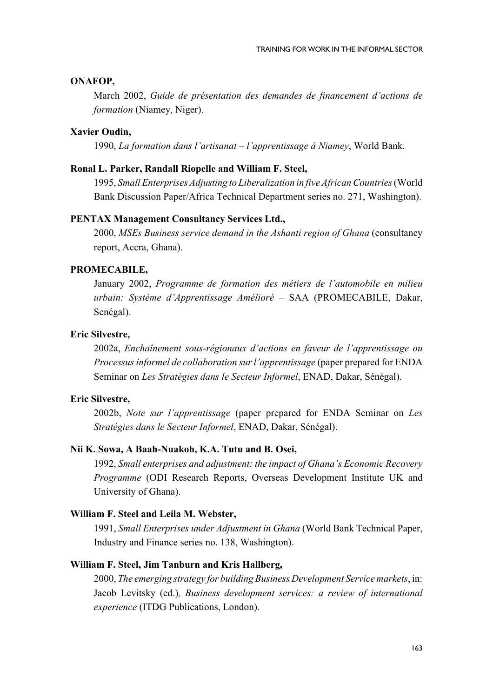#### **ONAFOP,**

March 2002, *Guide de présentation des demandes de financement d'actions de formation* (Niamey, Niger).

#### **Xavier Oudin,**

1990, *La formation dans l'artisanat – l'apprentissage à Niamey*, World Bank.

## **Ronal L. Parker, Randall Riopelle and William F. Steel,**

1995, *Small Enterprises Adjusting to Liberalization in five African Countries*(World Bank Discussion Paper/Africa Technical Department series no. 271, Washington).

#### **PENTAX Management Consultancy Services Ltd.,**

2000, *MSEs Business service demand in the Ashanti region of Ghana* (consultancy report, Accra, Ghana).

## **PROMECABILE,**

January 2002, *Programme de formation des métiers de l'automobile en milieu urbain: Système d'Apprentissage Amélioré* – SAA (PROMECABILE,Dakar, Senégal).

#### **Eric Silvestre,**

2002a, *Enchaînement sous-régionaux d'actions en faveur de l'apprentissage ou Processus informel de collaboration sur l'apprentissage* (paper prepared for ENDA Seminar on *Les Stratégies dans le Secteur Informel*, ENAD, Dakar, Sénégal).

## **Eric Silvestre,**

2002b, *Note sur l'apprentissage* (paper prepared for ENDA Seminar on *Les Stratégies dans le Secteur Informel*, ENAD, Dakar, Sénégal).

#### **Nii K. Sowa, A Baah-Nuakoh, K.A. Tutu and B. Osei,**

1992, *Small enterprises and adjustment: the impact of Ghana's Economic Recovery Programme* (ODI Research Reports, Overseas Development Institute UK and University of Ghana).

#### **William F. Steel and Leila M. Webster,**

1991, *Small Enterprises under Adjustment in Ghana* (World Bank Technical Paper, Industry and Finance series no. 138, Washington).

## **William F. Steel, Jim Tanburn and Kris Hallberg,**

2000, *The emerging strategy for building Business Development Service markets*,in: Jacob Levitsky (ed.)*, Business development services: a review of international experience* (ITDG Publications, London).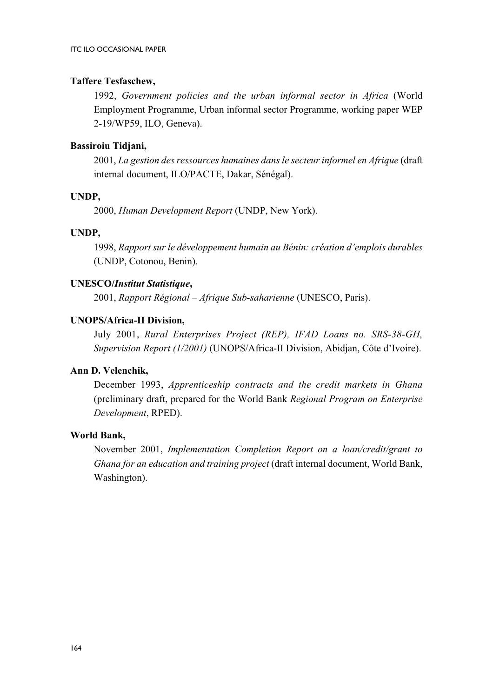## **Taffere Tesfaschew,**

1992, *Government policies and the urban informal sector in Africa* (World Employment Programme, Urban informal sector Programme, working paper WEP 2-19/WP59,ILO,Geneva).

## **Bassiroiu Tidjani,**

2001, *La gestion des ressources humaines dans le secteur informel en Afrique* (draft internal document, ILO/PACTE, Dakar, Sénégal).

## **UNDP,**

2000, *Human Development Report* (UNDP, New York).

## **UNDP,**

1998, *Rapport sur le développement humain au Bénin: création d'emplois durables* (UNDP, Cotonou, Benin).

## **UNESCO/***Institut Statistique***,**

2001, *Rapport Régional – Afrique Sub-saharienne* (UNESCO,Paris).

## **UNOPS/Africa-II Division,**

July 2001, *Rural Enterprises Project (REP), IFAD Loans no. SRS-38-GH, Supervision Report (1/2001)* (UNOPS/Africa-II Division, Abidjan, Côte d'Ivoire).

## **Ann D. Velenchik,**

December 1993, *Apprenticeship contracts and the credit markets in Ghana* (preliminary draft, prepared for the World Bank *Regional Program on Enterprise Development*,RPED).

## **World Bank,**

November 2001, *Implementation Completion Report on a loan/credit/grant to Ghana for an education and training project* (draft internal document, World Bank, Washington).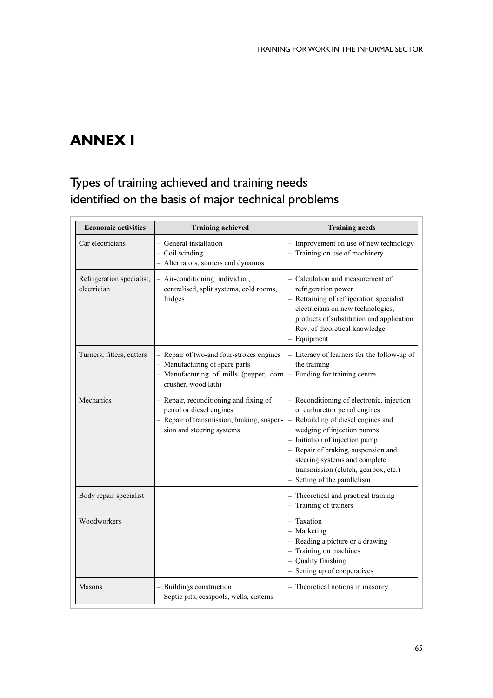# **ANNEX I**

# Types of training achieved and training needs identified on the basis of major technical problems

| <b>Economic activities</b>               | <b>Training achieved</b>                                                                                                                      | <b>Training needs</b>                                                                                                                                                                                                                                                                                                          |
|------------------------------------------|-----------------------------------------------------------------------------------------------------------------------------------------------|--------------------------------------------------------------------------------------------------------------------------------------------------------------------------------------------------------------------------------------------------------------------------------------------------------------------------------|
| Car electricians                         | - General installation<br>- Coil winding<br>- Alternators, starters and dynamos                                                               | - Improvement on use of new technology<br>- Training on use of machinery                                                                                                                                                                                                                                                       |
| Refrigeration specialist,<br>electrician | - Air-conditioning: individual,<br>centralised, split systems, cold rooms,<br>fridges                                                         | - Calculation and measurement of<br>refrigeration power<br>- Retraining of refrigeration specialist<br>electricians on new technologies,<br>products of substitution and application<br>Rev. of theoretical knowledge<br>- Equipment                                                                                           |
| Turners, fitters, cutters                | - Repair of two-and four-strokes engines<br>- Manufacturing of spare parts<br>- Manufacturing of mills (pepper, corn<br>crusher, wood lath)   | - Literacy of learners for the follow-up of<br>the training<br>- Funding for training centre                                                                                                                                                                                                                                   |
| Mechanics                                | - Repair, reconditioning and fixing of<br>petrol or diesel engines<br>- Repair of transmission, braking, suspen-<br>sion and steering systems | - Reconditioning of electronic, injection<br>or carburettor petrol engines<br>- Rebuilding of diesel engines and<br>wedging of injection pumps<br>- Initiation of injection pump<br>Repair of braking, suspension and<br>steering systems and complete<br>transmission (clutch, gearbox, etc.)<br>- Setting of the parallelism |
| Body repair specialist                   |                                                                                                                                               | - Theoretical and practical training<br>- Training of trainers                                                                                                                                                                                                                                                                 |
| Woodworkers                              |                                                                                                                                               | - Taxation<br>- Marketing<br>- Reading a picture or a drawing<br>- Training on machines<br>- Quality finishing<br>- Setting up of cooperatives                                                                                                                                                                                 |
| <b>Masons</b>                            | - Buildings construction<br>- Septic pits, cesspools, wells, cisterns                                                                         | - Theoretical notions in masonry                                                                                                                                                                                                                                                                                               |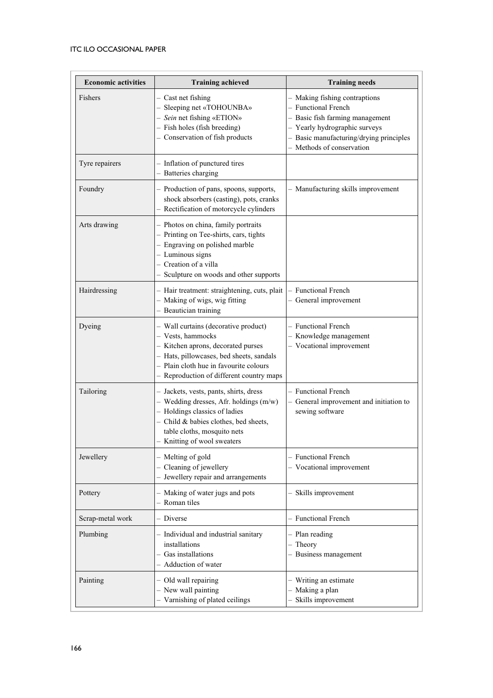#### ITC ILO OCCASIONAL PAPER

| <b>Economic activities</b> | <b>Training achieved</b>                                                                                                                                                                                                          | <b>Training needs</b>                                                                                                                                                                            |
|----------------------------|-----------------------------------------------------------------------------------------------------------------------------------------------------------------------------------------------------------------------------------|--------------------------------------------------------------------------------------------------------------------------------------------------------------------------------------------------|
| Fishers                    | - Cast net fishing<br>Sleeping net «TOHOUNBA»<br>$-$ Sein net fishing «ETION»<br>- Fish holes (fish breeding)<br>- Conservation of fish products                                                                                  | - Making fishing contraptions<br>- Functional French<br>- Basic fish farming management<br>- Yearly hydrographic surveys<br>- Basic manufacturing/drying principles<br>- Methods of conservation |
| Tyre repairers             | - Inflation of punctured tires<br>- Batteries charging                                                                                                                                                                            |                                                                                                                                                                                                  |
| Foundry                    | - Production of pans, spoons, supports,<br>shock absorbers (casting), pots, cranks<br>- Rectification of motorcycle cylinders                                                                                                     | - Manufacturing skills improvement                                                                                                                                                               |
| Arts drawing               | - Photos on china, family portraits<br>- Printing on Tee-shirts, cars, tights<br>- Engraving on polished marble<br>- Luminous signs<br>- Creation of a villa<br>- Sculpture on woods and other supports                           |                                                                                                                                                                                                  |
| Hairdressing               | - Hair treatment: straightening, cuts, plait<br>- Making of wigs, wig fitting<br>- Beautician training                                                                                                                            | - Functional French<br>- General improvement                                                                                                                                                     |
| Dyeing                     | - Wall curtains (decorative product)<br>- Vests, hammocks<br>- Kitchen aprons, decorated purses<br>- Hats, pillowcases, bed sheets, sandals<br>- Plain cloth hue in favourite colours<br>- Reproduction of different country maps | - Functional French<br>- Knowledge management<br>- Vocational improvement                                                                                                                        |
| Tailoring                  | - Jackets, vests, pants, shirts, dress<br>- Wedding dresses, Afr. holdings (m/w)<br>- Holdings classics of ladies<br>$-$ Child & babies clothes, bed sheets,<br>table cloths, mosquito nets<br>- Knitting of wool sweaters        | - Functional French<br>- General improvement and initiation to<br>sewing software                                                                                                                |
| Jewellery                  | - Melting of gold<br>- Cleaning of jewellery<br>- Jewellery repair and arrangements                                                                                                                                               | - Functional French<br>- Vocational improvement                                                                                                                                                  |
| Pottery                    | - Making of water jugs and pots<br>Roman tiles                                                                                                                                                                                    | - Skills improvement                                                                                                                                                                             |
| Scrap-metal work           | - Diverse                                                                                                                                                                                                                         | - Functional French                                                                                                                                                                              |
| Plumbing                   | - Individual and industrial sanitary<br>installations<br>- Gas installations<br>- Adduction of water                                                                                                                              | - Plan reading<br>- Theory<br>- Business management                                                                                                                                              |
| Painting                   | - Old wall repairing<br>- New wall painting<br>- Varnishing of plated ceilings                                                                                                                                                    | - Writing an estimate<br>- Making a plan<br>- Skills improvement                                                                                                                                 |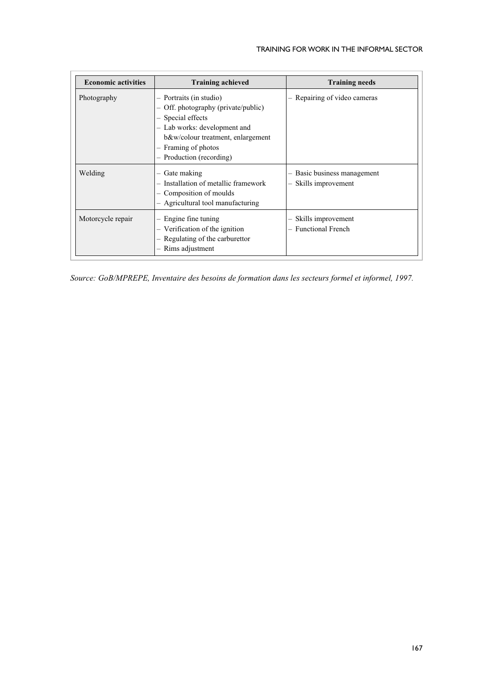#### TRAINING FOR WORK IN THE INFORMAL SECTOR

| <b>Economic activities</b> | <b>Training achieved</b>                                                                                                                                                                                  | <b>Training needs</b>                               |
|----------------------------|-----------------------------------------------------------------------------------------------------------------------------------------------------------------------------------------------------------|-----------------------------------------------------|
| Photography                | - Portraits (in studio)<br>- Off. photography (private/public)<br>Special effects<br>- Lab works: development and<br>b&w/colour treatment, enlargement<br>- Framing of photos<br>- Production (recording) | - Repairing of video cameras                        |
| Welding                    | - Gate making<br>- Installation of metallic framework<br>- Composition of moulds<br>- Agricultural tool manufacturing                                                                                     | - Basic business management<br>- Skills improvement |
| Motorcycle repair          | Engine fine tuning<br>- Verification of the ignition<br>- Regulating of the carburettor<br>- Rims adjustment                                                                                              | - Skills improvement<br>- Functional French         |

*Source: GoB/MPREPE, Inventaire des besoins de formation dans les secteurs formel et informel, 1997.*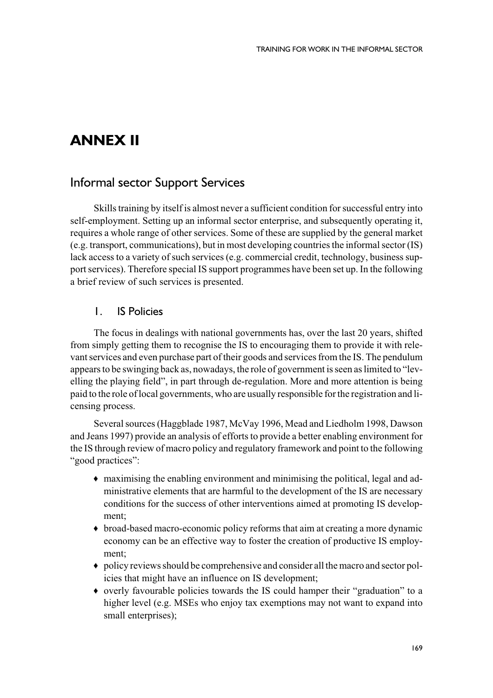# **ANNEX II**

# Informal sector Support Services

Skills training by itself is almost never a sufficient condition for successful entry into self-employment. Setting up an informal sector enterprise, and subsequently operating it, requires a whole range of other services. Some of these are supplied by the general market  $(e.g. transport, communications)$ , but in most developing countries the informal sector  $(IS)$ lack access to a variety of such services (e.g. commercial credit, technology, business support services). Therefore special IS support programmes have been set up. In the following a brief review of such services is presented.

## 1. IS Policies

The focus in dealings with national governments has, over the last 20 years, shifted from simply getting them to recognise the IS to encouraging them to provide it with relevant services and even purchase part of their goods and services from the IS. The pendulum appears to be swinging back as, nowadays, the role of government is seen as limited to "levelling the playing field", in part through de-regulation. More and more attention is being paid to the role of local governments, who are usually responsible for the registration and licensing process.

Several sources (Haggblade 1987, McVay 1996, Mead and Liedholm 1998, Dawson and Jeans 1997) provide an analysis of efforts to provide a better enabling environment for the IS through review of macro policy and regulatory framework and point to the following "good practices":

- $\bullet$  maximising the enabling environment and minimising the political, legal and administrative elements that are harmful to the development of the IS are necessary conditions for the success of other interventions aimed at promoting IS development;
- broad-based macro-economic policy reforms that aim at creating a more dynamic economy can be an effective way to foster the creation of productive IS employment;
- policy reviews should be comprehensive and consider all the macro and sector policies that might have an influence on IS development;
- overly favourable policies towards the IS could hamper their "graduation" to a higher level (e.g. MSEs who enjoy tax exemptions may not want to expand into small enterprises):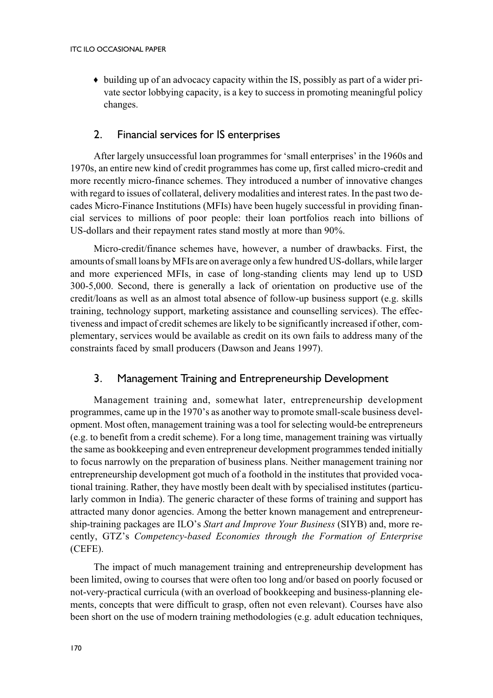$\bullet$  building up of an advocacy capacity within the IS, possibly as part of a wider private sector lobbying capacity, is a key to success in promoting meaningful policy changes.

## 2. Financial services for IS enterprises

After largely unsuccessful loan programmes for 'small enterprises' in the 1960s and 1970s, an entire new kind of credit programmes has come up, first called micro-credit and more recently micro-finance schemes. They introduced a number of innovative changes with regard to issues of collateral, delivery modalities and interest rates. In the past two decades Micro-Finance Institutions (MFIs) have been hugely successful in providing financial services to millions of poor people: their loan portfolios reach into billions of US-dollars and their repayment rates stand mostly at more than 90%.

Micro-credit/finance schemes have, however, a number of drawbacks. First, the amounts of small loans by MFIs are on average only a few hundred US-dollars, while larger and more experienced MFIs, in case of long-standing clients may lend up to USD 300-5,000. Second, there is generally a lack of orientation on productive use of the credit/loans as well as an almost total absence of follow-up business support (e.g. skills training, technology support, marketing assistance and counselling services). The effectiveness and impact of credit schemes are likely to be significantly increased if other, complementary, services would be available as credit on its own fails to address many of the constraints faced by small producers (Dawson and Jeans 1997).

## 3. Management Training and Entrepreneurship Development

Management training and, somewhat later, entrepreneurship development programmes, came up in the 1970's as another way to promote small-scale business development. Most often, management training was a tool for selecting would-be entrepreneurs (e.g. to benefit from a credit scheme). For a long time,management training was virtually the same as bookkeeping and even entrepreneur development programmes tended initially to focus narrowly on the preparation of business plans. Neither management training nor entrepreneurship development got much of a foothold in the institutes that provided vocational training. Rather, they have mostly been dealt with by specialised institutes (particularly common in India). The generic character of these forms of training and support has attracted many donor agencies. Among the better known management and entrepreneurship-training packages are ILO's *Start and Improve Your Business* (SIYB) and, more recently,GTZ's *Competency-based Economies through the Formation of Enterprise* (CEFE).

The impact of much management training and entrepreneurship development has been limited, owing to courses that were often too long and/or based on poorly focused or not-very-practical curricula (with an overload of bookkeeping and business-planning elements, concepts that were difficult to grasp, often not even relevant). Courses have also been short on the use of modern training methodologies (e.g. adult education techniques,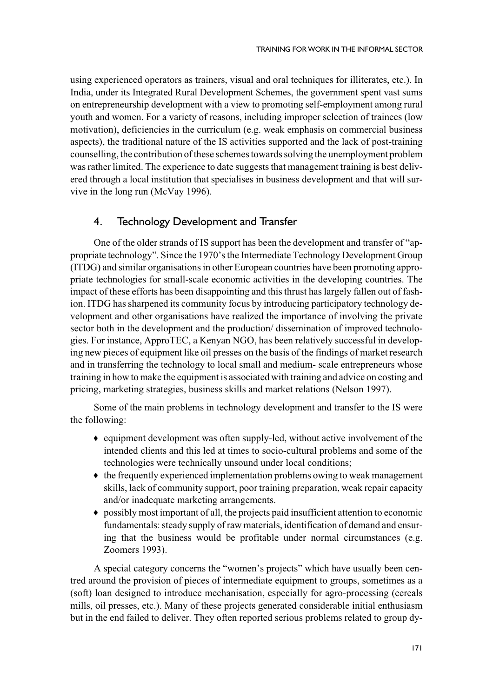using experienced operators as trainers, visual and oral techniques for illiterates, etc.). In India, under its Integrated Rural Development Schemes, the government spent vast sums on entrepreneurship development with a view to promoting self-employment among rural youth and women. For a variety of reasons, including improper selection of trainees (low motivation), deficiencies in the curriculum (e.g. weak emphasis on commercial business aspects), the traditional nature of the IS activities supported and the lack of post-training counselling, the contribution of these schemes towards solving the unemployment problem was rather limited. The experience to date suggests that management training is best delivered through a local institution that specialises in business development and that will survive in the long run (McVay 1996).

# 4. Technology Development and Transfer

One of the older strands of IS support has been the development and transfer of "appropriate technology". Since the 1970's the Intermediate Technology Development Group (ITDG) and similar organisations in other European countries have been promoting appropriate technologies for small-scale economic activities in the developing countries. The impact of these efforts has been disappointing and this thrust has largely fallen out of fashion. ITDG has sharpened its community focus by introducing participatory technology development and other organisations have realized the importance of involving the private sector both in the development and the production/ dissemination of improved technologies. For instance,ApproTEC,a Kenyan NGO,has been relatively successful in developing new pieces of equipment like oil presses on the basis of the findings of market research and in transferring the technology to local small and medium- scale entrepreneurs whose training in how to make the equipment is associated with training and advice on costing and pricing, marketing strategies, business skills and market relations (Nelson 1997).

Some of the main problems in technology development and transfer to the IS were the following:

- $\bullet$  equipment development was often supply-led, without active involvement of the intended clients and this led at times to socio-cultural problems and some of the technologies were technically unsound under local conditions;
- the frequently experienced implementation problems owing to weak management skills, lack of community support, poor training preparation, weak repair capacity and/or inadequate marketing arrangements.
- $\bullet$  possibly most important of all, the projects paid insufficient attention to economic fundamentals: steady supply of raw materials, identification of demand and ensuring that the business would be profitable under normal circumstances (e.g. Zoomers 1993).

A special category concerns the "women's projects" which have usually been centred around the provision of pieces of intermediate equipment to groups, sometimes as a (soft) loan designed to introduce mechanisation, especially for agro-processing (cereals mills, oil presses, etc.). Many of these projects generated considerable initial enthusiasm but in the end failed to deliver. They often reported serious problems related to group dy-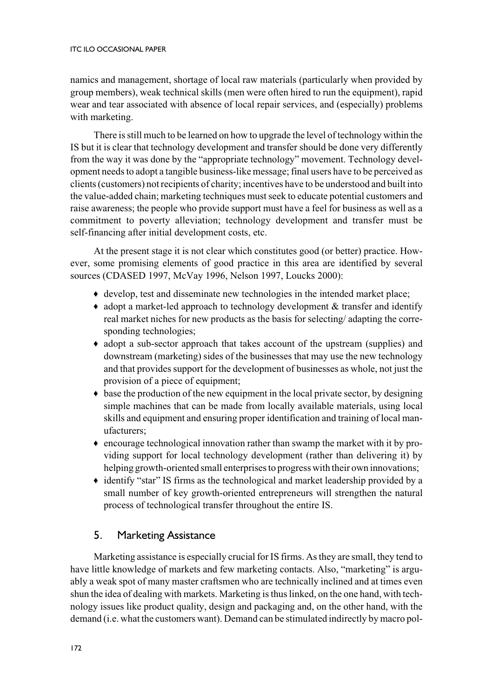#### **ITC ILO OCCASIONAL PAPER**

namics and management, shortage of local raw materials (particularly when provided by group members), weak technical skills (men were often hired to run the equipment), rapid wear and tear associated with absence of local repair services, and (especially) problems with marketing.

There is still much to be learned on how to upgrade the level of technology within the IS but it is clear that technology development and transfer should be done very differently from the way it was done by the "appropriate technology" movement. Technology development needs to adopt a tangible business-like message; final users have to be perceived as clients (customers) not recipients of charity; incentives have to be understood and built into the value-added chain; marketing techniques must seek to educate potential customers and raise awareness; the people who provide support must have a feel for business as well as a commitment to poverty alleviation; technology development and transfer must be self-financing after initial development costs, etc.

At the present stage it is not clear which constitutes good (or better) practice. However, some promising elements of good practice in this area are identified by several sources (CDASED 1997, McVay 1996, Nelson 1997, Loucks 2000):

- $\bullet$  develop, test and disseminate new technologies in the intended market place;
- adopt a market-led approach to technology development & transfer and identify real market niches for new products as the basis for selecting/ adapting the corresponding technologies;
- adopt a sub-sector approach that takes account of the upstream (supplies) and downstream (marketing) sides of the businesses that may use the new technology and that provides support for the development of businesses as whole, not just the provision of a piece of equipment;
- $\bullet$  base the production of the new equipment in the local private sector, by designing simple machines that can be made from locally available materials, using local skills and equipment and ensuring proper identification and training of local manufacturers;
- encourage technological innovation rather than swamp the market with it by providing support for local technology development (rather than delivering it) by helping growth-oriented small enterprises to progress with their own innovations;
- identify "star" IS firms as the technological and market leadership provided by a small number of key growth-oriented entrepreneurs will strengthen the natural process of technological transfer throughout the entire IS.

# 5. Marketing Assistance

Marketing assistance is especially crucial for IS firms. As they are small, they tend to have little knowledge of markets and few marketing contacts. Also, "marketing" is arguably a weak spot of many master craftsmen who are technically inclined and at times even shun the idea of dealing with markets. Marketing is thus linked, on the one hand, with technology issues like product quality, design and packaging and, on the other hand, with the demand (i.e. what the customers want). Demand can be stimulated indirectly by macro pol-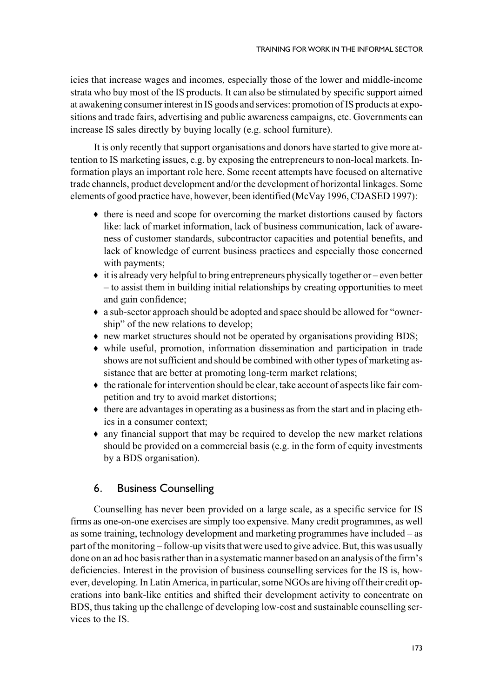icies that increase wages and incomes, especially those of the lower and middle-income strata who buy most of the IS products. It can also be stimulated by specific support aimed at awakening consumer interest in IS goods and services: promotion of IS products at expositions and trade fairs, advertising and public awareness campaigns, etc. Governments can increase IS sales directly by buying locally (e.g. school furniture).

It is only recently that support organisations and donors have started to give more attention to IS marketing issues, e.g. by exposing the entrepreneurs to non-local markets. Information plays an important role here. Some recent attempts have focused on alternative trade channels, product development and/or the development of horizontal linkages. Some elements of good practice have, however, been identified (McVay 1996, CDASED 1997):

- there is need and scope for overcoming the market distortions caused by factors like: lack of market information, lack of business communication, lack of awareness of customer standards, subcontractor capacities and potential benefits, and lack of knowledge of current business practices and especially those concerned with payments;
- $\bullet$  it is already very helpful to bring entrepreneurs physically together or even better – to assist them in building initial relationships by creating opportunities to meet and gain confidence;
- a sub-sector approach should be adopted and space should be allowed for "ownership" of the new relations to develop;
- new market structures should not be operated by organisations providing BDS;
- $\bullet$  while useful, promotion, information dissemination and participation in trade shows are not sufficient and should be combined with other types of marketing assistance that are better at promoting long-term market relations;
- $\bullet$  the rationale for intervention should be clear, take account of aspects like fair competition and try to avoid market distortions;
- $\bullet$  there are advantages in operating as a business as from the start and in placing ethics in a consumer context;
- any financial support that may be required to develop the new market relations should be provided on a commercial basis (e.g. in the form of equity investments by a BDS organisation).

## 6. Business Counselling

Counselling has never been provided on a large scale, as a specific service for IS firms as one-on-one exercises are simply too expensive. Many credit programmes, as well as some training, technology development and marketing programmes have included  $-$  as part of the monitoring – follow-up visits that were used to give advice. But, this was usually done on an ad hoc basis rather than in a systematic manner based on an analysis of the firm's deficiencies. Interest in the provision of business counselling services for the IS is, however, developing. In Latin America, in particular, some NGOs are hiving off their credit operations into bank-like entities and shifted their development activity to concentrate on BDS, thus taking up the challenge of developing low-cost and sustainable counselling services to the IS.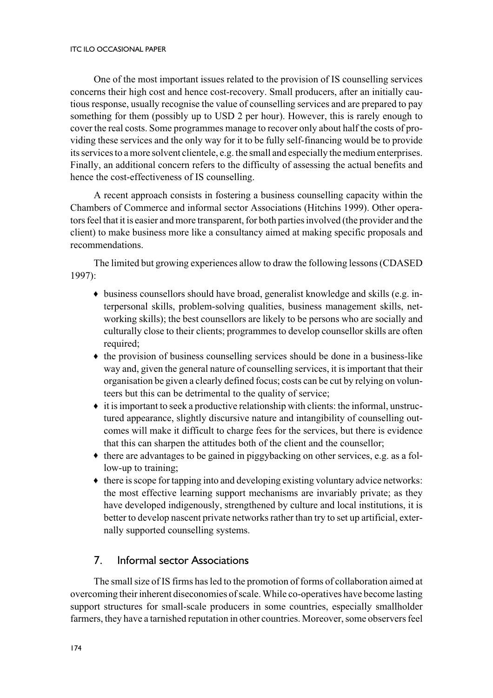One of the most important issues related to the provision of IS counselling services concerns their high cost and hence cost-recovery. Small producers, after an initially cautious response, usually recognise the value of counselling services and are prepared to pay something for them (possibly up to USD 2 per hour). However, this is rarely enough to cover the real costs. Some programmes manage to recover only about half the costs of providing these services and the only way for it to be fully self-financing would be to provide its services to a more solvent clientele, e.g. the small and especially the medium enterprises. Finally, an additional concern refers to the difficulty of assessing the actual benefits and hence the cost-effectiveness of IS counselling.

A recent approach consists in fostering a business counselling capacity within the Chambers of Commerce and informal sector Associations (Hitchins 1999). Other operators feel that it is easier and more transparent, for both parties involved (the provider and the client) to make business more like a consultancy aimed at making specific proposals and recommendations.

The limited but growing experiences allow to draw the following lessons (CDASED 1997):

- business counsellors should have broad,generalist knowledge and skills (e.g. interpersonal skills, problem-solving qualities, business management skills, networking skills); the best counsellors are likely to be persons who are socially and culturally close to their clients; programmes to develop counsellor skills are often required;
- $\bullet$  the provision of business counselling services should be done in a business-like way and, given the general nature of counselling services, it is important that their organisation be given a clearly defined focus; costs can be cut by relying on volunteers but this can be detrimental to the quality of service;
- $\bullet$  it is important to seek a productive relationship with clients: the informal, unstructured appearance, slightly discursive nature and intangibility of counselling outcomes will make it difficult to charge fees for the services, but there is evidence that this can sharpen the attitudes both of the client and the counsellor;
- $\bullet$  there are advantages to be gained in piggybacking on other services, e.g. as a follow-up to training;
- $\bullet$  there is scope for tapping into and developing existing voluntary advice networks: the most effective learning support mechanisms are invariably private; as they have developed indigenously, strengthened by culture and local institutions, it is better to develop nascent private networks rather than try to set up artificial, externally supported counselling systems.

## 7. Informal sector Associations

The small size of IS firms has led to the promotion of forms of collaboration aimed at overcoming their inherent diseconomies of scale.While co-operatives have become lasting support structures for small-scale producers in some countries, especially smallholder farmers, they have a tarnished reputation in other countries. Moreover, some observers feel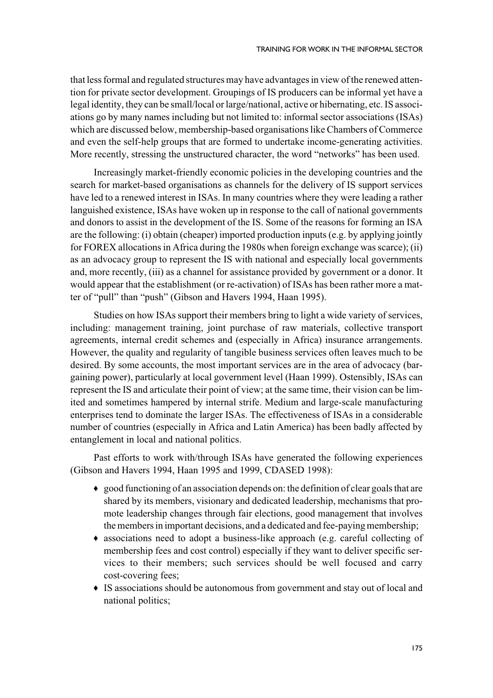that less formal and regulated structures may have advantages in view of the renewed attention for private sector development. Groupings of IS producers can be informal yet have a legal identity, they can be small/local or large/national, active or hibernating, etc. IS associ-ations go by many names including but not limited to: informal sector associations (ISAs) which are discussed below, membership-based organisations like Chambers of Commerce and even the self-help groups that are formed to undertake income-generating activities. More recently, stressing the unstructured character, the word "networks" has been used.

Increasingly market-friendly economic policies in the developing countries and the search for market-based organisations as channels for the delivery of IS support services have led to a renewed interest in ISAs. In many countries where they were leading a rather languished existence, ISAs have woken up in response to the call of national governments and donors to assist in the development of the IS. Some of the reasons for forming an ISA are the following: (i) obtain (cheaper) imported production inputs (e.g. by applying jointly for FOREX allocations in Africa during the 1980s when foreign exchange was scarce); (ii) as an advocacy group to represent the IS with national and especially local governments and, more recently, (iii) as a channel for assistance provided by government or a donor. It would appear that the establishment (or re-activation) of ISAs has been rather more a matter of "pull" than "push" (Gibson and Havers 1994, Haan 1995).

Studies on how ISAs support their members bring to light a wide variety of services, including: management training, joint purchase of raw materials, collective transport agreements, internal credit schemes and (especially in Africa) insurance arrangements. However, the quality and regularity of tangible business services often leaves much to be desired. By some accounts, the most important services are in the area of advocacy (bargaining power), particularly at local government level (Haan 1999). Ostensibly, ISAs can represent the IS and articulate their point of view; at the same time, their vision can be limited and sometimes hampered by internal strife. Medium and large-scale manufacturing enterprises tend to dominate the larger ISAs. The effectiveness of ISAs in a considerable number of countries (especially in Africa and Latin America) has been badly affected by entanglement in local and national politics.

Past efforts to work with/through ISAs have generated the following experiences (Gibson and Havers 1994, Haan 1995 and 1999, CDASED 1998):

- good functioning of an association depends on: the definition of clear goals that are shared by its members, visionary and dedicated leadership, mechanisms that promote leadership changes through fair elections, good management that involves the members in important decisions, and a dedicated and fee-paying membership;
- associations need to adopt a business-like approach (e.g. careful collecting of membership fees and cost control) especially if they want to deliver specific services to their members; such services should be well focused and carry cost-covering fees;
- IS associations should be autonomous from government and stay out of local and national politics;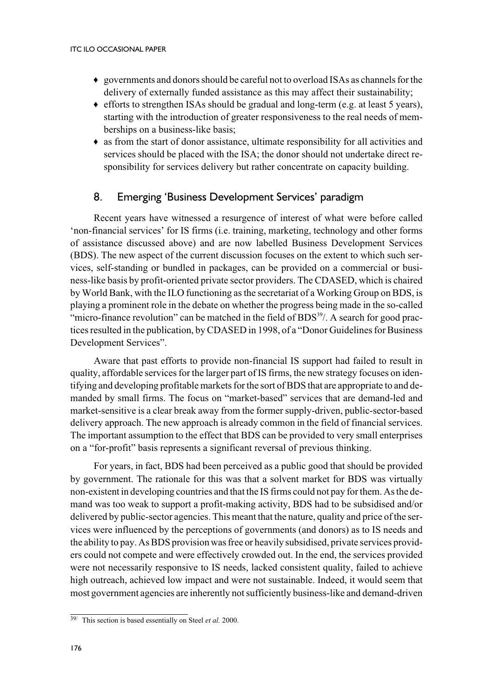- governments and donors should be careful not to overload ISAs as channels for the delivery of externally funded assistance as this may affect their sustainability;
- efforts to strengthen ISAs should be gradual and long-term (e.g. at least 5 years), starting with the introduction of greater responsiveness to the real needs of memberships on a business-like basis;
- $\bullet$  as from the start of donor assistance, ultimate responsibility for all activities and services should be placed with the ISA; the donor should not undertake direct responsibility for services delivery but rather concentrate on capacity building.

## 8. Emerging 'Business Development Services' paradigm

Recent years have witnessed a resurgence of interest of what were before called 'non-financial services' for IS firms (i.e. training, marketing, technology and other forms of assistance discussed above) and are now labelled Business Development Services (BDS). The new aspect of the current discussion focuses on the extent to which such services, self-standing or bundled in packages, can be provided on a commercial or business-like basis by profit-oriented private sector providers. The CDASED,which is chaired by World Bank, with the ILO functioning as the secretariat of a Working Group on BDS, is playing a prominent role in the debate on whether the progress being made in the so-called "micro-finance revolution" can be matched in the field of  $BDS<sup>39</sup>$ . A search for good practices resulted in the publication, by CDASED in 1998, of a "Donor Guidelines for Business" Development Services".

Aware that past efforts to provide non-financial IS support had failed to result in quality, affordable services for the larger part of IS firms, the new strategy focuses on identifying and developing profitable markets for the sort of BDS that are appropriate to and demanded by small firms. The focus on "market-based" services that are demand-led and market-sensitive is a clear break away from the former supply-driven, public-sector-based delivery approach. The new approach is already common in the field of financial services. The important assumption to the effect that BDS can be provided to very small enterprises on a "for-profit" basis represents a significant reversal of previous thinking.

For years, in fact, BDS had been perceived as a public good that should be provided by government. The rationale for this was that a solvent market for BDS was virtually non-existent in developing countries and that the IS firms could not pay for them. As the demand was too weak to support a profit-making activity, BDS had to be subsidised and/or delivered by public-sector agencies. This meant that the nature, quality and price of the services were influenced by the perceptions of governments (and donors) as to IS needs and the ability to pay. As BDS provision was free or heavily subsidised, private services providers could not compete and were effectively crowded out. In the end, the services provided were not necessarily responsive to IS needs, lacked consistent quality, failed to achieve high outreach, achieved low impact and were not sustainable. Indeed, it would seem that most government agencies are inherently not sufficiently business-like and demand-driven

<sup>39/</sup> This section is based essentially on Steel *et al.* 2000.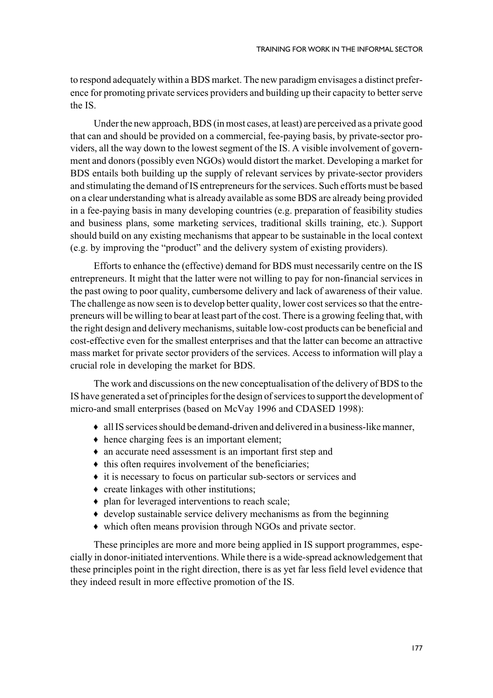to respond adequately within a BDS market. The new paradigm envisages a distinct preference for promoting private services providers and building up their capacity to better serve the IS.

Under the new approach, BDS (in most cases, at least) are perceived as a private good that can and should be provided on a commercial, fee-paying basis, by private-sector providers,all the way down to the lowest segment of the IS. A visible involvement of government and donors (possibly even NGOs) would distort the market. Developing a market for BDS entails both building up the supply of relevant services by private-sector providers and stimulating the demand of IS entrepreneurs for the services. Such efforts must be based on a clear understanding what is already available as some BDS are already being provided in a fee-paying basis in many developing countries (e.g. preparation of feasibility studies and business plans, some marketing services, traditional skills training, etc.). Support should build on any existing mechanisms that appear to be sustainable in the local context (e.g. by improving the "product" and the delivery system of existing providers).

Efforts to enhance the (effective) demand for BDS must necessarily centre on the IS entrepreneurs. It might that the latter were not willing to pay for non-financial services in the past owing to poor quality, cumbersome delivery and lack of awareness of their value. The challenge as now seen is to develop better quality, lower cost services so that the entrepreneurs will be willing to bear at least part of the cost. There is a growing feeling that, with the right design and delivery mechanisms, suitable low-cost products can be beneficial and cost-effective even for the smallest enterprises and that the latter can become an attractive mass market for private sector providers of the services. Access to information will play a crucial role in developing the market for BDS.

The work and discussions on the new conceptualisation of the delivery of BDS to the IS have generated a set of principles for the design of services to support the development of micro-and small enterprises (based on McVay 1996 and CDASED 1998):

- all IS services should be demand-driven and delivered in a business-like manner,
- hence charging fees is an important element;
- an accurate need assessment is an important first step and
- $\bullet$  this often requires involvement of the beneficiaries;
- it is necessary to focus on particular sub-sectors or services and
- create linkages with other institutions;
- plan for leveraged interventions to reach scale;
- develop sustainable service delivery mechanisms as from the beginning
- which often means provision through NGOs and private sector.

These principles are more and more being applied in IS support programmes, especially in donor-initiated interventions. While there is a wide-spread acknowledgement that these principles point in the right direction, there is as yet far less field level evidence that they indeed result in more effective promotion of the IS.